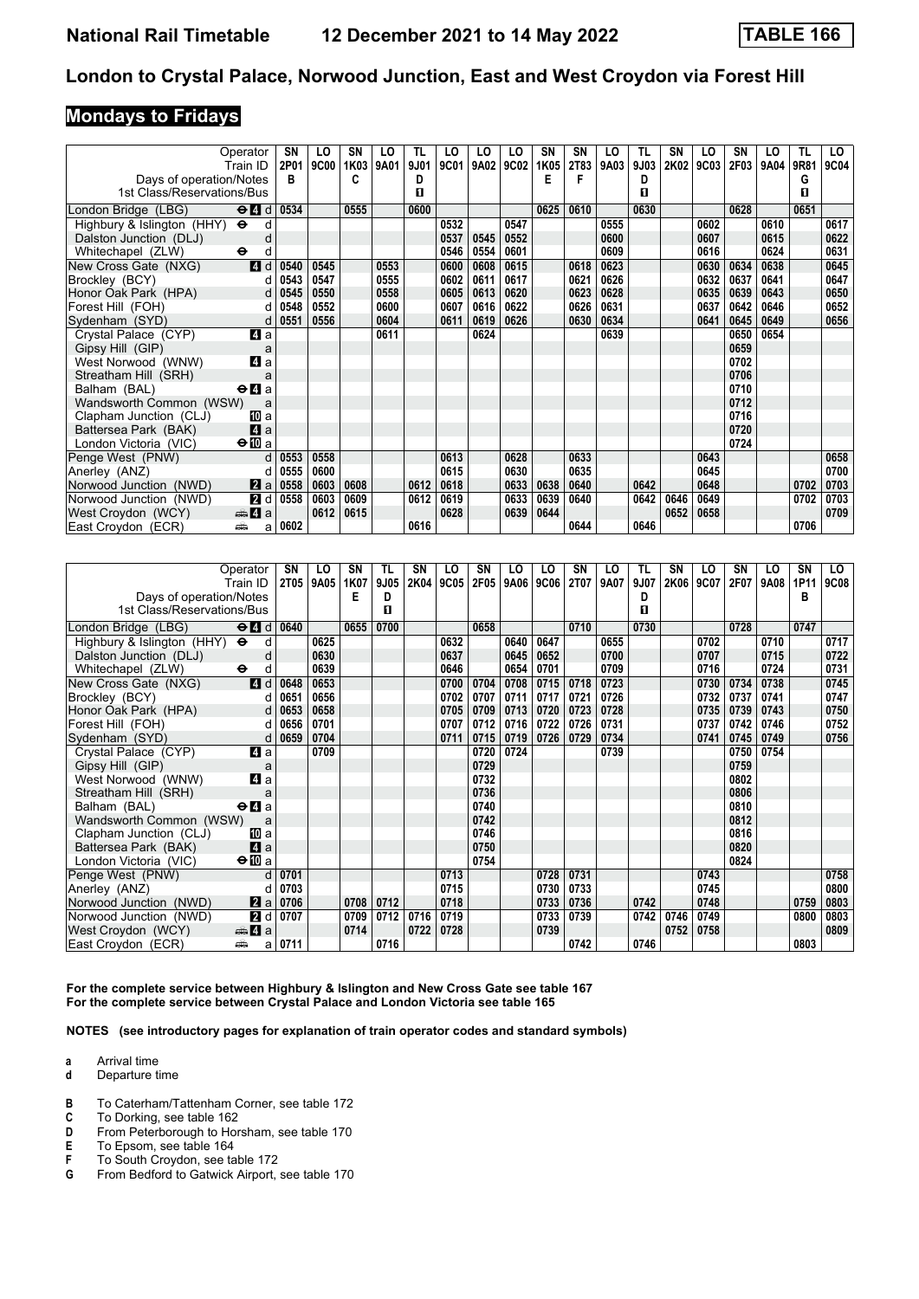### **Mondays to Fridays**

| Operator<br>Train ID                                                   |       | SN<br>2P01 | LO<br><b>9C00</b> | SN<br>1K03 | LO<br>9A01 | TL<br>9J01 | LO<br>9C01 | LO<br>9A02 | LO<br>9C02 | <b>SN</b><br>1K05 | <b>SN</b><br>2T83 | LO<br>9A03 | TL<br>9J03 | <b>SN</b><br>2K02 | LO<br>9C03 | <b>SN</b><br>2F03 | LO<br>9A04 | TL<br>9R81 | LO.<br>9C04 |
|------------------------------------------------------------------------|-------|------------|-------------------|------------|------------|------------|------------|------------|------------|-------------------|-------------------|------------|------------|-------------------|------------|-------------------|------------|------------|-------------|
|                                                                        |       | в          |                   | C          |            | D          |            |            |            | Е                 |                   |            | D          |                   |            |                   |            | G          |             |
| Days of operation/Notes<br>1st Class/Reservations/Bus                  |       |            |                   |            |            | п          |            |            |            |                   |                   |            | п          |                   |            |                   |            | п          |             |
|                                                                        |       |            |                   |            |            |            |            |            |            |                   |                   |            |            |                   |            |                   |            |            |             |
| London Bridge (LBG)<br>$\Theta$ <sup><math>\blacksquare</math> d</sup> |       | 0534       |                   | 0555       |            | 0600       |            |            |            | 0625              | 0610              |            | 0630       |                   |            | 0628              |            | 0651       |             |
| Highbury & Islington (HHY) $\Theta$                                    | d     |            |                   |            |            |            | 0532       |            | 0547       |                   |                   | 0555       |            |                   | 0602       |                   | 0610       |            | 0617        |
| Dalston Junction (DLJ)                                                 | d     |            |                   |            |            |            | 0537       | 0545       | 0552       |                   |                   | 0600       |            |                   | 0607       |                   | 0615       |            | 0622        |
| Whitechapel (ZLW)<br>$\bullet$                                         | d     |            |                   |            |            |            | 0546       | 0554       | 0601       |                   |                   | 0609       |            |                   | 0616       |                   | 0624       |            | 0631        |
| New Cross Gate (NXG)                                                   | 4d    | 0540       | 0545              |            | 0553       |            | 0600       | 0608       | 0615       |                   | 0618              | 0623       |            |                   | 0630       | 0634              | 0638       |            | 0645        |
| Brockley (BCY)                                                         | d     | 0543       | 0547              |            | 0555       |            | 0602       | 0611       | 0617       |                   | 0621              | 0626       |            |                   | 0632       | 0637              | 0641       |            | 0647        |
| Honor Oak Park (HPA)                                                   | d     | 0545       | 0550              |            | 0558       |            | 0605       | 0613       | 0620       |                   | 0623              | 0628       |            |                   | 0635       | 0639              | 0643       |            | 0650        |
| Forest Hill (FOH)                                                      | d     | 0548       | 0552              |            | 0600       |            | 0607       | 0616       | 0622       |                   | 0626              | 0631       |            |                   | 0637       | 0642              | 0646       |            | 0652        |
| Sydenham (SYD)                                                         | d     | 0551       | 0556              |            | 0604       |            | 0611       | 0619       | 0626       |                   | 0630              | 0634       |            |                   | 0641       | 0645              | 0649       |            | 0656        |
| Crystal Palace (CYP)                                                   | 4a    |            |                   |            | 0611       |            |            | 0624       |            |                   |                   | 0639       |            |                   |            | 0650              | 0654       |            |             |
| Gipsy Hill (GIP)                                                       | a     |            |                   |            |            |            |            |            |            |                   |                   |            |            |                   |            | 0659              |            |            |             |
| West Norwood (WNW)                                                     | 4 a   |            |                   |            |            |            |            |            |            |                   |                   |            |            |                   |            | 0702              |            |            |             |
| Streatham Hill (SRH)                                                   |       |            |                   |            |            |            |            |            |            |                   |                   |            |            |                   |            | 0706              |            |            |             |
| Balham (BAL)<br>$\Theta$ <b><math>\Omega</math></b> a                  |       |            |                   |            |            |            |            |            |            |                   |                   |            |            |                   |            | 0710              |            |            |             |
| Wandsworth Common (WSW)                                                | a     |            |                   |            |            |            |            |            |            |                   |                   |            |            |                   |            | 0712              |            |            |             |
| Clapham Junction (CLJ)                                                 | 100 a |            |                   |            |            |            |            |            |            |                   |                   |            |            |                   |            | 0716              |            |            |             |
| Battersea Park (BAK)                                                   | 4a    |            |                   |            |            |            |            |            |            |                   |                   |            |            |                   |            | 0720              |            |            |             |
| London Victoria (VIC)<br>$\bigoplus a$                                 |       |            |                   |            |            |            |            |            |            |                   |                   |            |            |                   |            | 0724              |            |            |             |
| Penge West (PNW)                                                       | d     | 0553       | 0558              |            |            |            | 0613       |            | 0628       |                   | 0633              |            |            |                   | 0643       |                   |            |            | 0658        |
| Anerley (ANZ)                                                          | d     | 0555       | 0600              |            |            |            | 0615       |            | 0630       |                   | 0635              |            |            |                   | 0645       |                   |            |            | 0700        |
| Norwood Junction (NWD)                                                 | 2a    | 0558       | 0603              | 0608       |            | 0612       | 0618       |            | 0633       | 0638              | 0640              |            | 0642       |                   | 0648       |                   |            | 0702       | 0703        |
| Norwood Junction (NWD)                                                 | 2d    | 0558       | 0603              | 0609       |            | 0612       | 0619       |            | 0633       | 0639              | 0640              |            | 0642       | 0646              | 0649       |                   |            | 0702       | 0703        |
| <del>⊯</del> 4 a<br>West Croydon (WCY)                                 |       |            | 0612              | 0615       |            |            | 0628       |            | 0639       | 0644              |                   |            |            | 0652              | 0658       |                   |            |            | 0709        |
| East Croydon (ECR)<br>⊯ش                                               | a     | 0602       |                   |            |            | 0616       |            |            |            |                   | 0644              |            | 0646       |                   |            |                   |            | 0706       |             |

| Operator                                                                            |        | SN          | LO   | SN   | TL   | SN   | LO   | SN   | LO   | LO   | SΝ          | LO   | TL   | SΝ   | LO   | SN   | LO   | SN   | LO.         |
|-------------------------------------------------------------------------------------|--------|-------------|------|------|------|------|------|------|------|------|-------------|------|------|------|------|------|------|------|-------------|
| Train ID                                                                            |        | <b>2T05</b> | 9A05 | 1K07 | 9J05 | 2K04 | 9C05 | 2F05 | 9A06 | 9C06 | <b>2T07</b> | 9A07 | 9J07 | 2K06 | 9C07 | 2F07 | 9A08 | 1P11 | <b>9C08</b> |
| Days of operation/Notes                                                             |        |             |      | Е    | D    |      |      |      |      |      |             |      | D    |      |      |      |      | в    |             |
| 1st Class/Reservations/Bus                                                          |        |             |      |      | п    |      |      |      |      |      |             |      | п    |      |      |      |      |      |             |
| $\Theta$ <sup><math>\blacksquare</math> <math>d</math></sup><br>London Bridge (LBG) |        | 0640        |      | 0655 | 0700 |      |      | 0658 |      |      | 0710        |      | 0730 |      |      | 0728 |      | 0747 |             |
| Highbury & Islington (HHY) $\Theta$                                                 | d      |             | 0625 |      |      |      | 0632 |      | 0640 | 0647 |             | 0655 |      |      | 0702 |      | 0710 |      | 0717        |
| Dalston Junction (DLJ)                                                              | d      |             | 0630 |      |      |      | 0637 |      | 0645 | 0652 |             | 0700 |      |      | 0707 |      | 0715 |      | 0722        |
| Whitechapel (ZLW)<br>$\ddot{\phantom{1}}$                                           | d      |             | 0639 |      |      |      | 0646 |      | 0654 | 0701 |             | 0709 |      |      | 0716 |      | 0724 |      | 0731        |
| New Cross Gate (NXG)                                                                | 4d     | 0648        | 0653 |      |      |      | 0700 | 0704 | 0708 | 0715 | 0718        | 0723 |      |      | 0730 | 0734 | 0738 |      | 0745        |
| Brockley (BCY)                                                                      | d      | 0651        | 0656 |      |      |      | 0702 | 0707 | 0711 | 0717 | 0721        | 0726 |      |      | 0732 | 0737 | 0741 |      | 0747        |
| Honor Oak Park (HPA)                                                                | d      | 0653        | 0658 |      |      |      | 0705 | 0709 | 0713 | 0720 | 0723        | 0728 |      |      | 0735 | 0739 | 0743 |      | 0750        |
| Forest Hill (FOH)                                                                   | d      | 0656        | 0701 |      |      |      | 0707 | 0712 | 0716 | 0722 | 0726        | 0731 |      |      | 0737 | 0742 | 0746 |      | 0752        |
| Sydenham (SYD)                                                                      | d      | 0659        | 0704 |      |      |      | 0711 | 0715 | 0719 | 0726 | 0729        | 0734 |      |      | 0741 | 0745 | 0749 |      | 0756        |
| Crystal Palace (CYP)                                                                | ZI a   |             | 0709 |      |      |      |      | 0720 | 0724 |      |             | 0739 |      |      |      | 0750 | 0754 |      |             |
| Gipsy Hill (GIP)                                                                    | a      |             |      |      |      |      |      | 0729 |      |      |             |      |      |      |      | 0759 |      |      |             |
| West Norwood (WNW)                                                                  | 4 a    |             |      |      |      |      |      | 0732 |      |      |             |      |      |      |      | 0802 |      |      |             |
| Streatham Hill (SRH)                                                                | a      |             |      |      |      |      |      | 0736 |      |      |             |      |      |      |      | 0806 |      |      |             |
| $\Theta$ <b>d</b> a<br>Balham (BAL)                                                 |        |             |      |      |      |      |      | 0740 |      |      |             |      |      |      |      | 0810 |      |      |             |
| Wandsworth Common (WSW)                                                             | a      |             |      |      |      |      |      | 0742 |      |      |             |      |      |      |      | 0812 |      |      |             |
| Clapham Junction (CLJ)                                                              | [II] a |             |      |      |      |      |      | 0746 |      |      |             |      |      |      |      | 0816 |      |      |             |
| Battersea Park (BAK)                                                                | 4a     |             |      |      |      |      |      | 0750 |      |      |             |      |      |      |      | 0820 |      |      |             |
| $\Theta$ III a<br>London Victoria (VIC)                                             |        |             |      |      |      |      |      | 0754 |      |      |             |      |      |      |      | 0824 |      |      |             |
| Penge West (PNW)                                                                    | d      | 0701        |      |      |      |      | 0713 |      |      | 0728 | 0731        |      |      |      | 0743 |      |      |      | 0758        |
| Anerley (ANZ)                                                                       | d      | 0703        |      |      |      |      | 0715 |      |      | 0730 | 0733        |      |      |      | 0745 |      |      |      | 0800        |
| Norwood Junction (NWD)                                                              | 2a     | 0706        |      | 0708 | 0712 |      | 0718 |      |      | 0733 | 0736        |      | 0742 |      | 0748 |      |      | 0759 | 0803        |
| Norwood Junction (NWD)                                                              | 2d     | 0707        |      | 0709 | 0712 | 0716 | 0719 |      |      | 0733 | 0739        |      | 0742 | 0746 | 0749 |      |      | 0800 | 0803        |
| $\oplus$ 4 a<br>West Croydon (WCY)                                                  |        |             |      | 0714 |      | 0722 | 0728 |      |      | 0739 |             |      |      | 0752 | 0758 |      |      |      | 0809        |
| East Croydon (ECR)<br>پیش                                                           | a      | 0711        |      |      | 0716 |      |      |      |      |      | 0742        |      | 0746 |      |      |      |      | 0803 |             |

**For the complete service between Highbury & Islington and New Cross Gate see table 167 For the complete service between Crystal Palace and London Victoria see table 1**

**NOTES (see introductory pages for explanation of train operator codes and standard symbols)**

**a** Arrival time<br>**d** Departure t

- **d** Departure time
- **B** To Caterham/Tattenham Corner, see table 172<br>**C** To Dorking, see table 162
- **C** To Dorking, see table 162<br>**D** From Peterborough to Hor
- From Peterborough to Horsham, see table 170
- **E** To Epsom, see table 164<br>**F** To South Croydon, see ta
- 
- **F** To South Croydon, see table 172<br>**G** From Bedford to Gatwick Airport, From Bedford to Gatwick Airport, see table 170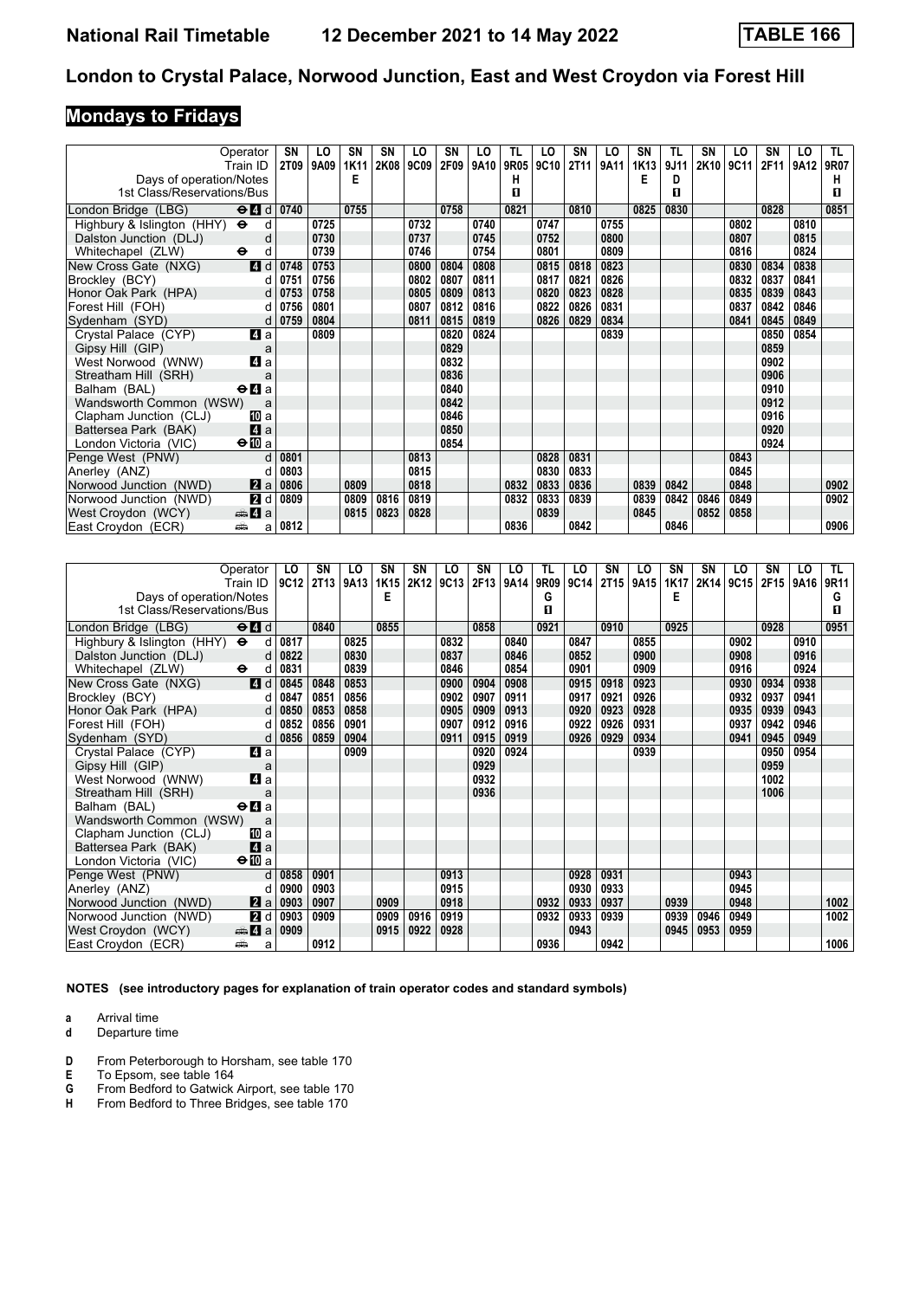# **Mondays to Fridays**

|                                                       | Operator<br>Train ID                            | SN<br>2T09 | LO<br>9A09 | SN<br>1K11 | SN<br>2K08 | LO<br>9C09 | SΝ<br>2F09 | LO<br>9A10 | TL<br>9R05 | LO<br>9C10 | SN<br><b>2T11</b> | LO<br>9A11 | <b>SN</b><br>1K13 | TL<br>9J11 | <b>SN</b><br>2K10 | LO<br>9C11 | SΝ<br>2F11 | LO<br>9A12 | TL.<br>9R07 |
|-------------------------------------------------------|-------------------------------------------------|------------|------------|------------|------------|------------|------------|------------|------------|------------|-------------------|------------|-------------------|------------|-------------------|------------|------------|------------|-------------|
|                                                       |                                                 |            |            | Е          |            |            |            |            | н          |            |                   |            | Е                 | D          |                   |            |            |            | н           |
| Days of operation/Notes<br>1st Class/Reservations/Bus |                                                 |            |            |            |            |            |            |            | п          |            |                   |            |                   | п          |                   |            |            |            | п           |
|                                                       |                                                 |            |            |            |            |            |            |            |            |            |                   |            |                   |            |                   |            |            |            |             |
| London Bridge (LBG)                                   | $\Theta$ <sup><math>\blacksquare</math> d</sup> | 0740       |            | 0755       |            |            | 0758       |            | 0821       |            | 0810              |            | 0825              | 0830       |                   |            | 0828       |            | 0851        |
| Highbury & Islington (HHY) $\Theta$                   | d                                               |            | 0725       |            |            | 0732       |            | 0740       |            | 0747       |                   | 0755       |                   |            |                   | 0802       |            | 0810       |             |
| Dalston Junction (DLJ)                                | d                                               |            | 0730       |            |            | 0737       |            | 0745       |            | 0752       |                   | 0800       |                   |            |                   | 0807       |            | 0815       |             |
| Whitechapel (ZLW)                                     | $\ddot{\mathbf{e}}$<br>d                        |            | 0739       |            |            | 0746       |            | 0754       |            | 0801       |                   | 0809       |                   |            |                   | 0816       |            | 0824       |             |
| New Cross Gate (NXG)                                  | 4d                                              | 0748       | 0753       |            |            | 0800       | 0804       | 0808       |            | 0815       | 0818              | 0823       |                   |            |                   | 0830       | 0834       | 0838       |             |
| Brockley (BCY)                                        | d                                               | 0751       | 0756       |            |            | 0802       | 0807       | 0811       |            | 0817       | 0821              | 0826       |                   |            |                   | 0832       | 0837       | 0841       |             |
| Honor Oak Park (HPA)                                  | d                                               | 0753       | 0758       |            |            | 0805       | 0809       | 0813       |            | 0820       | 0823              | 0828       |                   |            |                   | 0835       | 0839       | 0843       |             |
| Forest Hill (FOH)                                     | d                                               | 0756       | 0801       |            |            | 0807       | 0812       | 0816       |            | 0822       | 0826              | 0831       |                   |            |                   | 0837       | 0842       | 0846       |             |
| Sydenham (SYD)                                        | d                                               | 0759       | 0804       |            |            | 0811       | 0815       | 0819       |            | 0826       | 0829              | 0834       |                   |            |                   | 0841       | 0845       | 0849       |             |
| Crystal Palace (CYP)                                  | 4 a                                             |            | 0809       |            |            |            | 0820       | 0824       |            |            |                   | 0839       |                   |            |                   |            | 0850       | 0854       |             |
| Gipsy Hill (GIP)                                      | a                                               |            |            |            |            |            | 0829       |            |            |            |                   |            |                   |            |                   |            | 0859       |            |             |
| West Norwood (WNW)                                    | 4a                                              |            |            |            |            |            | 0832       |            |            |            |                   |            |                   |            |                   |            | 0902       |            |             |
| Streatham Hill (SRH)                                  | a                                               |            |            |            |            |            | 0836       |            |            |            |                   |            |                   |            |                   |            | 0906       |            |             |
| Balham (BAL)                                          | $\Theta$ <b>d</b> a                             |            |            |            |            |            | 0840       |            |            |            |                   |            |                   |            |                   |            | 0910       |            |             |
| Wandsworth Common (WSW)                               | a                                               |            |            |            |            |            | 0842       |            |            |            |                   |            |                   |            |                   |            | 0912       |            |             |
| Clapham Junction (CLJ)                                | 100 a                                           |            |            |            |            |            | 0846       |            |            |            |                   |            |                   |            |                   |            | 0916       |            |             |
| Battersea Park (BAK)                                  | 4a                                              |            |            |            |            |            | 0850       |            |            |            |                   |            |                   |            |                   |            | 0920       |            |             |
| London Victoria (VIC)                                 | $\bigoplus$ a                                   |            |            |            |            |            | 0854       |            |            |            |                   |            |                   |            |                   |            | 0924       |            |             |
| Penge West (PNW)                                      | d                                               | 0801       |            |            |            | 0813       |            |            |            | 0828       | 0831              |            |                   |            |                   | 0843       |            |            |             |
| Anerley (ANZ)                                         | d                                               | 0803       |            |            |            | 0815       |            |            |            | 0830       | 0833              |            |                   |            |                   | 0845       |            |            |             |
| Norwood Junction (NWD)                                | 2a                                              | 0806       |            | 0809       |            | 0818       |            |            | 0832       | 0833       | 0836              |            | 0839              | 0842       |                   | 0848       |            |            | 0902        |
| Norwood Junction (NWD)                                | 2d                                              | 0809       |            | 0809       | 0816       | 0819       |            |            | 0832       | 0833       | 0839              |            | 0839              | 0842       | 0846              | 0849       |            |            | 0902        |
| West Croydon (WCY)                                    | <del>⊯</del> 4 a                                |            |            | 0815       | 0823       | 0828       |            |            |            | 0839       |                   |            | 0845              |            | 0852              | 0858       |            |            |             |
| East Croydon (ECR)                                    | ⊯ش<br>a                                         | 0812       |            |            |            |            |            |            | 0836       |            | 0842              |            |                   | 0846       |                   |            |            |            | 0906        |

| Operator                                                           | LO        | SΝ          | LO   | SN   | SN   | LO   | SN   | LO   | TL   | LO   | SN          | LO   | SN   | <b>SN</b> | LO   | SΝ               | LO   | TL.  |
|--------------------------------------------------------------------|-----------|-------------|------|------|------|------|------|------|------|------|-------------|------|------|-----------|------|------------------|------|------|
| Train ID                                                           | 9C12      | <b>2T13</b> | 9A13 | 1K15 | 2K12 | 9C13 | 2F13 | 9A14 | 9R09 | 9C14 | <b>2T15</b> | 9A15 | 1K17 | 2K14      | 9C15 | 2F <sub>15</sub> | 9A16 | 9R11 |
| Days of operation/Notes                                            |           |             |      | Е    |      |      |      |      | G    |      |             |      | Е    |           |      |                  |      | G    |
| 1st Class/Reservations/Bus                                         |           |             |      |      |      |      |      |      | п    |      |             |      |      |           |      |                  |      | п    |
|                                                                    |           |             |      |      |      |      |      |      |      |      |             |      |      |           |      |                  |      |      |
| $\Theta$ <sup><math>\Omega</math></sup> $d$<br>London Bridge (LBG) |           | 0840        |      | 0855 |      |      | 0858 |      | 0921 |      | 0910        |      | 0925 |           |      | 0928             |      | 0951 |
| Highbury & Islington (HHY) $\Theta$                                | 0817<br>d |             | 0825 |      |      | 0832 |      | 0840 |      | 0847 |             | 0855 |      |           | 0902 |                  | 0910 |      |
| Dalston Junction (DLJ)                                             | 0822<br>d |             | 0830 |      |      | 0837 |      | 0846 |      | 0852 |             | 0900 |      |           | 0908 |                  | 0916 |      |
| Whitechapel (ZLW)<br>$\ddot{\phantom{1}}$                          | 0831<br>d |             | 0839 |      |      | 0846 |      | 0854 |      | 0901 |             | 0909 |      |           | 0916 |                  | 0924 |      |
| 4d<br>New Cross Gate (NXG)                                         | 0845      | 0848        | 0853 |      |      | 0900 | 0904 | 0908 |      | 0915 | 0918        | 0923 |      |           | 0930 | 0934             | 0938 |      |
| Brockley (BCY)                                                     | 0847<br>d | 0851        | 0856 |      |      | 0902 | 0907 | 0911 |      | 0917 | 0921        | 0926 |      |           | 0932 | 0937             | 0941 |      |
| Honor Oak Park (HPA)                                               | 0850<br>d | 0853        | 0858 |      |      | 0905 | 0909 | 0913 |      | 0920 | 0923        | 0928 |      |           | 0935 | 0939             | 0943 |      |
| Forest Hill (FOH)                                                  | 0852<br>d | 0856        | 0901 |      |      | 0907 | 0912 | 0916 |      | 0922 | 0926        | 0931 |      |           | 0937 | 0942             | 0946 |      |
| Sydenham (SYD)                                                     | 0856<br>d | 0859        | 0904 |      |      | 0911 | 0915 | 0919 |      | 0926 | 0929        | 0934 |      |           | 0941 | 0945             | 0949 |      |
| ZI a<br>Crystal Palace (CYP)                                       |           |             | 0909 |      |      |      | 0920 | 0924 |      |      |             | 0939 |      |           |      | 0950             | 0954 |      |
| Gipsy Hill (GIP)                                                   | a         |             |      |      |      |      | 0929 |      |      |      |             |      |      |           |      | 0959             |      |      |
| 4 a<br>West Norwood (WNW)                                          |           |             |      |      |      |      | 0932 |      |      |      |             |      |      |           |      | 1002             |      |      |
| Streatham Hill (SRH)                                               | a         |             |      |      |      |      | 0936 |      |      |      |             |      |      |           |      | 1006             |      |      |
| $\Theta$ <b><math>\blacksquare</math></b> a<br>Balham (BAL)        |           |             |      |      |      |      |      |      |      |      |             |      |      |           |      |                  |      |      |
| Wandsworth Common (WSW)                                            | a         |             |      |      |      |      |      |      |      |      |             |      |      |           |      |                  |      |      |
| Clapham Junction (CLJ)<br>[II] a                                   |           |             |      |      |      |      |      |      |      |      |             |      |      |           |      |                  |      |      |
| $\blacksquare$ a<br>Battersea Park (BAK)                           |           |             |      |      |      |      |      |      |      |      |             |      |      |           |      |                  |      |      |
| $\Theta$ M a<br>London Victoria (VIC)                              |           |             |      |      |      |      |      |      |      |      |             |      |      |           |      |                  |      |      |
| Penge West (PNW)                                                   | 0858<br>d | 0901        |      |      |      | 0913 |      |      |      | 0928 | 0931        |      |      |           | 0943 |                  |      |      |
| Anerley (ANZ)                                                      | 0900<br>d | 0903        |      |      |      | 0915 |      |      |      | 0930 | 0933        |      |      |           | 0945 |                  |      |      |
| 2 a <br>Norwood Junction (NWD)                                     | 0903      | 0907        |      | 0909 |      | 0918 |      |      | 0932 | 0933 | 0937        |      | 0939 |           | 0948 |                  |      | 1002 |
| 2d<br>Norwood Junction (NWD)                                       | 0903      | 0909        |      | 0909 | 0916 | 0919 |      |      | 0932 | 0933 | 0939        |      | 0939 | 0946      | 0949 |                  |      | 1002 |
| $\bigoplus$ $\mathbf{Z}$ a<br>West Croydon (WCY)                   | 0909      |             |      | 0915 | 0922 | 0928 |      |      |      | 0943 |             |      | 0945 | 0953      | 0959 |                  |      |      |
| æ<br>East Croydon (ECR)                                            | a         | 0912        |      |      |      |      |      |      | 0936 |      | 0942        |      |      |           |      |                  |      | 1006 |

**NOTES (see introductory pages for explanation of train operator codes and standard symbols)**

- **a** Arrival time<br>**d** Departure t
- **d** Departure time
- **D** From Peterborough to Horsham, see table 170 **E** To Epsom, see table 164
- **E** To Epsom, see table 164<br>**G** From Bedford to Gatwick
- **6** From Bedford to Gatwick Airport, see table 170<br>**H** From Bedford to Three Bridges, see table 170
- From Bedford to Three Bridges, see table 170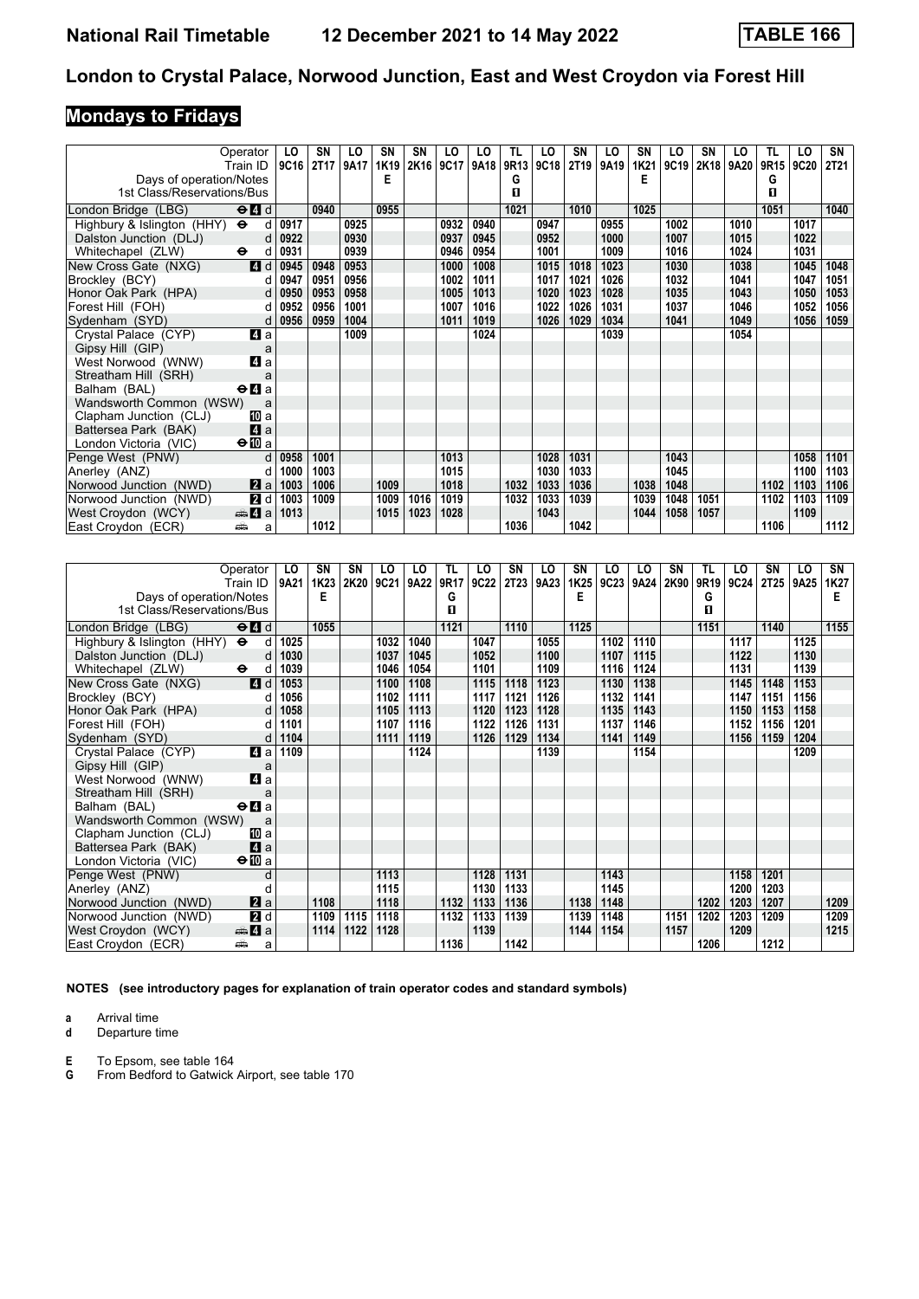# **Mondays to Fridays**

| Operator                                 | Train ID                                        | LO<br>9C16 | SN<br>2T <sub>17</sub> | LO<br>9A17 | <b>SN</b><br>1K19 | <b>SN</b><br>2K16 | LO<br>9C17 | LO<br>9A18 | TL<br>9R13 | LO<br>9C18 | SN<br>2T19 | LO<br>9A19 | SΝ<br>1K21 | LO<br>9C19 | SN<br>2K18 | LO<br>9A20 | TL<br>9R15 | LO<br>9C20 | SN<br><b>2T21</b> |
|------------------------------------------|-------------------------------------------------|------------|------------------------|------------|-------------------|-------------------|------------|------------|------------|------------|------------|------------|------------|------------|------------|------------|------------|------------|-------------------|
| Days of operation/Notes                  |                                                 |            |                        |            | Е                 |                   |            |            | G          |            |            |            | Е          |            |            |            | G          |            |                   |
| 1st Class/Reservations/Bus               |                                                 |            |                        |            |                   |                   |            |            | п          |            |            |            |            |            |            |            | п          |            |                   |
|                                          |                                                 |            |                        |            |                   |                   |            |            |            |            |            |            |            |            |            |            |            |            |                   |
| London Bridge (LBG)                      | $\Theta$ <sup><math>\blacksquare</math> d</sup> |            | 0940                   |            | 0955              |                   |            |            | 1021       |            | 1010       |            | 1025       |            |            |            | 1051       |            | 1040              |
| Highbury & Islington (HHY) $\Theta$      | d                                               | 0917       |                        | 0925       |                   |                   | 0932       | 0940       |            | 0947       |            | 0955       |            | 1002       |            | 1010       |            | 1017       |                   |
| Dalston Junction (DLJ)                   | d                                               | 0922       |                        | 0930       |                   |                   | 0937       | 0945       |            | 0952       |            | 1000       |            | 1007       |            | 1015       |            | 1022       |                   |
| Whitechapel (ZLW)<br>$\ddot{\mathbf{e}}$ | d                                               | 0931       |                        | 0939       |                   |                   | 0946       | 0954       |            | 1001       |            | 1009       |            | 1016       |            | 1024       |            | 1031       |                   |
| New Cross Gate (NXG)                     | 4 d                                             | 0945       | 0948                   | 0953       |                   |                   | 1000       | 1008       |            | 1015       | 1018       | 1023       |            | 1030       |            | 1038       |            | 1045       | 1048              |
| Brockley (BCY)                           | d                                               | 0947       | 0951                   | 0956       |                   |                   | 1002       | 1011       |            | 1017       | 1021       | 1026       |            | 1032       |            | 1041       |            | 1047       | 1051              |
| Honor Oak Park (HPA)                     | d                                               | 0950       | 0953                   | 0958       |                   |                   | 1005       | 1013       |            | 1020       | 1023       | 1028       |            | 1035       |            | 1043       |            | 1050       | 1053              |
| Forest Hill (FOH)                        | d                                               | 0952       | 0956                   | 1001       |                   |                   | 1007       | 1016       |            | 1022       | 1026       | 1031       |            | 1037       |            | 1046       |            | 1052       | 1056              |
| Sydenham (SYD)                           | d                                               | 0956       | 0959                   | 1004       |                   |                   | 1011       | 1019       |            | 1026       | 1029       | 1034       |            | 1041       |            | 1049       |            | 1056       | 1059              |
| Crystal Palace (CYP)                     | 4 a                                             |            |                        | 1009       |                   |                   |            | 1024       |            |            |            | 1039       |            |            |            | 1054       |            |            |                   |
| Gipsy Hill (GIP)                         | a                                               |            |                        |            |                   |                   |            |            |            |            |            |            |            |            |            |            |            |            |                   |
| West Norwood (WNW)                       | 4 a                                             |            |                        |            |                   |                   |            |            |            |            |            |            |            |            |            |            |            |            |                   |
| Streatham Hill (SRH)                     | a                                               |            |                        |            |                   |                   |            |            |            |            |            |            |            |            |            |            |            |            |                   |
| Balham (BAL)                             | $\Theta$ <b><math>\blacksquare</math></b> a     |            |                        |            |                   |                   |            |            |            |            |            |            |            |            |            |            |            |            |                   |
| Wandsworth Common (WSW)                  | a                                               |            |                        |            |                   |                   |            |            |            |            |            |            |            |            |            |            |            |            |                   |
| Clapham Junction (CLJ)                   | 吅 a                                             |            |                        |            |                   |                   |            |            |            |            |            |            |            |            |            |            |            |            |                   |
| Battersea Park (BAK)                     | 4a                                              |            |                        |            |                   |                   |            |            |            |            |            |            |            |            |            |            |            |            |                   |
| London Victoria (VIC)                    | $\bigoplus$ a                                   |            |                        |            |                   |                   |            |            |            |            |            |            |            |            |            |            |            |            |                   |
| Penge West (PNW)                         | $\mathsf{d}$                                    | 0958       | 1001                   |            |                   |                   | 1013       |            |            | 1028       | 1031       |            |            | 1043       |            |            |            | 1058       | 1101              |
| Anerley (ANZ)                            | d                                               | 1000       | 1003                   |            |                   |                   | 1015       |            |            | 1030       | 1033       |            |            | 1045       |            |            |            | 1100       | 1103              |
| Norwood Junction (NWD)                   | 2a                                              | 1003       | 1006                   |            | 1009              |                   | 1018       |            | 1032       | 1033       | 1036       |            | 1038       | 1048       |            |            | 1102       | 1103       | 1106              |
| Norwood Junction (NWD)                   | 2d                                              | 1003       | 1009                   |            | 1009              | 1016              | 1019       |            | 1032       | 1033       | 1039       |            | 1039       | 1048       | 1051       |            | 1102       | 1103       | 1109              |
| West Croydon (WCY)                       | $\oplus$ 4 a                                    | 1013       |                        |            | 1015              | 1023              | 1028       |            |            | 1043       |            |            | 1044       | 1058       | 1057       |            |            | 1109       |                   |
| East Croydon (ECR)<br>پیش                | a                                               |            | 1012                   |            |                   |                   |            |            | 1036       |            | 1042       |            |            |            |            |            | 1106       |            | 1112              |

| Operator                                                               | LO   | SN   | SN   | LO   | LO   | TL   | LO   | SΝ          | LO   | SN   | LO   | LO   | SN   | TL   | LO   | SΝ               | LO   | SN   |
|------------------------------------------------------------------------|------|------|------|------|------|------|------|-------------|------|------|------|------|------|------|------|------------------|------|------|
| Train ID                                                               | 9A21 | 1K23 | 2K20 | 9C21 | 9A22 | 9R17 | 9C22 | <b>2T23</b> | 9A23 | 1K25 | 9C23 | 9A24 | 2K90 | 9R19 | 9C24 | 2T <sub>25</sub> | 9A25 | 1K27 |
| Days of operation/Notes                                                |      | E    |      |      |      | G    |      |             |      | Е    |      |      |      | G    |      |                  |      | Е    |
| 1st Class/Reservations/Bus                                             |      |      |      |      |      | п    |      |             |      |      |      |      |      | п    |      |                  |      |      |
| $\Theta$ <sup><math>\blacksquare</math> d</sup><br>London Bridge (LBG) |      | 1055 |      |      |      | 1121 |      | 1110        |      | 1125 |      |      |      | 1151 |      | 1140             |      | 1155 |
| Highbury & Islington (HHY)<br>$\ddot{\phantom{1}}$<br>d                | 1025 |      |      | 1032 | 1040 |      | 1047 |             | 1055 |      | 1102 | 1110 |      |      | 1117 |                  | 1125 |      |
| Dalston Junction (DLJ)<br>d                                            | 1030 |      |      | 1037 | 1045 |      | 1052 |             | 1100 |      | 1107 | 1115 |      |      | 1122 |                  | 1130 |      |
| $\bullet$<br>Whitechapel (ZLW)<br>d                                    | 1039 |      |      | 1046 | 1054 |      | 1101 |             | 1109 |      | 1116 | 1124 |      |      | 1131 |                  | 1139 |      |
| 4d<br>New Cross Gate (NXG)                                             | 1053 |      |      | 1100 | 1108 |      | 1115 | 1118        | 1123 |      | 1130 | 1138 |      |      | 1145 | 1148             | 1153 |      |
| Brockley (BCY)<br>d                                                    | 1056 |      |      | 1102 | 1111 |      | 1117 | 1121        | 1126 |      | 1132 | 1141 |      |      | 1147 | 1151             | 1156 |      |
| Honor Oak Park (HPA)                                                   | 1058 |      |      | 1105 | 1113 |      | 1120 | 1123        | 1128 |      | 1135 | 1143 |      |      | 1150 | 1153             | 1158 |      |
| Forest Hill (FOH)<br>d                                                 | 1101 |      |      | 1107 | 1116 |      | 1122 | 1126        | 1131 |      | 1137 | 1146 |      |      | 1152 | 1156             | 1201 |      |
| Sydenham (SYD)<br>d                                                    | 1104 |      |      | 1111 | 1119 |      | 1126 | 1129        | 1134 |      | 1141 | 1149 |      |      | 1156 | 1159             | 1204 |      |
| ZI a<br>Crystal Palace (CYP)                                           | 1109 |      |      |      | 1124 |      |      |             | 1139 |      |      | 1154 |      |      |      |                  | 1209 |      |
| Gipsy Hill (GIP)<br>a                                                  |      |      |      |      |      |      |      |             |      |      |      |      |      |      |      |                  |      |      |
| 4a<br>West Norwood (WNW)                                               |      |      |      |      |      |      |      |             |      |      |      |      |      |      |      |                  |      |      |
| Streatham Hill (SRH)<br>a                                              |      |      |      |      |      |      |      |             |      |      |      |      |      |      |      |                  |      |      |
| $\Theta$ <b><math>\blacksquare</math></b> a<br>Balham (BAL)            |      |      |      |      |      |      |      |             |      |      |      |      |      |      |      |                  |      |      |
| Wandsworth Common (WSW)<br>a                                           |      |      |      |      |      |      |      |             |      |      |      |      |      |      |      |                  |      |      |
| Clapham Junction (CLJ)<br>[II] a                                       |      |      |      |      |      |      |      |             |      |      |      |      |      |      |      |                  |      |      |
| 4a<br>Battersea Park (BAK)                                             |      |      |      |      |      |      |      |             |      |      |      |      |      |      |      |                  |      |      |
| $\Theta$ <b>ID</b> a<br>London Victoria (VIC)                          |      |      |      |      |      |      |      |             |      |      |      |      |      |      |      |                  |      |      |
| Penge West (PNW)<br>d                                                  |      |      |      | 1113 |      |      | 1128 | 1131        |      |      | 1143 |      |      |      | 1158 | 1201             |      |      |
| Anerley (ANZ)<br>d                                                     |      |      |      | 1115 |      |      | 1130 | 1133        |      |      | 1145 |      |      |      | 1200 | 1203             |      |      |
| 2a<br>Norwood Junction (NWD)                                           |      | 1108 |      | 1118 |      | 1132 | 1133 | 1136        |      | 1138 | 1148 |      |      | 1202 | 1203 | 1207             |      | 1209 |
| 2d<br>Norwood Junction (NWD)                                           |      | 1109 | 1115 | 1118 |      | 1132 | 1133 | 1139        |      | 1139 | 1148 |      | 1151 | 1202 | 1203 | 1209             |      | 1209 |
| West Croydon (WCY)<br><del>e</del> 4 a                                 |      | 1114 | 1122 | 1128 |      |      | 1139 |             |      | 1144 | 1154 |      | 1157 |      | 1209 |                  |      | 1215 |
| East Croydon (ECR)<br>پیش<br>a                                         |      |      |      |      |      | 1136 |      | 1142        |      |      |      |      |      | 1206 |      | 1212             |      |      |

**NOTES (see introductory pages for explanation of train operator codes and standard symbols)**

**a** Arrival time<br>**d** Departure t

**d** Departure time

**E** To Epsom, see table 164<br>**G** From Bedford to Gatwick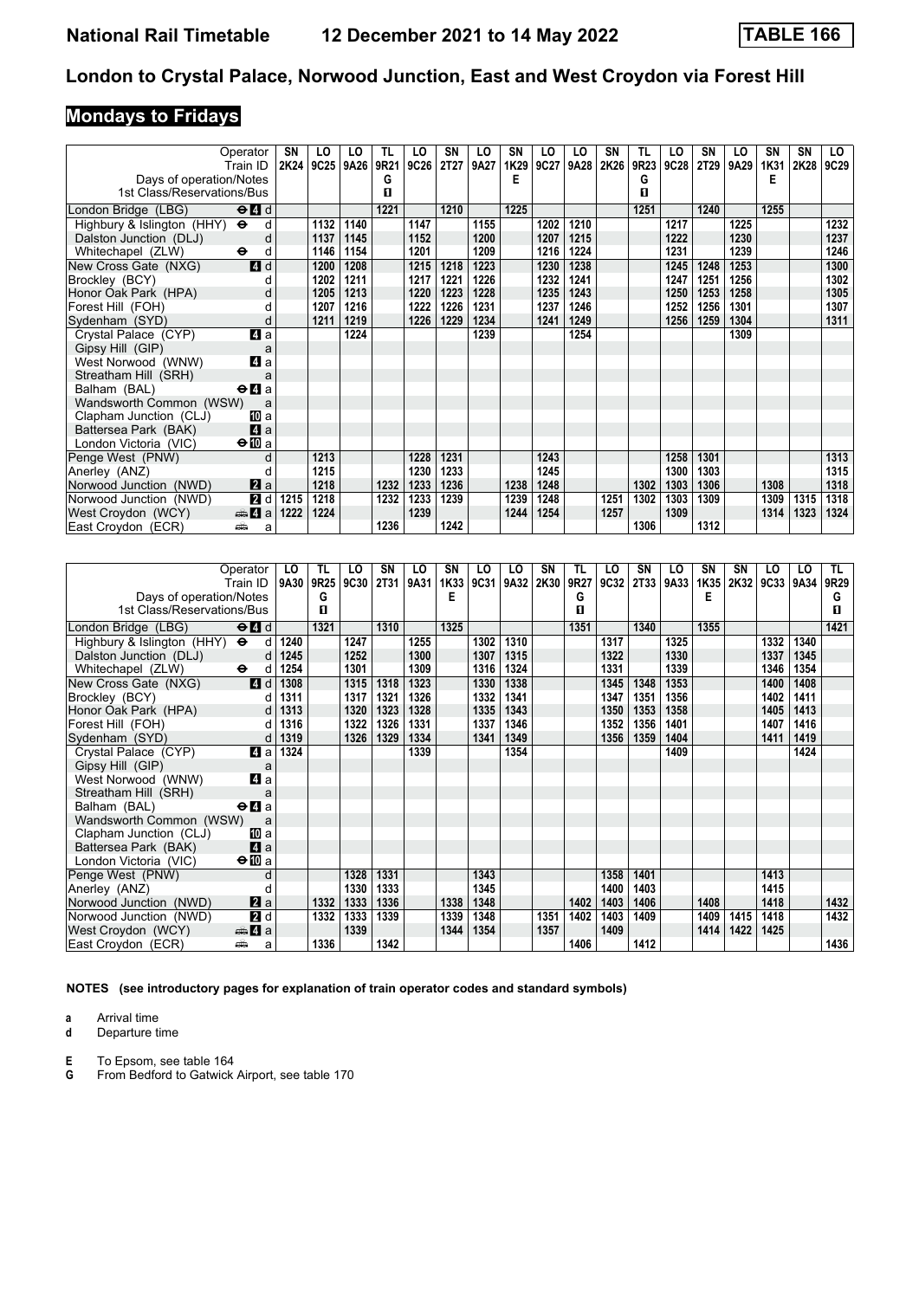# **Mondays to Fridays**

|                                                            | Operator<br>Train ID                            | SN<br>2K24 | LO<br>9C25 | LO<br>9A26 | TL.<br>9R21 | LO<br>9C26 | <b>SN</b><br>2T27 | LO<br>9A27 | <b>SN</b><br>1K29 | LO<br>9C27 | LO<br>9A28 | SN<br>2K26 | TL<br>9R23 | LO<br>9C28 | <b>SN</b><br>2T29 | LO<br>9A29 | SN<br>1K31 | <b>SN</b><br>2K28 | LO.<br>9C29 |
|------------------------------------------------------------|-------------------------------------------------|------------|------------|------------|-------------|------------|-------------------|------------|-------------------|------------|------------|------------|------------|------------|-------------------|------------|------------|-------------------|-------------|
| Days of operation/Notes                                    |                                                 |            |            |            | G           |            |                   |            | Е                 |            |            |            | G          |            |                   |            | Е          |                   |             |
| 1st Class/Reservations/Bus                                 |                                                 |            |            |            | П           |            |                   |            |                   |            |            |            | п          |            |                   |            |            |                   |             |
| London Bridge (LBG)                                        | $\Theta$ <sup><math>\blacksquare</math> d</sup> |            |            |            | 1221        |            | 1210              |            | 1225              |            |            |            | 1251       |            | 1240              |            | 1255       |                   |             |
| Highbury & Islington (HHY)<br>$\ddot{\boldsymbol{\Theta}}$ | d                                               |            | 1132       | 1140       |             | 1147       |                   | 1155       |                   | 1202       | 1210       |            |            | 1217       |                   | 1225       |            |                   | 1232        |
| Dalston Junction (DLJ)                                     | d                                               |            | 1137       | 1145       |             | 1152       |                   | 1200       |                   | 1207       | 1215       |            |            | 1222       |                   | 1230       |            |                   | 1237        |
| Whitechapel (ZLW)<br>$\bullet$                             | d                                               |            | 1146       | 1154       |             | 1201       |                   | 1209       |                   | 1216       | 1224       |            |            | 1231       |                   | 1239       |            |                   | 1246        |
| New Cross Gate (NXG)                                       | 4d                                              |            | 1200       | 1208       |             | 1215       | 1218              | 1223       |                   | 1230       | 1238       |            |            | 1245       | 1248              | 1253       |            |                   | 1300        |
| Brockley (BCY)                                             |                                                 |            | 1202       | 1211       |             | 1217       | 1221              | 1226       |                   | 1232       | 1241       |            |            | 1247       | 1251              | 1256       |            |                   | 1302        |
| Honor Oak Park (HPA)                                       | d                                               |            | 1205       | 1213       |             | 1220       | 1223              | 1228       |                   | 1235       | 1243       |            |            | 1250       | 1253              | 1258       |            |                   | 1305        |
| Forest Hill (FOH)                                          | d                                               |            | 1207       | 1216       |             | 1222       | 1226              | 1231       |                   | 1237       | 1246       |            |            | 1252       | 1256              | 1301       |            |                   | 1307        |
| Sydenham (SYD)                                             | d                                               |            | 1211       | 1219       |             | 1226       | 1229              | 1234       |                   | 1241       | 1249       |            |            | 1256       | 1259              | 1304       |            |                   | 1311        |
| Crystal Palace (CYP)                                       | ZI a                                            |            |            | 1224       |             |            |                   | 1239       |                   |            | 1254       |            |            |            |                   | 1309       |            |                   |             |
| Gipsy Hill (GIP)                                           | a                                               |            |            |            |             |            |                   |            |                   |            |            |            |            |            |                   |            |            |                   |             |
| West Norwood (WNW)                                         | 4 a                                             |            |            |            |             |            |                   |            |                   |            |            |            |            |            |                   |            |            |                   |             |
| Streatham Hill (SRH)                                       | a                                               |            |            |            |             |            |                   |            |                   |            |            |            |            |            |                   |            |            |                   |             |
| Balham (BAL)                                               | $\Theta$ <b><math>\blacksquare</math></b> a     |            |            |            |             |            |                   |            |                   |            |            |            |            |            |                   |            |            |                   |             |
| Wandsworth Common (WSW)                                    | a                                               |            |            |            |             |            |                   |            |                   |            |            |            |            |            |                   |            |            |                   |             |
| Clapham Junction (CLJ)                                     | 10 a                                            |            |            |            |             |            |                   |            |                   |            |            |            |            |            |                   |            |            |                   |             |
| Battersea Park (BAK)                                       | 4a                                              |            |            |            |             |            |                   |            |                   |            |            |            |            |            |                   |            |            |                   |             |
| London Victoria (VIC)                                      | $\bigoplus$ a                                   |            |            |            |             |            |                   |            |                   |            |            |            |            |            |                   |            |            |                   |             |
| Penge West (PNW)                                           | d                                               |            | 1213       |            |             | 1228       | 1231              |            |                   | 1243       |            |            |            | 1258       | 1301              |            |            |                   | 1313        |
| Anerley (ANZ)                                              |                                                 |            | 1215       |            |             | 1230       | 1233              |            |                   | 1245       |            |            |            | 1300       | 1303              |            |            |                   | 1315        |
| Norwood Junction (NWD)                                     | $\mathbf{z}$ a                                  |            | 1218       |            | 1232        | 1233       | 1236              |            | 1238              | 1248       |            |            | 1302       | 1303       | 1306              |            | 1308       |                   | 1318        |
| Norwood Junction (NWD)                                     | 2d                                              | 1215       | 1218       |            | 1232        | 1233       | 1239              |            | 1239              | 1248       |            | 1251       | 1302       | 1303       | 1309              |            | 1309       | 1315              | 1318        |
| West Croydon (WCY)                                         | $\oplus$ 4 a                                    | 1222       | 1224       |            |             | 1239       |                   |            | 1244              | 1254       |            | 1257       |            | 1309       |                   |            | 1314       | 1323              | 1324        |
| East Croydon (ECR)<br>پیش                                  | a                                               |            |            |            | 1236        |            | 1242              |            |                   |            |            |            | 1306       |            | 1312              |            |            |                   |             |

| Operator                                                    |                                                              | LO   | TL   | LO   | SN          | LO   | SN   | LO   | LO   | SN   | TL   | LO   | SN          | LO   | <b>SN</b> | <b>SN</b> | LO   | LO   | TL.  |
|-------------------------------------------------------------|--------------------------------------------------------------|------|------|------|-------------|------|------|------|------|------|------|------|-------------|------|-----------|-----------|------|------|------|
| Train ID                                                    |                                                              | 9A30 | 9R25 | 9C30 | <b>2T31</b> | 9A31 | 1K33 | 9C31 | 9A32 | 2K30 | 9R27 | 9C32 | <b>2T33</b> | 9A33 | 1K35      | 2K32      | 9C33 | 9A34 | 9R29 |
| Days of operation/Notes                                     |                                                              |      | G    |      |             |      | E    |      |      |      | G    |      |             |      | Е         |           |      |      | G    |
| 1st Class/Reservations/Bus                                  |                                                              |      | 0    |      |             |      |      |      |      |      | п    |      |             |      |           |           |      |      | O    |
| London Bridge (LBG)                                         | $\Theta$ <sup><math>\blacksquare</math> <math>d</math></sup> |      | 1321 |      | 1310        |      | 1325 |      |      |      | 1351 |      | 1340        |      | 1355      |           |      |      | 1421 |
| $\bullet$<br>Highbury & Islington (HHY)                     | d                                                            | 1240 |      | 1247 |             | 1255 |      | 1302 | 1310 |      |      | 1317 |             | 1325 |           |           | 1332 | 1340 |      |
| Dalston Junction (DLJ)                                      | d                                                            | 1245 |      | 1252 |             | 1300 |      | 1307 | 1315 |      |      | 1322 |             | 1330 |           |           | 1337 | 1345 |      |
| $\bullet$<br>Whitechapel (ZLW)                              | d                                                            | 1254 |      | 1301 |             | 1309 |      | 1316 | 1324 |      |      | 1331 |             | 1339 |           |           | 1346 | 1354 |      |
| New Cross Gate (NXG)                                        | 4d                                                           | 1308 |      | 1315 | 1318        | 1323 |      | 1330 | 1338 |      |      | 1345 | 1348        | 1353 |           |           | 1400 | 1408 |      |
| Brockley (BCY)                                              | d                                                            | 1311 |      | 1317 | 1321        | 1326 |      | 1332 | 1341 |      |      | 1347 | 1351        | 1356 |           |           | 1402 | 1411 |      |
| Honor Oak Park (HPA)                                        | d                                                            | 1313 |      | 1320 | 1323        | 1328 |      | 1335 | 1343 |      |      | 1350 | 1353        | 1358 |           |           | 1405 | 1413 |      |
| Forest Hill (FOH)                                           | d                                                            | 1316 |      | 1322 | 1326        | 1331 |      | 1337 | 1346 |      |      | 1352 | 1356        | 1401 |           |           | 1407 | 1416 |      |
| Sydenham (SYD)                                              | d                                                            | 1319 |      | 1326 | 1329        | 1334 |      | 1341 | 1349 |      |      | 1356 | 1359        | 1404 |           |           | 1411 | 1419 |      |
| Crystal Palace (CYP)                                        | 4 a                                                          | 1324 |      |      |             | 1339 |      |      | 1354 |      |      |      |             | 1409 |           |           |      | 1424 |      |
| Gipsy Hill (GIP)                                            | a                                                            |      |      |      |             |      |      |      |      |      |      |      |             |      |           |           |      |      |      |
| West Norwood (WNW)                                          | 4a                                                           |      |      |      |             |      |      |      |      |      |      |      |             |      |           |           |      |      |      |
| Streatham Hill (SRH)                                        | a                                                            |      |      |      |             |      |      |      |      |      |      |      |             |      |           |           |      |      |      |
| $\Theta$ <b><math>\blacksquare</math></b> a<br>Balham (BAL) |                                                              |      |      |      |             |      |      |      |      |      |      |      |             |      |           |           |      |      |      |
| Wandsworth Common (WSW)                                     | a                                                            |      |      |      |             |      |      |      |      |      |      |      |             |      |           |           |      |      |      |
| Clapham Junction (CLJ)                                      | [II] a                                                       |      |      |      |             |      |      |      |      |      |      |      |             |      |           |           |      |      |      |
| Battersea Park (BAK)                                        | 4a                                                           |      |      |      |             |      |      |      |      |      |      |      |             |      |           |           |      |      |      |
| $\Theta$ III a<br>London Victoria (VIC)                     |                                                              |      |      |      |             |      |      |      |      |      |      |      |             |      |           |           |      |      |      |
| Penge West (PNW)                                            | d                                                            |      |      | 1328 | 1331        |      |      | 1343 |      |      |      | 1358 | 1401        |      |           |           | 1413 |      |      |
| Anerley (ANZ)                                               | d                                                            |      |      | 1330 | 1333        |      |      | 1345 |      |      |      | 1400 | 1403        |      |           |           | 1415 |      |      |
| Norwood Junction (NWD)                                      | $\mathbf{z}$ a                                               |      | 1332 | 1333 | 1336        |      | 1338 | 1348 |      |      | 1402 | 1403 | 1406        |      | 1408      |           | 1418 |      | 1432 |
| Norwood Junction (NWD)                                      | 2d                                                           |      | 1332 | 1333 | 1339        |      | 1339 | 1348 |      | 1351 | 1402 | 1403 | 1409        |      | 1409      | 1415      | 1418 |      | 1432 |
| <del>m</del> ∆ a<br>West Croydon (WCY)                      |                                                              |      |      | 1339 |             |      | 1344 | 1354 |      | 1357 |      | 1409 |             |      | 1414      | 1422      | 1425 |      |      |
| East Croydon (ECR)<br>ه ک                                   | a                                                            |      | 1336 |      | 1342        |      |      |      |      |      | 1406 |      | 1412        |      |           |           |      |      | 1436 |

**NOTES (see introductory pages for explanation of train operator codes and standard symbols)**

**a** Arrival time<br>**d** Departure t

**d** Departure time

**E** To Epsom, see table 164<br>**G** From Bedford to Gatwick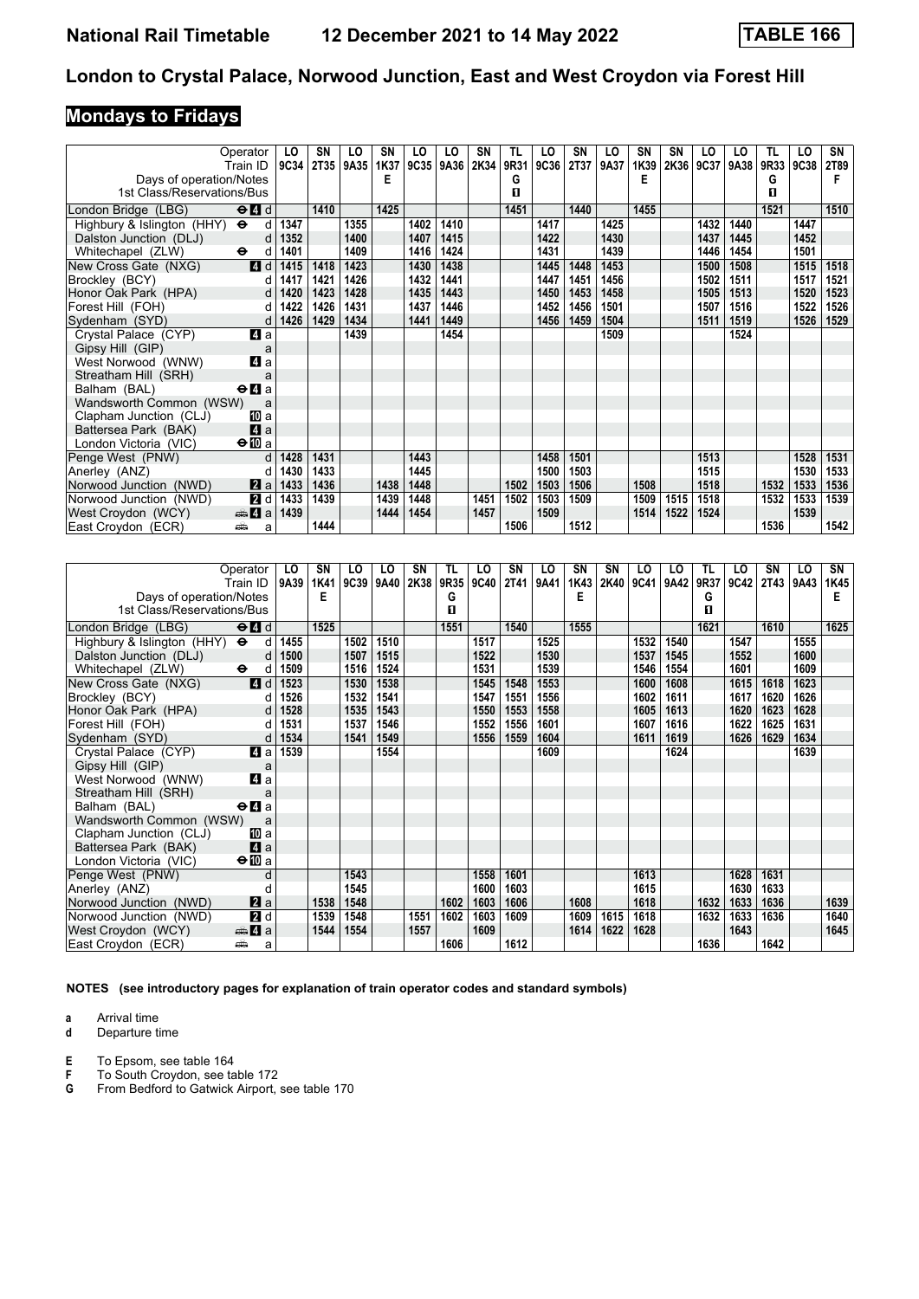# **Mondays to Fridays**

| Operator                                 | Train ID                                        | LO<br>9C34 | <b>SN</b><br><b>2T35</b> | LO<br>9A35 | SN<br>1K37 | LO<br>9C35 | LO<br>9A36 | SN<br>2K34 | TL<br>9R31 | LO<br>9C36 | SΝ<br><b>2T37</b> | LO<br>9A37 | <b>SN</b><br>1K39 | <b>SN</b><br>2K36 | LO<br>9C37 | LO<br>9A38 | TL<br>9R33 | LO<br>9C38 | SN<br><b>2T89</b> |
|------------------------------------------|-------------------------------------------------|------------|--------------------------|------------|------------|------------|------------|------------|------------|------------|-------------------|------------|-------------------|-------------------|------------|------------|------------|------------|-------------------|
| Days of operation/Notes                  |                                                 |            |                          |            | Е          |            |            |            | G          |            |                   |            | Е                 |                   |            |            | G          |            |                   |
| 1st Class/Reservations/Bus               |                                                 |            |                          |            |            |            |            |            | п          |            |                   |            |                   |                   |            |            | п          |            |                   |
| London Bridge (LBG)                      | $\Theta$ <sup><math>\blacksquare</math> d</sup> |            | 1410                     |            | 1425       |            |            |            | 1451       |            | 1440              |            | 1455              |                   |            |            | 1521       |            | 1510              |
| Highbury & Islington (HHY) $\Theta$      | d                                               | 1347       |                          | 1355       |            | 1402       | 1410       |            |            | 1417       |                   | 1425       |                   |                   | 1432       | 1440       |            | 1447       |                   |
| Dalston Junction (DLJ)                   | d                                               | 1352       |                          | 1400       |            | 1407       | 1415       |            |            | 1422       |                   | 1430       |                   |                   | 1437       | 1445       |            | 1452       |                   |
| Whitechapel (ZLW)<br>$\ddot{\mathbf{e}}$ | d                                               | 1401       |                          | 1409       |            | 1416       | 1424       |            |            | 1431       |                   | 1439       |                   |                   | 1446       | 1454       |            | 1501       |                   |
| New Cross Gate (NXG)                     | 4d                                              | 1415       | 1418                     | 1423       |            | 1430       | 1438       |            |            | 1445       | 1448              | 1453       |                   |                   | 1500       | 1508       |            | 1515       | 1518              |
| Brockley (BCY)                           | d                                               | 1417       | 1421                     | 1426       |            | 1432       | 1441       |            |            | 1447       | 1451              | 1456       |                   |                   | 1502       | 1511       |            | 1517       | 1521              |
| Honor Oak Park (HPA)                     | d                                               | 1420       | 1423                     | 1428       |            | 1435       | 1443       |            |            | 1450       | 1453              | 1458       |                   |                   | 1505       | 1513       |            | 1520       | 1523              |
| Forest Hill (FOH)                        | d                                               | 1422       | 1426                     | 1431       |            | 1437       | 1446       |            |            | 1452       | 1456              | 1501       |                   |                   | 1507       | 1516       |            | 1522       | 1526              |
| Sydenham (SYD)                           | d                                               | 1426       | 1429                     | 1434       |            | 1441       | 1449       |            |            | 1456       | 1459              | 1504       |                   |                   | 1511       | 1519       |            | 1526       | 1529              |
| Crystal Palace (CYP)                     | 4 a                                             |            |                          | 1439       |            |            | 1454       |            |            |            |                   | 1509       |                   |                   |            | 1524       |            |            |                   |
| Gipsy Hill (GIP)                         | a                                               |            |                          |            |            |            |            |            |            |            |                   |            |                   |                   |            |            |            |            |                   |
| West Norwood (WNW)                       | 4 a                                             |            |                          |            |            |            |            |            |            |            |                   |            |                   |                   |            |            |            |            |                   |
| Streatham Hill (SRH)                     | a                                               |            |                          |            |            |            |            |            |            |            |                   |            |                   |                   |            |            |            |            |                   |
| Balham (BAL)                             | $\Theta$ <b>A</b> a                             |            |                          |            |            |            |            |            |            |            |                   |            |                   |                   |            |            |            |            |                   |
| Wandsworth Common (WSW)                  | a                                               |            |                          |            |            |            |            |            |            |            |                   |            |                   |                   |            |            |            |            |                   |
| Clapham Junction (CLJ)                   | [10] a                                          |            |                          |            |            |            |            |            |            |            |                   |            |                   |                   |            |            |            |            |                   |
| Battersea Park (BAK)                     | 4a                                              |            |                          |            |            |            |            |            |            |            |                   |            |                   |                   |            |            |            |            |                   |
| London Victoria (VIC)                    | $\bigoplus$ a                                   |            |                          |            |            |            |            |            |            |            |                   |            |                   |                   |            |            |            |            |                   |
| Penge West (PNW)                         | d                                               | 1428       | 1431                     |            |            | 1443       |            |            |            | 1458       | 1501              |            |                   |                   | 1513       |            |            | 1528       | 1531              |
| Anerley (ANZ)                            | d                                               | 1430       | 1433                     |            |            | 1445       |            |            |            | 1500       | 1503              |            |                   |                   | 1515       |            |            | 1530       | 1533              |
| Norwood Junction (NWD)                   | 2a                                              | 1433       | 1436                     |            | 1438       | 1448       |            |            | 1502       | 1503       | 1506              |            | 1508              |                   | 1518       |            | 1532       | 1533       | 1536              |
| Norwood Junction (NWD)                   | 2d                                              | 1433       | 1439                     |            | 1439       | 1448       |            | 1451       | 1502       | 1503       | 1509              |            | 1509              | 1515              | 1518       |            | 1532       | 1533       | 1539              |
| West Croydon (WCY)                       | $\oplus$ 4 a                                    | 1439       |                          |            | 1444       | 1454       |            | 1457       |            | 1509       |                   |            | 1514              | 1522              | 1524       |            |            | 1539       |                   |
| East Croydon (ECR)<br>æ                  | a                                               |            | 1444                     |            |            |            |            |            | 1506       |            | 1512              |            |                   |                   |            |            | 1536       |            | 1542              |

| Operator                                                           | LO   | SN   | LO          | LO   | SN   | TL   | LO   | SN   | LO   | SN          | SN   | LO          | LO   | TL   | LO   | SΝ   | LO   | SN   |
|--------------------------------------------------------------------|------|------|-------------|------|------|------|------|------|------|-------------|------|-------------|------|------|------|------|------|------|
| Train ID                                                           | 9A39 | 1K41 | <b>9C39</b> | 9A40 | 2K38 | 9R35 | 9C40 | 2T41 | 9A41 | <b>1K43</b> | 2K40 | <b>9C41</b> | 9A42 | 9R37 | 9C42 | 2T43 | 9A43 | 1K45 |
| Days of operation/Notes                                            |      | E    |             |      |      | G    |      |      |      | Е           |      |             |      | G    |      |      |      | Е    |
| 1st Class/Reservations/Bus                                         |      |      |             |      |      | п    |      |      |      |             |      |             |      | п    |      |      |      |      |
| $\Theta$ <sup><math>\Omega</math></sup> $d$<br>London Bridge (LBG) |      | 1525 |             |      |      | 1551 |      | 1540 |      | 1555        |      |             |      | 1621 |      | 1610 |      | 1625 |
| Highbury & Islington (HHY)<br>$\bullet$<br>d                       | 1455 |      | 1502        | 1510 |      |      | 1517 |      | 1525 |             |      | 1532        | 1540 |      | 1547 |      | 1555 |      |
| Dalston Junction (DLJ)<br>d                                        | 1500 |      | 1507        | 1515 |      |      | 1522 |      | 1530 |             |      | 1537        | 1545 |      | 1552 |      | 1600 |      |
| Whitechapel (ZLW)<br>$\bullet$<br>d                                | 1509 |      | 1516        | 1524 |      |      | 1531 |      | 1539 |             |      | 1546        | 1554 |      | 1601 |      | 1609 |      |
| 4d<br>New Cross Gate (NXG)                                         | 1523 |      | 1530        | 1538 |      |      | 1545 | 1548 | 1553 |             |      | 1600        | 1608 |      | 1615 | 1618 | 1623 |      |
| Brockley (BCY)<br>d                                                | 1526 |      | 1532        | 1541 |      |      | 1547 | 1551 | 1556 |             |      | 1602        | 1611 |      | 1617 | 1620 | 1626 |      |
| Honor Oak Park (HPA)<br>d                                          | 1528 |      | 1535        | 1543 |      |      | 1550 | 1553 | 1558 |             |      | 1605        | 1613 |      | 1620 | 1623 | 1628 |      |
| Forest Hill (FOH)<br>d                                             | 1531 |      | 1537        | 1546 |      |      | 1552 | 1556 | 1601 |             |      | 1607        | 1616 |      | 1622 | 1625 | 1631 |      |
| Sydenham (SYD)<br>d                                                | 1534 |      | 1541        | 1549 |      |      | 1556 | 1559 | 1604 |             |      | 1611        | 1619 |      | 1626 | 1629 | 1634 |      |
| 4 a<br>Crystal Palace (CYP)                                        | 1539 |      |             | 1554 |      |      |      |      | 1609 |             |      |             | 1624 |      |      |      | 1639 |      |
| Gipsy Hill (GIP)<br>a                                              |      |      |             |      |      |      |      |      |      |             |      |             |      |      |      |      |      |      |
| 4 a<br>West Norwood (WNW)                                          |      |      |             |      |      |      |      |      |      |             |      |             |      |      |      |      |      |      |
| Streatham Hill (SRH)<br>a                                          |      |      |             |      |      |      |      |      |      |             |      |             |      |      |      |      |      |      |
| $\Theta$ <b><math>\blacksquare</math></b> a<br>Balham (BAL)        |      |      |             |      |      |      |      |      |      |             |      |             |      |      |      |      |      |      |
| Wandsworth Common (WSW)<br>a                                       |      |      |             |      |      |      |      |      |      |             |      |             |      |      |      |      |      |      |
| Clapham Junction (CLJ)<br>[II] a                                   |      |      |             |      |      |      |      |      |      |             |      |             |      |      |      |      |      |      |
| 4a<br>Battersea Park (BAK)                                         |      |      |             |      |      |      |      |      |      |             |      |             |      |      |      |      |      |      |
| $\Theta$ <b>ID</b> a<br>London Victoria (VIC)                      |      |      |             |      |      |      |      |      |      |             |      |             |      |      |      |      |      |      |
| Penge West (PNW)<br>d                                              |      |      | 1543        |      |      |      | 1558 | 1601 |      |             |      | 1613        |      |      | 1628 | 1631 |      |      |
| Anerley (ANZ)<br>d                                                 |      |      | 1545        |      |      |      | 1600 | 1603 |      |             |      | 1615        |      |      | 1630 | 1633 |      |      |
| 2a<br>Norwood Junction (NWD)                                       |      | 1538 | 1548        |      |      | 1602 | 1603 | 1606 |      | 1608        |      | 1618        |      | 1632 | 1633 | 1636 |      | 1639 |
| 2d<br>Norwood Junction (NWD)                                       |      | 1539 | 1548        |      | 1551 | 1602 | 1603 | 1609 |      | 1609        | 1615 | 1618        |      | 1632 | 1633 | 1636 |      | 1640 |
| West Croydon (WCY)<br><del>e</del> 4 a                             |      | 1544 | 1554        |      | 1557 |      | 1609 |      |      | 1614        | 1622 | 1628        |      |      | 1643 |      |      | 1645 |
| East Croydon (ECR)<br>پیش<br>a                                     |      |      |             |      |      | 1606 |      | 1612 |      |             |      |             |      | 1636 |      | 1642 |      |      |

**NOTES (see introductory pages for explanation of train operator codes and standard symbols)**

**a** Arrival time<br>**d** Departure t

**d** Departure time

**E** To Epsom, see table 164<br>**F** To South Crovdon, see ta

**F** To South Croydon, see table 172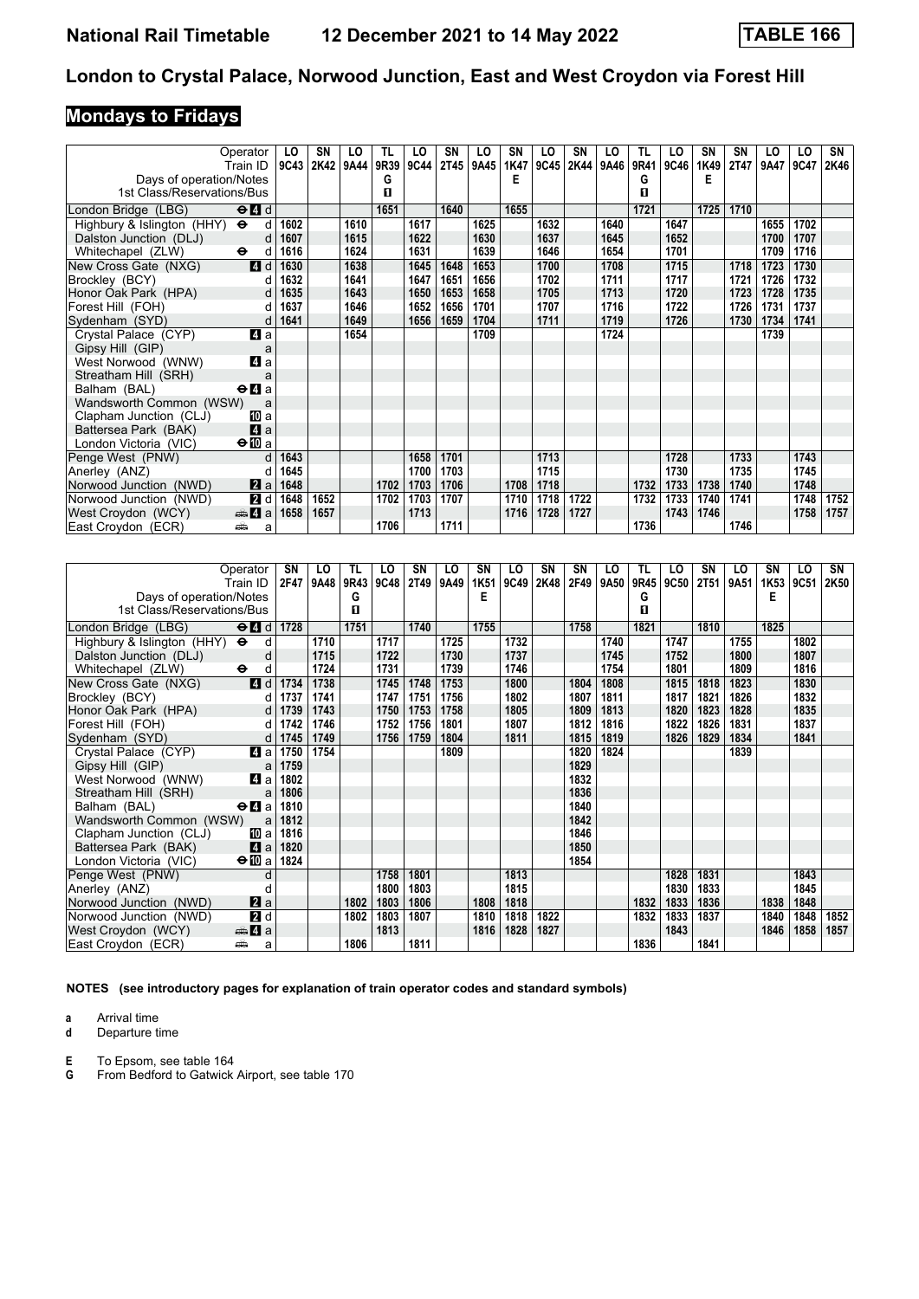# **Mondays to Fridays**

| Operator<br>Train ID                                                   | LO<br>9C43 | <b>SN</b><br>2K42 | LO<br>9A44 | <b>TL</b><br>9R39 | LO<br>9C44 | SN<br>2T45 | LO<br>9A45 | <b>SN</b><br>1K47 | LO<br>9C45 | SN<br>2K44 | LO<br>9A46 | TL<br>9R41 | LO<br>9C46 | <b>SN</b><br>1K49 | SN<br><b>2T47</b> | LO<br>9A47 | LO<br>9C47 | SN<br>2K46 |
|------------------------------------------------------------------------|------------|-------------------|------------|-------------------|------------|------------|------------|-------------------|------------|------------|------------|------------|------------|-------------------|-------------------|------------|------------|------------|
| Days of operation/Notes                                                |            |                   |            | G                 |            |            |            | F                 |            |            |            | G          |            | Е                 |                   |            |            |            |
| 1st Class/Reservations/Bus                                             |            |                   |            | П                 |            |            |            |                   |            |            |            | п          |            |                   |                   |            |            |            |
| $\Theta$ <sup><math>\blacksquare</math> d</sup><br>London Bridge (LBG) |            |                   |            | 1651              |            | 1640       |            | 1655              |            |            |            | 1721       |            | 1725              | 1710              |            |            |            |
| Highbury & Islington (HHY)<br>$\ddot{\boldsymbol{\Theta}}$             | d<br>1602  |                   | 1610       |                   | 1617       |            | 1625       |                   | 1632       |            | 1640       |            | 1647       |                   |                   | 1655       | 1702       |            |
| Dalston Junction (DLJ)                                                 | 1607<br>d  |                   | 1615       |                   | 1622       |            | 1630       |                   | 1637       |            | 1645       |            | 1652       |                   |                   | 1700       | 1707       |            |
| Whitechapel (ZLW)<br>$\bullet$                                         | 1616<br>d  |                   | 1624       |                   | 1631       |            | 1639       |                   | 1646       |            | 1654       |            | 1701       |                   |                   | 1709       | 1716       |            |
| 4 d<br>New Cross Gate (NXG)                                            | 1630       |                   | 1638       |                   | 1645       | 1648       | 1653       |                   | 1700       |            | 1708       |            | 1715       |                   | 1718              | 1723       | 1730       |            |
| Brockley (BCY)                                                         | 1632<br>d  |                   | 1641       |                   | 1647       | 1651       | 1656       |                   | 1702       |            | 1711       |            | 1717       |                   | 1721              | 1726       | 1732       |            |
| Honor Oak Park (HPA)                                                   | 1635       |                   | 1643       |                   | 1650       | 1653       | 1658       |                   | 1705       |            | 1713       |            | 1720       |                   | 1723              | 1728       | 1735       |            |
| Forest Hill (FOH)                                                      | 1637<br>d  |                   | 1646       |                   | 1652       | 1656       | 1701       |                   | 1707       |            | 1716       |            | 1722       |                   | 1726              | 1731       | 1737       |            |
| Sydenham (SYD)                                                         | 1641<br>d  |                   | 1649       |                   | 1656       | 1659       | 1704       |                   | 1711       |            | 1719       |            | 1726       |                   | 1730              | 1734       | 1741       |            |
| 4 a<br>Crystal Palace (CYP)                                            |            |                   | 1654       |                   |            |            | 1709       |                   |            |            | 1724       |            |            |                   |                   | 1739       |            |            |
| Gipsy Hill (GIP)                                                       | a          |                   |            |                   |            |            |            |                   |            |            |            |            |            |                   |                   |            |            |            |
| 4 a<br>West Norwood (WNW)                                              |            |                   |            |                   |            |            |            |                   |            |            |            |            |            |                   |                   |            |            |            |
| Streatham Hill (SRH)                                                   | a          |                   |            |                   |            |            |            |                   |            |            |            |            |            |                   |                   |            |            |            |
| $\Theta$ <b><math>\blacksquare</math></b> a<br>Balham (BAL)            |            |                   |            |                   |            |            |            |                   |            |            |            |            |            |                   |                   |            |            |            |
| Wandsworth Common (WSW)                                                | a          |                   |            |                   |            |            |            |                   |            |            |            |            |            |                   |                   |            |            |            |
| Clapham Junction (CLJ)<br>[II] a                                       |            |                   |            |                   |            |            |            |                   |            |            |            |            |            |                   |                   |            |            |            |
| $\mathbf{A}$ a<br>Battersea Park (BAK)                                 |            |                   |            |                   |            |            |            |                   |            |            |            |            |            |                   |                   |            |            |            |
| $\bigoplus$ a<br>London Victoria (VIC)                                 |            |                   |            |                   |            |            |            |                   |            |            |            |            |            |                   |                   |            |            |            |
| Penge West (PNW)                                                       | 1643<br>d  |                   |            |                   | 1658       | 1701       |            |                   | 1713       |            |            |            | 1728       |                   | 1733              |            | 1743       |            |
| Anerley (ANZ)                                                          | 1645<br>d  |                   |            |                   | 1700       | 1703       |            |                   | 1715       |            |            |            | 1730       |                   | 1735              |            | 1745       |            |
| Norwood Junction (NWD)<br>2a                                           | 1648       |                   |            | 1702              | 1703       | 1706       |            | 1708              | 1718       |            |            | 1732       | 1733       | 1738              | 1740              |            | 1748       |            |
| $\overline{2}$ d<br>Norwood Junction (NWD)                             | 1648       | 1652              |            | 1702              | 1703       | 1707       |            | 1710              | 1718       | 1722       |            | 1732       | 1733       | 1740              | 1741              |            | 1748       | 1752       |
| West Croydon (WCY)<br><del>⊯</del> ⊿ а                                 | 1658       | 1657              |            |                   | 1713       |            |            | 1716              | 1728       | 1727       |            |            | 1743       | 1746              |                   |            | 1758       | 1757       |
| East Croydon (ECR)<br>پیش                                              | a          |                   |            | 1706              |            | 1711       |            |                   |            |            |            | 1736       |            |                   | 1746              |            |            |            |

| Operator                                                                            | SN   | LO   | TL   | LO   | SN          | LO   | SN   | LO   | SN   | SN   | LO   | TL   | LO   | SΝ          | LO   | SΝ   | LO   | SN   |
|-------------------------------------------------------------------------------------|------|------|------|------|-------------|------|------|------|------|------|------|------|------|-------------|------|------|------|------|
| Train ID                                                                            | 2F47 | 9A48 | 9R43 | 9C48 | <b>2T49</b> | 9A49 | 1K51 | 9C49 | 2K48 | 2F49 | 9A50 | 9R45 | 9C50 | <b>2T51</b> | 9A51 | 1K53 | 9C51 | 2K50 |
| Days of operation/Notes                                                             |      |      | G    |      |             |      | Е    |      |      |      |      | G    |      |             |      | E    |      |      |
| 1st Class/Reservations/Bus                                                          |      |      | п    |      |             |      |      |      |      |      |      | п    |      |             |      |      |      |      |
| $\Theta$ <sup><math>\blacksquare</math> <math>d</math></sup><br>London Bridge (LBG) | 1728 |      | 1751 |      | 1740        |      | 1755 |      |      | 1758 |      | 1821 |      | 1810        |      | 1825 |      |      |
| Highbury & Islington (HHY) $\Theta$<br>d                                            |      | 1710 |      | 1717 |             | 1725 |      | 1732 |      |      | 1740 |      | 1747 |             | 1755 |      | 1802 |      |
| Dalston Junction (DLJ)<br>d                                                         |      | 1715 |      | 1722 |             | 1730 |      | 1737 |      |      | 1745 |      | 1752 |             | 1800 |      | 1807 |      |
| Whitechapel (ZLW)<br>$\ddot{\phantom{1}}$<br>d                                      |      | 1724 |      | 1731 |             | 1739 |      | 1746 |      |      | 1754 |      | 1801 |             | 1809 |      | 1816 |      |
| 4d<br>New Cross Gate (NXG)                                                          | 1734 | 1738 |      | 1745 | 1748        | 1753 |      | 1800 |      | 1804 | 1808 |      | 1815 | 1818        | 1823 |      | 1830 |      |
| Brockley (BCY)<br>d                                                                 | 1737 | 1741 |      | 1747 | 1751        | 1756 |      | 1802 |      | 1807 | 1811 |      | 1817 | 1821        | 1826 |      | 1832 |      |
| Honor Oak Park (HPA)<br>d                                                           | 1739 | 1743 |      | 1750 | 1753        | 1758 |      | 1805 |      | 1809 | 1813 |      | 1820 | 1823        | 1828 |      | 1835 |      |
| Forest Hill (FOH)<br>d                                                              | 1742 | 1746 |      | 1752 | 1756        | 1801 |      | 1807 |      | 1812 | 1816 |      | 1822 | 1826        | 1831 |      | 1837 |      |
| Sydenham (SYD)<br>d                                                                 | 1745 | 1749 |      | 1756 | 1759        | 1804 |      | 1811 |      | 1815 | 1819 |      | 1826 | 1829        | 1834 |      | 1841 |      |
| 4 a<br>Crystal Palace (CYP)                                                         | 1750 | 1754 |      |      |             | 1809 |      |      |      | 1820 | 1824 |      |      |             | 1839 |      |      |      |
| Gipsy Hill (GIP)<br>a                                                               | 1759 |      |      |      |             |      |      |      |      | 1829 |      |      |      |             |      |      |      |      |
| 4 a<br>West Norwood (WNW)                                                           | 1802 |      |      |      |             |      |      |      |      | 1832 |      |      |      |             |      |      |      |      |
| Streatham Hill (SRH)<br>a                                                           | 1806 |      |      |      |             |      |      |      |      | 1836 |      |      |      |             |      |      |      |      |
| $\Theta$ <b><math>\blacksquare</math></b> a<br>Balham (BAL)                         | 1810 |      |      |      |             |      |      |      |      | 1840 |      |      |      |             |      |      |      |      |
| Wandsworth Common (WSW)<br>a                                                        | 1812 |      |      |      |             |      |      |      |      | 1842 |      |      |      |             |      |      |      |      |
| Clapham Junction (CLJ)<br>Юa                                                        | 1816 |      |      |      |             |      |      |      |      | 1846 |      |      |      |             |      |      |      |      |
| $\blacksquare$ a<br>Battersea Park (BAK)                                            | 1820 |      |      |      |             |      |      |      |      | 1850 |      |      |      |             |      |      |      |      |
| $\bigoplus a$<br>London Victoria (VIC)                                              | 1824 |      |      |      |             |      |      |      |      | 1854 |      |      |      |             |      |      |      |      |
| Penge West (PNW)<br>d                                                               |      |      |      | 1758 | 1801        |      |      | 1813 |      |      |      |      | 1828 | 1831        |      |      | 1843 |      |
| Anerley (ANZ)<br>d                                                                  |      |      |      | 1800 | 1803        |      |      | 1815 |      |      |      |      | 1830 | 1833        |      |      | 1845 |      |
| $\mathbf{z}$ a<br>Norwood Junction (NWD)                                            |      |      | 1802 | 1803 | 1806        |      | 1808 | 1818 |      |      |      | 1832 | 1833 | 1836        |      | 1838 | 1848 |      |
| 2d<br>Norwood Junction (NWD)                                                        |      |      | 1802 | 1803 | 1807        |      | 1810 | 1818 | 1822 |      |      | 1832 | 1833 | 1837        |      | 1840 | 1848 | 1852 |
| West Croydon (WCY)<br>$\oplus$ 4 a                                                  |      |      |      | 1813 |             |      | 1816 | 1828 | 1827 |      |      |      | 1843 |             |      | 1846 | 1858 | 1857 |
| East Croydon (ECR)<br>پیشته<br>a                                                    |      |      | 1806 |      | 1811        |      |      |      |      |      |      | 1836 |      | 1841        |      |      |      |      |

**NOTES (see introductory pages for explanation of train operator codes and standard symbols)**

**a** Arrival time<br>**d** Departure t

**d** Departure time

**E** To Epsom, see table 164<br>**G** From Bedford to Gatwick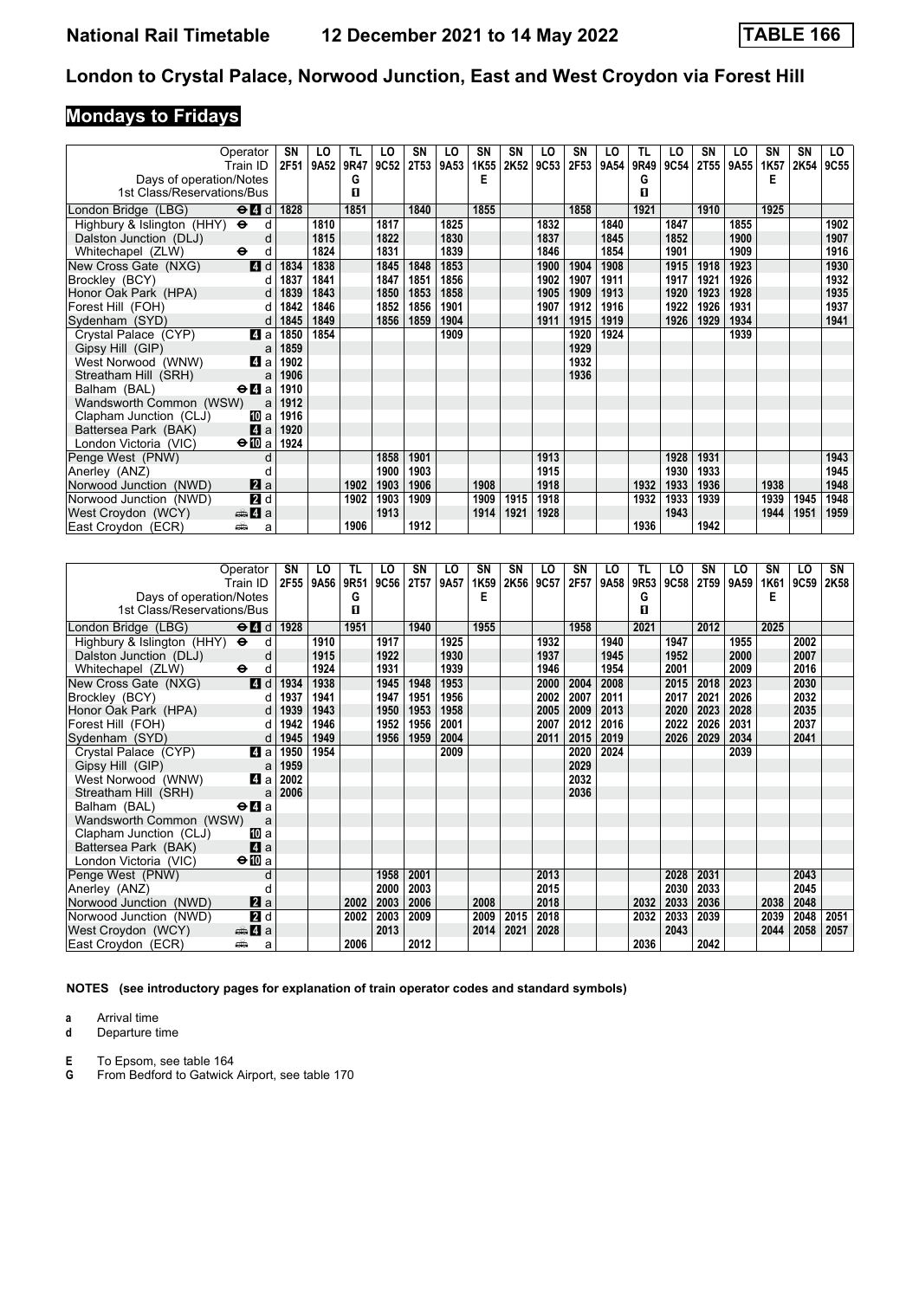# **Mondays to Fridays**

|                                     | Operator<br>Train ID                        | SN<br>2F51 | LO<br>9A52   | TL.<br>9R47 | LO<br>9C52   | SN<br>2T53   | LO<br>9A53   | <b>SN</b><br>1K55 | <b>SN</b><br>2K52 | LO<br>9C53   | SN<br>2F53   | LO<br>9A54   | TL<br>9R49 | LO<br>9C54   | SN<br><b>2T55</b> | LO<br>9A55   | <b>SN</b><br>1K57 | <b>SN</b><br>2K54 | LO<br><b>9C55</b> |
|-------------------------------------|---------------------------------------------|------------|--------------|-------------|--------------|--------------|--------------|-------------------|-------------------|--------------|--------------|--------------|------------|--------------|-------------------|--------------|-------------------|-------------------|-------------------|
| Days of operation/Notes             |                                             |            |              | G           |              |              |              | Е                 |                   |              |              |              | G          |              |                   |              | Е                 |                   |                   |
| 1st Class/Reservations/Bus          |                                             |            |              | п           |              |              |              |                   |                   |              |              |              | П          |              |                   |              |                   |                   |                   |
| London Bridge (LBG)                 | $\Theta$ $\blacksquare$ d                   | 1828       |              | 1851        |              | 1840         |              | 1855              |                   |              | 1858         |              | 1921       |              | 1910              |              | 1925              |                   |                   |
| Highbury & Islington (HHY) $\Theta$ | d                                           |            | 1810         |             | 1817         |              | 1825         |                   |                   | 1832         |              | 1840         |            | 1847         |                   | 1855         |                   |                   | 1902              |
| Dalston Junction (DLJ)              | d                                           |            | 1815         |             | 1822         |              | 1830         |                   |                   | 1837         |              | 1845         |            | 1852         |                   | 1900         |                   |                   | 1907              |
| Whitechapel (ZLW)                   | $\ddot{\mathbf{e}}$<br>d                    |            | 1824         |             | 1831         |              | 1839         |                   |                   | 1846         |              | 1854         |            | 1901         |                   | 1909         |                   |                   | 1916              |
|                                     | 4d                                          |            | 1838         |             | 1845         |              | 1853         |                   |                   |              | 1904         | 1908         |            |              |                   | 1923         |                   |                   |                   |
| New Cross Gate (NXG)                |                                             | 1834       | 1841         |             | 1847         | 1848<br>1851 | 1856         |                   |                   | 1900<br>1902 | 1907         | 1911         |            | 1915<br>1917 | 1918<br>1921      | 1926         |                   |                   | 1930<br>1932      |
| Brockley (BCY)                      | d                                           | 1837       |              |             |              |              |              |                   |                   |              |              |              |            |              |                   |              |                   |                   |                   |
| Honor Oak Park (HPA)                | d<br>d                                      | 1839       | 1843<br>1846 |             | 1850<br>1852 | 1853<br>1856 | 1858<br>1901 |                   |                   | 1905<br>1907 | 1909<br>1912 | 1913<br>1916 |            | 1920<br>1922 | 1923<br>1926      | 1928<br>1931 |                   |                   | 1935<br>1937      |
| Forest Hill (FOH)                   |                                             | 1842       |              |             |              |              |              |                   |                   |              |              |              |            |              |                   |              |                   |                   | 1941              |
| Sydenham (SYD)                      | d                                           | 1845       | 1849         |             | 1856         | 1859         | 1904         |                   |                   | 1911         | 1915         | 1919         |            | 1926         | 1929              | 1934         |                   |                   |                   |
| Crystal Palace (CYP)                | 4a                                          | 1850       | 1854         |             |              |              | 1909         |                   |                   |              | 1920         | 1924         |            |              |                   | 1939         |                   |                   |                   |
| Gipsy Hill (GIP)                    | a                                           | 1859       |              |             |              |              |              |                   |                   |              | 1929         |              |            |              |                   |              |                   |                   |                   |
| West Norwood (WNW)                  | 4a                                          | 1902       |              |             |              |              |              |                   |                   |              | 1932         |              |            |              |                   |              |                   |                   |                   |
| Streatham Hill (SRH)                | a                                           | 1906       |              |             |              |              |              |                   |                   |              | 1936         |              |            |              |                   |              |                   |                   |                   |
| Balham (BAL)                        | $\Theta$ <b><math>\blacksquare</math></b> a | 1910       |              |             |              |              |              |                   |                   |              |              |              |            |              |                   |              |                   |                   |                   |
| Wandsworth Common (WSW)             | a                                           | 1912       |              |             |              |              |              |                   |                   |              |              |              |            |              |                   |              |                   |                   |                   |
| Clapham Junction (CLJ)              | [10] a                                      | 1916       |              |             |              |              |              |                   |                   |              |              |              |            |              |                   |              |                   |                   |                   |
| Battersea Park (BAK)                | 4a                                          | 1920       |              |             |              |              |              |                   |                   |              |              |              |            |              |                   |              |                   |                   |                   |
| London Victoria (VIC)               | $\bigoplus a$                               | 1924       |              |             |              |              |              |                   |                   |              |              |              |            |              |                   |              |                   |                   |                   |
| Penge West (PNW)                    | $\mathsf{d}$                                |            |              |             | 1858         | 1901         |              |                   |                   | 1913         |              |              |            | 1928         | 1931              |              |                   |                   | 1943              |
| Anerley (ANZ)                       |                                             |            |              |             | 1900         | 1903         |              |                   |                   | 1915         |              |              |            | 1930         | 1933              |              |                   |                   | 1945              |
| Norwood Junction (NWD)              | a                                           |            |              | 1902        | 1903         | 1906         |              | 1908              |                   | 1918         |              |              | 1932       | 1933         | 1936              |              | 1938              |                   | 1948              |
| Norwood Junction (NWD)              | 2d                                          |            |              | 1902        | 1903         | 1909         |              | 1909              | 1915              | 1918         |              |              | 1932       | 1933         | 1939              |              | 1939              | 1945              | 1948              |
| West Croydon (WCY)                  | <del>⊯</del> 4 a                            |            |              |             | 1913         |              |              | 1914              | 1921              | 1928         |              |              |            | 1943         |                   |              | 1944              | 1951              | 1959              |
| East Croydon (ECR)<br>پیش           | a                                           |            |              | 1906        |              | 1912         |              |                   |                   |              |              |              | 1936       |              | 1942              |              |                   |                   |                   |

| Operator                                                                            | SN   | LO   | TL   | LO   | SN   | LO   | SN   | SN   | LO   | SN   | LO   | TL   | LO   | SΝ   | LO   | SΝ   | LO   | SN   |
|-------------------------------------------------------------------------------------|------|------|------|------|------|------|------|------|------|------|------|------|------|------|------|------|------|------|
| Train ID                                                                            | 2F55 | 9A56 | 9R51 | 9C56 | 2T57 | 9A57 | 1K59 | 2K56 | 9C57 | 2F57 | 9A58 | 9R53 | 9C58 | 2T59 | 9A59 | 1K61 | 9C59 | 2K58 |
| Days of operation/Notes                                                             |      |      | G    |      |      |      | Е    |      |      |      |      | G    |      |      |      | Е    |      |      |
| 1st Class/Reservations/Bus                                                          |      |      | п    |      |      |      |      |      |      |      |      | П    |      |      |      |      |      |      |
| $\Theta$ <sup><math>\blacksquare</math> <math>d</math></sup><br>London Bridge (LBG) | 1928 |      | 1951 |      | 1940 |      | 1955 |      |      | 1958 |      | 2021 |      | 2012 |      | 2025 |      |      |
| Highbury & Islington (HHY) $\Theta$<br>d                                            |      | 1910 |      | 1917 |      | 1925 |      |      | 1932 |      | 1940 |      | 1947 |      | 1955 |      | 2002 |      |
| Dalston Junction (DLJ)<br>d                                                         |      | 1915 |      | 1922 |      | 1930 |      |      | 1937 |      | 1945 |      | 1952 |      | 2000 |      | 2007 |      |
| Whitechapel (ZLW)<br>$\ddot{\phantom{1}}$<br>d                                      |      | 1924 |      | 1931 |      | 1939 |      |      | 1946 |      | 1954 |      | 2001 |      | 2009 |      | 2016 |      |
| 4d<br>New Cross Gate (NXG)                                                          | 1934 | 1938 |      | 1945 | 1948 | 1953 |      |      | 2000 | 2004 | 2008 |      | 2015 | 2018 | 2023 |      | 2030 |      |
| Brockley (BCY)<br>d                                                                 | 1937 | 1941 |      | 1947 | 1951 | 1956 |      |      | 2002 | 2007 | 2011 |      | 2017 | 2021 | 2026 |      | 2032 |      |
| Honor Oak Park (HPA)<br>d                                                           | 1939 | 1943 |      | 1950 | 1953 | 1958 |      |      | 2005 | 2009 | 2013 |      | 2020 | 2023 | 2028 |      | 2035 |      |
| Forest Hill (FOH)<br>d                                                              | 1942 | 1946 |      | 1952 | 1956 | 2001 |      |      | 2007 | 2012 | 2016 |      | 2022 | 2026 | 2031 |      | 2037 |      |
| Sydenham (SYD)<br>d                                                                 | 1945 | 1949 |      | 1956 | 1959 | 2004 |      |      | 2011 | 2015 | 2019 |      | 2026 | 2029 | 2034 |      | 2041 |      |
| 4 a<br>Crystal Palace (CYP)                                                         | 1950 | 1954 |      |      |      | 2009 |      |      |      | 2020 | 2024 |      |      |      | 2039 |      |      |      |
| Gipsy Hill (GIP)<br>a                                                               | 1959 |      |      |      |      |      |      |      |      | 2029 |      |      |      |      |      |      |      |      |
| 4 a<br>West Norwood (WNW)                                                           | 2002 |      |      |      |      |      |      |      |      | 2032 |      |      |      |      |      |      |      |      |
| Streatham Hill (SRH)<br>a                                                           | 2006 |      |      |      |      |      |      |      |      | 2036 |      |      |      |      |      |      |      |      |
| Balham (BAL)<br>$\Theta$ <b><math>\blacksquare</math></b> a                         |      |      |      |      |      |      |      |      |      |      |      |      |      |      |      |      |      |      |
| Wandsworth Common (WSW)<br>a                                                        |      |      |      |      |      |      |      |      |      |      |      |      |      |      |      |      |      |      |
| Clapham Junction (CLJ)<br>[II] a                                                    |      |      |      |      |      |      |      |      |      |      |      |      |      |      |      |      |      |      |
| 4a<br>Battersea Park (BAK)                                                          |      |      |      |      |      |      |      |      |      |      |      |      |      |      |      |      |      |      |
| $\Theta$ <b>ID</b> a<br>London Victoria (VIC)                                       |      |      |      |      |      |      |      |      |      |      |      |      |      |      |      |      |      |      |
| Penge West (PNW)<br>d                                                               |      |      |      | 1958 | 2001 |      |      |      | 2013 |      |      |      | 2028 | 2031 |      |      | 2043 |      |
| Anerley (ANZ)<br>d                                                                  |      |      |      | 2000 | 2003 |      |      |      | 2015 |      |      |      | 2030 | 2033 |      |      | 2045 |      |
| $\mathbf{z}$ a<br>Norwood Junction (NWD)                                            |      |      | 2002 | 2003 | 2006 |      | 2008 |      | 2018 |      |      | 2032 | 2033 | 2036 |      | 2038 | 2048 |      |
| 2d<br>Norwood Junction (NWD)                                                        |      |      | 2002 | 2003 | 2009 |      | 2009 | 2015 | 2018 |      |      | 2032 | 2033 | 2039 |      | 2039 | 2048 | 2051 |
| West Croydon (WCY)<br>$\oplus$ 4 a                                                  |      |      |      | 2013 |      |      | 2014 | 2021 | 2028 |      |      |      | 2043 |      |      | 2044 | 2058 | 2057 |
| East Croydon (ECR)<br>پیشته<br>a                                                    |      |      | 2006 |      | 2012 |      |      |      |      |      |      | 2036 |      | 2042 |      |      |      |      |

**NOTES (see introductory pages for explanation of train operator codes and standard symbols)**

**a** Arrival time<br>**d** Departure t

**d** Departure time

**E** To Epsom, see table 164<br>**G** From Bedford to Gatwick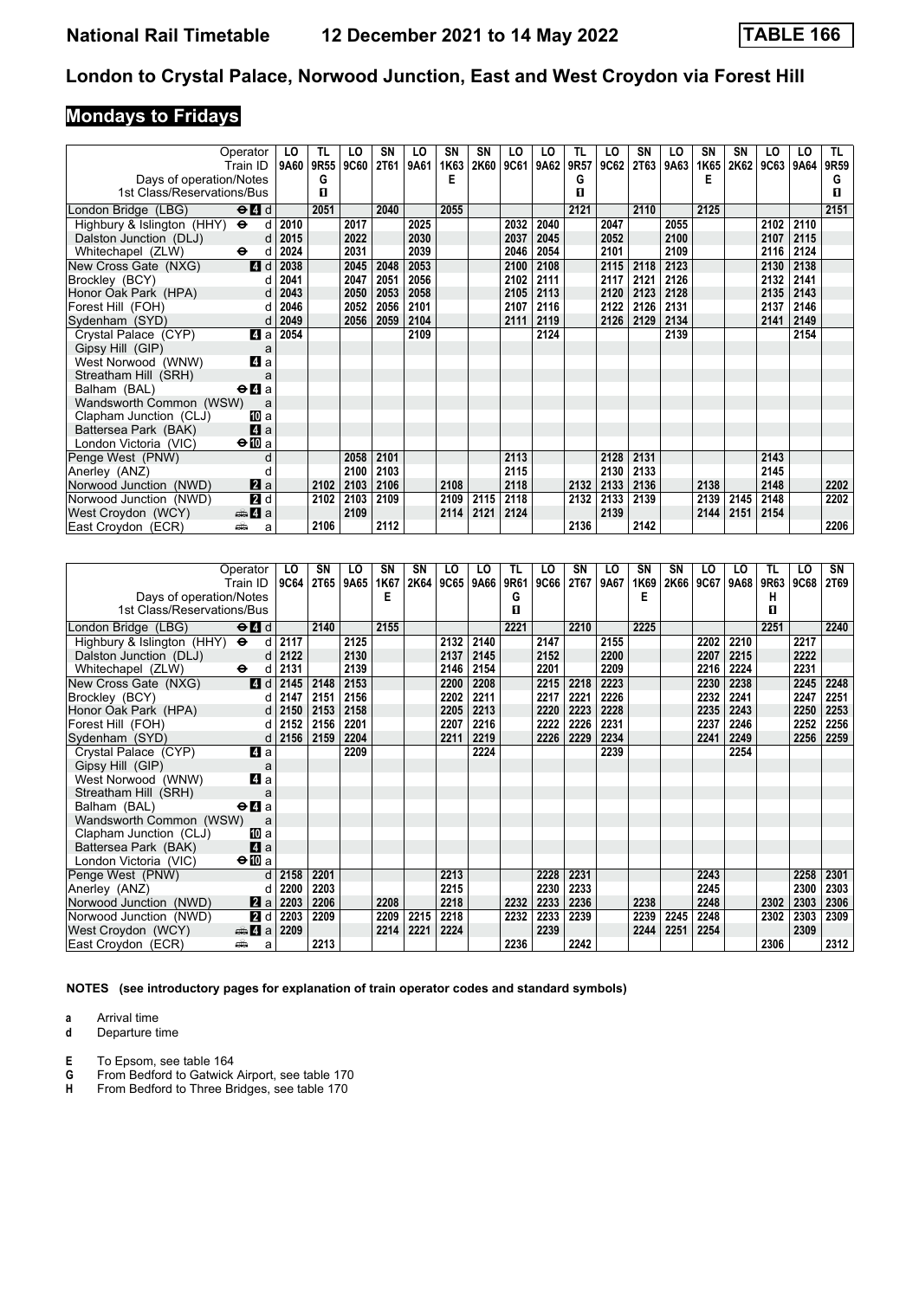# **Mondays to Fridays**

|                                     | Operator                                        | LO   | TL.  | LO   | <b>SN</b>   | LO   | <b>SN</b> | <b>SN</b> | LO   | LO   | TL   | LO   | SΝ   | LO   | SN   | SN   | LO   | LO   | TL.  |
|-------------------------------------|-------------------------------------------------|------|------|------|-------------|------|-----------|-----------|------|------|------|------|------|------|------|------|------|------|------|
|                                     | Train ID                                        | 9A60 | 9R55 | 9C60 | <b>2T61</b> | 9A61 | 1K63      | 2K60      | 9C61 | 9A62 | 9R57 | 9C62 | 2T63 | 9A63 | 1K65 | 2K62 | 9C63 | 9A64 | 9R59 |
| Days of operation/Notes             |                                                 |      | G    |      |             |      | Е         |           |      |      | G    |      |      |      | Е    |      |      |      | G    |
| 1st Class/Reservations/Bus          |                                                 |      | п    |      |             |      |           |           |      |      | п    |      |      |      |      |      |      |      | п    |
| London Bridge (LBG)                 | $\Theta$ <sup><math>\blacksquare</math> d</sup> |      | 2051 |      | 2040        |      | 2055      |           |      |      | 2121 |      | 2110 |      | 2125 |      |      |      | 2151 |
| Highbury & Islington (HHY) $\Theta$ | d                                               | 2010 |      | 2017 |             | 2025 |           |           | 2032 | 2040 |      | 2047 |      | 2055 |      |      | 2102 | 2110 |      |
| Dalston Junction (DLJ)              | d                                               | 2015 |      | 2022 |             | 2030 |           |           | 2037 | 2045 |      | 2052 |      | 2100 |      |      | 2107 | 2115 |      |
| Whitechapel (ZLW)                   | $\bullet$<br>d                                  | 2024 |      | 2031 |             | 2039 |           |           | 2046 | 2054 |      | 2101 |      | 2109 |      |      | 2116 | 2124 |      |
| New Cross Gate (NXG)                | 4d                                              | 2038 |      | 2045 | 2048        | 2053 |           |           | 2100 | 2108 |      | 2115 | 2118 | 2123 |      |      | 2130 | 2138 |      |
| Brockley (BCY)                      | d                                               | 2041 |      | 2047 | 2051        | 2056 |           |           | 2102 | 2111 |      | 2117 | 2121 | 2126 |      |      | 2132 | 2141 |      |
| Honor Oak Park (HPA)                | $\mathsf{d}$                                    | 2043 |      | 2050 | 2053        | 2058 |           |           | 2105 | 2113 |      | 2120 | 2123 | 2128 |      |      | 2135 | 2143 |      |
| Forest Hill (FOH)                   | d                                               | 2046 |      | 2052 | 2056        | 2101 |           |           | 2107 | 2116 |      | 2122 | 2126 | 2131 |      |      | 2137 | 2146 |      |
| Sydenham (SYD)                      | d                                               | 2049 |      | 2056 | 2059        | 2104 |           |           | 2111 | 2119 |      | 2126 | 2129 | 2134 |      |      | 2141 | 2149 |      |
| Crystal Palace (CYP)                | 4a                                              | 2054 |      |      |             | 2109 |           |           |      | 2124 |      |      |      | 2139 |      |      |      | 2154 |      |
| Gipsy Hill (GIP)                    | a                                               |      |      |      |             |      |           |           |      |      |      |      |      |      |      |      |      |      |      |
| West Norwood (WNW)                  | 4 a                                             |      |      |      |             |      |           |           |      |      |      |      |      |      |      |      |      |      |      |
| Streatham Hill (SRH)                | a                                               |      |      |      |             |      |           |           |      |      |      |      |      |      |      |      |      |      |      |
| Balham (BAL)                        | $\Theta$ <b><math>\blacksquare</math></b> a     |      |      |      |             |      |           |           |      |      |      |      |      |      |      |      |      |      |      |
| Wandsworth Common (WSW)             | a                                               |      |      |      |             |      |           |           |      |      |      |      |      |      |      |      |      |      |      |
| Clapham Junction (CLJ)              | [II] a                                          |      |      |      |             |      |           |           |      |      |      |      |      |      |      |      |      |      |      |
| Battersea Park (BAK)                | 4a                                              |      |      |      |             |      |           |           |      |      |      |      |      |      |      |      |      |      |      |
| London Victoria (VIC)               | $\bigoplus$ a                                   |      |      |      |             |      |           |           |      |      |      |      |      |      |      |      |      |      |      |
| Penge West (PNW)                    | d                                               |      |      | 2058 | 2101        |      |           |           | 2113 |      |      | 2128 | 2131 |      |      |      | 2143 |      |      |
| Anerley (ANZ)                       |                                                 |      |      | 2100 | 2103        |      |           |           | 2115 |      |      | 2130 | 2133 |      |      |      | 2145 |      |      |
| Norwood Junction (NWD)              | $\mathbf{a}$ a                                  |      | 2102 | 2103 | 2106        |      | 2108      |           | 2118 |      | 2132 | 2133 | 2136 |      | 2138 |      | 2148 |      | 2202 |
| Norwood Junction (NWD)              | 2d                                              |      | 2102 | 2103 | 2109        |      | 2109      | 2115      | 2118 |      | 2132 | 2133 | 2139 |      | 2139 | 2145 | 2148 |      | 2202 |
| West Croydon (WCY)                  | <del>⊯</del> ⊿а                                 |      |      | 2109 |             |      | 2114      | 2121      | 2124 |      |      | 2139 |      |      | 2144 | 2151 | 2154 |      |      |
| East Croydon (ECR)                  | پیش<br>a                                        |      | 2106 |      | 2112        |      |           |           |      |      | 2136 |      | 2142 |      |      |      |      |      | 2206 |

| Operator                                                               | LO.         | SN   | LO   | SΝ   | SN   | LO   | LO   | TL   | LO   | SN   | LO   | SΝ   | <b>SN</b> | LO   | LO   | TL   | LO   | SN          |
|------------------------------------------------------------------------|-------------|------|------|------|------|------|------|------|------|------|------|------|-----------|------|------|------|------|-------------|
| Train ID                                                               | <b>9C64</b> | 2T65 | 9A65 | 1K67 | 2K64 | 9C65 | 9A66 | 9R61 | 9C66 | 2T67 | 9A67 | 1K69 | 2K66      | 9C67 | 9A68 | 9R63 | 9C68 | <b>2T69</b> |
| Days of operation/Notes                                                |             |      |      | Е    |      |      |      | G    |      |      |      | Е    |           |      |      | н    |      |             |
| 1st Class/Reservations/Bus                                             |             |      |      |      |      |      |      | п    |      |      |      |      |           |      |      | п    |      |             |
| $\Theta$ <sup><math>\blacksquare</math> d</sup><br>London Bridge (LBG) |             | 2140 |      | 2155 |      |      |      | 2221 |      | 2210 |      | 2225 |           |      |      | 2251 |      | 2240        |
| $\ddot{\mathbf{e}}$<br>Highbury & Islington (HHY)                      | d<br>2117   |      | 2125 |      |      | 2132 | 2140 |      | 2147 |      | 2155 |      |           | 2202 | 2210 |      | 2217 |             |
| Dalston Junction (DLJ)                                                 | 2122<br>d   |      | 2130 |      |      | 2137 | 2145 |      | 2152 |      | 2200 |      |           | 2207 | 2215 |      | 2222 |             |
| $\ddot{\mathbf{e}}$<br>Whitechapel (ZLW)                               | 2131<br>d   |      | 2139 |      |      | 2146 | 2154 |      | 2201 |      | 2209 |      |           | 2216 | 2224 |      | 2231 |             |
| 4d<br>New Cross Gate (NXG)                                             | 2145        | 2148 | 2153 |      |      | 2200 | 2208 |      | 2215 | 2218 | 2223 |      |           | 2230 | 2238 |      | 2245 | 2248        |
| Brockley (BCY)                                                         | 2147<br>d   | 2151 | 2156 |      |      | 2202 | 2211 |      | 2217 | 2221 | 2226 |      |           | 2232 | 2241 |      | 2247 | 2251        |
| Honor Oak Park (HPA)                                                   | d<br>2150   | 2153 | 2158 |      |      | 2205 | 2213 |      | 2220 | 2223 | 2228 |      |           | 2235 | 2243 |      | 2250 | 2253        |
| Forest Hill (FOH)                                                      | 2152<br>d   | 2156 | 2201 |      |      | 2207 | 2216 |      | 2222 | 2226 | 2231 |      |           | 2237 | 2246 |      | 2252 | 2256        |
| Sydenham (SYD)                                                         | d<br>2156   | 2159 | 2204 |      |      | 2211 | 2219 |      | 2226 | 2229 | 2234 |      |           | 2241 | 2249 |      | 2256 | 2259        |
| Crystal Palace (CYP)<br>4 a                                            |             |      | 2209 |      |      |      | 2224 |      |      |      | 2239 |      |           |      | 2254 |      |      |             |
| Gipsy Hill (GIP)                                                       | a           |      |      |      |      |      |      |      |      |      |      |      |           |      |      |      |      |             |
| ZI a<br>West Norwood (WNW)                                             |             |      |      |      |      |      |      |      |      |      |      |      |           |      |      |      |      |             |
| Streatham Hill (SRH)                                                   | a           |      |      |      |      |      |      |      |      |      |      |      |           |      |      |      |      |             |
| Balham (BAL)<br>$\Theta$ <b><math>\blacksquare</math></b> a            |             |      |      |      |      |      |      |      |      |      |      |      |           |      |      |      |      |             |
| Wandsworth Common (WSW)                                                | a           |      |      |      |      |      |      |      |      |      |      |      |           |      |      |      |      |             |
| Clapham Junction (CLJ)<br>[II] a                                       |             |      |      |      |      |      |      |      |      |      |      |      |           |      |      |      |      |             |
| Zi a<br>Battersea Park (BAK)                                           |             |      |      |      |      |      |      |      |      |      |      |      |           |      |      |      |      |             |
| $\Theta$ <b>ID</b> a<br>London Victoria (VIC)                          |             |      |      |      |      |      |      |      |      |      |      |      |           |      |      |      |      |             |
| Penge West (PNW)                                                       | d<br>2158   | 2201 |      |      |      | 2213 |      |      | 2228 | 2231 |      |      |           | 2243 |      |      | 2258 | 2301        |
| Anerley (ANZ)                                                          | 2200<br>d   | 2203 |      |      |      | 2215 |      |      | 2230 | 2233 |      |      |           | 2245 |      |      | 2300 | 2303        |
| $\mathbf{a}$ a<br>Norwood Junction (NWD)                               | 2203        | 2206 |      | 2208 |      | 2218 |      | 2232 | 2233 | 2236 |      | 2238 |           | 2248 |      | 2302 | 2303 | 2306        |
| <b>2</b> d<br>Norwood Junction (NWD)                                   | 2203        | 2209 |      | 2209 | 2215 | 2218 |      | 2232 | 2233 | 2239 |      | 2239 | 2245      | 2248 |      | 2302 | 2303 | 2309        |
| West Croydon (WCY)<br>$\oplus$ 4 a                                     | 2209        |      |      | 2214 | 2221 | 2224 |      |      | 2239 |      |      | 2244 | 2251      | 2254 |      |      | 2309 |             |
| East Croydon (ECR)<br>پیش                                              | a           | 2213 |      |      |      |      |      | 2236 |      | 2242 |      |      |           |      |      | 2306 |      | 2312        |

**NOTES (see introductory pages for explanation of train operator codes and standard symbols)**

**a** Arrival time<br>**d** Departure t

**d** Departure time

**E** To Epsom, see table 164<br>**G** From Bedford to Gatwick<br>**H** From Bedford to Three Br **G** From Bedford to Gatwick Airport, see table 170

**H** From Bedford to Three Bridges, see table 170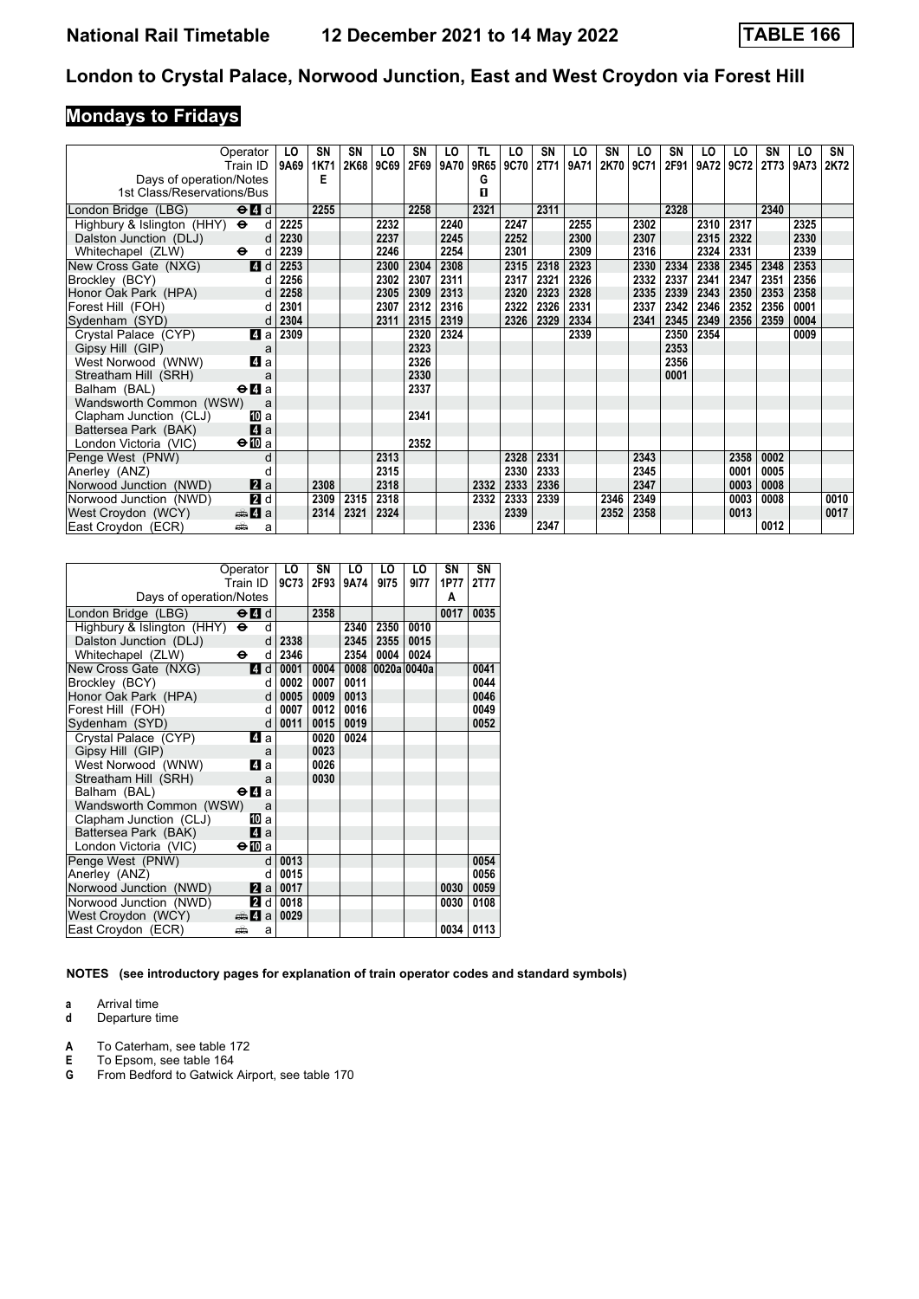# **Mondays to Fridays**

| Operator<br>Train ID                                        | LO<br>9A69 | SN<br>1K71 | SN<br>2K68 | LO<br>9C69 | SN<br>2F69 | LO<br>9A70 | TL<br>9R65 | LO<br>9C70 | SN<br>2T71 | LO<br>9A71 | SN<br>2K70 | LO<br>9C71 | SN<br>2F91 | LO<br>9A72 | LO<br>9C72 | SΝ<br><b>2T73</b> | LO<br>9A73 | SN<br>2K72 |
|-------------------------------------------------------------|------------|------------|------------|------------|------------|------------|------------|------------|------------|------------|------------|------------|------------|------------|------------|-------------------|------------|------------|
| Days of operation/Notes                                     |            | Е          |            |            |            |            | G          |            |            |            |            |            |            |            |            |                   |            |            |
| 1st Class/Reservations/Bus                                  |            |            |            |            |            |            | п          |            |            |            |            |            |            |            |            |                   |            |            |
| $\Theta$ $\blacksquare$ d<br>London Bridge (LBG)            |            | 2255       |            |            | 2258       |            | 2321       |            | 2311       |            |            |            | 2328       |            |            | 2340              |            |            |
| Highbury & Islington (HHY) $\Theta$                         | 2225<br>d  |            |            | 2232       |            | 2240       |            | 2247       |            | 2255       |            | 2302       |            | 2310       | 2317       |                   | 2325       |            |
| Dalston Junction (DLJ)                                      | 2230<br>d  |            |            | 2237       |            | 2245       |            | 2252       |            | 2300       |            | 2307       |            | 2315       | 2322       |                   | 2330       |            |
| $\ddot{\phantom{1}}$<br>Whitechapel (ZLW)                   | 2239<br>d  |            |            | 2246       |            | 2254       |            | 2301       |            | 2309       |            | 2316       |            | 2324       | 2331       |                   | 2339       |            |
| 4d<br>New Cross Gate (NXG)                                  | 2253       |            |            | 2300       | 2304       | 2308       |            | 2315       | 2318       | 2323       |            | 2330       | 2334       | 2338       | 2345       | 2348              | 2353       |            |
| Brockley (BCY)                                              | 2256<br>d  |            |            | 2302       | 2307       | 2311       |            | 2317       | 2321       | 2326       |            | 2332       | 2337       | 2341       | 2347       | 2351              | 2356       |            |
| Honor Oak Park (HPA)                                        | 2258<br>d  |            |            | 2305       | 2309       | 2313       |            | 2320       | 2323       | 2328       |            | 2335       | 2339       | 2343       | 2350       | 2353              | 2358       |            |
| Forest Hill (FOH)                                           | 2301<br>d  |            |            | 2307       | 2312       | 2316       |            | 2322       | 2326       | 2331       |            | 2337       | 2342       | 2346       | 2352       | 2356              | 0001       |            |
| Sydenham (SYD)                                              | 2304<br>d  |            |            | 2311       | 2315       | 2319       |            | 2326       | 2329       | 2334       |            | 2341       | 2345       | 2349       | 2356       | 2359              | 0004       |            |
| 4a<br>Crystal Palace (CYP)                                  | 2309       |            |            |            | 2320       | 2324       |            |            |            | 2339       |            |            | 2350       | 2354       |            |                   | 0009       |            |
| Gipsy Hill (GIP)                                            | a          |            |            |            | 2323       |            |            |            |            |            |            |            | 2353       |            |            |                   |            |            |
| 4 a<br>West Norwood (WNW)                                   |            |            |            |            | 2326       |            |            |            |            |            |            |            | 2356       |            |            |                   |            |            |
| Streatham Hill (SRH)                                        | a          |            |            |            | 2330       |            |            |            |            |            |            |            | 0001       |            |            |                   |            |            |
| Balham (BAL)<br>$\Theta$ <b><math>\blacksquare</math></b> a |            |            |            |            | 2337       |            |            |            |            |            |            |            |            |            |            |                   |            |            |
| Wandsworth Common (WSW)                                     | a          |            |            |            |            |            |            |            |            |            |            |            |            |            |            |                   |            |            |
| Clapham Junction (CLJ)<br>[II] a                            |            |            |            |            | 2341       |            |            |            |            |            |            |            |            |            |            |                   |            |            |
| 4a<br>Battersea Park (BAK)                                  |            |            |            |            |            |            |            |            |            |            |            |            |            |            |            |                   |            |            |
| $\Theta$ M a<br>London Victoria (VIC)                       |            |            |            |            | 2352       |            |            |            |            |            |            |            |            |            |            |                   |            |            |
| Penge West (PNW)                                            | d          |            |            | 2313       |            |            |            | 2328       | 2331       |            |            | 2343       |            |            | 2358       | 0002              |            |            |
| Anerley (ANZ)                                               | d          |            |            | 2315       |            |            |            | 2330       | 2333       |            |            | 2345       |            |            | 0001       | 0005              |            |            |
| 2a<br>Norwood Junction (NWD)                                |            | 2308       |            | 2318       |            |            | 2332       | 2333       | 2336       |            |            | 2347       |            |            | 0003       | 0008              |            |            |
| 2d<br>Norwood Junction (NWD)                                |            | 2309       | 2315       | 2318       |            |            | 2332       | 2333       | 2339       |            | 2346       | 2349       |            |            | 0003       | 0008              |            | 0010       |
| West Croydon (WCY)<br>de 4 a                                |            | 2314       | 2321       | 2324       |            |            |            | 2339       |            |            | 2352       | 2358       |            |            | 0013       |                   |            | 0017       |
| East Croydon (ECR)<br>پیش                                   | a          |            |            |            |            |            | 2336       |            | 2347       |            |            |            |            |            |            | 0012              |            |            |

|                            | Operator                                    |              | LO   | SΝ   | LO   | LO          | LO   | SΝ   | SΝ   |
|----------------------------|---------------------------------------------|--------------|------|------|------|-------------|------|------|------|
|                            | Train ID                                    |              | 9C73 | 2F93 | 9A74 | 9175        | 9177 | 1P77 | 2T77 |
| Days of operation/Notes    |                                             |              |      |      |      |             |      | A    |      |
| London Bridge (LBG)        | $\Theta$ <sup><math>\Omega</math></sup> d   |              |      | 2358 |      |             |      | 0017 | 0035 |
| Highbury & Islington (HHY) | $\ddot{\boldsymbol{\Theta}}$                | d            |      |      | 2340 | 2350        | 0010 |      |      |
| Dalston Junction (DLJ)     |                                             | $\mathsf{d}$ | 2338 |      | 2345 | 2355        | 0015 |      |      |
| Whitechapel (ZLW)          | $\bullet$                                   | d            | 2346 |      | 2354 | 0004        | 0024 |      |      |
| New Cross Gate (NXG)       |                                             | $4$ d        | 0001 | 0004 | 0008 | 0020a 0040a |      |      | 0041 |
| Brockley (BCY)             |                                             | d            | 0002 | 0007 | 0011 |             |      |      | 0044 |
| Honor Oak Park (HPA)       |                                             | d            | 0005 | 0009 | 0013 |             |      |      | 0046 |
| Forest Hill (FOH)          |                                             | q            | 0007 | 0012 | 0016 |             |      |      | 0049 |
| Sydenham (SYD)             |                                             | d            | 0011 | 0015 | 0019 |             |      |      | 0052 |
| Crystal Palace (CYP)       | ZI a                                        |              |      | 0020 | 0024 |             |      |      |      |
| Gipsy Hill (GIP)           |                                             | a            |      | 0023 |      |             |      |      |      |
| West Norwood (WNW)         | ZI a                                        |              |      | 0026 |      |             |      |      |      |
| Streatham Hill (SRH)       |                                             | a            |      | 0030 |      |             |      |      |      |
| Balham (BAL)               | $\Theta$ <b><math>\blacksquare</math></b> a |              |      |      |      |             |      |      |      |
| Wandsworth Common (WSW)    |                                             | a            |      |      |      |             |      |      |      |
| Clapham Junction (CLJ)     | 10 a                                        |              |      |      |      |             |      |      |      |
| Battersea Park (BAK)       | ZI a                                        |              |      |      |      |             |      |      |      |
| London Victoria (VIC)      | ⊖n∏a                                        |              |      |      |      |             |      |      |      |
| Penge West (PNW)           |                                             | d            | 0013 |      |      |             |      |      | 0054 |
| Anerley (ANZ)              |                                             | d            | 0015 |      |      |             |      |      | 0056 |
| Norwood Junction (NWD)     |                                             | l2l a l      | 0017 |      |      |             |      | 0030 | 0059 |
| Norwood Junction (NWD)     | 21 d                                        |              | 0018 |      |      |             |      | 0030 | 0108 |
| West Croydon (WCY)         | ењи Иа                                      |              | 0029 |      |      |             |      |      |      |
| East Croydon (ECR)         | ۵Ť۵                                         | a            |      |      |      |             |      | 0034 | 0113 |

**NOTES (see introductory pages for explanation of train operator codes and standard symbols)**

**a** Arrival time<br>**d** Departure t

- **A** To Caterham, see table 172<br>**E** To Epsom, see table 164
- **E** To Epsom, see table 164<br>**G** From Bedford to Gatwick
- **From Bedford to Gatwick Airport, see table 170**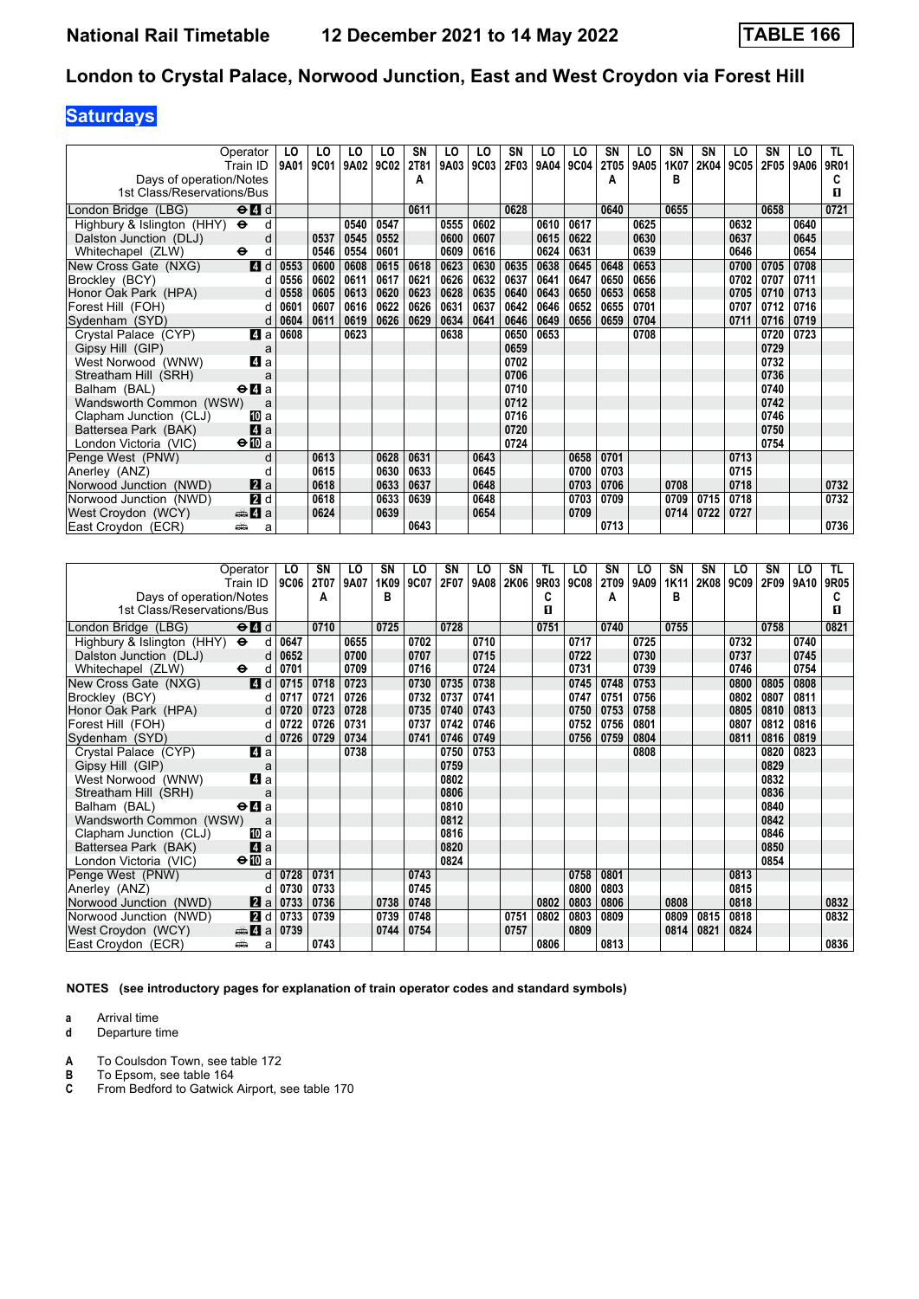# **Saturdays**

| Operator                                                         |                  | LO   | LO   | LO.  | LO   | SN   | LO   | LO   | SN   | LO   | LO   | SN          | LO   | SN   | SN          | LO   | SN   | LO   | TL.         |
|------------------------------------------------------------------|------------------|------|------|------|------|------|------|------|------|------|------|-------------|------|------|-------------|------|------|------|-------------|
| Train ID                                                         |                  | 9A01 | 9C01 | 9A02 | 9C02 | 2T81 | 9A03 | 9C03 | 2F03 | 9A04 | 9C04 | <b>2T05</b> | 9A05 | 1K07 | <b>2K04</b> | 9C05 | 2F05 | 9A06 | <b>9R01</b> |
| Days of operation/Notes                                          |                  |      |      |      |      | A    |      |      |      |      |      | А           |      | в    |             |      |      |      |             |
| 1st Class/Reservations/Bus                                       |                  |      |      |      |      |      |      |      |      |      |      |             |      |      |             |      |      |      | п           |
| London Bridge (LBG)<br>$\Theta$ <sup><math>\Omega</math></sup> d |                  |      |      |      |      | 0611 |      |      | 0628 |      |      | 0640        |      | 0655 |             |      | 0658 |      | 0721        |
| Highbury & Islington (HHY) $\Theta$                              | d                |      |      | 0540 | 0547 |      | 0555 | 0602 |      | 0610 | 0617 |             | 0625 |      |             | 0632 |      | 0640 |             |
| Dalston Junction (DLJ)                                           | d                |      | 0537 | 0545 | 0552 |      | 0600 | 0607 |      | 0615 | 0622 |             | 0630 |      |             | 0637 |      | 0645 |             |
| Whitechapel (ZLW)<br>$\bullet$                                   | d                |      | 0546 | 0554 | 0601 |      | 0609 | 0616 |      | 0624 | 0631 |             | 0639 |      |             | 0646 |      | 0654 |             |
| New Cross Gate (NXG)                                             | 4d               | 0553 | 0600 | 0608 | 0615 | 0618 | 0623 | 0630 | 0635 | 0638 | 0645 | 0648        | 0653 |      |             | 0700 | 0705 | 0708 |             |
| Brockley (BCY)                                                   | d                | 0556 | 0602 | 0611 | 0617 | 0621 | 0626 | 0632 | 0637 | 0641 | 0647 | 0650        | 0656 |      |             | 0702 | 0707 | 0711 |             |
| Honor Oak Park (HPA)                                             | d                | 0558 | 0605 | 0613 | 0620 | 0623 | 0628 | 0635 | 0640 | 0643 | 0650 | 0653        | 0658 |      |             | 0705 | 0710 | 0713 |             |
| Forest Hill (FOH)                                                | d                | 0601 | 0607 | 0616 | 0622 | 0626 | 0631 | 0637 | 0642 | 0646 | 0652 | 0655        | 0701 |      |             | 0707 | 0712 | 0716 |             |
| Sydenham (SYD)                                                   | d                | 0604 | 0611 | 0619 | 0626 | 0629 | 0634 | 0641 | 0646 | 0649 | 0656 | 0659        | 0704 |      |             | 0711 | 0716 | 0719 |             |
| Crystal Palace (CYP)                                             | 4 a              | 0608 |      | 0623 |      |      | 0638 |      | 0650 | 0653 |      |             | 0708 |      |             |      | 0720 | 0723 |             |
| Gipsy Hill (GIP)                                                 | a                |      |      |      |      |      |      |      | 0659 |      |      |             |      |      |             |      | 0729 |      |             |
| West Norwood (WNW)                                               | 4 a              |      |      |      |      |      |      |      | 0702 |      |      |             |      |      |             |      | 0732 |      |             |
| Streatham Hill (SRH)                                             | a                |      |      |      |      |      |      |      | 0706 |      |      |             |      |      |             |      | 0736 |      |             |
| $\Theta$ <b><math>\blacksquare</math></b> a<br>Balham (BAL)      |                  |      |      |      |      |      |      |      | 0710 |      |      |             |      |      |             |      | 0740 |      |             |
| Wandsworth Common (WSW)                                          | a                |      |      |      |      |      |      |      | 0712 |      |      |             |      |      |             |      | 0742 |      |             |
| Clapham Junction (CLJ)                                           | 10 a             |      |      |      |      |      |      |      | 0716 |      |      |             |      |      |             |      | 0746 |      |             |
| Battersea Park (BAK)                                             | $\mathbf{a}$     |      |      |      |      |      |      |      | 0720 |      |      |             |      |      |             |      | 0750 |      |             |
| $\Theta$ III a<br>London Victoria (VIC)                          |                  |      |      |      |      |      |      |      | 0724 |      |      |             |      |      |             |      | 0754 |      |             |
| Penge West (PNW)                                                 | d                |      | 0613 |      | 0628 | 0631 |      | 0643 |      |      | 0658 | 0701        |      |      |             | 0713 |      |      |             |
| Anerley (ANZ)                                                    | d                |      | 0615 |      | 0630 | 0633 |      | 0645 |      |      | 0700 | 0703        |      |      |             | 0715 |      |      |             |
| Norwood Junction (NWD)                                           | 2a               |      | 0618 |      | 0633 | 0637 |      | 0648 |      |      | 0703 | 0706        |      | 0708 |             | 0718 |      |      | 0732        |
| Norwood Junction (NWD)                                           | $\overline{2}$ d |      | 0618 |      | 0633 | 0639 |      | 0648 |      |      | 0703 | 0709        |      | 0709 | 0715        | 0718 |      |      | 0732        |
| West Croydon (WCY)<br><del>⊯</del> 4 а                           |                  |      | 0624 |      | 0639 |      |      | 0654 |      |      | 0709 |             |      | 0714 | 0722        | 0727 |      |      |             |
| East Croydon (ECR)<br>پیش                                        | a                |      |      |      |      | 0643 |      |      |      |      |      | 0713        |      |      |             |      |      |      | 0736        |

| Operator                                 |                                                 | LO          | SN          | LO   | SΝ   | LO   | SΝ   | LO   | <b>SN</b> | TL   | LO   | SN   | LO   | <b>SN</b>   | <b>SN</b>   | LO   | SΝ   | LO   | TL I |
|------------------------------------------|-------------------------------------------------|-------------|-------------|------|------|------|------|------|-----------|------|------|------|------|-------------|-------------|------|------|------|------|
|                                          | Train ID                                        | <b>9C06</b> | <b>2T07</b> | 9A07 | 1K09 | 9C07 | 2F07 | 9A08 | 2K06      | 9R03 | 9C08 | 2T09 | 9A09 | <b>1K11</b> | <b>2K08</b> | 9C09 | 2F09 | 9A10 | 9R05 |
| Days of operation/Notes                  |                                                 |             | A           |      | B    |      |      |      |           | C    |      | А    |      | в           |             |      |      |      | C    |
| 1st Class/Reservations/Bus               |                                                 |             |             |      |      |      |      |      |           | п    |      |      |      |             |             |      |      |      | п    |
| London Bridge (LBG)                      | $\Theta$ <sup><math>\blacksquare</math> d</sup> |             | 0710        |      | 0725 |      | 0728 |      |           | 0751 |      | 0740 |      | 0755        |             |      | 0758 |      | 0821 |
| Highbury & Islington (HHY) $\Theta$      | d                                               | 0647        |             | 0655 |      | 0702 |      | 0710 |           |      | 0717 |      | 0725 |             |             | 0732 |      | 0740 |      |
| Dalston Junction (DLJ)                   | d                                               | 0652        |             | 0700 |      | 0707 |      | 0715 |           |      | 0722 |      | 0730 |             |             | 0737 |      | 0745 |      |
| Whitechapel (ZLW)<br>$\ddot{\mathbf{e}}$ | d                                               | 0701        |             | 0709 |      | 0716 |      | 0724 |           |      | 0731 |      | 0739 |             |             | 0746 |      | 0754 |      |
| New Cross Gate (NXG)                     | 4d                                              | 0715        | 0718        | 0723 |      | 0730 | 0735 | 0738 |           |      | 0745 | 0748 | 0753 |             |             | 0800 | 0805 | 0808 |      |
| Brockley (BCY)                           | d                                               | 0717        | 0721        | 0726 |      | 0732 | 0737 | 0741 |           |      | 0747 | 0751 | 0756 |             |             | 0802 | 0807 | 0811 |      |
| Honor Oak Park (HPA)                     | d                                               | 0720        | 0723        | 0728 |      | 0735 | 0740 | 0743 |           |      | 0750 | 0753 | 0758 |             |             | 0805 | 0810 | 0813 |      |
| Forest Hill (FOH)                        | d                                               | 0722        | 0726        | 0731 |      | 0737 | 0742 | 0746 |           |      | 0752 | 0756 | 0801 |             |             | 0807 | 0812 | 0816 |      |
| Sydenham (SYD)                           | d                                               | 0726        | 0729        | 0734 |      | 0741 | 0746 | 0749 |           |      | 0756 | 0759 | 0804 |             |             | 0811 | 0816 | 0819 |      |
| Crystal Palace (CYP)                     | 41 a                                            |             |             | 0738 |      |      | 0750 | 0753 |           |      |      |      | 0808 |             |             |      | 0820 | 0823 |      |
| Gipsy Hill (GIP)                         | a                                               |             |             |      |      |      | 0759 |      |           |      |      |      |      |             |             |      | 0829 |      |      |
| West Norwood (WNW)                       | 4 a                                             |             |             |      |      |      | 0802 |      |           |      |      |      |      |             |             |      | 0832 |      |      |
| Streatham Hill (SRH)                     | a                                               |             |             |      |      |      | 0806 |      |           |      |      |      |      |             |             |      | 0836 |      |      |
| Balham (BAL)                             | $\Theta$ <b><math>\blacksquare</math></b> a     |             |             |      |      |      | 0810 |      |           |      |      |      |      |             |             |      | 0840 |      |      |
| Wandsworth Common (WSW)                  | a                                               |             |             |      |      |      | 0812 |      |           |      |      |      |      |             |             |      | 0842 |      |      |
| Clapham Junction (CLJ)                   | 100 a                                           |             |             |      |      |      | 0816 |      |           |      |      |      |      |             |             |      | 0846 |      |      |
| Battersea Park (BAK)                     | 4a                                              |             |             |      |      |      | 0820 |      |           |      |      |      |      |             |             |      | 0850 |      |      |
| London Victoria (VIC)                    | $\bigoplus$ a                                   |             |             |      |      |      | 0824 |      |           |      |      |      |      |             |             |      | 0854 |      |      |
| Penge West (PNW)                         | $\mathbf d$                                     | 0728        | 0731        |      |      | 0743 |      |      |           |      | 0758 | 0801 |      |             |             | 0813 |      |      |      |
| Anerley (ANZ)                            | d                                               | 0730        | 0733        |      |      | 0745 |      |      |           |      | 0800 | 0803 |      |             |             | 0815 |      |      |      |
| Norwood Junction (NWD)                   | $\mathbf{a}$ a                                  | 0733        | 0736        |      | 0738 | 0748 |      |      |           | 0802 | 0803 | 0806 |      | 0808        |             | 0818 |      |      | 0832 |
| Norwood Junction (NWD)                   | 2d                                              | 0733        | 0739        |      | 0739 | 0748 |      |      | 0751      | 0802 | 0803 | 0809 |      | 0809        | 0815        | 0818 |      |      | 0832 |
| West Croydon (WCY)                       | $\bigoplus$ 4 a                                 | 0739        |             |      | 0744 | 0754 |      |      | 0757      |      | 0809 |      |      | 0814        | 0821        | 0824 |      |      |      |
| East Croydon (ECR)<br>پیش                | a                                               |             | 0743        |      |      |      |      |      |           | 0806 |      | 0813 |      |             |             |      |      |      | 0836 |

**NOTES (see introductory pages for explanation of train operator codes and standard symbols)**

**a** Arrival time<br>**d** Departure t

**d** Departure time

**A** To Coulsdon Town, see table 172<br>**B** To Epsom, see table 164

**B** To Epsom, see table 164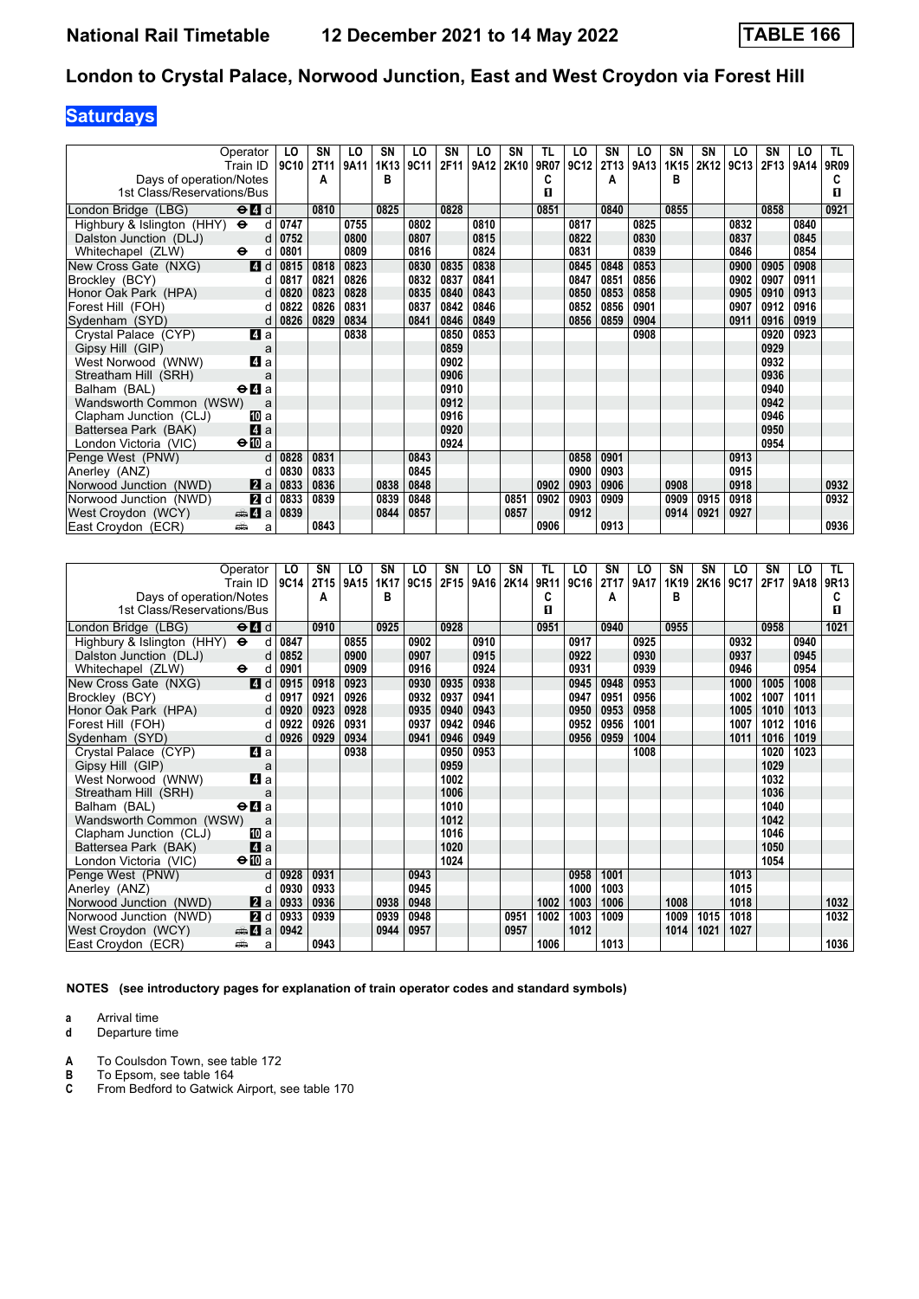# **Saturdays**

| Operator                                                               | LO        | <b>SN</b> | LO   | SN   | LO   | SN   | LO   | <b>SN</b> | TL   | LO   | SN          | LO   | <b>SN</b> | SΝ   | LO   | SN   | LO   | TL.  |
|------------------------------------------------------------------------|-----------|-----------|------|------|------|------|------|-----------|------|------|-------------|------|-----------|------|------|------|------|------|
| Train ID                                                               | 9C10      | 2T11      | 9A11 | 1K13 | 9C11 | 2F11 | 9A12 | 2K10      | 9R07 | 9C12 | <b>2T13</b> | 9A13 | 1K15      | 2K12 | 9C13 | 2F13 | 9A14 | 9R09 |
| Days of operation/Notes                                                |           | A         |      | в    |      |      |      |           | C    |      | А           |      | в         |      |      |      |      |      |
| 1st Class/Reservations/Bus                                             |           |           |      |      |      |      |      |           | п    |      |             |      |           |      |      |      |      | п    |
| $\Theta$ <sup><math>\blacksquare</math> d</sup><br>London Bridge (LBG) |           | 0810      |      | 0825 |      | 0828 |      |           | 0851 |      | 0840        |      | 0855      |      |      | 0858 |      | 0921 |
| Highbury & Islington (HHY) $\Theta$                                    | 0747<br>d |           | 0755 |      | 0802 |      | 0810 |           |      | 0817 |             | 0825 |           |      | 0832 |      | 0840 |      |
| Dalston Junction (DLJ)                                                 | 0752<br>d |           | 0800 |      | 0807 |      | 0815 |           |      | 0822 |             | 0830 |           |      | 0837 |      | 0845 |      |
| Whitechapel (ZLW)<br>$\ddot{\phantom{1}}$                              | 0801<br>d |           | 0809 |      | 0816 |      | 0824 |           |      | 0831 |             | 0839 |           |      | 0846 |      | 0854 |      |
| 4d<br>New Cross Gate (NXG)                                             | 0815      | 0818      | 0823 |      | 0830 | 0835 | 0838 |           |      | 0845 | 0848        | 0853 |           |      | 0900 | 0905 | 0908 |      |
| Brockley (BCY)                                                         | 0817<br>d | 0821      | 0826 |      | 0832 | 0837 | 0841 |           |      | 0847 | 0851        | 0856 |           |      | 0902 | 0907 | 0911 |      |
| Honor Oak Park (HPA)                                                   | 0820<br>d | 0823      | 0828 |      | 0835 | 0840 | 0843 |           |      | 0850 | 0853        | 0858 |           |      | 0905 | 0910 | 0913 |      |
| Forest Hill (FOH)                                                      | 0822<br>d | 0826      | 0831 |      | 0837 | 0842 | 0846 |           |      | 0852 | 0856        | 0901 |           |      | 0907 | 0912 | 0916 |      |
| Sydenham (SYD)                                                         | 0826<br>d | 0829      | 0834 |      | 0841 | 0846 | 0849 |           |      | 0856 | 0859        | 0904 |           |      | 0911 | 0916 | 0919 |      |
| 4a<br>Crystal Palace (CYP)                                             |           |           | 0838 |      |      | 0850 | 0853 |           |      |      |             | 0908 |           |      |      | 0920 | 0923 |      |
| Gipsy Hill (GIP)                                                       | a         |           |      |      |      | 0859 |      |           |      |      |             |      |           |      |      | 0929 |      |      |
| 4 a<br>West Norwood (WNW)                                              |           |           |      |      |      | 0902 |      |           |      |      |             |      |           |      |      | 0932 |      |      |
| Streatham Hill (SRH)                                                   | a         |           |      |      |      | 0906 |      |           |      |      |             |      |           |      |      | 0936 |      |      |
| $\Theta$ <b>A</b> a<br>Balham (BAL)                                    |           |           |      |      |      | 0910 |      |           |      |      |             |      |           |      |      | 0940 |      |      |
| Wandsworth Common (WSW)                                                | a         |           |      |      |      | 0912 |      |           |      |      |             |      |           |      |      | 0942 |      |      |
| Clapham Junction (CLJ)<br>10 a                                         |           |           |      |      |      | 0916 |      |           |      |      |             |      |           |      |      | 0946 |      |      |
| 4a<br>Battersea Park (BAK)                                             |           |           |      |      |      | 0920 |      |           |      |      |             |      |           |      |      | 0950 |      |      |
| $\bigoplus$ a<br>London Victoria (VIC)                                 |           |           |      |      |      | 0924 |      |           |      |      |             |      |           |      |      | 0954 |      |      |
| Penge West (PNW)                                                       | d<br>0828 | 0831      |      |      | 0843 |      |      |           |      | 0858 | 0901        |      |           |      | 0913 |      |      |      |
| Anerley (ANZ)                                                          | 0830<br>d | 0833      |      |      | 0845 |      |      |           |      | 0900 | 0903        |      |           |      | 0915 |      |      |      |
| Norwood Junction (NWD)<br>2a                                           | 0833      | 0836      |      | 0838 | 0848 |      |      |           | 0902 | 0903 | 0906        |      | 0908      |      | 0918 |      |      | 0932 |
| Norwood Junction (NWD)<br>2d                                           | 0833      | 0839      |      | 0839 | 0848 |      |      | 0851      | 0902 | 0903 | 0909        |      | 0909      | 0915 | 0918 |      |      | 0932 |
| $\clubsuit$ 4 a<br>West Croydon (WCY)                                  | 0839      |           |      | 0844 | 0857 |      |      | 0857      |      | 0912 |             |      | 0914      | 0921 | 0927 |      |      |      |
| East Croydon (ECR)<br>پیش                                              | a         | 0843      |      |      |      |      |      |           | 0906 |      | 0913        |      |           |      |      |      |      | 0936 |

| Operator                                                           | LO   | SΝ          | LO   | SN   | LO   | SN   | LO   | SΝ   | TL   | LO   | SΝ   | LO   | SN   | <b>SN</b> | LO   | SΝ   | LO   | TL.              |
|--------------------------------------------------------------------|------|-------------|------|------|------|------|------|------|------|------|------|------|------|-----------|------|------|------|------------------|
| Train ID                                                           | 9C14 | <b>2T15</b> | 9A15 | 1K17 | 9C15 | 2F15 | 9A16 | 2K14 | 9R11 | 9C16 | 2T17 | 9A17 | 1K19 | 2K16      | 9C17 | 2F17 | 9A18 | 9R <sub>13</sub> |
| Days of operation/Notes                                            |      | A           |      | B    |      |      |      |      | C    |      | Α    |      | в    |           |      |      |      | С                |
| 1st Class/Reservations/Bus                                         |      |             |      |      |      |      |      |      | п    |      |      |      |      |           |      |      |      | п                |
| $\Theta$ <sup><math>\Omega</math></sup> $d$<br>London Bridge (LBG) |      | 0910        |      | 0925 |      | 0928 |      |      | 0951 |      | 0940 |      | 0955 |           |      | 0958 |      | 1021             |
| Highbury & Islington (HHY) $\Theta$<br>d                           | 0847 |             | 0855 |      | 0902 |      | 0910 |      |      | 0917 |      | 0925 |      |           | 0932 |      | 0940 |                  |
| Dalston Junction (DLJ)<br>d                                        | 0852 |             | 0900 |      | 0907 |      | 0915 |      |      | 0922 |      | 0930 |      |           | 0937 |      | 0945 |                  |
| Whitechapel (ZLW)<br>$\ddot{\mathbf{e}}$<br>d                      | 0901 |             | 0909 |      | 0916 |      | 0924 |      |      | 0931 |      | 0939 |      |           | 0946 |      | 0954 |                  |
| 4 d<br>New Cross Gate (NXG)                                        | 0915 | 0918        | 0923 |      | 0930 | 0935 | 0938 |      |      | 0945 | 0948 | 0953 |      |           | 1000 | 1005 | 1008 |                  |
| Brockley (BCY)<br>d                                                | 0917 | 0921        | 0926 |      | 0932 | 0937 | 0941 |      |      | 0947 | 0951 | 0956 |      |           | 1002 | 1007 | 1011 |                  |
| Honor Oak Park (HPA)<br>d                                          | 0920 | 0923        | 0928 |      | 0935 | 0940 | 0943 |      |      | 0950 | 0953 | 0958 |      |           | 1005 | 1010 | 1013 |                  |
| Forest Hill (FOH)<br>d                                             | 0922 | 0926        | 0931 |      | 0937 | 0942 | 0946 |      |      | 0952 | 0956 | 1001 |      |           | 1007 | 1012 | 1016 |                  |
| Sydenham (SYD)<br>d                                                | 0926 | 0929        | 0934 |      | 0941 | 0946 | 0949 |      |      | 0956 | 0959 | 1004 |      |           | 1011 | 1016 | 1019 |                  |
| Crystal Palace (CYP)<br>ZI a                                       |      |             | 0938 |      |      | 0950 | 0953 |      |      |      |      | 1008 |      |           |      | 1020 | 1023 |                  |
| Gipsy Hill (GIP)<br>a                                              |      |             |      |      |      | 0959 |      |      |      |      |      |      |      |           |      | 1029 |      |                  |
| 4 a<br>West Norwood (WNW)                                          |      |             |      |      |      | 1002 |      |      |      |      |      |      |      |           |      | 1032 |      |                  |
| Streatham Hill (SRH)<br>a                                          |      |             |      |      |      | 1006 |      |      |      |      |      |      |      |           |      | 1036 |      |                  |
| $\Theta$ <b>d</b> a<br>Balham (BAL)                                |      |             |      |      |      | 1010 |      |      |      |      |      |      |      |           |      | 1040 |      |                  |
| Wandsworth Common (WSW)<br>a                                       |      |             |      |      |      | 1012 |      |      |      |      |      |      |      |           |      | 1042 |      |                  |
| Clapham Junction (CLJ)<br>[II] a                                   |      |             |      |      |      | 1016 |      |      |      |      |      |      |      |           |      | 1046 |      |                  |
| 4a<br>Battersea Park (BAK)                                         |      |             |      |      |      | 1020 |      |      |      |      |      |      |      |           |      | 1050 |      |                  |
| $\Theta$ III a<br>London Victoria (VIC)                            |      |             |      |      |      | 1024 |      |      |      |      |      |      |      |           |      | 1054 |      |                  |
| $\mathbf d$<br>Penge West (PNW)                                    | 0928 | 0931        |      |      | 0943 |      |      |      |      | 0958 | 1001 |      |      |           | 1013 |      |      |                  |
| Anerley (ANZ)<br>d                                                 | 0930 | 0933        |      |      | 0945 |      |      |      |      | 1000 | 1003 |      |      |           | 1015 |      |      |                  |
| <b>Z</b> a<br>Norwood Junction (NWD)                               | 0933 | 0936        |      | 0938 | 0948 |      |      |      | 1002 | 1003 | 1006 |      | 1008 |           | 1018 |      |      | 1032             |
| 2d<br>Norwood Junction (NWD)                                       | 0933 | 0939        |      | 0939 | 0948 |      |      | 0951 | 1002 | 1003 | 1009 |      | 1009 | 1015      | 1018 |      |      | 1032             |
| West Croydon (WCY)<br>$\frac{1}{2}$ 4 a                            | 0942 |             |      | 0944 | 0957 |      |      | 0957 |      | 1012 |      |      | 1014 | 1021      | 1027 |      |      |                  |
| East Croydon (ECR)<br>پیشته<br>a                                   |      | 0943        |      |      |      |      |      |      | 1006 |      | 1013 |      |      |           |      |      |      | 1036             |

**NOTES (see introductory pages for explanation of train operator codes and standard symbols)**

**a** Arrival time<br>**d** Departure t

- **A** To Coulsdon Town, see table 172<br>**B** To Epsom, see table 164
- **B** To Epsom, see table 164
- **C** From Bedford to Gatwick Airport, see table 170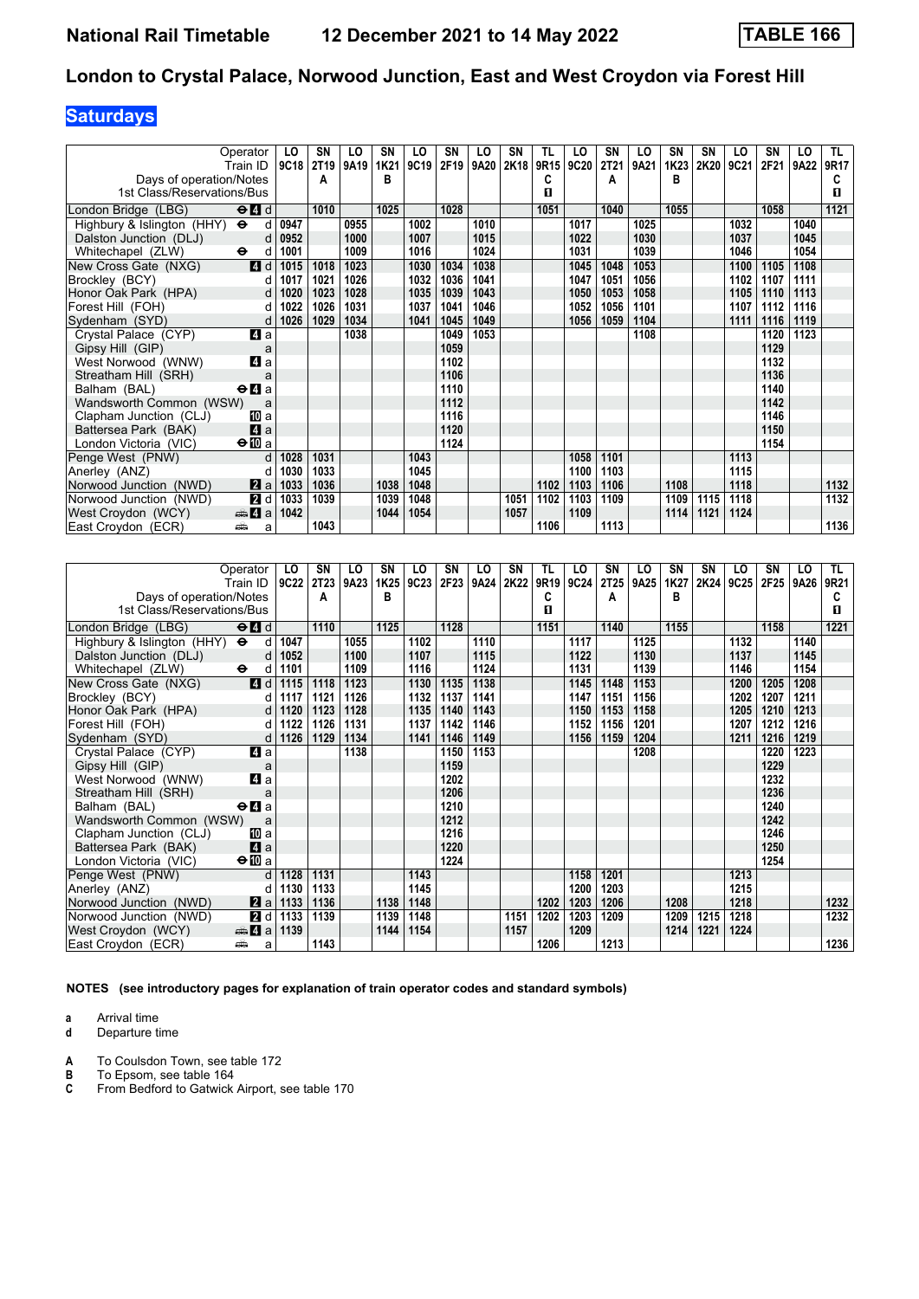# **Saturdays**

| Operator                                                    |        | LO   | <b>SN</b>        | LO   | <b>SN</b> | LO   | <b>SN</b> | LO   | SN   | TL   | LO   | <b>SN</b> | LO   | SN   | <b>SN</b> | LO   | <b>SN</b> | LO   | TL.  |
|-------------------------------------------------------------|--------|------|------------------|------|-----------|------|-----------|------|------|------|------|-----------|------|------|-----------|------|-----------|------|------|
| Train ID                                                    |        | 9C18 | 2T <sub>19</sub> | 9A19 | 1K21      | 9C19 | 2F19      | 9A20 | 2K18 | 9R15 | 9C20 | 2T21      | 9A21 | 1K23 | 2K20      | 9C21 | 2F21      | 9A22 | 9R17 |
| Days of operation/Notes                                     |        |      | A                |      | B         |      |           |      |      | c    |      | A         |      | в    |           |      |           |      | C    |
| 1st Class/Reservations/Bus                                  |        |      |                  |      |           |      |           |      |      | п    |      |           |      |      |           |      |           |      | П.   |
| London Bridge (LBG)<br>$\Theta$ $\blacksquare$ d            |        |      | 1010             |      | 1025      |      | 1028      |      |      | 1051 |      | 1040      |      | 1055 |           |      | 1058      |      | 1121 |
| Highbury & Islington (HHY) $\Theta$                         | d      | 0947 |                  | 0955 |           | 1002 |           | 1010 |      |      | 1017 |           | 1025 |      |           | 1032 |           | 1040 |      |
| Dalston Junction (DLJ)                                      | d      | 0952 |                  | 1000 |           | 1007 |           | 1015 |      |      | 1022 |           | 1030 |      |           | 1037 |           | 1045 |      |
| Whitechapel (ZLW)<br>$\ddot{\boldsymbol{\Theta}}$           | d      | 1001 |                  | 1009 |           | 1016 |           | 1024 |      |      | 1031 |           | 1039 |      |           | 1046 |           | 1054 |      |
| New Cross Gate (NXG)                                        | 4d     | 1015 | 1018             | 1023 |           | 1030 | 1034      | 1038 |      |      | 1045 | 1048      | 1053 |      |           | 1100 | 1105      | 1108 |      |
| Brockley (BCY)                                              | d      | 1017 | 1021             | 1026 |           | 1032 | 1036      | 1041 |      |      | 1047 | 1051      | 1056 |      |           | 1102 | 1107      | 1111 |      |
| Honor Oak Park (HPA)                                        | d      | 1020 | 1023             | 1028 |           | 1035 | 1039      | 1043 |      |      | 1050 | 1053      | 1058 |      |           | 1105 | 1110      | 1113 |      |
| Forest Hill (FOH)                                           | d      | 1022 | 1026             | 1031 |           | 1037 | 1041      | 1046 |      |      | 1052 | 1056      | 1101 |      |           | 1107 | 1112      | 1116 |      |
| Sydenham (SYD)                                              | d      | 1026 | 1029             | 1034 |           | 1041 | 1045      | 1049 |      |      | 1056 | 1059      | 1104 |      |           | 1111 | 1116      | 1119 |      |
| Crystal Palace (CYP)                                        | 4 a    |      |                  | 1038 |           |      | 1049      | 1053 |      |      |      |           | 1108 |      |           |      | 1120      | 1123 |      |
| Gipsy Hill (GIP)                                            | a      |      |                  |      |           |      | 1059      |      |      |      |      |           |      |      |           |      | 1129      |      |      |
| West Norwood (WNW)                                          | 4 a    |      |                  |      |           |      | 1102      |      |      |      |      |           |      |      |           |      | 1132      |      |      |
| Streatham Hill (SRH)                                        | a      |      |                  |      |           |      | 1106      |      |      |      |      |           |      |      |           |      | 1136      |      |      |
| Balham (BAL)<br>$\Theta$ <b><math>\blacksquare</math></b> a |        |      |                  |      |           |      | 1110      |      |      |      |      |           |      |      |           |      | 1140      |      |      |
| Wandsworth Common (WSW)                                     | a      |      |                  |      |           |      | 1112      |      |      |      |      |           |      |      |           |      | 1142      |      |      |
| Clapham Junction (CLJ)                                      | [II] a |      |                  |      |           |      | 1116      |      |      |      |      |           |      |      |           |      | 1146      |      |      |
| Battersea Park (BAK)                                        | 4a     |      |                  |      |           |      | 1120      |      |      |      |      |           |      |      |           |      | 1150      |      |      |
| $\bigoplus$ a<br>London Victoria (VIC)                      |        |      |                  |      |           |      | 1124      |      |      |      |      |           |      |      |           |      | 1154      |      |      |
| Penge West (PNW)                                            | d      | 1028 | 1031             |      |           | 1043 |           |      |      |      | 1058 | 1101      |      |      |           | 1113 |           |      |      |
| Anerley (ANZ)                                               | d      | 1030 | 1033             |      |           | 1045 |           |      |      |      | 1100 | 1103      |      |      |           | 1115 |           |      |      |
| Norwood Junction (NWD)                                      | 2a     | 1033 | 1036             |      | 1038      | 1048 |           |      |      | 1102 | 1103 | 1106      |      | 1108 |           | 1118 |           |      | 1132 |
| Norwood Junction (NWD)                                      | 2d     | 1033 | 1039             |      | 1039      | 1048 |           |      | 1051 | 1102 | 1103 | 1109      |      | 1109 | 1115      | 1118 |           |      | 1132 |
| West Croydon (WCY)<br>$\clubsuit$ 4 a                       |        | 1042 |                  |      | 1044      | 1054 |           |      | 1057 |      | 1109 |           |      | 1114 | 1121      | 1124 |           |      |      |
| East Croydon (ECR)<br>پیش                                   | a      |      | 1043             |      |           |      |           |      |      | 1106 |      | 1113      |      |      |           |      |           |      | 1136 |

| Operator                                                           | LO   | SΝ   | LO   | SN   | LO   | SN   | LO   | SN   | TL   | LO   | SN               | LO   | SN   | <b>SN</b> | LO   | SΝ   | LO   | TL.  |
|--------------------------------------------------------------------|------|------|------|------|------|------|------|------|------|------|------------------|------|------|-----------|------|------|------|------|
| Train ID                                                           | 9C22 | 2T23 | 9A23 | 1K25 | 9C23 | 2F23 | 9A24 | 2K22 | 9R19 | 9C24 | 2T <sub>25</sub> | 9A25 | 1K27 | 2K24      | 9C25 | 2F25 | 9A26 | 9R21 |
| Days of operation/Notes                                            |      | Α    |      | B    |      |      |      |      | C    |      | A                |      | в    |           |      |      |      | С    |
| 1st Class/Reservations/Bus                                         |      |      |      |      |      |      |      |      | п    |      |                  |      |      |           |      |      |      | п    |
| $\Theta$ <sup><math>\Omega</math></sup> $d$<br>London Bridge (LBG) |      | 1110 |      | 1125 |      | 1128 |      |      | 1151 |      | 1140             |      | 1155 |           |      | 1158 |      | 1221 |
| Highbury & Islington (HHY)<br>$\ddot{\bullet}$<br>d                | 1047 |      | 1055 |      | 1102 |      | 1110 |      |      | 1117 |                  | 1125 |      |           | 1132 |      | 1140 |      |
| Dalston Junction (DLJ)<br>d                                        | 1052 |      | 1100 |      | 1107 |      | 1115 |      |      | 1122 |                  | 1130 |      |           | 1137 |      | 1145 |      |
| Whitechapel (ZLW)<br>$\bullet$<br>d                                | 1101 |      | 1109 |      | 1116 |      | 1124 |      |      | 1131 |                  | 1139 |      |           | 1146 |      | 1154 |      |
| 4d<br>New Cross Gate (NXG)                                         | 1115 | 1118 | 1123 |      | 1130 | 1135 | 1138 |      |      | 1145 | 1148             | 1153 |      |           | 1200 | 1205 | 1208 |      |
| Brockley (BCY)<br>d                                                | 1117 | 1121 | 1126 |      | 1132 | 1137 | 1141 |      |      | 1147 | 1151             | 1156 |      |           | 1202 | 1207 | 1211 |      |
| Honor Oak Park (HPA)<br>d                                          | 1120 | 1123 | 1128 |      | 1135 | 1140 | 1143 |      |      | 1150 | 1153             | 1158 |      |           | 1205 | 1210 | 1213 |      |
| d<br>Forest Hill (FOH)                                             | 1122 | 1126 | 1131 |      | 1137 | 1142 | 1146 |      |      | 1152 | 1156             | 1201 |      |           | 1207 | 1212 | 1216 |      |
| Sydenham (SYD)<br>d                                                | 1126 | 1129 | 1134 |      | 1141 | 1146 | 1149 |      |      | 1156 | 1159             | 1204 |      |           | 1211 | 1216 | 1219 |      |
| Crystal Palace (CYP)<br>4 a                                        |      |      | 1138 |      |      | 1150 | 1153 |      |      |      |                  | 1208 |      |           |      | 1220 | 1223 |      |
| Gipsy Hill (GIP)<br>a                                              |      |      |      |      |      | 1159 |      |      |      |      |                  |      |      |           |      | 1229 |      |      |
| 4 a<br>West Norwood (WNW)                                          |      |      |      |      |      | 1202 |      |      |      |      |                  |      |      |           |      | 1232 |      |      |
| Streatham Hill (SRH)<br>a                                          |      |      |      |      |      | 1206 |      |      |      |      |                  |      |      |           |      | 1236 |      |      |
| $\Theta$ <b><math>\blacksquare</math></b> a<br>Balham (BAL)        |      |      |      |      |      | 1210 |      |      |      |      |                  |      |      |           |      | 1240 |      |      |
| Wandsworth Common (WSW)<br>a                                       |      |      |      |      |      | 1212 |      |      |      |      |                  |      |      |           |      | 1242 |      |      |
| Clapham Junction (CLJ)<br>[II] a                                   |      |      |      |      |      | 1216 |      |      |      |      |                  |      |      |           |      | 1246 |      |      |
| 4a<br>Battersea Park (BAK)                                         |      |      |      |      |      | 1220 |      |      |      |      |                  |      |      |           |      | 1250 |      |      |
| $\Theta$ III a<br>London Victoria (VIC)                            |      |      |      |      |      | 1224 |      |      |      |      |                  |      |      |           |      | 1254 |      |      |
| Penge West (PNW)<br>d                                              | 1128 | 1131 |      |      | 1143 |      |      |      |      | 1158 | 1201             |      |      |           | 1213 |      |      |      |
| Anerley (ANZ)<br>d                                                 | 1130 | 1133 |      |      | 1145 |      |      |      |      | 1200 | 1203             |      |      |           | 1215 |      |      |      |
| Norwood Junction (NWD)<br>2a                                       | 1133 | 1136 |      | 1138 | 1148 |      |      |      | 1202 | 1203 | 1206             |      | 1208 |           | 1218 |      |      | 1232 |
| 2d<br>Norwood Junction (NWD)                                       | 1133 | 1139 |      | 1139 | 1148 |      |      | 1151 | 1202 | 1203 | 1209             |      | 1209 | 1215      | 1218 |      |      | 1232 |
| $\bigoplus$ 4 a<br>West Croydon (WCY)                              | 1139 |      |      | 1144 | 1154 |      |      | 1157 |      | 1209 |                  |      | 1214 | 1221      | 1224 |      |      |      |
| East Croydon (ECR)<br>ه ک<br>a                                     |      | 1143 |      |      |      |      |      |      | 1206 |      | 1213             |      |      |           |      |      |      | 1236 |

**NOTES (see introductory pages for explanation of train operator codes and standard symbols)**

**a** Arrival time<br>**d** Departure t

**d** Departure time

**A** To Coulsdon Town, see table 172<br>**B** To Epsom, see table 164

**B** To Epsom, see table 164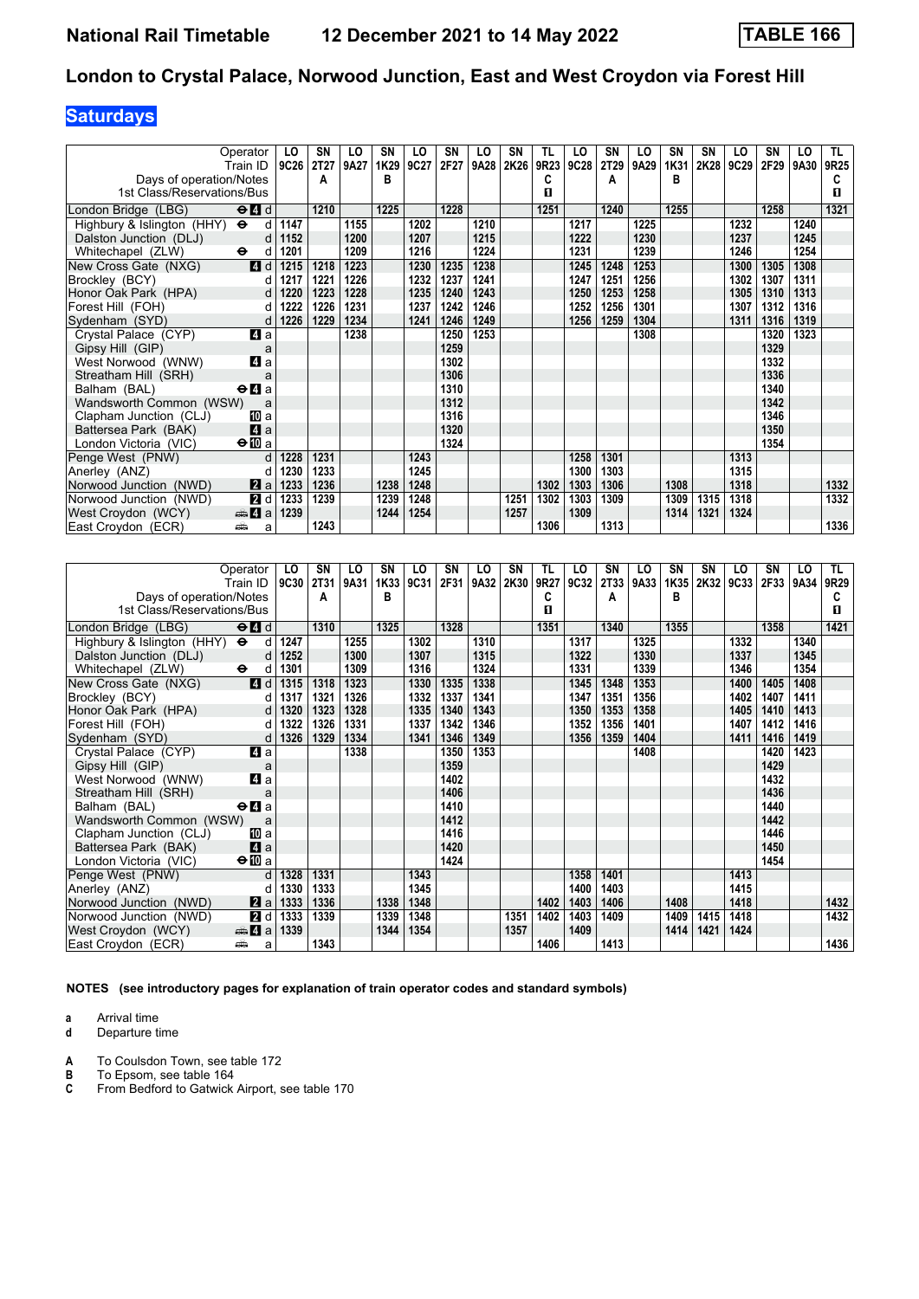# **Saturdays**

| Operator                                                               | LO        | <b>SN</b> | LO   | SN   | LO   | SN   | LO   | <b>SN</b> | TL   | LO   | SN          | LO   | <b>SN</b> | SΝ   | LO   | SN   | LO   | TL.  |
|------------------------------------------------------------------------|-----------|-----------|------|------|------|------|------|-----------|------|------|-------------|------|-----------|------|------|------|------|------|
| Train ID                                                               | 9C26      | 2T27      | 9A27 | 1K29 | 9C27 | 2F27 | 9A28 | 2K26      | 9R23 | 9C28 | <b>2T29</b> | 9A29 | 1K31      | 2K28 | 9C29 | 2F29 | 9A30 | 9R25 |
| Days of operation/Notes                                                |           | A         |      | в    |      |      |      |           | C    |      | А           |      | в         |      |      |      |      | C    |
| 1st Class/Reservations/Bus                                             |           |           |      |      |      |      |      |           | 0    |      |             |      |           |      |      |      |      | п    |
| $\Theta$ <sup><math>\blacksquare</math> d</sup><br>London Bridge (LBG) |           | 1210      |      | 1225 |      | 1228 |      |           | 1251 |      | 1240        |      | 1255      |      |      | 1258 |      | 1321 |
| Highbury & Islington (HHY) $\Theta$                                    | 1147<br>d |           | 1155 |      | 1202 |      | 1210 |           |      | 1217 |             | 1225 |           |      | 1232 |      | 1240 |      |
| Dalston Junction (DLJ)                                                 | 1152<br>d |           | 1200 |      | 1207 |      | 1215 |           |      | 1222 |             | 1230 |           |      | 1237 |      | 1245 |      |
| Whitechapel (ZLW)<br>$\ddot{\mathbf{e}}$                               | 1201<br>d |           | 1209 |      | 1216 |      | 1224 |           |      | 1231 |             | 1239 |           |      | 1246 |      | 1254 |      |
| 4d<br>New Cross Gate (NXG)                                             | 1215      | 1218      | 1223 |      | 1230 | 1235 | 1238 |           |      | 1245 | 1248        | 1253 |           |      | 1300 | 1305 | 1308 |      |
| Brockley (BCY)                                                         | 1217<br>d | 1221      | 1226 |      | 1232 | 1237 | 1241 |           |      | 1247 | 1251        | 1256 |           |      | 1302 | 1307 | 1311 |      |
| Honor Oak Park (HPA)                                                   | 1220<br>d | 1223      | 1228 |      | 1235 | 1240 | 1243 |           |      | 1250 | 1253        | 1258 |           |      | 1305 | 1310 | 1313 |      |
| Forest Hill (FOH)                                                      | 1222<br>d | 1226      | 1231 |      | 1237 | 1242 | 1246 |           |      | 1252 | 1256        | 1301 |           |      | 1307 | 1312 | 1316 |      |
| Sydenham (SYD)                                                         | 1226<br>d | 1229      | 1234 |      | 1241 | 1246 | 1249 |           |      | 1256 | 1259        | 1304 |           |      | 1311 | 1316 | 1319 |      |
| 4a<br>Crystal Palace (CYP)                                             |           |           | 1238 |      |      | 1250 | 1253 |           |      |      |             | 1308 |           |      |      | 1320 | 1323 |      |
| Gipsy Hill (GIP)                                                       | a         |           |      |      |      | 1259 |      |           |      |      |             |      |           |      |      | 1329 |      |      |
| 4 a<br>West Norwood (WNW)                                              |           |           |      |      |      | 1302 |      |           |      |      |             |      |           |      |      | 1332 |      |      |
| Streatham Hill (SRH)                                                   | a         |           |      |      |      | 1306 |      |           |      |      |             |      |           |      |      | 1336 |      |      |
| Balham (BAL)<br>$\Theta$ <b><math>\blacksquare</math></b> a            |           |           |      |      |      | 1310 |      |           |      |      |             |      |           |      |      | 1340 |      |      |
| Wandsworth Common (WSW)                                                | a         |           |      |      |      | 1312 |      |           |      |      |             |      |           |      |      | 1342 |      |      |
| Clapham Junction (CLJ)<br>10 a                                         |           |           |      |      |      | 1316 |      |           |      |      |             |      |           |      |      | 1346 |      |      |
| 4a<br>Battersea Park (BAK)                                             |           |           |      |      |      | 1320 |      |           |      |      |             |      |           |      |      | 1350 |      |      |
| $\bigoplus a$<br>London Victoria (VIC)                                 |           |           |      |      |      | 1324 |      |           |      |      |             |      |           |      |      | 1354 |      |      |
| Penge West (PNW)                                                       | 1228<br>d | 1231      |      |      | 1243 |      |      |           |      | 1258 | 1301        |      |           |      | 1313 |      |      |      |
| Anerley (ANZ)                                                          | 1230<br>d | 1233      |      |      | 1245 |      |      |           |      | 1300 | 1303        |      |           |      | 1315 |      |      |      |
| Norwood Junction (NWD)<br>2a                                           | 1233      | 1236      |      | 1238 | 1248 |      |      |           | 1302 | 1303 | 1306        |      | 1308      |      | 1318 |      |      | 1332 |
| 2d<br>Norwood Junction (NWD)                                           | 1233      | 1239      |      | 1239 | 1248 |      |      | 1251      | 1302 | 1303 | 1309        |      | 1309      | 1315 | 1318 |      |      | 1332 |
| $\clubsuit$ 4 a<br>West Croydon (WCY)                                  | 1239      |           |      | 1244 | 1254 |      |      | 1257      |      | 1309 |             |      | 1314      | 1321 | 1324 |      |      |      |
| East Croydon (ECR)<br>پیش                                              | a         | 1243      |      |      |      |      |      |           | 1306 |      | 1313        |      |           |      |      |      |      | 1336 |

| Operator                                                           | LO          | SN   | LO   | SN   | LO.  | SN   | LO   | SN   | TL   | LO   | SN   | LO   | SN   | SΝ   | LO   | SΝ   | LO   | TL.  |
|--------------------------------------------------------------------|-------------|------|------|------|------|------|------|------|------|------|------|------|------|------|------|------|------|------|
| Train ID                                                           | <b>9C30</b> | 2T31 | 9A31 | 1K33 | 9C31 | 2F31 | 9A32 | 2K30 | 9R27 | 9C32 | 2T33 | 9A33 | 1K35 | 2K32 | 9C33 | 2F33 | 9A34 | 9R29 |
| Days of operation/Notes                                            |             | Α    |      | B    |      |      |      |      | C    |      | А    |      | в    |      |      |      |      | C    |
| 1st Class/Reservations/Bus                                         |             |      |      |      |      |      |      |      | п    |      |      |      |      |      |      |      |      | п    |
| $\Theta$ <sup><math>\Omega</math></sup> $d$<br>London Bridge (LBG) |             | 1310 |      | 1325 |      | 1328 |      |      | 1351 |      | 1340 |      | 1355 |      |      | 1358 |      | 1421 |
| $\ddot{\phantom{1}}$<br>Highbury & Islington (HHY)<br>d            | 1247        |      | 1255 |      | 1302 |      | 1310 |      |      | 1317 |      | 1325 |      |      | 1332 |      | 1340 |      |
| Dalston Junction (DLJ)<br>d                                        | 1252        |      | 1300 |      | 1307 |      | 1315 |      |      | 1322 |      | 1330 |      |      | 1337 |      | 1345 |      |
| $\ddot{\phantom{1}}$<br>Whitechapel (ZLW)<br>d                     | 1301        |      | 1309 |      | 1316 |      | 1324 |      |      | 1331 |      | 1339 |      |      | 1346 |      | 1354 |      |
| 4d<br>New Cross Gate (NXG)                                         | 1315        | 1318 | 1323 |      | 1330 | 1335 | 1338 |      |      | 1345 | 1348 | 1353 |      |      | 1400 | 1405 | 1408 |      |
| Brockley (BCY)<br>d                                                | 1317        | 1321 | 1326 |      | 1332 | 1337 | 1341 |      |      | 1347 | 1351 | 1356 |      |      | 1402 | 1407 | 1411 |      |
| Honor Oak Park (HPA)<br>d                                          | 1320        | 1323 | 1328 |      | 1335 | 1340 | 1343 |      |      | 1350 | 1353 | 1358 |      |      | 1405 | 1410 | 1413 |      |
| Forest Hill (FOH)<br>d                                             | 1322        | 1326 | 1331 |      | 1337 | 1342 | 1346 |      |      | 1352 | 1356 | 1401 |      |      | 1407 | 1412 | 1416 |      |
| Sydenham (SYD)<br>d                                                | 1326        | 1329 | 1334 |      | 1341 | 1346 | 1349 |      |      | 1356 | 1359 | 1404 |      |      | 1411 | 1416 | 1419 |      |
| Crystal Palace (CYP)<br>4 a                                        |             |      | 1338 |      |      | 1350 | 1353 |      |      |      |      | 1408 |      |      |      | 1420 | 1423 |      |
| Gipsy Hill (GIP)<br>a                                              |             |      |      |      |      | 1359 |      |      |      |      |      |      |      |      |      | 1429 |      |      |
| 4a<br>West Norwood (WNW)                                           |             |      |      |      |      | 1402 |      |      |      |      |      |      |      |      |      | 1432 |      |      |
| Streatham Hill (SRH)<br>a                                          |             |      |      |      |      | 1406 |      |      |      |      |      |      |      |      |      | 1436 |      |      |
| Balham (BAL)<br>$\Theta$ <b><math>\blacksquare</math></b> a        |             |      |      |      |      | 1410 |      |      |      |      |      |      |      |      |      | 1440 |      |      |
| Wandsworth Common (WSW)<br>a                                       |             |      |      |      |      | 1412 |      |      |      |      |      |      |      |      |      | 1442 |      |      |
| Clapham Junction (CLJ)<br>[II] a                                   |             |      |      |      |      | 1416 |      |      |      |      |      |      |      |      |      | 1446 |      |      |
| $\mathbf{A}$ a<br>Battersea Park (BAK)                             |             |      |      |      |      | 1420 |      |      |      |      |      |      |      |      |      | 1450 |      |      |
| $\Theta$ <b>ID</b> a<br>London Victoria (VIC)                      |             |      |      |      |      | 1424 |      |      |      |      |      |      |      |      |      | 1454 |      |      |
| Penge West (PNW)<br>d                                              | 1328        | 1331 |      |      | 1343 |      |      |      |      | 1358 | 1401 |      |      |      | 1413 |      |      |      |
| Anerley (ANZ)<br>d                                                 | 1330        | 1333 |      |      | 1345 |      |      |      |      | 1400 | 1403 |      |      |      | 1415 |      |      |      |
| <b>Z</b> a<br>Norwood Junction (NWD)                               | 1333        | 1336 |      | 1338 | 1348 |      |      |      | 1402 | 1403 | 1406 |      | 1408 |      | 1418 |      |      | 1432 |
| 2d<br>Norwood Junction (NWD)                                       | 1333        | 1339 |      | 1339 | 1348 |      |      | 1351 | 1402 | 1403 | 1409 |      | 1409 | 1415 | 1418 |      |      | 1432 |
| West Croydon (WCY)<br>$\bigoplus$ 4 a                              | 1339        |      |      | 1344 | 1354 |      |      | 1357 |      | 1409 |      |      | 1414 | 1421 | 1424 |      |      |      |
| East Croydon (ECR)<br>پیشته<br>a                                   |             | 1343 |      |      |      |      |      |      | 1406 |      | 1413 |      |      |      |      |      |      | 1436 |

**NOTES (see introductory pages for explanation of train operator codes and standard symbols)**

**a** Arrival time<br>**d** Departure t

**d** Departure time

**A** To Coulsdon Town, see table 172<br>**B** To Epsom, see table 164

**B** To Epsom, see table 164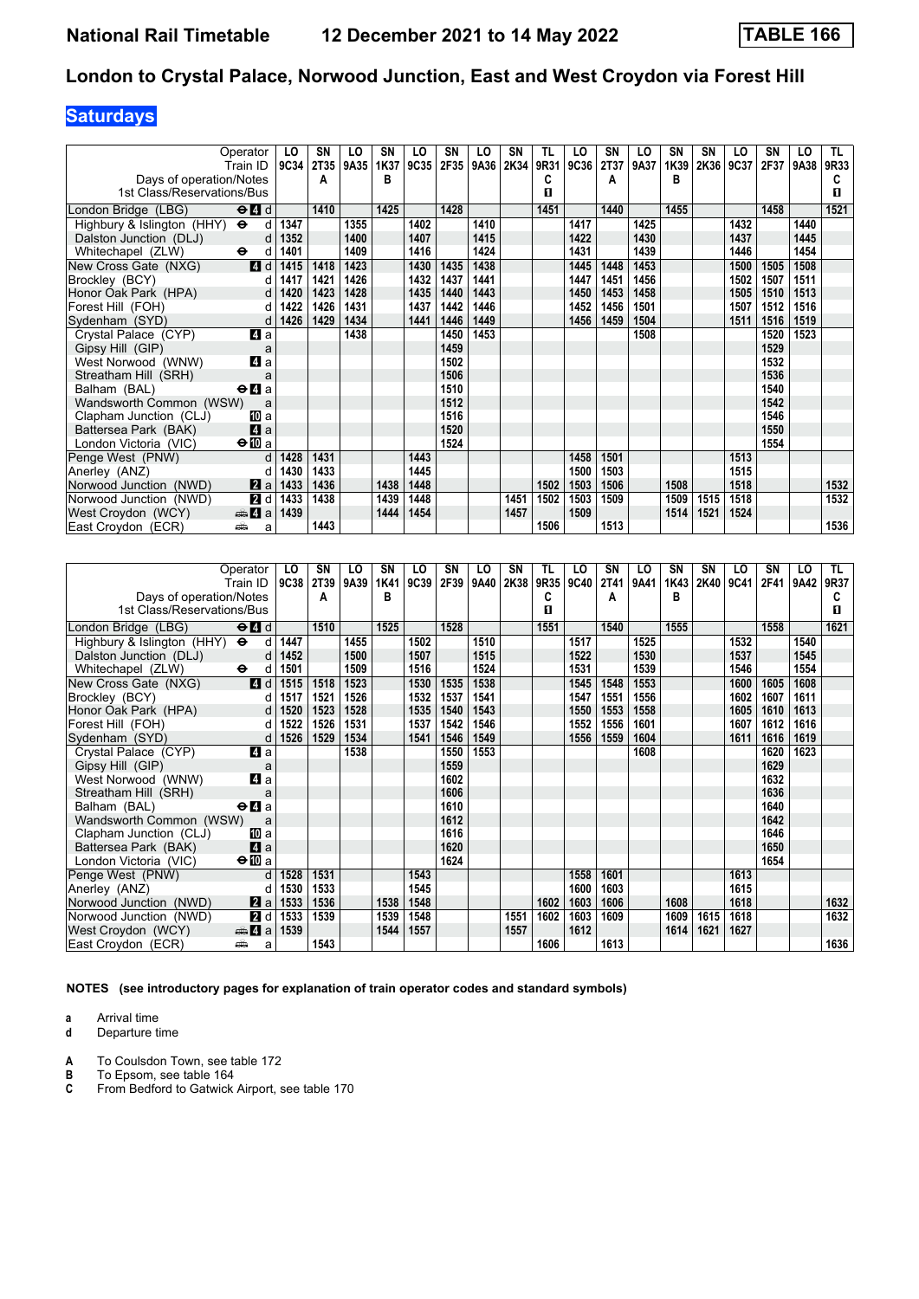# **Saturdays**

| Operator                                                               | LO        | SN   | LO   | SN   | LO   | SN   | LO   | <b>SN</b> | TL   | LO   | SN   | LO   | <b>SN</b> | SΝ   | LO   | SN   | LO   | TL.  |
|------------------------------------------------------------------------|-----------|------|------|------|------|------|------|-----------|------|------|------|------|-----------|------|------|------|------|------|
| Train ID                                                               | 9C34      | 2T35 | 9A35 | 1K37 | 9C35 | 2F35 | 9A36 | 2K34      | 9R31 | 9C36 | 2T37 | 9A37 | 1K39      | 2K36 | 9C37 | 2F37 | 9A38 | 9R33 |
| Days of operation/Notes                                                |           | A    |      | в    |      |      |      |           | C    |      | А    |      | в         |      |      |      |      | C    |
| 1st Class/Reservations/Bus                                             |           |      |      |      |      |      |      |           | 0    |      |      |      |           |      |      |      |      | п    |
| $\Theta$ <sup><math>\blacksquare</math> d</sup><br>London Bridge (LBG) |           | 1410 |      | 1425 |      | 1428 |      |           | 1451 |      | 1440 |      | 1455      |      |      | 1458 |      | 1521 |
| Highbury & Islington (HHY) $\Theta$                                    | 1347<br>d |      | 1355 |      | 1402 |      | 1410 |           |      | 1417 |      | 1425 |           |      | 1432 |      | 1440 |      |
| Dalston Junction (DLJ)                                                 | 1352<br>d |      | 1400 |      | 1407 |      | 1415 |           |      | 1422 |      | 1430 |           |      | 1437 |      | 1445 |      |
| Whitechapel (ZLW)<br>$\ddot{\mathbf{e}}$                               | 1401<br>d |      | 1409 |      | 1416 |      | 1424 |           |      | 1431 |      | 1439 |           |      | 1446 |      | 1454 |      |
| 4d<br>New Cross Gate (NXG)                                             | 1415      | 1418 | 1423 |      | 1430 | 1435 | 1438 |           |      | 1445 | 1448 | 1453 |           |      | 1500 | 1505 | 1508 |      |
| Brockley (BCY)                                                         | 1417<br>d | 1421 | 1426 |      | 1432 | 1437 | 1441 |           |      | 1447 | 1451 | 1456 |           |      | 1502 | 1507 | 1511 |      |
| Honor Oak Park (HPA)                                                   | 1420<br>d | 1423 | 1428 |      | 1435 | 1440 | 1443 |           |      | 1450 | 1453 | 1458 |           |      | 1505 | 1510 | 1513 |      |
| Forest Hill (FOH)                                                      | 1422<br>d | 1426 | 1431 |      | 1437 | 1442 | 1446 |           |      | 1452 | 1456 | 1501 |           |      | 1507 | 1512 | 1516 |      |
| Sydenham (SYD)                                                         | 1426<br>d | 1429 | 1434 |      | 1441 | 1446 | 1449 |           |      | 1456 | 1459 | 1504 |           |      | 1511 | 1516 | 1519 |      |
| 4a<br>Crystal Palace (CYP)                                             |           |      | 1438 |      |      | 1450 | 1453 |           |      |      |      | 1508 |           |      |      | 1520 | 1523 |      |
| Gipsy Hill (GIP)                                                       | a         |      |      |      |      | 1459 |      |           |      |      |      |      |           |      |      | 1529 |      |      |
| 4 a<br>West Norwood (WNW)                                              |           |      |      |      |      | 1502 |      |           |      |      |      |      |           |      |      | 1532 |      |      |
| Streatham Hill (SRH)                                                   | a         |      |      |      |      | 1506 |      |           |      |      |      |      |           |      |      | 1536 |      |      |
| $\Theta$ <b>A</b> a<br>Balham (BAL)                                    |           |      |      |      |      | 1510 |      |           |      |      |      |      |           |      |      | 1540 |      |      |
| Wandsworth Common (WSW)                                                | a         |      |      |      |      | 1512 |      |           |      |      |      |      |           |      |      | 1542 |      |      |
| Clapham Junction (CLJ)<br>10 a                                         |           |      |      |      |      | 1516 |      |           |      |      |      |      |           |      |      | 1546 |      |      |
| 4a<br>Battersea Park (BAK)                                             |           |      |      |      |      | 1520 |      |           |      |      |      |      |           |      |      | 1550 |      |      |
| $\bigoplus a$<br>London Victoria (VIC)                                 |           |      |      |      |      | 1524 |      |           |      |      |      |      |           |      |      | 1554 |      |      |
| Penge West (PNW)                                                       | d<br>1428 | 1431 |      |      | 1443 |      |      |           |      | 1458 | 1501 |      |           |      | 1513 |      |      |      |
| Anerley (ANZ)                                                          | 1430<br>d | 1433 |      |      | 1445 |      |      |           |      | 1500 | 1503 |      |           |      | 1515 |      |      |      |
| Norwood Junction (NWD)<br>2a                                           | 1433      | 1436 |      | 1438 | 1448 |      |      |           | 1502 | 1503 | 1506 |      | 1508      |      | 1518 |      |      | 1532 |
| 2d<br>Norwood Junction (NWD)                                           | 1433      | 1438 |      | 1439 | 1448 |      |      | 1451      | 1502 | 1503 | 1509 |      | 1509      | 1515 | 1518 |      |      | 1532 |
| $\clubsuit$ 4 a<br>West Croydon (WCY)                                  | 1439      |      |      | 1444 | 1454 |      |      | 1457      |      | 1509 |      |      | 1514      | 1521 | 1524 |      |      |      |
| East Croydon (ECR)<br>پیش                                              | a         | 1443 |      |      |      |      |      |           | 1506 |      | 1513 |      |           |      |      |      |      | 1536 |

| Operator                                                           | LO          | SN   | LO   | SN   | LO   | SN   | LO   | SΝ   | TL   | LO   | SN          | LO   | SN   | <b>SN</b> | LO   | SΝ   | LO   | TL.  |
|--------------------------------------------------------------------|-------------|------|------|------|------|------|------|------|------|------|-------------|------|------|-----------|------|------|------|------|
| Train ID                                                           | <b>9C38</b> | 2T39 | 9A39 | 1K41 | 9C39 | 2F39 | 9A40 | 2K38 | 9R35 | 9C40 | <b>2T41</b> | 9A41 | 1K43 | 2K40      | 9C41 | 2F41 | 9A42 | 9R37 |
| Days of operation/Notes                                            |             | А    |      | B    |      |      |      |      | C    |      | Α           |      | в    |           |      |      |      | C    |
| 1st Class/Reservations/Bus                                         |             |      |      |      |      |      |      |      | п    |      |             |      |      |           |      |      |      | п    |
| $\Theta$ <sup><math>\Omega</math></sup> $d$<br>London Bridge (LBG) |             | 1510 |      | 1525 |      | 1528 |      |      | 1551 |      | 1540        |      | 1555 |           |      | 1558 |      | 1621 |
| Highbury & Islington (HHY) $\Theta$<br>d                           | 1447        |      | 1455 |      | 1502 |      | 1510 |      |      | 1517 |             | 1525 |      |           | 1532 |      | 1540 |      |
| Dalston Junction (DLJ)<br>d                                        | 1452        |      | 1500 |      | 1507 |      | 1515 |      |      | 1522 |             | 1530 |      |           | 1537 |      | 1545 |      |
| Whitechapel (ZLW)<br>$\bullet$<br>d                                | 1501        |      | 1509 |      | 1516 |      | 1524 |      |      | 1531 |             | 1539 |      |           | 1546 |      | 1554 |      |
| 4d<br>New Cross Gate (NXG)                                         | 1515        | 1518 | 1523 |      | 1530 | 1535 | 1538 |      |      | 1545 | 1548        | 1553 |      |           | 1600 | 1605 | 1608 |      |
| Brockley (BCY)<br>d                                                | 1517        | 1521 | 1526 |      | 1532 | 1537 | 1541 |      |      | 1547 | 1551        | 1556 |      |           | 1602 | 1607 | 1611 |      |
| Honor Oak Park (HPA)<br>d                                          | 1520        | 1523 | 1528 |      | 1535 | 1540 | 1543 |      |      | 1550 | 1553        | 1558 |      |           | 1605 | 1610 | 1613 |      |
| Forest Hill (FOH)<br>d                                             | 1522        | 1526 | 1531 |      | 1537 | 1542 | 1546 |      |      | 1552 | 1556        | 1601 |      |           | 1607 | 1612 | 1616 |      |
| Sydenham (SYD)<br>d                                                | 1526        | 1529 | 1534 |      | 1541 | 1546 | 1549 |      |      | 1556 | 1559        | 1604 |      |           | 1611 | 1616 | 1619 |      |
| ZI a<br>Crystal Palace (CYP)                                       |             |      | 1538 |      |      | 1550 | 1553 |      |      |      |             | 1608 |      |           |      | 1620 | 1623 |      |
| Gipsy Hill (GIP)<br>a                                              |             |      |      |      |      | 1559 |      |      |      |      |             |      |      |           |      | 1629 |      |      |
| 4a<br>West Norwood (WNW)                                           |             |      |      |      |      | 1602 |      |      |      |      |             |      |      |           |      | 1632 |      |      |
| Streatham Hill (SRH)<br>a                                          |             |      |      |      |      | 1606 |      |      |      |      |             |      |      |           |      | 1636 |      |      |
| Balham (BAL)<br>$\Theta$ <b><math>\blacksquare</math></b> a        |             |      |      |      |      | 1610 |      |      |      |      |             |      |      |           |      | 1640 |      |      |
| Wandsworth Common (WSW)<br>a                                       |             |      |      |      |      | 1612 |      |      |      |      |             |      |      |           |      | 1642 |      |      |
| <b>個</b> a<br>Clapham Junction (CLJ)                               |             |      |      |      |      | 1616 |      |      |      |      |             |      |      |           |      | 1646 |      |      |
| 4a<br>Battersea Park (BAK)                                         |             |      |      |      |      | 1620 |      |      |      |      |             |      |      |           |      | 1650 |      |      |
| $\Theta$ <b>ID</b> a<br>London Victoria (VIC)                      |             |      |      |      |      | 1624 |      |      |      |      |             |      |      |           |      | 1654 |      |      |
| Penge West (PNW)<br>d                                              | 1528        | 1531 |      |      | 1543 |      |      |      |      | 1558 | 1601        |      |      |           | 1613 |      |      |      |
| Anerley (ANZ)<br>d                                                 | 1530        | 1533 |      |      | 1545 |      |      |      |      | 1600 | 1603        |      |      |           | 1615 |      |      |      |
| $\mathbf{a}$ a<br>Norwood Junction (NWD)                           | 1533        | 1536 |      | 1538 | 1548 |      |      |      | 1602 | 1603 | 1606        |      | 1608 |           | 1618 |      |      | 1632 |
| 2d<br>Norwood Junction (NWD)                                       | 1533        | 1539 |      | 1539 | 1548 |      |      | 1551 | 1602 | 1603 | 1609        |      | 1609 | 1615      | 1618 |      |      | 1632 |
| $\bigoplus$ 4 a<br>West Croydon (WCY)                              | 1539        |      |      | 1544 | 1557 |      |      | 1557 |      | 1612 |             |      | 1614 | 1621      | 1627 |      |      |      |
| East Croydon (ECR)<br>پیش<br>a                                     |             | 1543 |      |      |      |      |      |      | 1606 |      | 1613        |      |      |           |      |      |      | 1636 |

**NOTES (see introductory pages for explanation of train operator codes and standard symbols)**

**a** Arrival time<br>**d** Departure t

**d** Departure time

**A** To Coulsdon Town, see table 172<br>**B** To Epsom, see table 164

**B** To Epsom, see table 164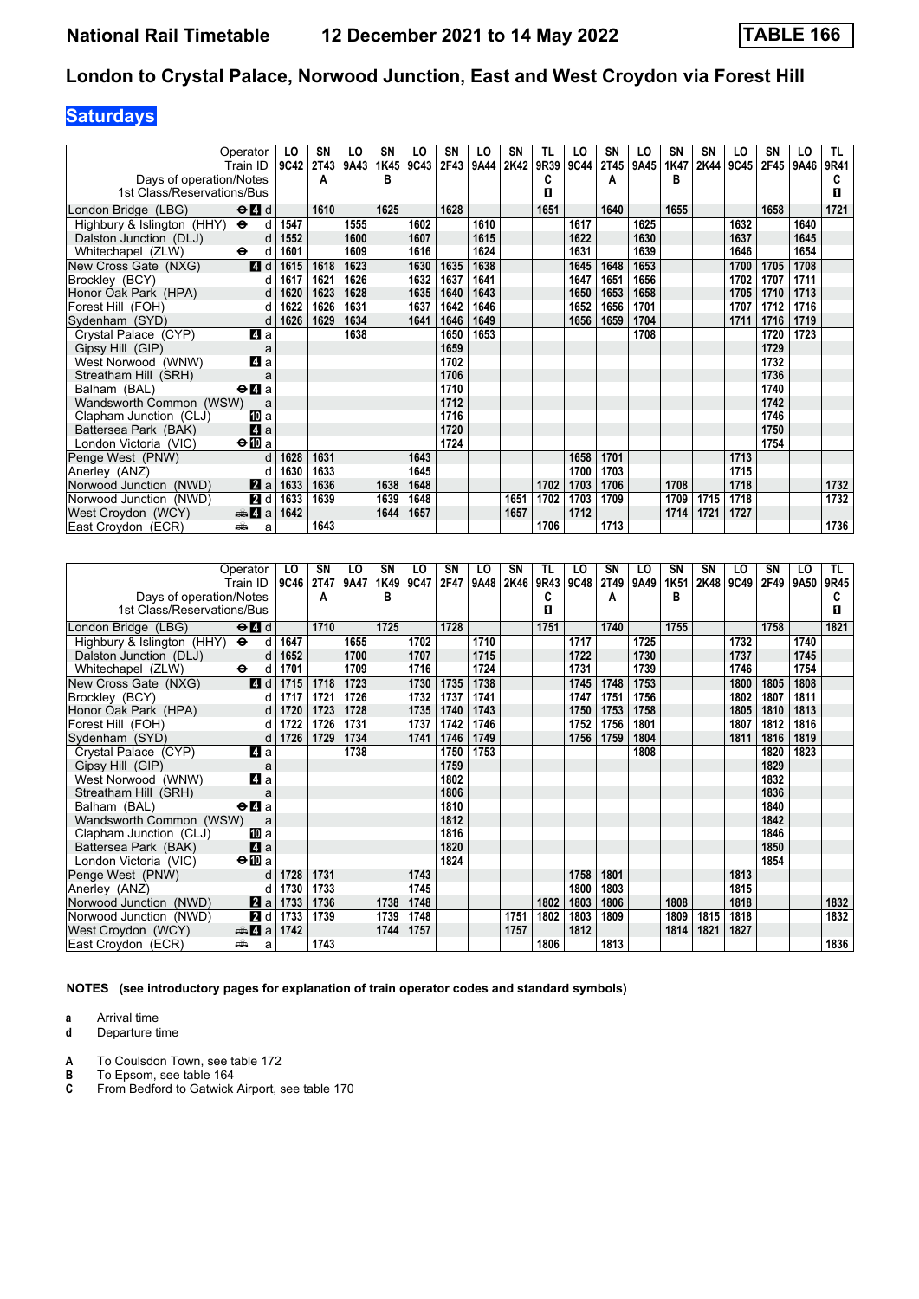# **Saturdays**

| Operator<br>Train ID                             | LO<br>9C42 | <b>SN</b><br><b>2T43</b> | LO<br>9A43 | SN<br>1K45 | LO<br>9C43 | <b>SN</b><br>2F43 | LO<br>9A44 | SN<br>2K42 | TL<br>9R39 | LO<br><b>9C44</b> | SΝ<br><b>2T45</b> | LO<br>9A45 | SN<br>1K47 | SN<br>2K44 | LO<br>9C45 | SΝ<br>2F45 | LO<br>9A46 | TL.<br>9R41 |
|--------------------------------------------------|------------|--------------------------|------------|------------|------------|-------------------|------------|------------|------------|-------------------|-------------------|------------|------------|------------|------------|------------|------------|-------------|
| Days of operation/Notes                          |            | A                        |            | в          |            |                   |            |            | C          |                   | A                 |            | в          |            |            |            |            |             |
| 1st Class/Reservations/Bus                       |            |                          |            |            |            |                   |            |            | п          |                   |                   |            |            |            |            |            |            | п           |
|                                                  |            |                          |            |            |            |                   |            |            |            |                   |                   |            |            |            |            |            |            |             |
| $\Theta$ $\blacksquare$ d<br>London Bridge (LBG) |            | 1610                     |            | 1625       |            | 1628              |            |            | 1651       |                   | 1640              |            | 1655       |            |            | 1658       |            | 1721        |
| Highbury & Islington (HHY) $\Theta$              | 1547<br>d  |                          | 1555       |            | 1602       |                   | 1610       |            |            | 1617              |                   | 1625       |            |            | 1632       |            | 1640       |             |
| Dalston Junction (DLJ)                           | 1552<br>d  |                          | 1600       |            | 1607       |                   | 1615       |            |            | 1622              |                   | 1630       |            |            | 1637       |            | 1645       |             |
| Whitechapel (ZLW)<br>$\ddot{\phantom{1}}$        | 1601<br>d  |                          | 1609       |            | 1616       |                   | 1624       |            |            | 1631              |                   | 1639       |            |            | 1646       |            | 1654       |             |
| 4d<br>New Cross Gate (NXG)                       | 1615       | 1618                     | 1623       |            | 1630       | 1635              | 1638       |            |            | 1645              | 1648              | 1653       |            |            | 1700       | 1705       | 1708       |             |
| Brockley (BCY)                                   | 1617<br>d  | 1621                     | 1626       |            | 1632       | 1637              | 1641       |            |            | 1647              | 1651              | 1656       |            |            | 1702       | 1707       | 1711       |             |
| Honor Oak Park (HPA)                             | 1620<br>d  | 1623                     | 1628       |            | 1635       | 1640              | 1643       |            |            | 1650              | 1653              | 1658       |            |            | 1705       | 1710       | 1713       |             |
| Forest Hill (FOH)                                | 1622<br>d  | 1626                     | 1631       |            | 1637       | 1642              | 1646       |            |            | 1652              | 1656              | 1701       |            |            | 1707       | 1712       | 1716       |             |
| Sydenham (SYD)                                   | 1626<br>d  | 1629                     | 1634       |            | 1641       | 1646              | 1649       |            |            | 1656              | 1659              | 1704       |            |            | 1711       | 1716       | 1719       |             |
| 4a<br>Crystal Palace (CYP)                       |            |                          | 1638       |            |            | 1650              | 1653       |            |            |                   |                   | 1708       |            |            |            | 1720       | 1723       |             |
| Gipsy Hill (GIP)<br>a                            |            |                          |            |            |            | 1659              |            |            |            |                   |                   |            |            |            |            | 1729       |            |             |
| 4 a<br>West Norwood (WNW)                        |            |                          |            |            |            | 1702              |            |            |            |                   |                   |            |            |            |            | 1732       |            |             |
| Streatham Hill (SRH)                             | a          |                          |            |            |            | 1706              |            |            |            |                   |                   |            |            |            |            | 1736       |            |             |
| $\Theta$ <b>d</b> a<br>Balham (BAL)              |            |                          |            |            |            | 1710              |            |            |            |                   |                   |            |            |            |            | 1740       |            |             |
| Wandsworth Common (WSW)<br>a                     |            |                          |            |            |            | 1712              |            |            |            |                   |                   |            |            |            |            | 1742       |            |             |
| Clapham Junction (CLJ)<br>[II] a                 |            |                          |            |            |            | 1716              |            |            |            |                   |                   |            |            |            |            | 1746       |            |             |
| 4a<br>Battersea Park (BAK)                       |            |                          |            |            |            | 1720              |            |            |            |                   |                   |            |            |            |            | 1750       |            |             |
| $\bigoplus$ a<br>London Victoria (VIC)           |            |                          |            |            |            | 1724              |            |            |            |                   |                   |            |            |            |            | 1754       |            |             |
| Penge West (PNW)                                 | 1628<br>d  | 1631                     |            |            | 1643       |                   |            |            |            | 1658              | 1701              |            |            |            | 1713       |            |            |             |
| Anerley (ANZ)                                    | 1630<br>d  | 1633                     |            |            | 1645       |                   |            |            |            | 1700              | 1703              |            |            |            | 1715       |            |            |             |
| Norwood Junction (NWD)<br>2a                     | 1633       | 1636                     |            | 1638       | 1648       |                   |            |            | 1702       | 1703              | 1706              |            | 1708       |            | 1718       |            |            | 1732        |
| 2d<br>Norwood Junction (NWD)                     | 1633       | 1639                     |            | 1639       | 1648       |                   |            | 1651       | 1702       | 1703              | 1709              |            | 1709       | 1715       | 1718       |            |            | 1732        |
| West Croydon (WCY)<br>$\clubsuit$ 4 a            | 1642       |                          |            | 1644       | 1657       |                   |            | 1657       |            | 1712              |                   |            | 1714       | 1721       | 1727       |            |            |             |
| East Croydon (ECR)<br>پیش                        | a          | 1643                     |            |            |            |                   |            |            | 1706       |                   | 1713              |            |            |            |            |            |            | 1736        |

| Operator                                                           | LO          | SN          | LO   | SN   | LO   | SN   | LO   | SΝ   | TL   | LO   | SN          | LO   | SN   | <b>SN</b> | LO   | SΝ   | LO   | TL.  |
|--------------------------------------------------------------------|-------------|-------------|------|------|------|------|------|------|------|------|-------------|------|------|-----------|------|------|------|------|
| Train ID                                                           | <b>9C46</b> | <b>2T47</b> | 9A47 | 1K49 | 9C47 | 2F47 | 9A48 | 2K46 | 9R43 | 9C48 | <b>2T49</b> | 9A49 | 1K51 | 2K48      | 9C49 | 2F49 | 9A50 | 9R45 |
| Days of operation/Notes                                            |             | A           |      | B    |      |      |      |      | C    |      | Α           |      | в    |           |      |      |      | С    |
| 1st Class/Reservations/Bus                                         |             |             |      |      |      |      |      |      | п    |      |             |      |      |           |      |      |      | п    |
| $\Theta$ <sup><math>\Omega</math></sup> $d$<br>London Bridge (LBG) |             | 1710        |      | 1725 |      | 1728 |      |      | 1751 |      | 1740        |      | 1755 |           |      | 1758 |      | 1821 |
| $\bullet$<br>Highbury & Islington (HHY)<br>d                       | 1647        |             | 1655 |      | 1702 |      | 1710 |      |      | 1717 |             | 1725 |      |           | 1732 |      | 1740 |      |
| Dalston Junction (DLJ)<br>d                                        | 1652        |             | 1700 |      | 1707 |      | 1715 |      |      | 1722 |             | 1730 |      |           | 1737 |      | 1745 |      |
| Whitechapel (ZLW)<br>$\bullet$<br>d                                | 1701        |             | 1709 |      | 1716 |      | 1724 |      |      | 1731 |             | 1739 |      |           | 1746 |      | 1754 |      |
| 4d<br>New Cross Gate (NXG)                                         | 1715        | 1718        | 1723 |      | 1730 | 1735 | 1738 |      |      | 1745 | 1748        | 1753 |      |           | 1800 | 1805 | 1808 |      |
| Brockley (BCY)<br>d                                                | 1717        | 1721        | 1726 |      | 1732 | 1737 | 1741 |      |      | 1747 | 1751        | 1756 |      |           | 1802 | 1807 | 1811 |      |
| Honor Oak Park (HPA)<br>d                                          | 1720        | 1723        | 1728 |      | 1735 | 1740 | 1743 |      |      | 1750 | 1753        | 1758 |      |           | 1805 | 1810 | 1813 |      |
| Forest Hill (FOH)<br>d                                             | 1722        | 1726        | 1731 |      | 1737 | 1742 | 1746 |      |      | 1752 | 1756        | 1801 |      |           | 1807 | 1812 | 1816 |      |
| Sydenham (SYD)<br>d                                                | 1726        | 1729        | 1734 |      | 1741 | 1746 | 1749 |      |      | 1756 | 1759        | 1804 |      |           | 1811 | 1816 | 1819 |      |
| ZI a<br>Crystal Palace (CYP)                                       |             |             | 1738 |      |      | 1750 | 1753 |      |      |      |             | 1808 |      |           |      | 1820 | 1823 |      |
| Gipsy Hill (GIP)<br>a                                              |             |             |      |      |      | 1759 |      |      |      |      |             |      |      |           |      | 1829 |      |      |
| 4a<br>West Norwood (WNW)                                           |             |             |      |      |      | 1802 |      |      |      |      |             |      |      |           |      | 1832 |      |      |
| Streatham Hill (SRH)<br>a                                          |             |             |      |      |      | 1806 |      |      |      |      |             |      |      |           |      | 1836 |      |      |
| Balham (BAL)<br>$\Theta$ <b><math>\blacksquare</math></b> a        |             |             |      |      |      | 1810 |      |      |      |      |             |      |      |           |      | 1840 |      |      |
| Wandsworth Common (WSW)<br>a                                       |             |             |      |      |      | 1812 |      |      |      |      |             |      |      |           |      | 1842 |      |      |
| <b>個</b> a<br>Clapham Junction (CLJ)                               |             |             |      |      |      | 1816 |      |      |      |      |             |      |      |           |      | 1846 |      |      |
| 4a<br>Battersea Park (BAK)                                         |             |             |      |      |      | 1820 |      |      |      |      |             |      |      |           |      | 1850 |      |      |
| $\Theta$ <b>ID</b> a<br>London Victoria (VIC)                      |             |             |      |      |      | 1824 |      |      |      |      |             |      |      |           |      | 1854 |      |      |
| Penge West (PNW)<br>d                                              | 1728        | 1731        |      |      | 1743 |      |      |      |      | 1758 | 1801        |      |      |           | 1813 |      |      |      |
| Anerley (ANZ)<br>d                                                 | 1730        | 1733        |      |      | 1745 |      |      |      |      | 1800 | 1803        |      |      |           | 1815 |      |      |      |
| $\mathbf{a}$ a<br>Norwood Junction (NWD)                           | 1733        | 1736        |      | 1738 | 1748 |      |      |      | 1802 | 1803 | 1806        |      | 1808 |           | 1818 |      |      | 1832 |
| 2d<br>Norwood Junction (NWD)                                       | 1733        | 1739        |      | 1739 | 1748 |      |      | 1751 | 1802 | 1803 | 1809        |      | 1809 | 1815      | 1818 |      |      | 1832 |
| $\bigoplus$ 4 a<br>West Croydon (WCY)                              | 1742        |             |      | 1744 | 1757 |      |      | 1757 |      | 1812 |             |      | 1814 | 1821      | 1827 |      |      |      |
| East Croydon (ECR)<br>پیش<br>a                                     |             | 1743        |      |      |      |      |      |      | 1806 |      | 1813        |      |      |           |      |      |      | 1836 |

**NOTES (see introductory pages for explanation of train operator codes and standard symbols)**

**a** Arrival time<br>**d** Departure t

**d** Departure time

**A** To Coulsdon Town, see table 172<br>**B** To Epsom, see table 164

**B** To Epsom, see table 164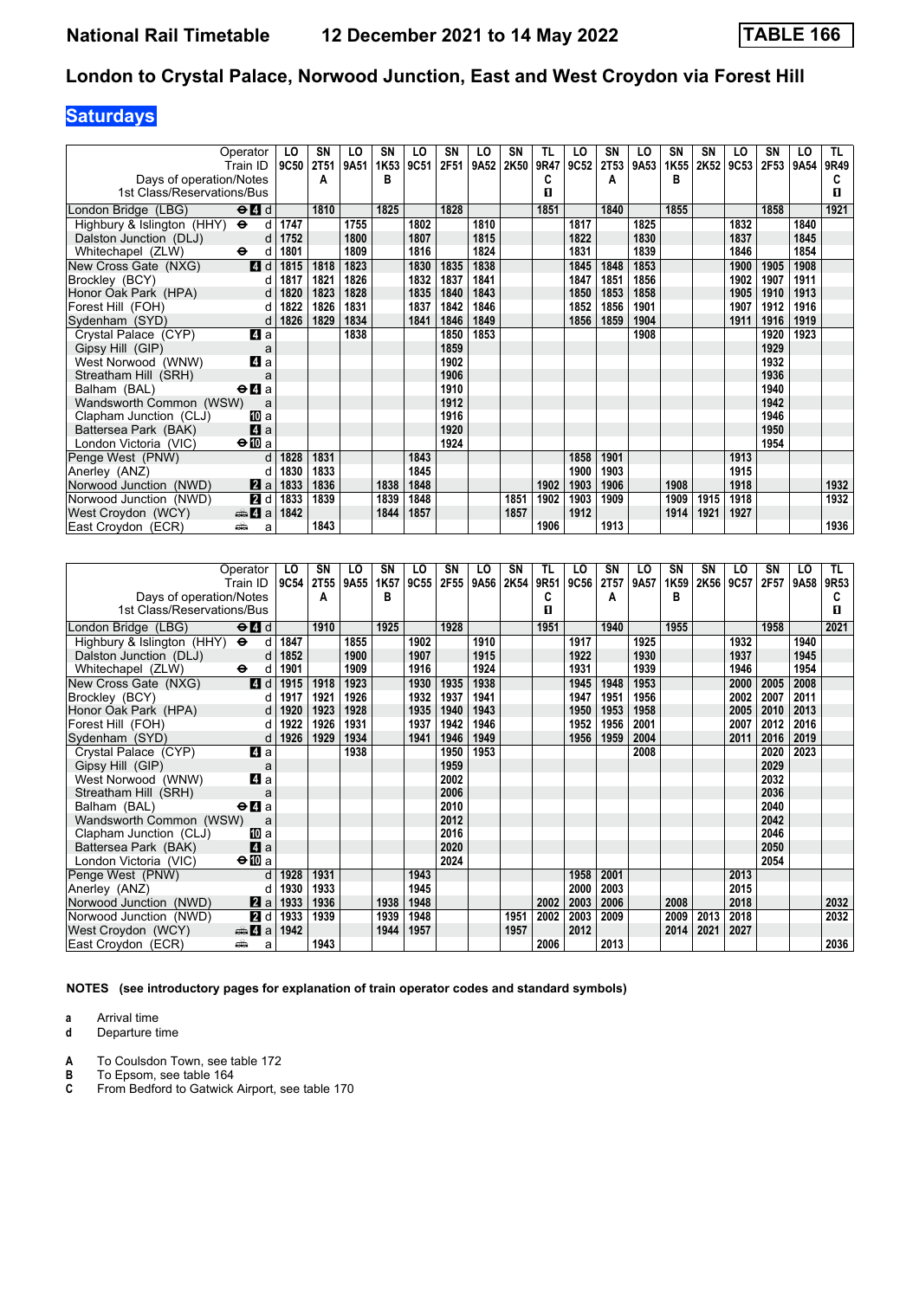# **Saturdays**

| Operator                                                               | LO          | SN   | LO   | SN   | LO   | SN   | LO   | <b>SN</b> | TL   | LO   | SΝ          | LO   | SN   | SΝ   | LO   | SN   | LO   | TL.  |
|------------------------------------------------------------------------|-------------|------|------|------|------|------|------|-----------|------|------|-------------|------|------|------|------|------|------|------|
| Train ID                                                               | <b>9C50</b> | 2T51 | 9A51 | 1K53 | 9C51 | 2F51 | 9A52 | 2K50      | 9R47 | 9C52 | <b>2T53</b> | 9A53 | 1K55 | 2K52 | 9C53 | 2F53 | 9A54 | 9R49 |
| Days of operation/Notes                                                |             | A    |      | в    |      |      |      |           | C    |      | А           |      | в    |      |      |      |      | c    |
| 1st Class/Reservations/Bus                                             |             |      |      |      |      |      |      |           | 0    |      |             |      |      |      |      |      |      | п    |
| $\Theta$ <sup><math>\blacksquare</math> d</sup><br>London Bridge (LBG) |             | 1810 |      | 1825 |      | 1828 |      |           | 1851 |      | 1840        |      | 1855 |      |      | 1858 |      | 1921 |
| Highbury & Islington (HHY) $\Theta$                                    | 1747<br>d   |      | 1755 |      | 1802 |      | 1810 |           |      | 1817 |             | 1825 |      |      | 1832 |      | 1840 |      |
| Dalston Junction (DLJ)                                                 | 1752<br>d   |      | 1800 |      | 1807 |      | 1815 |           |      | 1822 |             | 1830 |      |      | 1837 |      | 1845 |      |
| Whitechapel (ZLW)<br>$\ddot{\phantom{1}}$                              | 1801<br>d   |      | 1809 |      | 1816 |      | 1824 |           |      | 1831 |             | 1839 |      |      | 1846 |      | 1854 |      |
| 4d<br>New Cross Gate (NXG)                                             | 1815        | 1818 | 1823 |      | 1830 | 1835 | 1838 |           |      | 1845 | 1848        | 1853 |      |      | 1900 | 1905 | 1908 |      |
| Brockley (BCY)                                                         | 1817<br>d   | 1821 | 1826 |      | 1832 | 1837 | 1841 |           |      | 1847 | 1851        | 1856 |      |      | 1902 | 1907 | 1911 |      |
| Honor Oak Park (HPA)                                                   | 1820<br>d   | 1823 | 1828 |      | 1835 | 1840 | 1843 |           |      | 1850 | 1853        | 1858 |      |      | 1905 | 1910 | 1913 |      |
| Forest Hill (FOH)                                                      | 1822<br>d   | 1826 | 1831 |      | 1837 | 1842 | 1846 |           |      | 1852 | 1856        | 1901 |      |      | 1907 | 1912 | 1916 |      |
| Sydenham (SYD)                                                         | 1826<br>d   | 1829 | 1834 |      | 1841 | 1846 | 1849 |           |      | 1856 | 1859        | 1904 |      |      | 1911 | 1916 | 1919 |      |
| 4a<br>Crystal Palace (CYP)                                             |             |      | 1838 |      |      | 1850 | 1853 |           |      |      |             | 1908 |      |      |      | 1920 | 1923 |      |
| Gipsy Hill (GIP)                                                       | a           |      |      |      |      | 1859 |      |           |      |      |             |      |      |      |      | 1929 |      |      |
| 4 a<br>West Norwood (WNW)                                              |             |      |      |      |      | 1902 |      |           |      |      |             |      |      |      |      | 1932 |      |      |
| Streatham Hill (SRH)                                                   | a           |      |      |      |      | 1906 |      |           |      |      |             |      |      |      |      | 1936 |      |      |
| Balham (BAL)<br>$\Theta$ <b><math>\blacksquare</math></b> a            |             |      |      |      |      | 1910 |      |           |      |      |             |      |      |      |      | 1940 |      |      |
| Wandsworth Common (WSW)                                                | a           |      |      |      |      | 1912 |      |           |      |      |             |      |      |      |      | 1942 |      |      |
| Clapham Junction (CLJ)<br>10 a                                         |             |      |      |      |      | 1916 |      |           |      |      |             |      |      |      |      | 1946 |      |      |
| 4a<br>Battersea Park (BAK)                                             |             |      |      |      |      | 1920 |      |           |      |      |             |      |      |      |      | 1950 |      |      |
| $\bigoplus a$<br>London Victoria (VIC)                                 |             |      |      |      |      | 1924 |      |           |      |      |             |      |      |      |      | 1954 |      |      |
| Penge West (PNW)                                                       | d<br>1828   | 1831 |      |      | 1843 |      |      |           |      | 1858 | 1901        |      |      |      | 1913 |      |      |      |
| Anerley (ANZ)                                                          | 1830<br>d   | 1833 |      |      | 1845 |      |      |           |      | 1900 | 1903        |      |      |      | 1915 |      |      |      |
| Norwood Junction (NWD)<br>2a                                           | 1833        | 1836 |      | 1838 | 1848 |      |      |           | 1902 | 1903 | 1906        |      | 1908 |      | 1918 |      |      | 1932 |
| 2d<br>Norwood Junction (NWD)                                           | 1833        | 1839 |      | 1839 | 1848 |      |      | 1851      | 1902 | 1903 | 1909        |      | 1909 | 1915 | 1918 |      |      | 1932 |
| $\clubsuit$ 4 a<br>West Croydon (WCY)                                  | 1842        |      |      | 1844 | 1857 |      |      | 1857      |      | 1912 |             |      | 1914 | 1921 | 1927 |      |      |      |
| East Croydon (ECR)<br>پیش                                              | a           | 1843 |      |      |      |      |      |           | 1906 |      | 1913        |      |      |      |      |      |      | 1936 |

| Operator                                                           | LO          | SN          | LO   | SΝ   | LO   | SN   | LO   | SN   | TL   | LO   | <b>SN</b> | LO   | SN   | SΝ   | LO   | SΝ   | LO   | TL.              |
|--------------------------------------------------------------------|-------------|-------------|------|------|------|------|------|------|------|------|-----------|------|------|------|------|------|------|------------------|
| Train ID                                                           | <b>9C54</b> | <b>2T55</b> | 9A55 | 1K57 | 9C55 | 2F55 | 9A56 | 2K54 | 9R51 | 9C56 | 2T57      | 9A57 | 1K59 | 2K56 | 9C57 | 2F57 | 9A58 | 9R <sub>53</sub> |
| Days of operation/Notes                                            |             | A           |      | B    |      |      |      |      | c    |      | A         |      | в    |      |      |      |      | С                |
| 1st Class/Reservations/Bus                                         |             |             |      |      |      |      |      |      | п    |      |           |      |      |      |      |      |      | п                |
| $\Theta$ <sup><math>\Omega</math></sup> $d$<br>London Bridge (LBG) |             | 1910        |      | 1925 |      | 1928 |      |      | 1951 |      | 1940      |      | 1955 |      |      | 1958 |      | 2021             |
| Highbury & Islington (HHY)<br>$\ddot{\mathbf{e}}$<br>d             | 1847        |             | 1855 |      | 1902 |      | 1910 |      |      | 1917 |           | 1925 |      |      | 1932 |      | 1940 |                  |
| Dalston Junction (DLJ)<br>d                                        | 1852        |             | 1900 |      | 1907 |      | 1915 |      |      | 1922 |           | 1930 |      |      | 1937 |      | 1945 |                  |
| $\ddot{\mathbf{e}}$<br>Whitechapel (ZLW)<br>d                      | 1901        |             | 1909 |      | 1916 |      | 1924 |      |      | 1931 |           | 1939 |      |      | 1946 |      | 1954 |                  |
| 4d<br>New Cross Gate (NXG)                                         | 1915        | 1918        | 1923 |      | 1930 | 1935 | 1938 |      |      | 1945 | 1948      | 1953 |      |      | 2000 | 2005 | 2008 |                  |
| Brockley (BCY)<br>d                                                | 1917        | 1921        | 1926 |      | 1932 | 1937 | 1941 |      |      | 1947 | 1951      | 1956 |      |      | 2002 | 2007 | 2011 |                  |
| Honor Oak Park (HPA)<br>d                                          | 1920        | 1923        | 1928 |      | 1935 | 1940 | 1943 |      |      | 1950 | 1953      | 1958 |      |      | 2005 | 2010 | 2013 |                  |
| Forest Hill (FOH)<br>d                                             | 1922        | 1926        | 1931 |      | 1937 | 1942 | 1946 |      |      | 1952 | 1956      | 2001 |      |      | 2007 | 2012 | 2016 |                  |
| Sydenham (SYD)<br>d                                                | 1926        | 1929        | 1934 |      | 1941 | 1946 | 1949 |      |      | 1956 | 1959      | 2004 |      |      | 2011 | 2016 | 2019 |                  |
| 4a<br>Crystal Palace (CYP)                                         |             |             | 1938 |      |      | 1950 | 1953 |      |      |      |           | 2008 |      |      |      | 2020 | 2023 |                  |
| Gipsy Hill (GIP)<br>a                                              |             |             |      |      |      | 1959 |      |      |      |      |           |      |      |      |      | 2029 |      |                  |
| 4a<br>West Norwood (WNW)                                           |             |             |      |      |      | 2002 |      |      |      |      |           |      |      |      |      | 2032 |      |                  |
| Streatham Hill (SRH)<br>a                                          |             |             |      |      |      | 2006 |      |      |      |      |           |      |      |      |      | 2036 |      |                  |
| Balham (BAL)<br>$\Theta$ <b><math>\blacksquare</math></b> a        |             |             |      |      |      | 2010 |      |      |      |      |           |      |      |      |      | 2040 |      |                  |
| Wandsworth Common (WSW)<br>a                                       |             |             |      |      |      | 2012 |      |      |      |      |           |      |      |      |      | 2042 |      |                  |
| Clapham Junction (CLJ)<br>[II] a                                   |             |             |      |      |      | 2016 |      |      |      |      |           |      |      |      |      | 2046 |      |                  |
| $\mathbf{A}$ a<br>Battersea Park (BAK)                             |             |             |      |      |      | 2020 |      |      |      |      |           |      |      |      |      | 2050 |      |                  |
| $\Theta$ M a<br>London Victoria (VIC)                              |             |             |      |      |      | 2024 |      |      |      |      |           |      |      |      |      | 2054 |      |                  |
| Penge West (PNW)<br>d                                              | 1928        | 1931        |      |      | 1943 |      |      |      |      | 1958 | 2001      |      |      |      | 2013 |      |      |                  |
| Anerley (ANZ)<br>d                                                 | 1930        | 1933        |      |      | 1945 |      |      |      |      | 2000 | 2003      |      |      |      | 2015 |      |      |                  |
| <b>Z</b> a<br>Norwood Junction (NWD)                               | 1933        | 1936        |      | 1938 | 1948 |      |      |      | 2002 | 2003 | 2006      |      | 2008 |      | 2018 |      |      | 2032             |
| 2d<br>Norwood Junction (NWD)                                       | 1933        | 1939        |      | 1939 | 1948 |      |      | 1951 | 2002 | 2003 | 2009      |      | 2009 | 2013 | 2018 |      |      | 2032             |
| West Croydon (WCY)<br>$\bigoplus$ 4 a                              | 1942        |             |      | 1944 | 1957 |      |      | 1957 |      | 2012 |           |      | 2014 | 2021 | 2027 |      |      |                  |
| East Croydon (ECR)<br>پیشته<br>a                                   |             | 1943        |      |      |      |      |      |      | 2006 |      | 2013      |      |      |      |      |      |      | 2036             |

**NOTES (see introductory pages for explanation of train operator codes and standard symbols)**

**a** Arrival time<br>**d** Departure t

**d** Departure time

**A** To Coulsdon Town, see table 172<br>**B** To Epsom, see table 164

**B** To Epsom, see table 164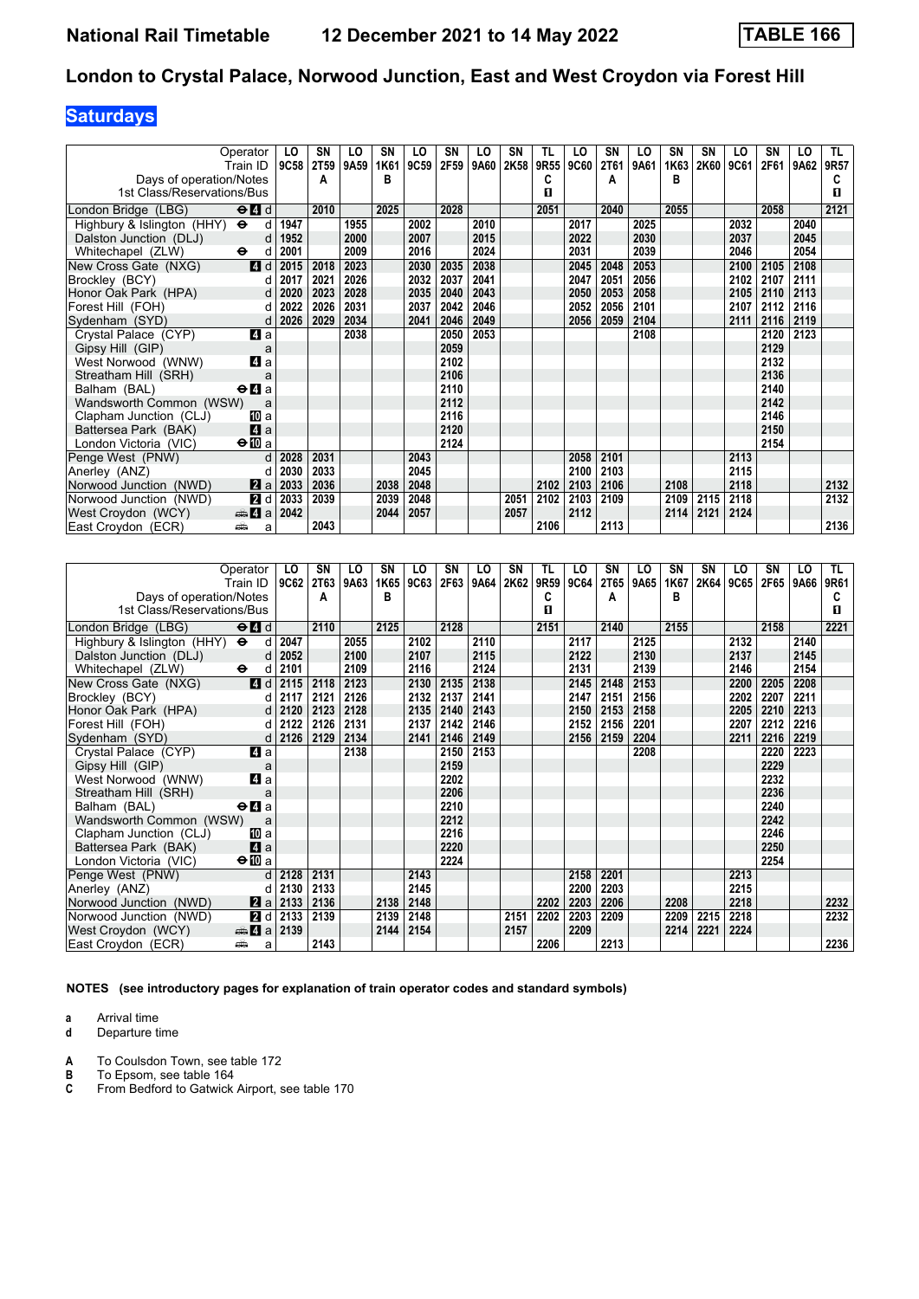## **Saturdays**

| Operator                                                               | LO          | SN          | LO   | SΝ   | LO   | SN   | LO   | <b>SN</b> | TL   | LO   | SN   | LO   | SN   | SΝ   | LO   | SN   | LO   | TL.  |
|------------------------------------------------------------------------|-------------|-------------|------|------|------|------|------|-----------|------|------|------|------|------|------|------|------|------|------|
| Train ID                                                               | <b>9C58</b> | <b>2T59</b> | 9A59 | 1K61 | 9C59 | 2F59 | 9A60 | 2K58      | 9R55 | 9C60 | 2T61 | 9A61 | 1K63 | 2K60 | 9C61 | 2F61 | 9A62 | 9R57 |
| Days of operation/Notes                                                |             | A           |      | в    |      |      |      |           | C    |      | А    |      | в    |      |      |      |      | c    |
| 1st Class/Reservations/Bus                                             |             |             |      |      |      |      |      |           | 0    |      |      |      |      |      |      |      |      | п    |
| $\Theta$ <sup><math>\blacksquare</math> d</sup><br>London Bridge (LBG) |             | 2010        |      | 2025 |      | 2028 |      |           | 2051 |      | 2040 |      | 2055 |      |      | 2058 |      | 2121 |
| Highbury & Islington (HHY) $\Theta$                                    | 1947<br>d   |             | 1955 |      | 2002 |      | 2010 |           |      | 2017 |      | 2025 |      |      | 2032 |      | 2040 |      |
| Dalston Junction (DLJ)                                                 | 1952<br>d   |             | 2000 |      | 2007 |      | 2015 |           |      | 2022 |      | 2030 |      |      | 2037 |      | 2045 |      |
| Whitechapel (ZLW)<br>$\ddot{\phantom{1}}$                              | 2001<br>d   |             | 2009 |      | 2016 |      | 2024 |           |      | 2031 |      | 2039 |      |      | 2046 |      | 2054 |      |
| 4d<br>New Cross Gate (NXG)                                             | 2015        | 2018        | 2023 |      | 2030 | 2035 | 2038 |           |      | 2045 | 2048 | 2053 |      |      | 2100 | 2105 | 2108 |      |
| Brockley (BCY)                                                         | 2017<br>d   | 2021        | 2026 |      | 2032 | 2037 | 2041 |           |      | 2047 | 2051 | 2056 |      |      | 2102 | 2107 | 2111 |      |
| Honor Oak Park (HPA)                                                   | 2020<br>d   | 2023        | 2028 |      | 2035 | 2040 | 2043 |           |      | 2050 | 2053 | 2058 |      |      | 2105 | 2110 | 2113 |      |
| Forest Hill (FOH)                                                      | 2022<br>d   | 2026        | 2031 |      | 2037 | 2042 | 2046 |           |      | 2052 | 2056 | 2101 |      |      | 2107 | 2112 | 2116 |      |
| Sydenham (SYD)                                                         | 2026<br>d   | 2029        | 2034 |      | 2041 | 2046 | 2049 |           |      | 2056 | 2059 | 2104 |      |      | 2111 | 2116 | 2119 |      |
| 4a<br>Crystal Palace (CYP)                                             |             |             | 2038 |      |      | 2050 | 2053 |           |      |      |      | 2108 |      |      |      | 2120 | 2123 |      |
| Gipsy Hill (GIP)                                                       | a           |             |      |      |      | 2059 |      |           |      |      |      |      |      |      |      | 2129 |      |      |
| 4 a<br>West Norwood (WNW)                                              |             |             |      |      |      | 2102 |      |           |      |      |      |      |      |      |      | 2132 |      |      |
| Streatham Hill (SRH)                                                   | a           |             |      |      |      | 2106 |      |           |      |      |      |      |      |      |      | 2136 |      |      |
| Balham (BAL)<br>$\Theta$ <b><math>\blacksquare</math></b> a            |             |             |      |      |      | 2110 |      |           |      |      |      |      |      |      |      | 2140 |      |      |
| Wandsworth Common (WSW)                                                | a           |             |      |      |      | 2112 |      |           |      |      |      |      |      |      |      | 2142 |      |      |
| Clapham Junction (CLJ)<br>10 a                                         |             |             |      |      |      | 2116 |      |           |      |      |      |      |      |      |      | 2146 |      |      |
| 4a<br>Battersea Park (BAK)                                             |             |             |      |      |      | 2120 |      |           |      |      |      |      |      |      |      | 2150 |      |      |
| $\bigoplus a$<br>London Victoria (VIC)                                 |             |             |      |      |      | 2124 |      |           |      |      |      |      |      |      |      | 2154 |      |      |
| Penge West (PNW)                                                       | d<br>2028   | 2031        |      |      | 2043 |      |      |           |      | 2058 | 2101 |      |      |      | 2113 |      |      |      |
| Anerley (ANZ)                                                          | 2030<br>d   | 2033        |      |      | 2045 |      |      |           |      | 2100 | 2103 |      |      |      | 2115 |      |      |      |
| Norwood Junction (NWD)<br>2a                                           | 2033        | 2036        |      | 2038 | 2048 |      |      |           | 2102 | 2103 | 2106 |      | 2108 |      | 2118 |      |      | 2132 |
| Norwood Junction (NWD)<br>2d                                           | 2033        | 2039        |      | 2039 | 2048 |      |      | 2051      | 2102 | 2103 | 2109 |      | 2109 | 2115 | 2118 |      |      | 2132 |
| West Croydon (WCY)<br>$\clubsuit$ 4 a                                  | 2042        |             |      | 2044 | 2057 |      |      | 2057      |      | 2112 |      |      | 2114 | 2121 | 2124 |      |      |      |
| East Croydon (ECR)<br>پیش                                              | a           | 2043        |      |      |      |      |      |           | 2106 |      | 2113 |      |      |      |      |      |      | 2136 |

| Operator                                                           | LO   | SN   | LO   | SN   | LO   | SN   | LO   | SΝ   | TL   | LO   | SN          | LO   | SN   | <b>SN</b> | LO   | SΝ   | LO   | TL.  |
|--------------------------------------------------------------------|------|------|------|------|------|------|------|------|------|------|-------------|------|------|-----------|------|------|------|------|
| Train ID                                                           | 9C62 | 2T63 | 9A63 | 1K65 | 9C63 | 2F63 | 9A64 | 2K62 | 9R59 | 9C64 | <b>2T65</b> | 9A65 | 1K67 | 2K64      | 9C65 | 2F65 | 9A66 | 9R61 |
| Days of operation/Notes                                            |      | А    |      | B    |      |      |      |      | C    |      | Α           |      | в    |           |      |      |      | С    |
| 1st Class/Reservations/Bus                                         |      |      |      |      |      |      |      |      | п    |      |             |      |      |           |      |      |      | п    |
| $\Theta$ <sup><math>\Omega</math></sup> $d$<br>London Bridge (LBG) |      | 2110 |      | 2125 |      | 2128 |      |      | 2151 |      | 2140        |      | 2155 |           |      | 2158 |      | 2221 |
| Highbury & Islington (HHY) $\Theta$<br>d                           | 2047 |      | 2055 |      | 2102 |      | 2110 |      |      | 2117 |             | 2125 |      |           | 2132 |      | 2140 |      |
| Dalston Junction (DLJ)<br>d                                        | 2052 |      | 2100 |      | 2107 |      | 2115 |      |      | 2122 |             | 2130 |      |           | 2137 |      | 2145 |      |
| $\ddot{\mathbf{e}}$<br>Whitechapel (ZLW)<br>d                      | 2101 |      | 2109 |      | 2116 |      | 2124 |      |      | 2131 |             | 2139 |      |           | 2146 |      | 2154 |      |
| 4d<br>New Cross Gate (NXG)                                         | 2115 | 2118 | 2123 |      | 2130 | 2135 | 2138 |      |      | 2145 | 2148        | 2153 |      |           | 2200 | 2205 | 2208 |      |
| Brockley (BCY)<br>d                                                | 2117 | 2121 | 2126 |      | 2132 | 2137 | 2141 |      |      | 2147 | 2151        | 2156 |      |           | 2202 | 2207 | 2211 |      |
| Honor Oak Park (HPA)<br>$\mathsf{d}$                               | 2120 | 2123 | 2128 |      | 2135 | 2140 | 2143 |      |      | 2150 | 2153        | 2158 |      |           | 2205 | 2210 | 2213 |      |
| Forest Hill (FOH)<br>d                                             | 2122 | 2126 | 2131 |      | 2137 | 2142 | 2146 |      |      | 2152 | 2156        | 2201 |      |           | 2207 | 2212 | 2216 |      |
| Sydenham (SYD)<br>d                                                | 2126 | 2129 | 2134 |      | 2141 | 2146 | 2149 |      |      | 2156 | 2159        | 2204 |      |           | 2211 | 2216 | 2219 |      |
| Crystal Palace (CYP)<br>4 a                                        |      |      | 2138 |      |      | 2150 | 2153 |      |      |      |             | 2208 |      |           |      | 2220 | 2223 |      |
| Gipsy Hill (GIP)<br>a                                              |      |      |      |      |      | 2159 |      |      |      |      |             |      |      |           |      | 2229 |      |      |
| 4a<br>West Norwood (WNW)                                           |      |      |      |      |      | 2202 |      |      |      |      |             |      |      |           |      | 2232 |      |      |
| Streatham Hill (SRH)<br>a                                          |      |      |      |      |      | 2206 |      |      |      |      |             |      |      |           |      | 2236 |      |      |
| Balham (BAL)<br>$\Theta$ <b><math>\blacksquare</math></b> a        |      |      |      |      |      | 2210 |      |      |      |      |             |      |      |           |      | 2240 |      |      |
| Wandsworth Common (WSW)<br>a                                       |      |      |      |      |      | 2212 |      |      |      |      |             |      |      |           |      | 2242 |      |      |
| <b>ID</b> a<br>Clapham Junction (CLJ)                              |      |      |      |      |      | 2216 |      |      |      |      |             |      |      |           |      | 2246 |      |      |
| 4a<br>Battersea Park (BAK)                                         |      |      |      |      |      | 2220 |      |      |      |      |             |      |      |           |      | 2250 |      |      |
| $\Theta$ <b>ID</b> a<br>London Victoria (VIC)                      |      |      |      |      |      | 2224 |      |      |      |      |             |      |      |           |      | 2254 |      |      |
| Penge West (PNW)<br>$\mathsf{d}$                                   | 2128 | 2131 |      |      | 2143 |      |      |      |      | 2158 | 2201        |      |      |           | 2213 |      |      |      |
| Anerley (ANZ)<br>d                                                 | 2130 | 2133 |      |      | 2145 |      |      |      |      | 2200 | 2203        |      |      |           | 2215 |      |      |      |
| 2 a <br>Norwood Junction (NWD)                                     | 2133 | 2136 |      | 2138 | 2148 |      |      |      | 2202 | 2203 | 2206        |      | 2208 |           | 2218 |      |      | 2232 |
| 2d<br>Norwood Junction (NWD)                                       | 2133 | 2139 |      | 2139 | 2148 |      |      | 2151 | 2202 | 2203 | 2209        |      | 2209 | 2215      | 2218 |      |      | 2232 |
| $\bigoplus$ $\mathbf{Z}$ a<br>West Croydon (WCY)                   | 2139 |      |      | 2144 | 2154 |      |      | 2157 |      | 2209 |             |      | 2214 | 2221      | 2224 |      |      |      |
| East Croydon (ECR)<br>پیش<br>a                                     |      | 2143 |      |      |      |      |      |      | 2206 |      | 2213        |      |      |           |      |      |      | 2236 |

**NOTES (see introductory pages for explanation of train operator codes and standard symbols)**

**a** Arrival time<br>**d** Departure t

**d** Departure time

**A** To Coulsdon Town, see table 172<br>**B** To Epsom, see table 164

**B** To Epsom, see table 164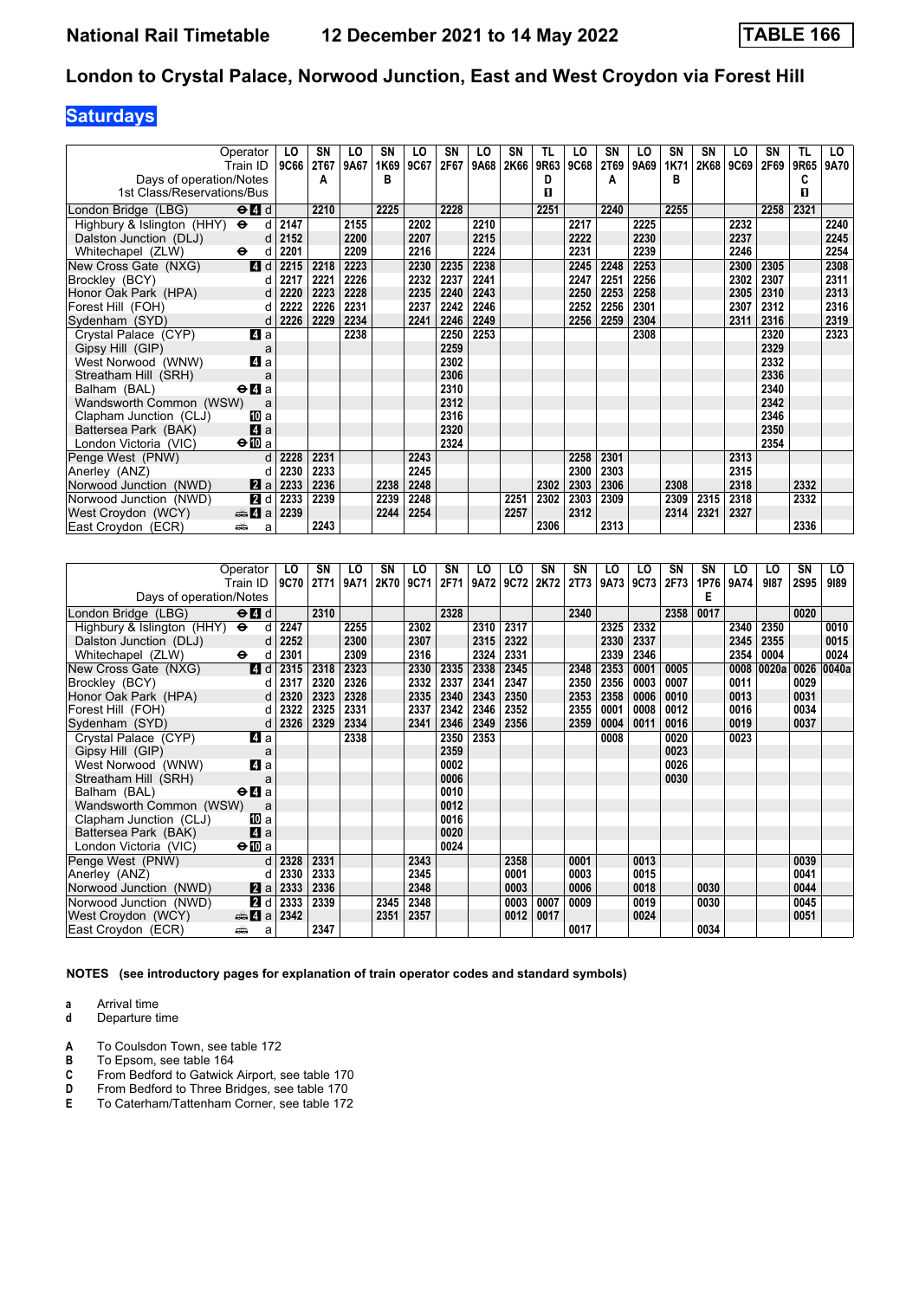# **Saturdays**

| Operator<br>Train ID                             | LO<br><b>9C66</b>    | SN<br><b>2T67</b> | LO<br>9A67 | SN<br>1K69 | LO<br>9C67 | <b>SN</b><br>2F67 | LO<br>9A68 | SN<br>2K66 | TL<br>9R63 | LO<br>9C68 | SN<br>2T69 | LO<br>9A69 | <b>SN</b><br>1K71 | <b>SN</b><br>2K68 | LO<br>9C69 | SΝ<br>2F69 | TL<br>9R65 | LO<br>9A70 |
|--------------------------------------------------|----------------------|-------------------|------------|------------|------------|-------------------|------------|------------|------------|------------|------------|------------|-------------------|-------------------|------------|------------|------------|------------|
| Days of operation/Notes                          |                      | A                 |            | B          |            |                   |            |            | D          |            | A          |            | в                 |                   |            |            | C          |            |
| 1st Class/Reservations/Bus                       |                      |                   |            |            |            |                   |            |            | п          |            |            |            |                   |                   |            |            | п          |            |
| $\Theta$ $\blacksquare$ d<br>London Bridge (LBG) |                      | 2210              |            | 2225       |            | 2228              |            |            | 2251       |            | 2240       |            | 2255              |                   |            | 2258       | 2321       |            |
| Highbury & Islington (HHY) $\Theta$              | 2147<br>$\mathsf{d}$ |                   | 2155       |            | 2202       |                   | 2210       |            |            | 2217       |            | 2225       |                   |                   | 2232       |            |            | 2240       |
| Dalston Junction (DLJ)                           | 2152<br>d            |                   | 2200       |            | 2207       |                   | 2215       |            |            | 2222       |            | 2230       |                   |                   | 2237       |            |            | 2245       |
| Whitechapel (ZLW)<br>$\ddot{\phantom{1}}$        | 2201<br>d            |                   | 2209       |            | 2216       |                   | 2224       |            |            | 2231       |            | 2239       |                   |                   | 2246       |            |            | 2254       |
| 4d<br>New Cross Gate (NXG)                       | 2215                 | 2218              | 2223       |            | 2230       | 2235              | 2238       |            |            | 2245       | 2248       | 2253       |                   |                   | 2300       | 2305       |            | 2308       |
| Brockley (BCY)                                   | 2217<br>d            | 2221              | 2226       |            | 2232       | 2237              | 2241       |            |            | 2247       | 2251       | 2256       |                   |                   | 2302       | 2307       |            | 2311       |
| Honor Oak Park (HPA)                             | 2220<br>d            | 2223              | 2228       |            | 2235       | 2240              | 2243       |            |            | 2250       | 2253       | 2258       |                   |                   | 2305       | 2310       |            | 2313       |
| Forest Hill (FOH)                                | 2222<br>d            | 2226              | 2231       |            | 2237       | 2242              | 2246       |            |            | 2252       | 2256       | 2301       |                   |                   | 2307       | 2312       |            | 2316       |
| Sydenham (SYD)                                   | 2226<br>d            | 2229              | 2234       |            | 2241       | 2246              | 2249       |            |            | 2256       | 2259       | 2304       |                   |                   | 2311       | 2316       |            | 2319       |
| 4 a<br>Crystal Palace (CYP)                      |                      |                   | 2238       |            |            | 2250              | 2253       |            |            |            |            | 2308       |                   |                   |            | 2320       |            | 2323       |
| Gipsy Hill (GIP)                                 | a                    |                   |            |            |            | 2259              |            |            |            |            |            |            |                   |                   |            | 2329       |            |            |
| 4 a<br>West Norwood (WNW)                        |                      |                   |            |            |            | 2302              |            |            |            |            |            |            |                   |                   |            | 2332       |            |            |
| Streatham Hill (SRH)                             | a                    |                   |            |            |            | 2306              |            |            |            |            |            |            |                   |                   |            | 2336       |            |            |
| $\Theta$ <b>d</b> a<br>Balham (BAL)              |                      |                   |            |            |            | 2310              |            |            |            |            |            |            |                   |                   |            | 2340       |            |            |
| Wandsworth Common (WSW)                          | a                    |                   |            |            |            | 2312              |            |            |            |            |            |            |                   |                   |            | 2342       |            |            |
| Clapham Junction (CLJ)<br>10 a                   |                      |                   |            |            |            | 2316              |            |            |            |            |            |            |                   |                   |            | 2346       |            |            |
| 4a<br>Battersea Park (BAK)                       |                      |                   |            |            |            | 2320              |            |            |            |            |            |            |                   |                   |            | 2350       |            |            |
| $\bigoplus a$<br>London Victoria (VIC)           |                      |                   |            |            |            | 2324              |            |            |            |            |            |            |                   |                   |            | 2354       |            |            |
| Penge West (PNW)                                 | d<br>2228            | 2231              |            |            | 2243       |                   |            |            |            | 2258       | 2301       |            |                   |                   | 2313       |            |            |            |
| Anerley (ANZ)                                    | 2230<br>d            | 2233              |            |            | 2245       |                   |            |            |            | 2300       | 2303       |            |                   |                   | 2315       |            |            |            |
| Norwood Junction (NWD)<br>2a                     | 2233                 | 2236              |            | 2238       | 2248       |                   |            |            | 2302       | 2303       | 2306       |            | 2308              |                   | 2318       |            | 2332       |            |
| 2 d<br>Norwood Junction (NWD)                    | 2233                 | 2239              |            | 2239       | 2248       |                   |            | 2251       | 2302       | 2303       | 2309       |            | 2309              | 2315              | 2318       |            | 2332       |            |
| West Croydon (WCY)<br>$\clubsuit$ 4 a            | 2239                 |                   |            | 2244       | 2254       |                   |            | 2257       |            | 2312       |            |            | 2314              | 2321              | 2327       |            |            |            |
| East Croydon (ECR)<br>پیش                        | a                    | 2243              |            |            |            |                   |            |            | 2306       |            | 2313       |            |                   |                   |            |            | 2336       |            |

| Operator                                                               |                | LO   | <b>SN</b> | LO   | SN   | LO   | <b>SN</b> | LO   | LO   | SN   | SΝ          | LO   | LO   | SN   | SN   | LO   | LO    | SN          | LO    |
|------------------------------------------------------------------------|----------------|------|-----------|------|------|------|-----------|------|------|------|-------------|------|------|------|------|------|-------|-------------|-------|
| Train ID                                                               |                | 9C70 | 2T71      | 9A71 | 2K70 | 9C71 | 2F71      | 9A72 | 9C72 | 2K72 | <b>2T73</b> | 9A73 | 9C73 | 2F73 | 1P76 | 9A74 | 9187  | <b>2S95</b> | 9189  |
| Days of operation/Notes                                                |                |      |           |      |      |      |           |      |      |      |             |      |      |      | E    |      |       |             |       |
| $\Theta$ <sup><math>\blacksquare</math> d</sup><br>London Bridge (LBG) |                |      | 2310      |      |      |      | 2328      |      |      |      | 2340        |      |      | 2358 | 0017 |      |       | 0020        |       |
| Highbury & Islington $(HHY)$ $\Theta$                                  | d              | 2247 |           | 2255 |      | 2302 |           | 2310 | 2317 |      |             | 2325 | 2332 |      |      | 2340 | 2350  |             | 0010  |
| Dalston Junction (DLJ)                                                 | d              | 2252 |           | 2300 |      | 2307 |           | 2315 | 2322 |      |             | 2330 | 2337 |      |      | 2345 | 2355  |             | 0015  |
| Whitechapel (ZLW)<br>$\ddot{\mathbf{e}}$                               | d              | 2301 |           | 2309 |      | 2316 |           | 2324 | 2331 |      |             | 2339 | 2346 |      |      | 2354 | 0004  |             | 0024  |
| $\overline{4}$ d<br>New Cross Gate (NXG)                               |                | 2315 | 2318      | 2323 |      | 2330 | 2335      | 2338 | 2345 |      | 2348        | 2353 | 0001 | 0005 |      | 0008 | 0020a | 0026        | 0040a |
| Brockley (BCY)                                                         | d              | 2317 | 2320      | 2326 |      | 2332 | 2337      | 2341 | 2347 |      | 2350        | 2356 | 0003 | 0007 |      | 0011 |       | 0029        |       |
| Honor Oak Park (HPA)                                                   | $\mathsf{d}$   | 2320 | 2323      | 2328 |      | 2335 | 2340      | 2343 | 2350 |      | 2353        | 2358 | 0006 | 0010 |      | 0013 |       | 0031        |       |
| Forest Hill (FOH)                                                      | d              | 2322 | 2325      | 2331 |      | 2337 | 2342      | 2346 | 2352 |      | 2355        | 0001 | 0008 | 0012 |      | 0016 |       | 0034        |       |
| Sydenham (SYD)                                                         | d              | 2326 | 2329      | 2334 |      | 2341 | 2346      | 2349 | 2356 |      | 2359        | 0004 | 0011 | 0016 |      | 0019 |       | 0037        |       |
| Crystal Palace (CYP)<br>4 a                                            |                |      |           | 2338 |      |      | 2350      | 2353 |      |      |             | 0008 |      | 0020 |      | 0023 |       |             |       |
| Gipsy Hill (GIP)                                                       | a              |      |           |      |      |      | 2359      |      |      |      |             |      |      | 0023 |      |      |       |             |       |
| ZI a<br>West Norwood (WNW)                                             |                |      |           |      |      |      | 0002      |      |      |      |             |      |      | 0026 |      |      |       |             |       |
| Streatham Hill (SRH)                                                   | a              |      |           |      |      |      | 0006      |      |      |      |             |      |      | 0030 |      |      |       |             |       |
| $\Theta$ <b>d</b> a<br>Balham (BAL)                                    |                |      |           |      |      |      | 0010      |      |      |      |             |      |      |      |      |      |       |             |       |
| Wandsworth Common (WSW)                                                | a              |      |           |      |      |      | 0012      |      |      |      |             |      |      |      |      |      |       |             |       |
| [II] a<br>Clapham Junction (CLJ)                                       |                |      |           |      |      |      | 0016      |      |      |      |             |      |      |      |      |      |       |             |       |
| Battersea Park (BAK)                                                   | 4a             |      |           |      |      |      | 0020      |      |      |      |             |      |      |      |      |      |       |             |       |
| $\Theta$ M a<br>London Victoria (VIC)                                  |                |      |           |      |      |      | 0024      |      |      |      |             |      |      |      |      |      |       |             |       |
| Penge West (PNW)                                                       | d              | 2328 | 2331      |      |      | 2343 |           |      | 2358 |      | 0001        |      | 0013 |      |      |      |       | 0039        |       |
| Anerley (ANZ)                                                          | d              | 2330 | 2333      |      |      | 2345 |           |      | 0001 |      | 0003        |      | 0015 |      |      |      |       | 0041        |       |
| Norwood Junction (NWD)                                                 | $\mathbf{z}$ a | 2333 | 2336      |      |      | 2348 |           |      | 0003 |      | 0006        |      | 0018 |      | 0030 |      |       | 0044        |       |
| Norwood Junction (NWD)                                                 | 2d             | 2333 | 2339      |      | 2345 | 2348 |           |      | 0003 | 0007 | 0009        |      | 0019 |      | 0030 |      |       | 0045        |       |
| $\clubsuit$ a<br>West Croydon (WCY)                                    |                | 2342 |           |      | 2351 | 2357 |           |      | 0012 | 0017 |             |      | 0024 |      |      |      |       | 0051        |       |
| East Croydon (ECR)<br>aîn                                              | a              |      | 2347      |      |      |      |           |      |      |      | 0017        |      |      |      | 0034 |      |       |             |       |

**NOTES (see introductory pages for explanation of train operator codes and standard symbols)**

**a** Arrival time<br>**d** Departure t

- **A** To Coulsdon Town, see table 172<br>**B** To Epsom, see table 164
- **B** To Epsom, see table 164<br>**C** From Bedford to Gatwick
- **C** From Bedford to Gatwick Airport, see table 170<br>**D** From Bedford to Three Bridges, see table 170
- **D** From Bedford to Three Bridges, see table 170<br>**E** To Caterham/Tattenham Corner, see table 172
- To Caterham/Tattenham Corner, see table 172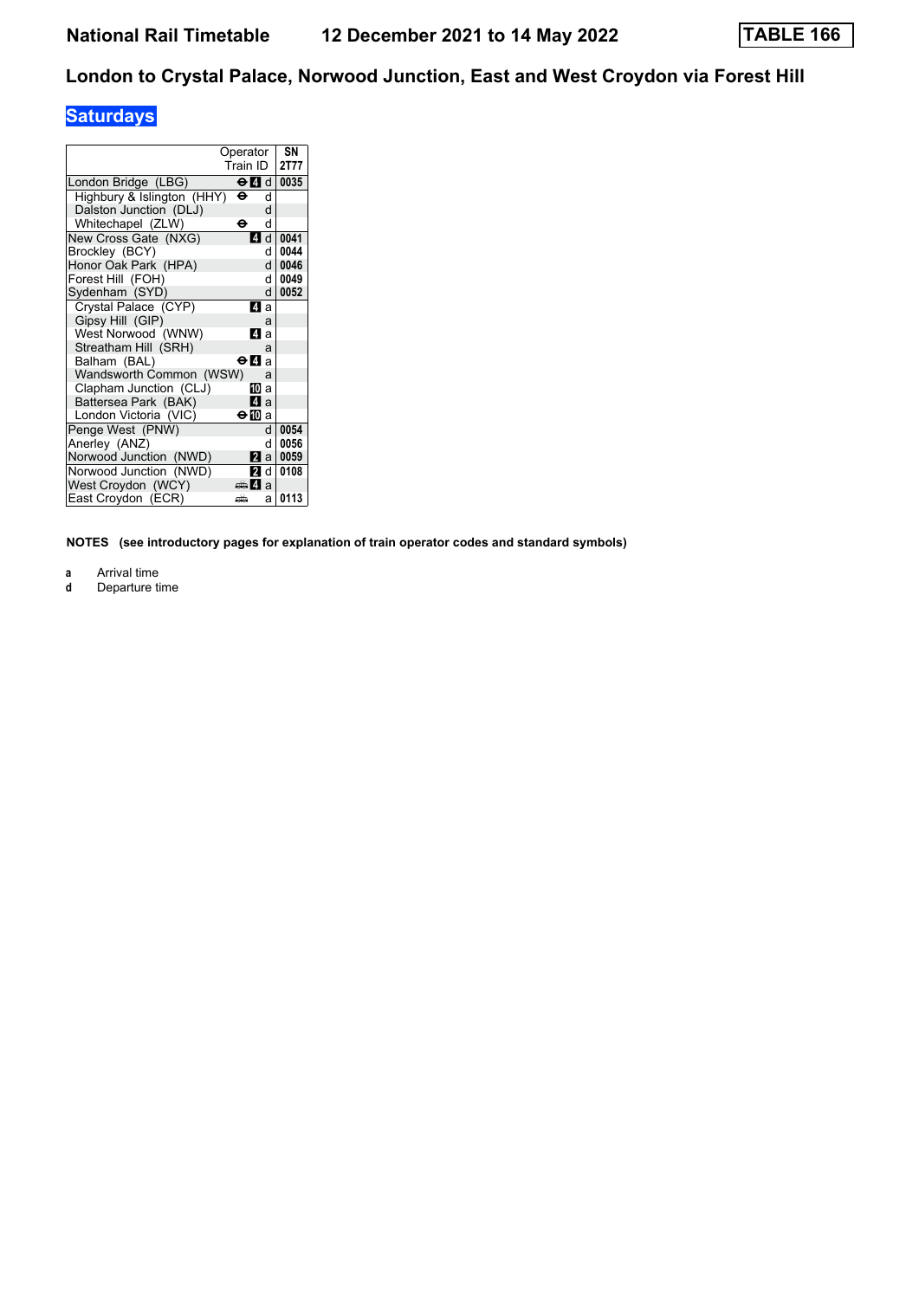### **Saturdays**

|                            | Operator                   | SN   |
|----------------------------|----------------------------|------|
|                            | Train ID                   | 2T77 |
| London Bridge (LBG)        | $\Theta$ $\blacksquare$ di | 0035 |
| Highbury & Islington (HHY) | θ<br>q                     |      |
| Dalston Junction (DLJ)     | d                          |      |
| Whitechapel (ZLW)          | d<br>θ                     |      |
| New Cross Gate (NXG)       | ZI d                       | 0041 |
| Brockley (BCY)             | d                          | 0044 |
| Honor Oak Park (HPA)       | d                          | 0046 |
| Forest Hill (FOH)          | d                          | 0049 |
| Sydenham (SYD)             | d                          | 0052 |
| Crystal Palace (CYP)       | 41 a                       |      |
| Gipsy Hill (GIP)           | a                          |      |
| West Norwood (WNW)         | ZI a                       |      |
| Streatham Hill (SRH)       | a                          |      |
| Balham (BAL)               | <b>⊖Иа</b>                 |      |
| Wandsworth Common (WSW)    | a                          |      |
| Clapham Junction (CLJ)     | IM a                       |      |
| Battersea Park (BAK)       | L4 a                       |      |
| London Victoria (VIC)      | ⊖n∏a                       |      |
| Penge West (PNW)           | d                          | 0054 |
| Anerley (ANZ)              | q                          | 0056 |
| Norwood Junction (NWD)     | l2l a l                    | 0059 |
| Norwood Junction (NWD)     | 21 d                       | 0108 |
| West Croydon (WCY)         | dan Zia                    |      |
| East Croydon (ECR)         | еŵ<br>a                    | 0113 |

**NOTES (see introductory pages for explanation of train operator codes and standard symbols)**

**a** Arrival time<br>**d** Departure t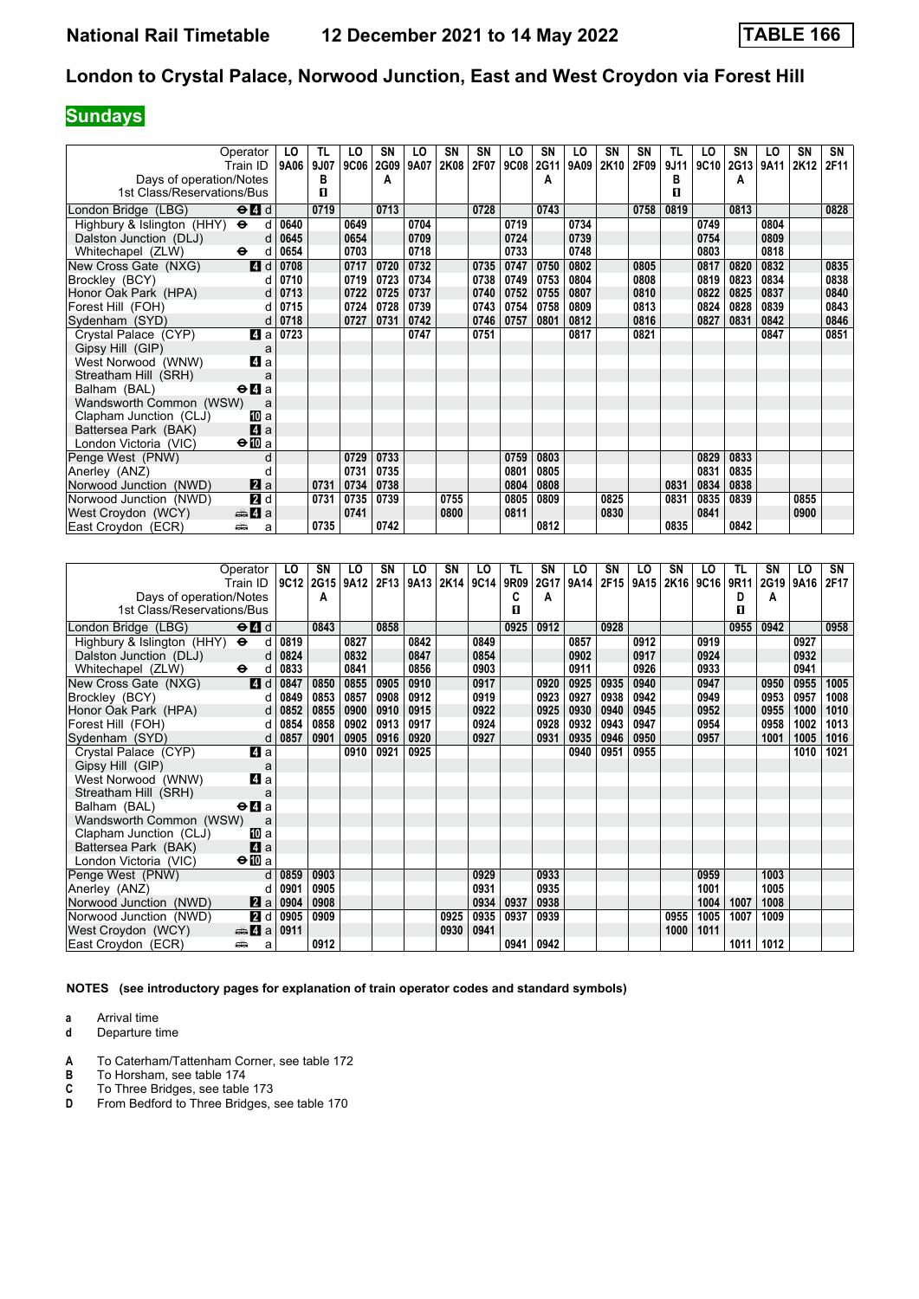## **Sundays**

| Operator                            | Train ID I                                      | LO<br>9A06   | TL<br>9J07 | LO<br>9C06 | SN<br>2G09 | LO<br>9A07 | SN<br>2K08 | SN<br>2F07 | LO<br><b>9C08</b> | SN<br>2G11 | LO<br>9A09 | SΝ<br>2K10 | SΝ<br>2F09 | TL<br>9J11 | LO<br>9C10 | SN<br>2G13 | LO<br>9A11 | SN<br>2K12 | SN<br>2F11 |
|-------------------------------------|-------------------------------------------------|--------------|------------|------------|------------|------------|------------|------------|-------------------|------------|------------|------------|------------|------------|------------|------------|------------|------------|------------|
| Days of operation/Notes             |                                                 |              | В          |            | A          |            |            |            |                   | A          |            |            |            | В          |            | A          |            |            |            |
| 1st Class/Reservations/Bus          |                                                 |              | 0          |            |            |            |            |            |                   |            |            |            |            | п          |            |            |            |            |            |
| London Bridge (LBG)                 | $\Theta$ <sup><math>\blacksquare</math> d</sup> |              | 0719       |            | 0713       |            |            | 0728       |                   | 0743       |            |            | 0758       | 0819       |            | 0813       |            |            | 0828       |
|                                     | d                                               |              |            | 0649       |            | 0704       |            |            | 0719              |            | 0734       |            |            |            | 0749       |            | 0804       |            |            |
| Highbury & Islington (HHY) $\Theta$ | d                                               | 0640<br>0645 |            | 0654       |            | 0709       |            |            | 0724              |            | 0739       |            |            |            | 0754       |            | 0809       |            |            |
| Dalston Junction (DLJ)              |                                                 |              |            |            |            |            |            |            |                   |            |            |            |            |            |            |            | 0818       |            |            |
| Whitechapel (ZLW)<br>$\bullet$      | d                                               | 0654         |            | 0703       |            | 0718       |            |            | 0733              |            | 0748       |            |            |            | 0803       |            |            |            |            |
| New Cross Gate (NXG)                | 4d                                              | 0708         |            | 0717       | 0720       | 0732       |            | 0735       | 0747              | 0750       | 0802       |            | 0805       |            | 0817       | 0820       | 0832       |            | 0835       |
| Brockley (BCY)                      | d                                               | 0710         |            | 0719       | 0723       | 0734       |            | 0738       | 0749              | 0753       | 0804       |            | 0808       |            | 0819       | 0823       | 0834       |            | 0838       |
| Honor Oak Park (HPA)                | d                                               | 0713         |            | 0722       | 0725       | 0737       |            | 0740       | 0752              | 0755       | 0807       |            | 0810       |            | 0822       | 0825       | 0837       |            | 0840       |
| Forest Hill (FOH)                   | d                                               | 0715         |            | 0724       | 0728       | 0739       |            | 0743       | 0754              | 0758       | 0809       |            | 0813       |            | 0824       | 0828       | 0839       |            | 0843       |
| Sydenham (SYD)                      | d                                               | 0718         |            | 0727       | 0731       | 0742       |            | 0746       | 0757              | 0801       | 0812       |            | 0816       |            | 0827       | 0831       | 0842       |            | 0846       |
| Crystal Palace (CYP)                | 4 a                                             | 0723         |            |            |            | 0747       |            | 0751       |                   |            | 0817       |            | 0821       |            |            |            | 0847       |            | 0851       |
| Gipsy Hill (GIP)                    | a                                               |              |            |            |            |            |            |            |                   |            |            |            |            |            |            |            |            |            |            |
| West Norwood (WNW)                  | 4 a                                             |              |            |            |            |            |            |            |                   |            |            |            |            |            |            |            |            |            |            |
| Streatham Hill (SRH)                | a                                               |              |            |            |            |            |            |            |                   |            |            |            |            |            |            |            |            |            |            |
| Balham (BAL)                        | $\Theta$ <b>d</b> a                             |              |            |            |            |            |            |            |                   |            |            |            |            |            |            |            |            |            |            |
| Wandsworth Common (WSW)             | a                                               |              |            |            |            |            |            |            |                   |            |            |            |            |            |            |            |            |            |            |
| Clapham Junction (CLJ)              | [II] a                                          |              |            |            |            |            |            |            |                   |            |            |            |            |            |            |            |            |            |            |
| Battersea Park (BAK)                | 4a                                              |              |            |            |            |            |            |            |                   |            |            |            |            |            |            |            |            |            |            |
| London Victoria (VIC)               | $\bigoplus$ a                                   |              |            |            |            |            |            |            |                   |            |            |            |            |            |            |            |            |            |            |
| Penge West (PNW)                    | d                                               |              |            | 0729       | 0733       |            |            |            | 0759              | 0803       |            |            |            |            | 0829       | 0833       |            |            |            |
| Anerley (ANZ)                       |                                                 |              |            | 0731       | 0735       |            |            |            | 0801              | 0805       |            |            |            |            | 0831       | 0835       |            |            |            |
| Norwood Junction (NWD)              | $\mathbf{a}$ a                                  |              | 0731       | 0734       | 0738       |            |            |            | 0804              | 0808       |            |            |            | 0831       | 0834       | 0838       |            |            |            |
| Norwood Junction (NWD)              | 2d                                              |              | 0731       | 0735       | 0739       |            | 0755       |            | 0805              | 0809       |            | 0825       |            | 0831       | 0835       | 0839       |            | 0855       |            |
| West Croydon (WCY)                  | <del>⊯</del> 4 a                                |              |            | 0741       |            |            | 0800       |            | 0811              |            |            | 0830       |            |            | 0841       |            |            | 0900       |            |
| East Croydon (ECR)<br>پیش           | a                                               |              | 0735       |            | 0742       |            |            |            |                   | 0812       |            |            |            | 0835       |            | 0842       |            |            |            |

| Operator                                                                            | LO   | SN   | LO   | SN   | LO   | SN   | LO   | TL   | SN   | LO   | SN   | LO   | SN   | LO   | TL   | SΝ   | LO   | SN   |
|-------------------------------------------------------------------------------------|------|------|------|------|------|------|------|------|------|------|------|------|------|------|------|------|------|------|
| Train ID                                                                            | 9C12 | 2G15 | 9A12 | 2F13 | 9A13 | 2K14 | 9C14 | 9R09 | 2G17 | 9A14 | 2F15 | 9A15 | 2K16 | 9C16 | 9R11 | 2G19 | 9A16 | 2F17 |
| Days of operation/Notes                                                             |      | A    |      |      |      |      |      | c    | A    |      |      |      |      |      | D    | A    |      |      |
| 1st Class/Reservations/Bus                                                          |      |      |      |      |      |      |      | П    |      |      |      |      |      |      | п    |      |      |      |
| $\Theta$ <sup><math>\blacksquare</math> <math>d</math></sup><br>London Bridge (LBG) |      | 0843 |      | 0858 |      |      |      | 0925 | 0912 |      | 0928 |      |      |      | 0955 | 0942 |      | 0958 |
| Highbury & Islington (HHY)<br>$\ddot{\mathbf{e}}$<br>d                              | 0819 |      | 0827 |      | 0842 |      | 0849 |      |      | 0857 |      | 0912 |      | 0919 |      |      | 0927 |      |
| Dalston Junction (DLJ)<br>d                                                         | 0824 |      | 0832 |      | 0847 |      | 0854 |      |      | 0902 |      | 0917 |      | 0924 |      |      | 0932 |      |
| Whitechapel (ZLW)<br>$\ddot{\phantom{1}}$<br>d                                      | 0833 |      | 0841 |      | 0856 |      | 0903 |      |      | 0911 |      | 0926 |      | 0933 |      |      | 0941 |      |
| 4d<br>New Cross Gate (NXG)                                                          | 0847 | 0850 | 0855 | 0905 | 0910 |      | 0917 |      | 0920 | 0925 | 0935 | 0940 |      | 0947 |      | 0950 | 0955 | 1005 |
| Brockley (BCY)<br>d                                                                 | 0849 | 0853 | 0857 | 0908 | 0912 |      | 0919 |      | 0923 | 0927 | 0938 | 0942 |      | 0949 |      | 0953 | 0957 | 1008 |
| Honor Oak Park (HPA)<br>d                                                           | 0852 | 0855 | 0900 | 0910 | 0915 |      | 0922 |      | 0925 | 0930 | 0940 | 0945 |      | 0952 |      | 0955 | 1000 | 1010 |
| Forest Hill (FOH)<br>d                                                              | 0854 | 0858 | 0902 | 0913 | 0917 |      | 0924 |      | 0928 | 0932 | 0943 | 0947 |      | 0954 |      | 0958 | 1002 | 1013 |
| Sydenham (SYD)<br>d                                                                 | 0857 | 0901 | 0905 | 0916 | 0920 |      | 0927 |      | 0931 | 0935 | 0946 | 0950 |      | 0957 |      | 1001 | 1005 | 1016 |
| Crystal Palace (CYP)<br>4 a                                                         |      |      | 0910 | 0921 | 0925 |      |      |      |      | 0940 | 0951 | 0955 |      |      |      |      | 1010 | 1021 |
| Gipsy Hill (GIP)<br>a                                                               |      |      |      |      |      |      |      |      |      |      |      |      |      |      |      |      |      |      |
| 4a<br>West Norwood (WNW)                                                            |      |      |      |      |      |      |      |      |      |      |      |      |      |      |      |      |      |      |
| Streatham Hill (SRH)<br>a                                                           |      |      |      |      |      |      |      |      |      |      |      |      |      |      |      |      |      |      |
| Balham (BAL)<br>$\Theta$ <b><math>\blacksquare</math></b> a                         |      |      |      |      |      |      |      |      |      |      |      |      |      |      |      |      |      |      |
| Wandsworth Common (WSW)<br>a                                                        |      |      |      |      |      |      |      |      |      |      |      |      |      |      |      |      |      |      |
| Clapham Junction (CLJ)<br>[II] a                                                    |      |      |      |      |      |      |      |      |      |      |      |      |      |      |      |      |      |      |
| 4a<br>Battersea Park (BAK)                                                          |      |      |      |      |      |      |      |      |      |      |      |      |      |      |      |      |      |      |
| $\Theta$ <b>ID</b> a<br>London Victoria (VIC)                                       |      |      |      |      |      |      |      |      |      |      |      |      |      |      |      |      |      |      |
| Penge West (PNW)<br>d                                                               | 0859 | 0903 |      |      |      |      | 0929 |      | 0933 |      |      |      |      | 0959 |      | 1003 |      |      |
| Anerley (ANZ)<br>d                                                                  | 0901 | 0905 |      |      |      |      | 0931 |      | 0935 |      |      |      |      | 1001 |      | 1005 |      |      |
| <b>Z</b> a<br>Norwood Junction (NWD)                                                | 0904 | 0908 |      |      |      |      | 0934 | 0937 | 0938 |      |      |      |      | 1004 | 1007 | 1008 |      |      |
| <b>2</b> d<br>Norwood Junction (NWD)                                                | 0905 | 0909 |      |      |      | 0925 | 0935 | 0937 | 0939 |      |      |      | 0955 | 1005 | 1007 | 1009 |      |      |
| West Croydon (WCY)<br>$\bigoplus$ 4 a                                               | 0911 |      |      |      |      | 0930 | 0941 |      |      |      |      |      | 1000 | 1011 |      |      |      |      |
| East Croydon (ECR)<br>پیش<br>a                                                      |      | 0912 |      |      |      |      |      | 0941 | 0942 |      |      |      |      |      | 1011 | 1012 |      |      |

**NOTES (see introductory pages for explanation of train operator codes and standard symbols)**

- **a** Arrival time<br>**d** Departure t
- **d** Departure time
- **A** To Caterham/Tattenham Corner, see table 172<br>**B** To Horsham, see table 174
- **B** To Horsham, see table 174<br>**C** To Three Bridges, see table
- **C** To Three Bridges, see table 173<br>**D** From Bedford to Three Bridges, s
- From Bedford to Three Bridges, see table 170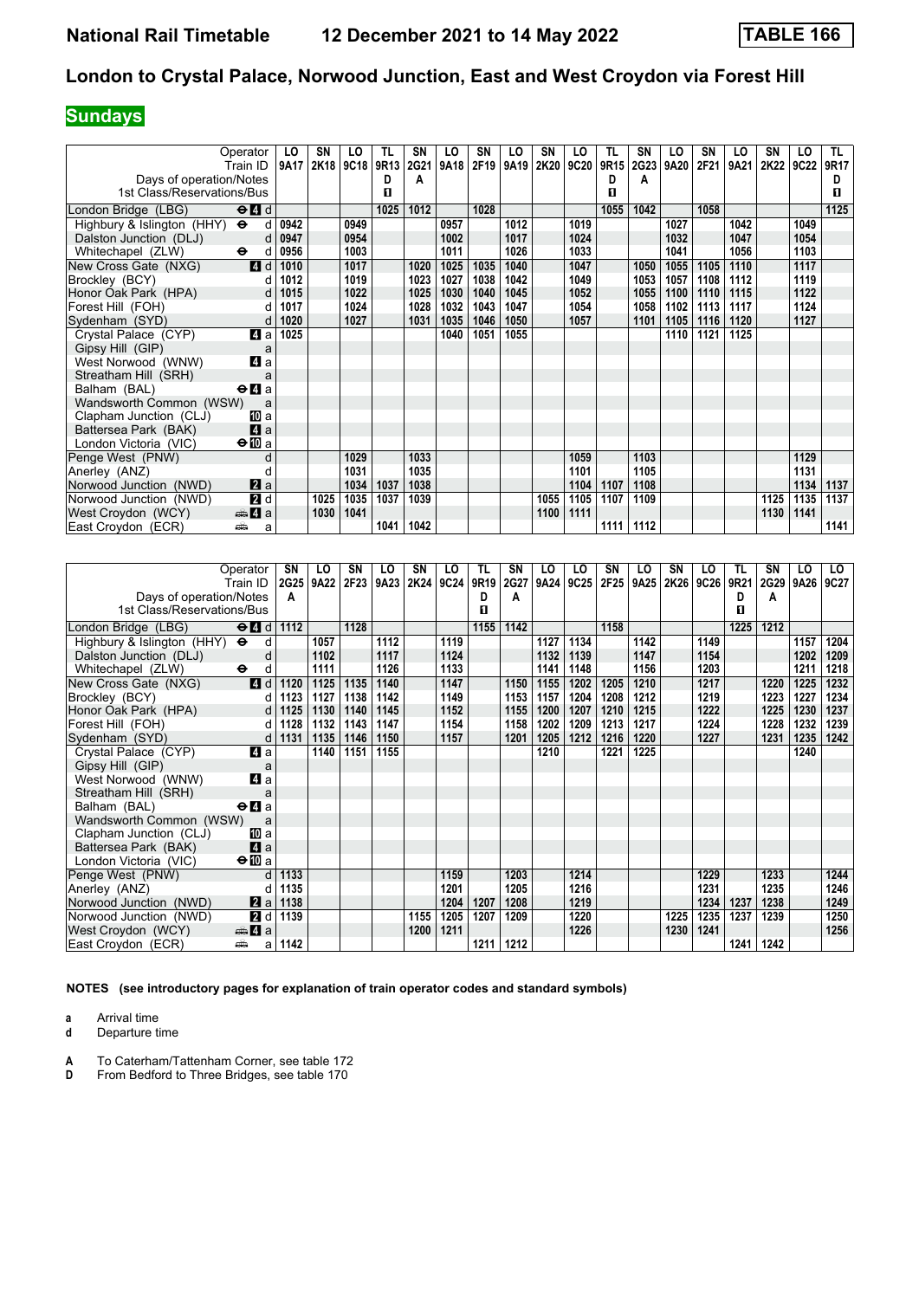## **Sundays**

| Operator                                          |                                                 | LO           | SN   | LO   | TL   | <b>SN</b> | LO   | <b>SN</b> | LO   | SN   | LO   | TL   | SΝ          | LO   | SΝ   | LO   | SN   | LO   | TL I |
|---------------------------------------------------|-------------------------------------------------|--------------|------|------|------|-----------|------|-----------|------|------|------|------|-------------|------|------|------|------|------|------|
| Train ID                                          |                                                 | 9A17         | 2K18 | 9C18 | 9R13 | 2G21      | 9A18 | 2F19      | 9A19 | 2K20 | 9C20 | 9R15 | 2G23        | 9A20 | 2F21 | 9A21 | 2K22 | 9C22 | 9R17 |
| Days of operation/Notes                           |                                                 |              |      |      | D    | A         |      |           |      |      |      | D    | A           |      |      |      |      |      | D    |
| 1st Class/Reservations/Bus                        |                                                 |              |      |      | п    |           |      |           |      |      |      | п    |             |      |      |      |      |      | 0    |
| London Bridge (LBG)                               | $\Theta$ <sup><math>\blacksquare</math> d</sup> |              |      |      | 1025 | 1012      |      | 1028      |      |      |      | 1055 | 1042        |      | 1058 |      |      |      | 1125 |
| Highbury & Islington (HHY)<br>$\ddot{\mathbf{e}}$ | <sub>d</sub>                                    | 0942         |      | 0949 |      |           | 0957 |           | 1012 |      | 1019 |      |             | 1027 |      | 1042 |      | 1049 |      |
| Dalston Junction (DLJ)                            | d                                               | 0947         |      | 0954 |      |           | 1002 |           | 1017 |      | 1024 |      |             | 1032 |      | 1047 |      | 1054 |      |
| Whitechapel (ZLW)<br>$\bullet$                    | d                                               | 0956         |      | 1003 |      |           | 1011 |           | 1026 |      | 1033 |      |             | 1041 |      | 1056 |      | 1103 |      |
| New Cross Gate (NXG)                              | 4d                                              | 1010         |      | 1017 |      | 1020      | 1025 | 1035      | 1040 |      | 1047 |      | 1050        | 1055 | 1105 | 1110 |      | 1117 |      |
| Brockley (BCY)                                    | d                                               | 1012         |      | 1019 |      | 1023      | 1027 | 1038      | 1042 |      | 1049 |      | 1053        | 1057 | 1108 | 1112 |      | 1119 |      |
| Honor Oak Park (HPA)                              |                                                 |              |      | 1022 |      | 1025      | 1030 | 1040      | 1045 |      | 1052 |      | 1055        | 1100 | 1110 | 1115 |      | 1122 |      |
| Forest Hill (FOH)                                 | d<br>d                                          | 1015<br>1017 |      | 1024 |      | 1028      | 1032 | 1043      | 1047 |      | 1054 |      | 1058        | 1102 | 1113 | 1117 |      | 1124 |      |
| Sydenham (SYD)                                    |                                                 | 1020         |      | 1027 |      | 1031      | 1035 | 1046      | 1050 |      | 1057 |      | 1101        | 1105 | 1116 | 1120 |      | 1127 |      |
|                                                   | d                                               |              |      |      |      |           |      |           |      |      |      |      |             |      |      |      |      |      |      |
| Crystal Palace (CYP)                              | 4 a                                             | 1025         |      |      |      |           | 1040 | 1051      | 1055 |      |      |      |             | 1110 | 1121 | 1125 |      |      |      |
| Gipsy Hill (GIP)                                  | a                                               |              |      |      |      |           |      |           |      |      |      |      |             |      |      |      |      |      |      |
| West Norwood (WNW)                                | 4a                                              |              |      |      |      |           |      |           |      |      |      |      |             |      |      |      |      |      |      |
| Streatham Hill (SRH)                              | a                                               |              |      |      |      |           |      |           |      |      |      |      |             |      |      |      |      |      |      |
| Balham (BAL)                                      | $\Theta$ <b>d</b> a                             |              |      |      |      |           |      |           |      |      |      |      |             |      |      |      |      |      |      |
| Wandsworth Common (WSW)                           | a                                               |              |      |      |      |           |      |           |      |      |      |      |             |      |      |      |      |      |      |
| Clapham Junction (CLJ)                            | 10 a                                            |              |      |      |      |           |      |           |      |      |      |      |             |      |      |      |      |      |      |
| Battersea Park (BAK)                              | 4a                                              |              |      |      |      |           |      |           |      |      |      |      |             |      |      |      |      |      |      |
| London Victoria (VIC)                             | $\bigoplus$ a                                   |              |      |      |      |           |      |           |      |      |      |      |             |      |      |      |      |      |      |
| Penge West (PNW)                                  | d                                               |              |      | 1029 |      | 1033      |      |           |      |      | 1059 |      | 1103        |      |      |      |      | 1129 |      |
| Anerley (ANZ)                                     |                                                 |              |      | 1031 |      | 1035      |      |           |      |      | 1101 |      | 1105        |      |      |      |      | 1131 |      |
| Norwood Junction (NWD)                            | $\mathbf{z}$ a                                  |              |      | 1034 | 1037 | 1038      |      |           |      |      | 1104 | 1107 | 1108        |      |      |      |      | 1134 | 1137 |
| Norwood Junction (NWD)                            | 2d                                              |              | 1025 | 1035 | 1037 | 1039      |      |           |      | 1055 | 1105 | 1107 | 1109        |      |      |      | 1125 | 1135 | 1137 |
| West Croydon (WCY)                                | <del>∰</del> 4 a                                |              | 1030 | 1041 |      |           |      |           |      | 1100 | 1111 |      |             |      |      |      | 1130 | 1141 |      |
| East Croydon (ECR)<br>پیش                         | a                                               |              |      |      | 1041 | 1042      |      |           |      |      |      |      | 1111   1112 |      |      |      |      |      | 1141 |

| Operator                                                                            | SN                   | LO   | SN   | LO   | SN   | LO   | TL   | <b>SN</b> | LO   | LO   | SN   | LO   | <b>SN</b> | LO          | TL   | SN   | LO   | LO.  |
|-------------------------------------------------------------------------------------|----------------------|------|------|------|------|------|------|-----------|------|------|------|------|-----------|-------------|------|------|------|------|
| Train ID                                                                            | <b>2G25</b>          | 9A22 | 2F23 | 9A23 | 2K24 | 9C24 | 9R19 | 2G27      | 9A24 | 9C25 | 2F25 | 9A25 | 2K26      | <b>9C26</b> | 9R21 | 2G29 | 9A26 | 9C27 |
| Days of operation/Notes                                                             | A                    |      |      |      |      |      | D    | A         |      |      |      |      |           |             | D    | A    |      |      |
| 1st Class/Reservations/Bus                                                          |                      |      |      |      |      |      | п    |           |      |      |      |      |           |             | п    |      |      |      |
| London Bridge (LBG)<br>$\Theta$ <sup><math>\blacksquare</math> <math>d</math></sup> | 1112                 |      | 1128 |      |      |      | 1155 | 1142      |      |      | 1158 |      |           |             | 1225 | 1212 |      |      |
| Highbury & Islington (HHY) $\Theta$                                                 | d                    | 1057 |      | 1112 |      | 1119 |      |           | 1127 | 1134 |      | 1142 |           | 1149        |      |      | 1157 | 1204 |
| Dalston Junction (DLJ)                                                              | d                    | 1102 |      | 1117 |      | 1124 |      |           | 1132 | 1139 |      | 1147 |           | 1154        |      |      | 1202 | 1209 |
| $\ddot{\mathbf{e}}$<br>Whitechapel (ZLW)                                            | d                    | 1111 |      | 1126 |      | 1133 |      |           | 1141 | 1148 |      | 1156 |           | 1203        |      |      | 1211 | 1218 |
| 4d<br>New Cross Gate (NXG)                                                          | 1120                 | 1125 | 1135 | 1140 |      | 1147 |      | 1150      | 1155 | 1202 | 1205 | 1210 |           | 1217        |      | 1220 | 1225 | 1232 |
| Brockley (BCY)                                                                      | 1123<br>d            | 1127 | 1138 | 1142 |      | 1149 |      | 1153      | 1157 | 1204 | 1208 | 1212 |           | 1219        |      | 1223 | 1227 | 1234 |
| Honor Oak Park (HPA)                                                                | $\mathsf{d}$<br>1125 | 1130 | 1140 | 1145 |      | 1152 |      | 1155      | 1200 | 1207 | 1210 | 1215 |           | 1222        |      | 1225 | 1230 | 1237 |
| Forest Hill (FOH)                                                                   | 1128<br>d            | 1132 | 1143 | 1147 |      | 1154 |      | 1158      | 1202 | 1209 | 1213 | 1217 |           | 1224        |      | 1228 | 1232 | 1239 |
| Sydenham (SYD)                                                                      | d<br>1131            | 1135 | 1146 | 1150 |      | 1157 |      | 1201      | 1205 | 1212 | 1216 | 1220 |           | 1227        |      | 1231 | 1235 | 1242 |
| ZI a<br>Crystal Palace (CYP)                                                        |                      | 1140 | 1151 | 1155 |      |      |      |           | 1210 |      | 1221 | 1225 |           |             |      |      | 1240 |      |
| Gipsy Hill (GIP)                                                                    | a                    |      |      |      |      |      |      |           |      |      |      |      |           |             |      |      |      |      |
| 41 a<br>West Norwood (WNW)                                                          |                      |      |      |      |      |      |      |           |      |      |      |      |           |             |      |      |      |      |
| Streatham Hill (SRH)                                                                | a                    |      |      |      |      |      |      |           |      |      |      |      |           |             |      |      |      |      |
| Balham (BAL)<br>$\Theta$ <b><math>\blacksquare</math></b> a                         |                      |      |      |      |      |      |      |           |      |      |      |      |           |             |      |      |      |      |
| Wandsworth Common (WSW)                                                             | a                    |      |      |      |      |      |      |           |      |      |      |      |           |             |      |      |      |      |
| Clapham Junction (CLJ)<br>吅 a                                                       |                      |      |      |      |      |      |      |           |      |      |      |      |           |             |      |      |      |      |
| Zi a<br>Battersea Park (BAK)                                                        |                      |      |      |      |      |      |      |           |      |      |      |      |           |             |      |      |      |      |
| $\Theta$ <b>ID</b> a<br>London Victoria (VIC)                                       |                      |      |      |      |      |      |      |           |      |      |      |      |           |             |      |      |      |      |
| Penge West (PNW)                                                                    | 1133<br>d            |      |      |      |      | 1159 |      | 1203      |      | 1214 |      |      |           | 1229        |      | 1233 |      | 1244 |
| Anerley (ANZ)                                                                       | 1135<br>d            |      |      |      |      | 1201 |      | 1205      |      | 1216 |      |      |           | 1231        |      | 1235 |      | 1246 |
| <b>Z</b> a<br>Norwood Junction (NWD)                                                | 1138                 |      |      |      |      | 1204 | 1207 | 1208      |      | 1219 |      |      |           | 1234        | 1237 | 1238 |      | 1249 |
| <b>2</b> d<br>Norwood Junction (NWD)                                                | 1139                 |      |      |      | 1155 | 1205 | 1207 | 1209      |      | 1220 |      |      | 1225      | 1235        | 1237 | 1239 |      | 1250 |
| $\mathbf{A}$ a<br>West Croydon (WCY)                                                |                      |      |      |      | 1200 | 1211 |      |           |      | 1226 |      |      | 1230      | 1241        |      |      |      | 1256 |
| East Croydon (ECR)<br>پیش                                                           | 1142<br>a            |      |      |      |      |      | 1211 | 1212      |      |      |      |      |           |             | 1241 | 1242 |      |      |

**NOTES (see introductory pages for explanation of train operator codes and standard symbols)**

**a** Arrival time<br>**d** Departure t

**d** Departure time

**A** To Caterham/Tattenham Corner, see table 172<br>**D** From Bedford to Three Bridges, see table 170

**Dr. Edgeworth Communistration** Communistration From Bedford to Three Bridges, see table 170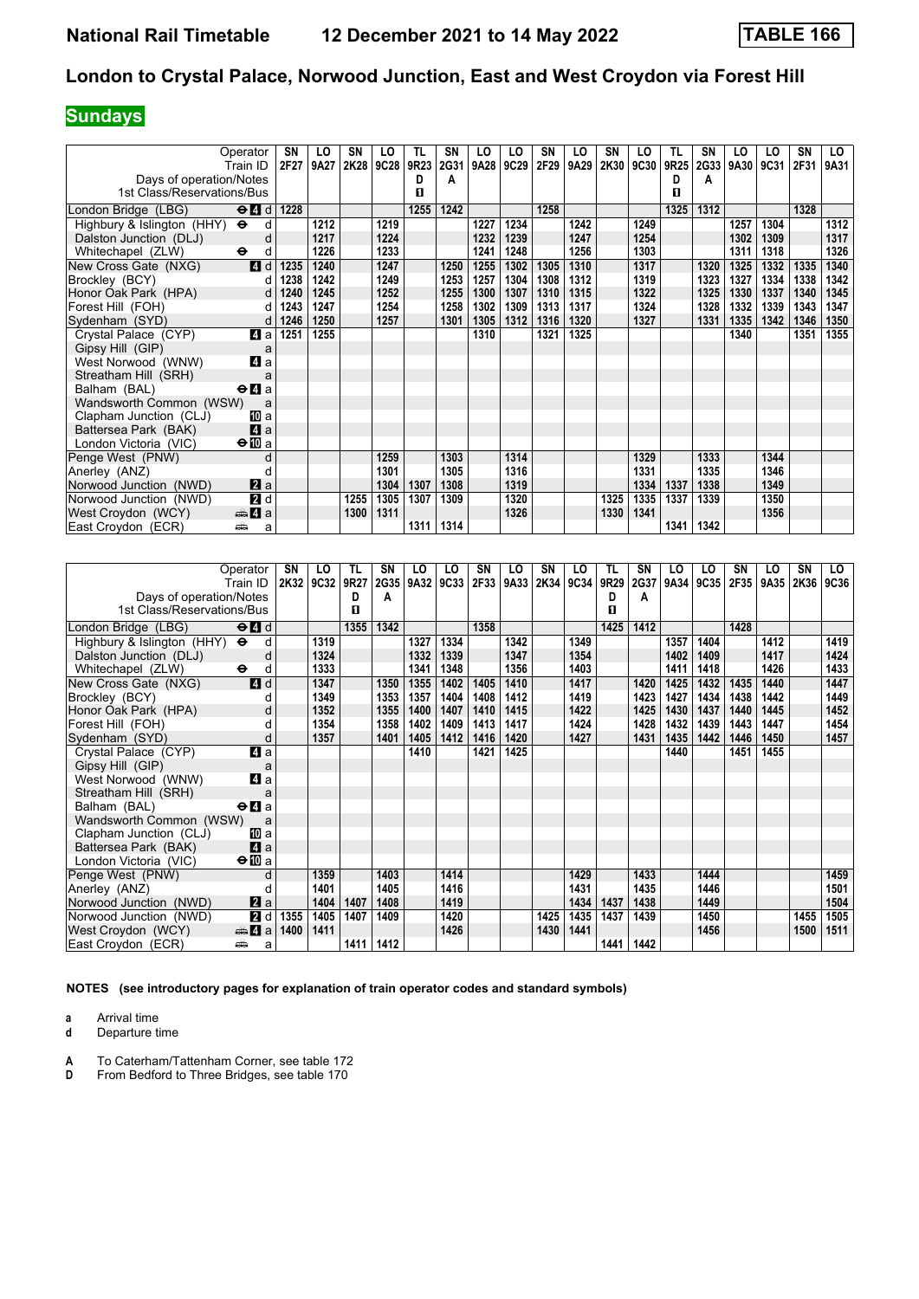# **Sundays**

| Operator<br>Train ID                                                                | SN<br>2F27 | LO<br>9A27 | SN<br>2K28 | LO<br>9C28 | TL<br>9R23 | SN<br>2G31 | LO<br>9A28 | LO<br> 9C29 | SN<br>2F29 | LO<br>9A29 | SN<br>2K30 | LO<br><b>9C30</b> | TL<br>9R25 | SΝ<br><b>2G33</b> | LO<br>9A30 | LO<br>9C31 | SN<br>2F31 | LO<br>9A31 |
|-------------------------------------------------------------------------------------|------------|------------|------------|------------|------------|------------|------------|-------------|------------|------------|------------|-------------------|------------|-------------------|------------|------------|------------|------------|
| Days of operation/Notes                                                             |            |            |            |            | D          | A          |            |             |            |            |            |                   | D          | Α                 |            |            |            |            |
| 1st Class/Reservations/Bus                                                          |            |            |            |            | п          |            |            |             |            |            |            |                   | П          |                   |            |            |            |            |
|                                                                                     |            |            |            |            |            |            |            |             |            |            |            |                   |            |                   |            |            |            |            |
| London Bridge (LBG)<br>$\Theta$ <sup><math>\blacksquare</math> <math>d</math></sup> | 1228       |            |            |            | 1255       | 1242       |            |             | 1258       |            |            |                   | 1325       | 1312              |            |            | 1328       |            |
| Highbury & Islington (HHY) $\Theta$                                                 | d          | 1212       |            | 1219       |            |            | 1227       | 1234        |            | 1242       |            | 1249              |            |                   | 1257       | 1304       |            | 1312       |
| Dalston Junction (DLJ)                                                              | d          | 1217       |            | 1224       |            |            | 1232       | 1239        |            | 1247       |            | 1254              |            |                   | 1302       | 1309       |            | 1317       |
| Whitechapel (ZLW)<br>$\bullet$                                                      | d          | 1226       |            | 1233       |            |            | 1241       | 1248        |            | 1256       |            | 1303              |            |                   | 1311       | 1318       |            | 1326       |
| 4d<br>New Cross Gate (NXG)                                                          | 1235       | 1240       |            | 1247       |            | 1250       | 1255       | 1302        | 1305       | 1310       |            | 1317              |            | 1320              | 1325       | 1332       | 1335       | 1340       |
| Brockley (BCY)                                                                      | 1238<br>d  | 1242       |            | 1249       |            | 1253       | 1257       | 1304        | 1308       | 1312       |            | 1319              |            | 1323              | 1327       | 1334       | 1338       | 1342       |
| Honor Oak Park (HPA)                                                                | 1240<br>d  | 1245       |            | 1252       |            | 1255       | 1300       | 1307        | 1310       | 1315       |            | 1322              |            | 1325              | 1330       | 1337       | 1340       | 1345       |
| Forest Hill (FOH)                                                                   | 1243<br>d  | 1247       |            | 1254       |            | 1258       | 1302       | 1309        | 1313       | 1317       |            | 1324              |            | 1328              | 1332       | 1339       | 1343       | 1347       |
| Sydenham (SYD)                                                                      | 1246<br>d  | 1250       |            | 1257       |            | 1301       | 1305       | 1312        | 1316       | 1320       |            | 1327              |            | 1331              | 1335       | 1342       | 1346       | 1350       |
| 4a<br>Crystal Palace (CYP)                                                          | 1251       | 1255       |            |            |            |            | 1310       |             | 1321       | 1325       |            |                   |            |                   | 1340       |            | 1351       | 1355       |
| Gipsy Hill (GIP)                                                                    | a          |            |            |            |            |            |            |             |            |            |            |                   |            |                   |            |            |            |            |
| 4 a<br>West Norwood (WNW)                                                           |            |            |            |            |            |            |            |             |            |            |            |                   |            |                   |            |            |            |            |
| Streatham Hill (SRH)                                                                | a          |            |            |            |            |            |            |             |            |            |            |                   |            |                   |            |            |            |            |
| $\Theta$ <b><math>\blacksquare</math></b> a<br>Balham (BAL)                         |            |            |            |            |            |            |            |             |            |            |            |                   |            |                   |            |            |            |            |
| Wandsworth Common (WSW)                                                             | a          |            |            |            |            |            |            |             |            |            |            |                   |            |                   |            |            |            |            |
| Clapham Junction (CLJ)<br>10 a                                                      |            |            |            |            |            |            |            |             |            |            |            |                   |            |                   |            |            |            |            |
| 4a<br>Battersea Park (BAK)                                                          |            |            |            |            |            |            |            |             |            |            |            |                   |            |                   |            |            |            |            |
| $\Theta$ <b>III</b> a<br>London Victoria (VIC)                                      |            |            |            |            |            |            |            |             |            |            |            |                   |            |                   |            |            |            |            |
| Penge West (PNW)                                                                    | d          |            |            | 1259       |            | 1303       |            | 1314        |            |            |            | 1329              |            | 1333              |            | 1344       |            |            |
| Anerley (ANZ)                                                                       |            |            |            | 1301       |            | 1305       |            | 1316        |            |            |            | 1331              |            | 1335              |            | 1346       |            |            |
| $\mathbf{z}$ a<br>Norwood Junction (NWD)                                            |            |            |            | 1304       | 1307       | 1308       |            | 1319        |            |            |            | 1334              | 1337       | 1338              |            | 1349       |            |            |
| 2d<br>Norwood Junction (NWD)                                                        |            |            | 1255       | 1305       | 1307       | 1309       |            | 1320        |            |            | 1325       | 1335              | 1337       | 1339              |            | 1350       |            |            |
| <del>m</del> ∆ a<br>West Croydon (WCY)                                              |            |            | 1300       | 1311       |            |            |            | 1326        |            |            | 1330       | 1341              |            |                   |            | 1356       |            |            |
| East Croydon (ECR)<br>پیش                                                           | a          |            |            |            |            | 1311 1314  |            |             |            |            |            |                   | 1341       | 1342              |            |            |            |            |

| Operator                                                               | SN   | LO   | TL   | SN   | LO.  | LO   | SN   | LO   | SN   | LO   | TL   | SN   | LO   | LO   | SN   | LO   | SN   | LO   |
|------------------------------------------------------------------------|------|------|------|------|------|------|------|------|------|------|------|------|------|------|------|------|------|------|
| Train ID                                                               | 2K32 | 9C32 | 9R27 | 2G35 | 9A32 | 9C33 | 2F33 | 9A33 | 2K34 | 9C34 | 9R29 | 2G37 | 9A34 | 9C35 | 2F35 | 9A35 | 2K36 | 9C36 |
| Days of operation/Notes                                                |      |      | D    | A    |      |      |      |      |      |      | D    | А    |      |      |      |      |      |      |
| 1st Class/Reservations/Bus                                             |      |      | п    |      |      |      |      |      |      |      | п    |      |      |      |      |      |      |      |
| $\Theta$ <sup><math>\blacksquare</math> d</sup><br>London Bridge (LBG) |      |      | 1355 | 1342 |      |      | 1358 |      |      |      | 1425 | 1412 |      |      | 1428 |      |      |      |
| Highbury & Islington (HHY) $\Theta$<br>d                               |      | 1319 |      |      | 1327 | 1334 |      | 1342 |      | 1349 |      |      | 1357 | 1404 |      | 1412 |      | 1419 |
| Dalston Junction (DLJ)                                                 | d    | 1324 |      |      | 1332 | 1339 |      | 1347 |      | 1354 |      |      | 1402 | 1409 |      | 1417 |      | 1424 |
| $\bullet$<br>Whitechapel (ZLW)<br>d                                    |      | 1333 |      |      | 1341 | 1348 |      | 1356 |      | 1403 |      |      | 1411 | 1418 |      | 1426 |      | 1433 |
| 4d<br>New Cross Gate (NXG)                                             |      | 1347 |      | 1350 | 1355 | 1402 | 1405 | 1410 |      | 1417 |      | 1420 | 1425 | 1432 | 1435 | 1440 |      | 1447 |
| Brockley (BCY)                                                         |      | 1349 |      | 1353 | 1357 | 1404 | 1408 | 1412 |      | 1419 |      | 1423 | 1427 | 1434 | 1438 | 1442 |      | 1449 |
| Honor Oak Park (HPA)<br>d                                              |      | 1352 |      | 1355 | 1400 | 1407 | 1410 | 1415 |      | 1422 |      | 1425 | 1430 | 1437 | 1440 | 1445 |      | 1452 |
| Forest Hill (FOH)<br>d                                                 |      | 1354 |      | 1358 | 1402 | 1409 | 1413 | 1417 |      | 1424 |      | 1428 | 1432 | 1439 | 1443 | 1447 |      | 1454 |
| Sydenham (SYD)<br>d                                                    |      | 1357 |      | 1401 | 1405 | 1412 | 1416 | 1420 |      | 1427 |      | 1431 | 1435 | 1442 | 1446 | 1450 |      | 1457 |
| a<br>Crystal Palace (CYP)                                              |      |      |      |      | 1410 |      | 1421 | 1425 |      |      |      |      | 1440 |      | 1451 | 1455 |      |      |
| Gipsy Hill (GIP)<br>a                                                  |      |      |      |      |      |      |      |      |      |      |      |      |      |      |      |      |      |      |
| 4 a<br>West Norwood (WNW)                                              |      |      |      |      |      |      |      |      |      |      |      |      |      |      |      |      |      |      |
| Streatham Hill (SRH)<br>a                                              |      |      |      |      |      |      |      |      |      |      |      |      |      |      |      |      |      |      |
| Balham (BAL)<br>$\Theta$ <b><math>\blacksquare</math></b> a            |      |      |      |      |      |      |      |      |      |      |      |      |      |      |      |      |      |      |
| Wandsworth Common (WSW)<br>a                                           |      |      |      |      |      |      |      |      |      |      |      |      |      |      |      |      |      |      |
| Clapham Junction (CLJ)<br>[II] a                                       |      |      |      |      |      |      |      |      |      |      |      |      |      |      |      |      |      |      |
| 4a<br>Battersea Park (BAK)                                             |      |      |      |      |      |      |      |      |      |      |      |      |      |      |      |      |      |      |
| $\Theta$ III a<br>London Victoria (VIC)                                |      |      |      |      |      |      |      |      |      |      |      |      |      |      |      |      |      |      |
| Penge West (PNW)                                                       | d    | 1359 |      | 1403 |      | 1414 |      |      |      | 1429 |      | 1433 |      | 1444 |      |      |      | 1459 |
| Anerley (ANZ)<br>d                                                     |      | 1401 |      | 1405 |      | 1416 |      |      |      | 1431 |      | 1435 |      | 1446 |      |      |      | 1501 |
| 2a<br>Norwood Junction (NWD)                                           |      | 1404 | 1407 | 1408 |      | 1419 |      |      |      | 1434 | 1437 | 1438 |      | 1449 |      |      |      | 1504 |
| 2d<br>Norwood Junction (NWD)                                           | 1355 | 1405 | 1407 | 1409 |      | 1420 |      |      | 1425 | 1435 | 1437 | 1439 |      | 1450 |      |      | 1455 | 1505 |
| West Croydon (WCY)<br>$\bigoplus$ 4 a                                  | 1400 | 1411 |      |      |      | 1426 |      |      | 1430 | 1441 |      |      |      | 1456 |      |      | 1500 | 1511 |
| East Croydon (ECR)<br>پیشته<br>a                                       |      |      | 1411 | 1412 |      |      |      |      |      |      | 1441 | 1442 |      |      |      |      |      |      |

**NOTES (see introductory pages for explanation of train operator codes and standard symbols)**

**a** Arrival time<br>**d** Departure t

**d** Departure time

**A** To Caterham/Tattenham Corner, see table 172<br>**D** From Bedford to Three Bridges, see table 170

**Dr. Edgeworth Communistration** Communistration From Bedford to Three Bridges, see table 170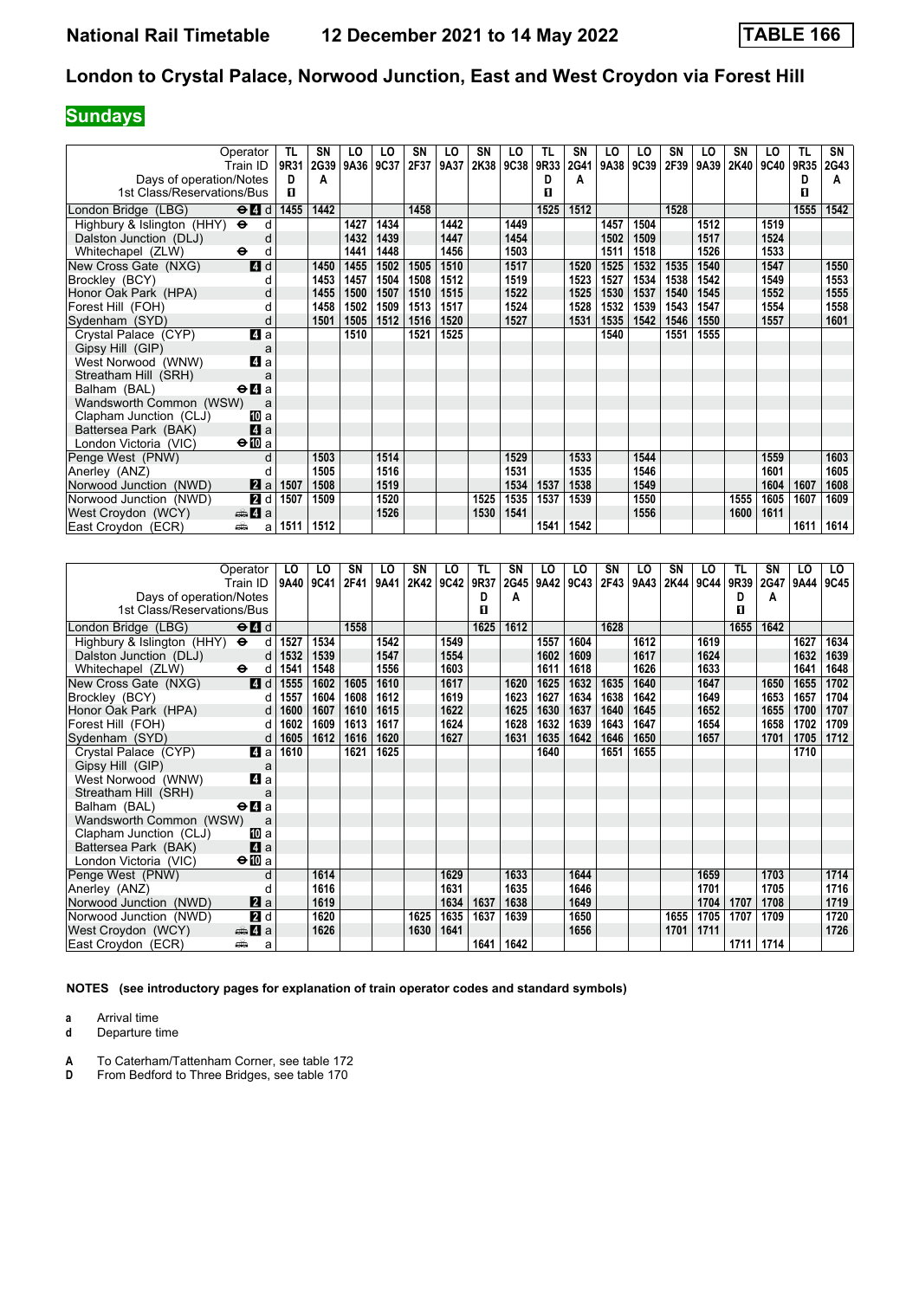# **Sundays**

| Operator                            |                     | TL   | SN   | LO   | LO   | SN   | LO   | SN   | LO          | TL   | SN          | LO   | LO   | SN   | LO   | SN   | LO          | TL   | SN   |
|-------------------------------------|---------------------|------|------|------|------|------|------|------|-------------|------|-------------|------|------|------|------|------|-------------|------|------|
| Train ID                            |                     | 9R31 | 2G39 | 9A36 | 9C37 | 2F37 | 9A37 | 2K38 | <b>9C38</b> | 9R33 | 2G41        | 9A38 | 9C39 | 2F39 | 9A39 | 2K40 | <b>9C40</b> | 9R35 | 2G43 |
| Days of operation/Notes             |                     | D    | A    |      |      |      |      |      |             | D    | A           |      |      |      |      |      |             | D    | A    |
| 1st Class/Reservations/Bus          |                     | п    |      |      |      |      |      |      |             | п    |             |      |      |      |      |      |             | п    |      |
| London Bridge (LBG)                 | $\Theta$ 4 d        | 1455 | 1442 |      |      | 1458 |      |      |             | 1525 | 1512        |      |      | 1528 |      |      |             | 1555 | 1542 |
| Highbury & Islington (HHY) $\Theta$ | d                   |      |      | 1427 | 1434 |      | 1442 |      | 1449        |      |             | 1457 | 1504 |      | 1512 |      | 1519        |      |      |
| Dalston Junction (DLJ)              | d                   |      |      | 1432 | 1439 |      | 1447 |      | 1454        |      |             | 1502 | 1509 |      | 1517 |      | 1524        |      |      |
| Whitechapel (ZLW)<br>$\bullet$      | d                   |      |      | 1441 | 1448 |      | 1456 |      | 1503        |      |             | 1511 | 1518 |      | 1526 |      | 1533        |      |      |
| New Cross Gate (NXG)                | 4d                  |      | 1450 | 1455 | 1502 | 1505 | 1510 |      | 1517        |      | 1520        | 1525 | 1532 | 1535 | 1540 |      | 1547        |      | 1550 |
| Brockley (BCY)                      |                     |      | 1453 | 1457 | 1504 | 1508 | 1512 |      | 1519        |      | 1523        | 1527 | 1534 | 1538 | 1542 |      | 1549        |      | 1553 |
| Honor Oak Park (HPA)                |                     |      | 1455 | 1500 | 1507 | 1510 | 1515 |      | 1522        |      | 1525        | 1530 | 1537 | 1540 | 1545 |      | 1552        |      | 1555 |
| Forest Hill (FOH)                   |                     |      | 1458 | 1502 | 1509 | 1513 | 1517 |      | 1524        |      | 1528        | 1532 | 1539 | 1543 | 1547 |      | 1554        |      | 1558 |
| Sydenham (SYD)                      | d                   |      | 1501 | 1505 | 1512 | 1516 | 1520 |      | 1527        |      | 1531        | 1535 | 1542 | 1546 | 1550 |      | 1557        |      | 1601 |
| Crystal Palace (CYP)                | 4 a                 |      |      | 1510 |      | 1521 | 1525 |      |             |      |             | 1540 |      | 1551 | 1555 |      |             |      |      |
| Gipsy Hill (GIP)                    | a                   |      |      |      |      |      |      |      |             |      |             |      |      |      |      |      |             |      |      |
| West Norwood (WNW)                  | 4 a                 |      |      |      |      |      |      |      |             |      |             |      |      |      |      |      |             |      |      |
| Streatham Hill (SRH)                |                     |      |      |      |      |      |      |      |             |      |             |      |      |      |      |      |             |      |      |
| Balham (BAL)                        | $\Theta$ <b>d</b> a |      |      |      |      |      |      |      |             |      |             |      |      |      |      |      |             |      |      |
| Wandsworth Common (WSW)             | a                   |      |      |      |      |      |      |      |             |      |             |      |      |      |      |      |             |      |      |
| Clapham Junction (CLJ)              | [II] a              |      |      |      |      |      |      |      |             |      |             |      |      |      |      |      |             |      |      |
| Battersea Park (BAK)                | 4a                  |      |      |      |      |      |      |      |             |      |             |      |      |      |      |      |             |      |      |
| London Victoria (VIC)               | $\bigoplus$ a       |      |      |      |      |      |      |      |             |      |             |      |      |      |      |      |             |      |      |
| Penge West (PNW)                    | d                   |      | 1503 |      | 1514 |      |      |      | 1529        |      | 1533        |      | 1544 |      |      |      | 1559        |      | 1603 |
| Anerley (ANZ)                       |                     |      | 1505 |      | 1516 |      |      |      | 1531        |      | 1535        |      | 1546 |      |      |      | 1601        |      | 1605 |
| Norwood Junction (NWD)              | 2 a                 | 1507 | 1508 |      | 1519 |      |      |      | 1534        | 1537 | 1538        |      | 1549 |      |      |      | 1604        | 1607 | 1608 |
| Norwood Junction (NWD)              | 2d                  | 1507 | 1509 |      | 1520 |      |      | 1525 | 1535        | 1537 | 1539        |      | 1550 |      |      | 1555 | 1605        | 1607 | 1609 |
| West Croydon (WCY)                  | <del>⊯</del> 4 a    |      |      |      | 1526 |      |      | 1530 | 1541        |      |             |      | 1556 |      |      | 1600 | 1611        |      |      |
| East Croydon (ECR)<br>پیش           | a                   | 1511 | 1512 |      |      |      |      |      |             |      | 1541   1542 |      |      |      |      |      |             | 1611 | 1614 |

|                            | Operator                              | LO   | LO   | SN   | LO   | SN   | LO   | TL   | SΝ   | LO   | LO   | SN   | LO   | <b>SN</b> | LO          | TL   | SN   | LO   | LO . |
|----------------------------|---------------------------------------|------|------|------|------|------|------|------|------|------|------|------|------|-----------|-------------|------|------|------|------|
|                            | Train ID                              | 9A40 | 9C41 | 2F41 | 9A41 | 2K42 | 9C42 | 9R37 | 2G45 | 9A42 | 9C43 | 2F43 | 9A43 | 2K44      | <b>9C44</b> | 9R39 | 2G47 | 9A44 | 9C45 |
| Days of operation/Notes    |                                       |      |      |      |      |      |      | Ð    | A    |      |      |      |      |           |             | D    | A    |      |      |
| 1st Class/Reservations/Bus |                                       |      |      |      |      |      |      | п    |      |      |      |      |      |           |             | п    |      |      |      |
| London Bridge (LBG)        | $\Theta$ $\blacksquare$ d             |      |      | 1558 |      |      |      | 1625 | 1612 |      |      | 1628 |      |           |             | 1655 | 1642 |      |      |
| Highbury & Islington (HHY) | $\bullet$<br>d                        | 1527 | 1534 |      | 1542 |      | 1549 |      |      | 1557 | 1604 |      | 1612 |           | 1619        |      |      | 1627 | 1634 |
| Dalston Junction (DLJ)     | d                                     | 1532 | 1539 |      | 1547 |      | 1554 |      |      | 1602 | 1609 |      | 1617 |           | 1624        |      |      | 1632 | 1639 |
| Whitechapel (ZLW)          | $\ddot{\mathbf{e}}$<br>d              | 1541 | 1548 |      | 1556 |      | 1603 |      |      | 1611 | 1618 |      | 1626 |           | 1633        |      |      | 1641 | 1648 |
| New Cross Gate (NXG)       | 4d                                    | 1555 | 1602 | 1605 | 1610 |      | 1617 |      | 1620 | 1625 | 1632 | 1635 | 1640 |           | 1647        |      | 1650 | 1655 | 1702 |
| Brockley (BCY)             | d                                     | 1557 | 1604 | 1608 | 1612 |      | 1619 |      | 1623 | 1627 | 1634 | 1638 | 1642 |           | 1649        |      | 1653 | 1657 | 1704 |
| Honor Oak Park (HPA)       | d                                     | 1600 | 1607 | 1610 | 1615 |      | 1622 |      | 1625 | 1630 | 1637 | 1640 | 1645 |           | 1652        |      | 1655 | 1700 | 1707 |
| Forest Hill (FOH)          | d                                     | 1602 | 1609 | 1613 | 1617 |      | 1624 |      | 1628 | 1632 | 1639 | 1643 | 1647 |           | 1654        |      | 1658 | 1702 | 1709 |
| Sydenham (SYD)             | d                                     | 1605 | 1612 | 1616 | 1620 |      | 1627 |      | 1631 | 1635 | 1642 | 1646 | 1650 |           | 1657        |      | 1701 | 1705 | 1712 |
| Crystal Palace (CYP)       | 4a                                    | 1610 |      | 1621 | 1625 |      |      |      |      | 1640 |      | 1651 | 1655 |           |             |      |      | 1710 |      |
| Gipsy Hill (GIP)           | a                                     |      |      |      |      |      |      |      |      |      |      |      |      |           |             |      |      |      |      |
| West Norwood (WNW)         | 4 a                                   |      |      |      |      |      |      |      |      |      |      |      |      |           |             |      |      |      |      |
| Streatham Hill (SRH)       | a                                     |      |      |      |      |      |      |      |      |      |      |      |      |           |             |      |      |      |      |
| Balham (BAL)               | $\Theta$ <b><math>\Omega</math></b> a |      |      |      |      |      |      |      |      |      |      |      |      |           |             |      |      |      |      |
| Wandsworth Common (WSW)    | a                                     |      |      |      |      |      |      |      |      |      |      |      |      |           |             |      |      |      |      |
| Clapham Junction (CLJ)     | <b>TO</b> a                           |      |      |      |      |      |      |      |      |      |      |      |      |           |             |      |      |      |      |
| Battersea Park (BAK)       | 4a                                    |      |      |      |      |      |      |      |      |      |      |      |      |           |             |      |      |      |      |
| London Victoria (VIC)      | $\bigoplus$ a                         |      |      |      |      |      |      |      |      |      |      |      |      |           |             |      |      |      |      |
| Penge West (PNW)           | d                                     |      | 1614 |      |      |      | 1629 |      | 1633 |      | 1644 |      |      |           | 1659        |      | 1703 |      | 1714 |
| Anerley (ANZ)              | d                                     |      | 1616 |      |      |      | 1631 |      | 1635 |      | 1646 |      |      |           | 1701        |      | 1705 |      | 1716 |
| Norwood Junction (NWD)     | <b>2</b> a                            |      | 1619 |      |      |      | 1634 | 1637 | 1638 |      | 1649 |      |      |           | 1704        | 1707 | 1708 |      | 1719 |
| Norwood Junction (NWD)     | 2d                                    |      | 1620 |      |      | 1625 | 1635 | 1637 | 1639 |      | 1650 |      |      | 1655      | 1705        | 1707 | 1709 |      | 1720 |
| West Croydon (WCY)         | $\oplus$ 4 a                          |      | 1626 |      |      | 1630 | 1641 |      |      |      | 1656 |      |      | 1701      | 1711        |      |      |      | 1726 |
| East Croydon (ECR)         | æ<br>a                                |      |      |      |      |      |      | 1641 | 1642 |      |      |      |      |           |             | 1711 | 1714 |      |      |

**NOTES (see introductory pages for explanation of train operator codes and standard symbols)**

**a** Arrival time<br>**d** Departure t

**d** Departure time

**A** To Caterham/Tattenham Corner, see table 172

**D** From Bedford to Three Bridges, see table 170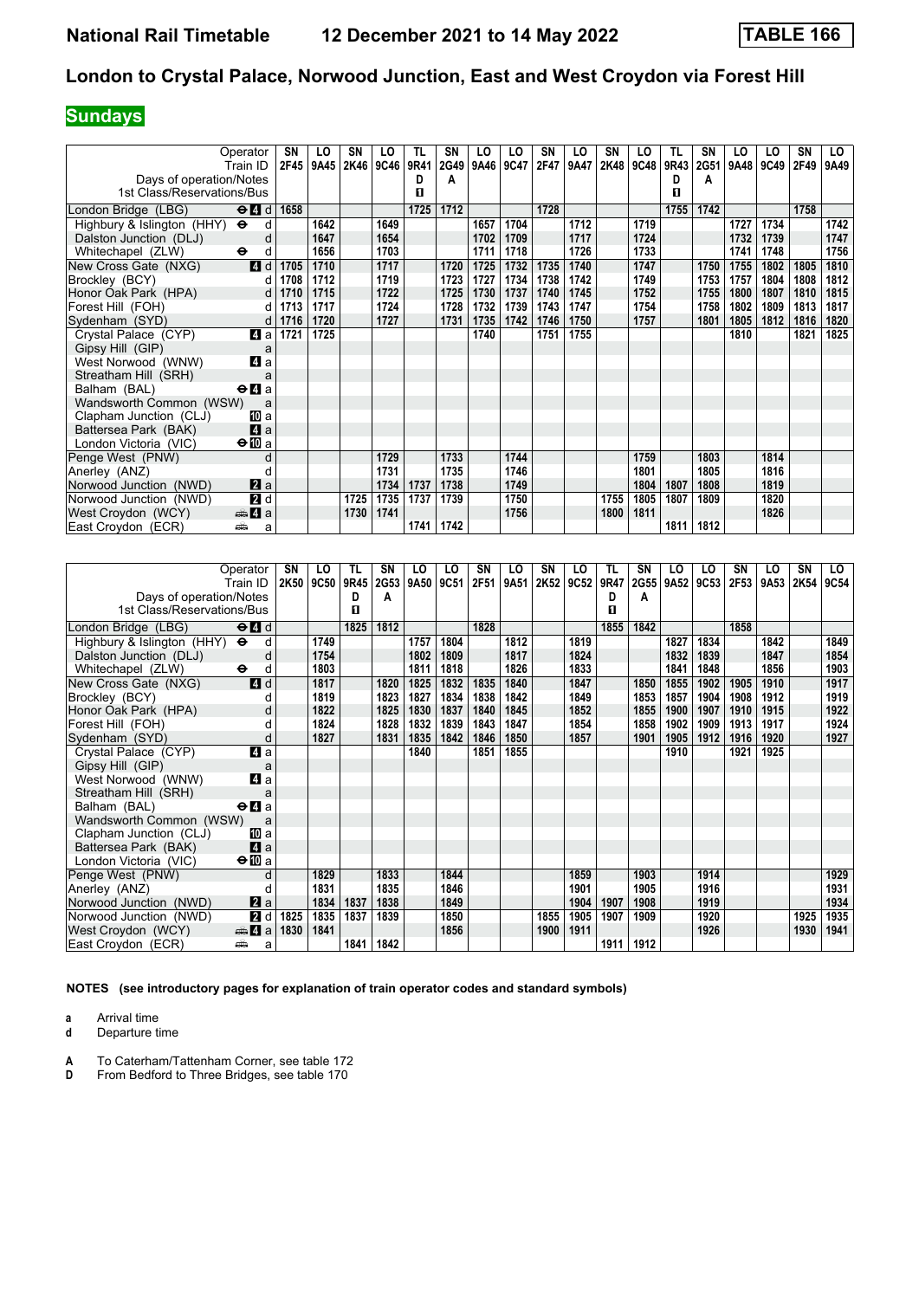# **Sundays**

| Operator                                  | Train ID                                                     | SN<br>2F45 | LO<br>9A45 | SN<br>2K46 | LO<br><b>9C46</b> | TL<br>9R41 | SN<br>2G49 | LO<br>9A46 9C47 | LO   | SN<br>2F47 | LO<br>9A47 | SN<br>2K48 | LO<br>9C48 | TL<br>9R43 | <b>SN</b><br>2G51 | LO<br>9A48 | LO<br>9C49 | SΝ<br>2F49 | LO<br>9A49 |
|-------------------------------------------|--------------------------------------------------------------|------------|------------|------------|-------------------|------------|------------|-----------------|------|------------|------------|------------|------------|------------|-------------------|------------|------------|------------|------------|
| Days of operation/Notes                   |                                                              |            |            |            |                   | D          | A          |                 |      |            |            |            |            | D          | А                 |            |            |            |            |
| 1st Class/Reservations/Bus                |                                                              |            |            |            |                   | п          |            |                 |      |            |            |            |            | п          |                   |            |            |            |            |
| London Bridge (LBG)                       | $\Theta$ <sup><math>\blacksquare</math> <math>d</math></sup> | 1658       |            |            |                   | 1725       | 1712       |                 |      | 1728       |            |            |            | 1755       | 1742              |            |            | 1758       |            |
| Highbury & Islington (HHY) $\Theta$       | d                                                            |            | 1642       |            | 1649              |            |            | 1657            | 1704 |            | 1712       |            | 1719       |            |                   | 1727       | 1734       |            | 1742       |
| Dalston Junction (DLJ)                    | d                                                            |            | 1647       |            | 1654              |            |            | 1702            | 1709 |            | 1717       |            | 1724       |            |                   | 1732       | 1739       |            | 1747       |
| Whitechapel (ZLW)<br>$\ddot{\phantom{1}}$ | d                                                            |            | 1656       |            | 1703              |            |            | 1711            | 1718 |            | 1726       |            | 1733       |            |                   | 1741       | 1748       |            | 1756       |
| New Cross Gate (NXG)                      | 4d                                                           | 1705       | 1710       |            | 1717              |            | 1720       | 1725            | 1732 | 1735       | 1740       |            | 1747       |            | 1750              | 1755       | 1802       | 1805       | 1810       |
| Brockley (BCY)                            | d                                                            | 1708       | 1712       |            | 1719              |            | 1723       | 1727            | 1734 | 1738       | 1742       |            | 1749       |            | 1753              | 1757       | 1804       | 1808       | 1812       |
| Honor Oak Park (HPA)                      | d                                                            | 1710       | 1715       |            | 1722              |            | 1725       | 1730            | 1737 | 1740       | 1745       |            | 1752       |            | 1755              | 1800       | 1807       | 1810       | 1815       |
| Forest Hill (FOH)                         | d                                                            | 1713       | 1717       |            | 1724              |            | 1728       | 1732            | 1739 | 1743       | 1747       |            | 1754       |            | 1758              | 1802       | 1809       | 1813       | 1817       |
| Sydenham (SYD)                            | d                                                            | 1716       | 1720       |            | 1727              |            | 1731       | 1735            | 1742 | 1746       | 1750       |            | 1757       |            | 1801              | 1805       | 1812       | 1816       | 1820       |
| Crystal Palace (CYP)                      | 4a                                                           | 1721       | 1725       |            |                   |            |            | 1740            |      | 1751       | 1755       |            |            |            |                   | 1810       |            | 1821       | 1825       |
| Gipsy Hill (GIP)                          | a                                                            |            |            |            |                   |            |            |                 |      |            |            |            |            |            |                   |            |            |            |            |
| West Norwood (WNW)                        | 4 a                                                          |            |            |            |                   |            |            |                 |      |            |            |            |            |            |                   |            |            |            |            |
| Streatham Hill (SRH)                      | a                                                            |            |            |            |                   |            |            |                 |      |            |            |            |            |            |                   |            |            |            |            |
| Balham (BAL)                              | $\Theta$ <b><math>\blacksquare</math></b> a                  |            |            |            |                   |            |            |                 |      |            |            |            |            |            |                   |            |            |            |            |
| Wandsworth Common (WSW)                   | a                                                            |            |            |            |                   |            |            |                 |      |            |            |            |            |            |                   |            |            |            |            |
| Clapham Junction (CLJ)                    | 10 a                                                         |            |            |            |                   |            |            |                 |      |            |            |            |            |            |                   |            |            |            |            |
| Battersea Park (BAK)                      | 4a                                                           |            |            |            |                   |            |            |                 |      |            |            |            |            |            |                   |            |            |            |            |
| London Victoria (VIC)                     | $\bigoplus a$                                                |            |            |            |                   |            |            |                 |      |            |            |            |            |            |                   |            |            |            |            |
| Penge West (PNW)                          | d                                                            |            |            |            | 1729              |            | 1733       |                 | 1744 |            |            |            | 1759       |            | 1803              |            | 1814       |            |            |
| Anerley (ANZ)                             |                                                              |            |            |            | 1731              |            | 1735       |                 | 1746 |            |            |            | 1801       |            | 1805              |            | 1816       |            |            |
| Norwood Junction (NWD)                    | $\mathbf{z}$ a                                               |            |            |            | 1734              | 1737       | 1738       |                 | 1749 |            |            |            | 1804       | 1807       | 1808              |            | 1819       |            |            |
| Norwood Junction (NWD)                    | 2d                                                           |            |            | 1725       | 1735              | 1737       | 1739       |                 | 1750 |            |            | 1755       | 1805       | 1807       | 1809              |            | 1820       |            |            |
| West Croydon (WCY)                        | <del>m</del> ∆ a                                             |            |            | 1730       | 1741              |            |            |                 | 1756 |            |            | 1800       | 1811       |            |                   |            | 1826       |            |            |
| East Croydon (ECR)<br>پیش                 | a                                                            |            |            |            |                   | 1741       | 1742       |                 |      |            |            |            |            | 1811       | 1812              |            |            |            |            |

| Operator                                                           | SN   | LO          | TL.  | SN   | LO   | LO   | SN   | LO   | SN   | LO   | TL   | SΝ   | LO   | LO   | SN   | LO               | SN   | LO.  |
|--------------------------------------------------------------------|------|-------------|------|------|------|------|------|------|------|------|------|------|------|------|------|------------------|------|------|
| Train ID                                                           | 2K50 | <b>9C50</b> | 9R45 | 2G53 | 9A50 | 9C51 | 2F51 | 9A51 | 2K52 | 9C52 | 9R47 | 2G55 | 9A52 | 9C53 | 2F53 | 9A <sub>53</sub> | 2K54 | 9C54 |
| Days of operation/Notes                                            |      |             | D    | A    |      |      |      |      |      |      | D    | A    |      |      |      |                  |      |      |
| 1st Class/Reservations/Bus                                         |      |             | п    |      |      |      |      |      |      |      | п    |      |      |      |      |                  |      |      |
| $\Theta$ <sup><math>\Omega</math></sup> $d$<br>London Bridge (LBG) |      |             | 1825 | 1812 |      |      | 1828 |      |      |      | 1855 | 1842 |      |      | 1858 |                  |      |      |
| Highbury & Islington (HHY)<br>$\bullet$<br>d                       |      | 1749        |      |      | 1757 | 1804 |      | 1812 |      | 1819 |      |      | 1827 | 1834 |      | 1842             |      | 1849 |
| Dalston Junction (DLJ)                                             | d    | 1754        |      |      | 1802 | 1809 |      | 1817 |      | 1824 |      |      | 1832 | 1839 |      | 1847             |      | 1854 |
| Whitechapel (ZLW)<br>$\bullet$<br>d                                |      | 1803        |      |      | 1811 | 1818 |      | 1826 |      | 1833 |      |      | 1841 | 1848 |      | 1856             |      | 1903 |
| 4d<br>New Cross Gate (NXG)                                         |      | 1817        |      | 1820 | 1825 | 1832 | 1835 | 1840 |      | 1847 |      | 1850 | 1855 | 1902 | 1905 | 1910             |      | 1917 |
| Brockley (BCY)<br>d                                                |      | 1819        |      | 1823 | 1827 | 1834 | 1838 | 1842 |      | 1849 |      | 1853 | 1857 | 1904 | 1908 | 1912             |      | 1919 |
| Honor Oak Park (HPA)                                               | d    | 1822        |      | 1825 | 1830 | 1837 | 1840 | 1845 |      | 1852 |      | 1855 | 1900 | 1907 | 1910 | 1915             |      | 1922 |
| Forest Hill (FOH)<br>d                                             |      | 1824        |      | 1828 | 1832 | 1839 | 1843 | 1847 |      | 1854 |      | 1858 | 1902 | 1909 | 1913 | 1917             |      | 1924 |
| Sydenham (SYD)<br>d                                                |      | 1827        |      | 1831 | 1835 | 1842 | 1846 | 1850 |      | 1857 |      | 1901 | 1905 | 1912 | 1916 | 1920             |      | 1927 |
| $\overline{a}$<br>Crystal Palace (CYP)                             |      |             |      |      | 1840 |      | 1851 | 1855 |      |      |      |      | 1910 |      | 1921 | 1925             |      |      |
| Gipsy Hill (GIP)<br>a                                              |      |             |      |      |      |      |      |      |      |      |      |      |      |      |      |                  |      |      |
| 4a<br>West Norwood (WNW)                                           |      |             |      |      |      |      |      |      |      |      |      |      |      |      |      |                  |      |      |
| Streatham Hill (SRH)<br>a                                          |      |             |      |      |      |      |      |      |      |      |      |      |      |      |      |                  |      |      |
| Balham (BAL)<br>$\Theta$ <b><math>\blacksquare</math></b> a        |      |             |      |      |      |      |      |      |      |      |      |      |      |      |      |                  |      |      |
| Wandsworth Common (WSW)<br>a                                       |      |             |      |      |      |      |      |      |      |      |      |      |      |      |      |                  |      |      |
| Clapham Junction (CLJ)<br>[II] a                                   |      |             |      |      |      |      |      |      |      |      |      |      |      |      |      |                  |      |      |
| 4a<br>Battersea Park (BAK)                                         |      |             |      |      |      |      |      |      |      |      |      |      |      |      |      |                  |      |      |
| $\Theta$ III a<br>London Victoria (VIC)                            |      |             |      |      |      |      |      |      |      |      |      |      |      |      |      |                  |      |      |
| Penge West (PNW)                                                   | d    | 1829        |      | 1833 |      | 1844 |      |      |      | 1859 |      | 1903 |      | 1914 |      |                  |      | 1929 |
| Anerley (ANZ)<br>d                                                 |      | 1831        |      | 1835 |      | 1846 |      |      |      | 1901 |      | 1905 |      | 1916 |      |                  |      | 1931 |
| $\mathbf{z}$ a<br>Norwood Junction (NWD)                           |      | 1834        | 1837 | 1838 |      | 1849 |      |      |      | 1904 | 1907 | 1908 |      | 1919 |      |                  |      | 1934 |
| 2d<br>Norwood Junction (NWD)                                       | 1825 | 1835        | 1837 | 1839 |      | 1850 |      |      | 1855 | 1905 | 1907 | 1909 |      | 1920 |      |                  | 1925 | 1935 |
| West Croydon (WCY)<br>$\oplus$ 4 a                                 | 1830 | 1841        |      |      |      | 1856 |      |      | 1900 | 1911 |      |      |      | 1926 |      |                  | 1930 | 1941 |
| پیش<br>East Croydon (ECR)<br>a                                     |      |             | 1841 | 1842 |      |      |      |      |      |      | 1911 | 1912 |      |      |      |                  |      |      |

**NOTES (see introductory pages for explanation of train operator codes and standard symbols)**

**a** Arrival time<br>**d** Departure t

**d** Departure time

**A** To Caterham/Tattenham Corner, see table 172<br>**D** From Bedford to Three Bridges, see table 170

**Dr. Edgeworth Communistration** Communistration From Bedford to Three Bridges, see table 170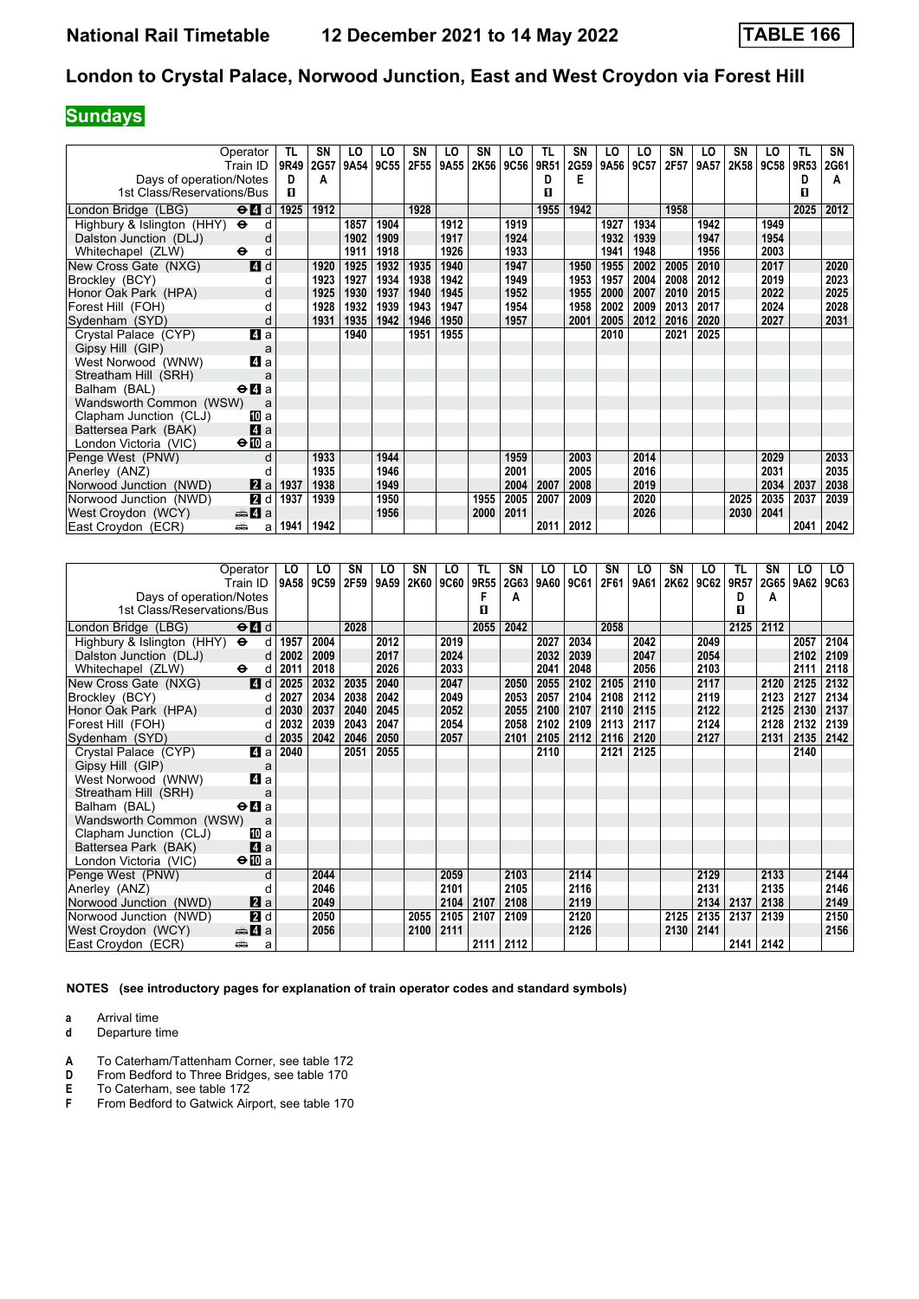## **Sundays**

| Operator                               |        | TL   | SΝ   | LO   | LO   | SN   | LO   | SN   | LO          | TL   | SN        | LO   | LO   | SN   | LO   | SN   | LO          | TL   | SN   |
|----------------------------------------|--------|------|------|------|------|------|------|------|-------------|------|-----------|------|------|------|------|------|-------------|------|------|
| Train ID                               |        | 9R49 | 2G57 | 9A54 | 9C55 | 2F55 | 9A55 | 2K56 | <b>9C56</b> | 9R51 | 2G59      | 9A56 | 9C57 | 2F57 | 9A57 | 2K58 | <b>9C58</b> | 9R53 | 2G61 |
| Days of operation/Notes                |        | D    | A    |      |      |      |      |      |             | D.   | Е         |      |      |      |      |      |             | D    | А    |
| 1st Class/Reservations/Bus             |        | п    |      |      |      |      |      |      |             | п    |           |      |      |      |      |      |             | п    |      |
| London Bridge (LBG)<br>$\Theta$ 4 d    |        | 1925 | 1912 |      |      | 1928 |      |      |             | 1955 | 1942      |      |      | 1958 |      |      |             | 2025 | 2012 |
| Highbury & Islington (HHY) $\Theta$    | d      |      |      | 1857 | 1904 |      | 1912 |      | 1919        |      |           | 1927 | 1934 |      | 1942 |      | 1949        |      |      |
| Dalston Junction (DLJ)                 | d      |      |      | 1902 | 1909 |      | 1917 |      | 1924        |      |           | 1932 | 1939 |      | 1947 |      | 1954        |      |      |
| Whitechapel (ZLW)<br>$\bullet$         | d      |      |      | 1911 | 1918 |      | 1926 |      | 1933        |      |           | 1941 | 1948 |      | 1956 |      | 2003        |      |      |
| New Cross Gate (NXG)                   | 4d     |      | 1920 | 1925 | 1932 | 1935 | 1940 |      | 1947        |      | 1950      | 1955 | 2002 | 2005 | 2010 |      | 2017        |      | 2020 |
| Brockley (BCY)                         | d      |      | 1923 | 1927 | 1934 | 1938 | 1942 |      | 1949        |      | 1953      | 1957 | 2004 | 2008 | 2012 |      | 2019        |      | 2023 |
| Honor Oak Park (HPA)                   |        |      | 1925 | 1930 | 1937 | 1940 | 1945 |      | 1952        |      | 1955      | 2000 | 2007 | 2010 | 2015 |      | 2022        |      | 2025 |
| Forest Hill (FOH)                      |        |      | 1928 | 1932 | 1939 | 1943 | 1947 |      | 1954        |      | 1958      | 2002 | 2009 | 2013 | 2017 |      | 2024        |      | 2028 |
| Sydenham (SYD)                         | d      |      | 1931 | 1935 | 1942 | 1946 | 1950 |      | 1957        |      | 2001      | 2005 | 2012 | 2016 | 2020 |      | 2027        |      | 2031 |
| Crystal Palace (CYP)                   | 4 a    |      |      | 1940 |      | 1951 | 1955 |      |             |      |           | 2010 |      | 2021 | 2025 |      |             |      |      |
| Gipsy Hill (GIP)                       | a      |      |      |      |      |      |      |      |             |      |           |      |      |      |      |      |             |      |      |
| West Norwood (WNW)                     | 4 a    |      |      |      |      |      |      |      |             |      |           |      |      |      |      |      |             |      |      |
| Streatham Hill (SRH)                   |        |      |      |      |      |      |      |      |             |      |           |      |      |      |      |      |             |      |      |
| $\Theta$ <b>d</b> a<br>Balham (BAL)    |        |      |      |      |      |      |      |      |             |      |           |      |      |      |      |      |             |      |      |
| Wandsworth Common (WSW)                | a      |      |      |      |      |      |      |      |             |      |           |      |      |      |      |      |             |      |      |
| Clapham Junction (CLJ)                 | [II] a |      |      |      |      |      |      |      |             |      |           |      |      |      |      |      |             |      |      |
| Battersea Park (BAK)                   | 4a     |      |      |      |      |      |      |      |             |      |           |      |      |      |      |      |             |      |      |
| $\bigoplus$ a<br>London Victoria (VIC) |        |      |      |      |      |      |      |      |             |      |           |      |      |      |      |      |             |      |      |
| Penge West (PNW)                       | d      |      | 1933 |      | 1944 |      |      |      | 1959        |      | 2003      |      | 2014 |      |      |      | 2029        |      | 2033 |
| Anerley (ANZ)                          |        |      | 1935 |      | 1946 |      |      |      | 2001        |      | 2005      |      | 2016 |      |      |      | 2031        |      | 2035 |
| Norwood Junction (NWD)                 | 2 a    | 1937 | 1938 |      | 1949 |      |      |      | 2004        | 2007 | 2008      |      | 2019 |      |      |      | 2034        | 2037 | 2038 |
| Norwood Junction (NWD)                 | 2d     | 1937 | 1939 |      | 1950 |      |      | 1955 | 2005        | 2007 | 2009      |      | 2020 |      |      | 2025 | 2035        | 2037 | 2039 |
| <del>⊯</del> 4 a<br>West Croydon (WCY) |        |      |      |      | 1956 |      |      | 2000 | 2011        |      |           |      | 2026 |      |      | 2030 | 2041        |      |      |
| East Croydon (ECR)<br>پیش              | a      | 1941 | 1942 |      |      |      |      |      |             |      | 2011 2012 |      |      |      |      |      |             | 2041 | 2042 |

| Operator                                 |                                             | LO   | LO   | SN   | LO   | SN   | LO          | TL   | SΝ   | LO   | LO   | SN   | LO   | <b>SN</b> | LO   | TL   | SN          | LO   | LO . |
|------------------------------------------|---------------------------------------------|------|------|------|------|------|-------------|------|------|------|------|------|------|-----------|------|------|-------------|------|------|
| Train ID                                 |                                             | 9A58 | 9C59 | 2F59 | 9A59 | 2K60 | <b>9C60</b> | 9R55 | 2G63 | 9A60 | 9C61 | 2F61 | 9A61 | 2K62      | 9C62 | 9R57 | <b>2G65</b> | 9A62 | 9C63 |
| Days of operation/Notes                  |                                             |      |      |      |      |      |             | F    | A    |      |      |      |      |           |      | D    | A           |      |      |
| 1st Class/Reservations/Bus               |                                             |      |      |      |      |      |             | п    |      |      |      |      |      |           |      | п    |             |      |      |
| London Bridge (LBG)                      | $\Theta$ $\blacksquare$ d                   |      |      | 2028 |      |      |             | 2055 | 2042 |      |      | 2058 |      |           |      | 2125 | 2112        |      |      |
| Highbury & Islington $(HHY)$ $\Theta$    | d                                           | 1957 | 2004 |      | 2012 |      | 2019        |      |      | 2027 | 2034 |      | 2042 |           | 2049 |      |             | 2057 | 2104 |
| Dalston Junction (DLJ)                   | d                                           | 2002 | 2009 |      | 2017 |      | 2024        |      |      | 2032 | 2039 |      | 2047 |           | 2054 |      |             | 2102 | 2109 |
| $\ddot{\mathbf{e}}$<br>Whitechapel (ZLW) | d                                           | 2011 | 2018 |      | 2026 |      | 2033        |      |      | 2041 | 2048 |      | 2056 |           | 2103 |      |             | 2111 | 2118 |
| New Cross Gate (NXG)                     | 4d                                          | 2025 | 2032 | 2035 | 2040 |      | 2047        |      | 2050 | 2055 | 2102 | 2105 | 2110 |           | 2117 |      | 2120        | 2125 | 2132 |
| Brockley (BCY)                           | d                                           | 2027 | 2034 | 2038 | 2042 |      | 2049        |      | 2053 | 2057 | 2104 | 2108 | 2112 |           | 2119 |      | 2123        | 2127 | 2134 |
| Honor Oak Park (HPA)                     | d                                           | 2030 | 2037 | 2040 | 2045 |      | 2052        |      | 2055 | 2100 | 2107 | 2110 | 2115 |           | 2122 |      | 2125        | 2130 | 2137 |
| Forest Hill (FOH)                        | d                                           | 2032 | 2039 | 2043 | 2047 |      | 2054        |      | 2058 | 2102 | 2109 | 2113 | 2117 |           | 2124 |      | 2128        | 2132 | 2139 |
| Sydenham (SYD)                           | d                                           | 2035 | 2042 | 2046 | 2050 |      | 2057        |      | 2101 | 2105 | 2112 | 2116 | 2120 |           | 2127 |      | 2131        | 2135 | 2142 |
| Crystal Palace (CYP)                     | 4 a                                         | 2040 |      | 2051 | 2055 |      |             |      |      | 2110 |      | 2121 | 2125 |           |      |      |             | 2140 |      |
| Gipsy Hill (GIP)                         | a                                           |      |      |      |      |      |             |      |      |      |      |      |      |           |      |      |             |      |      |
| West Norwood (WNW)                       | 4 a                                         |      |      |      |      |      |             |      |      |      |      |      |      |           |      |      |             |      |      |
| Streatham Hill (SRH)                     | a                                           |      |      |      |      |      |             |      |      |      |      |      |      |           |      |      |             |      |      |
| Balham (BAL)                             | $\Theta$ <b><math>\blacksquare</math></b> a |      |      |      |      |      |             |      |      |      |      |      |      |           |      |      |             |      |      |
| Wandsworth Common (WSW)                  | a                                           |      |      |      |      |      |             |      |      |      |      |      |      |           |      |      |             |      |      |
| Clapham Junction (CLJ)                   | TO a                                        |      |      |      |      |      |             |      |      |      |      |      |      |           |      |      |             |      |      |
| Battersea Park (BAK)                     | 4a                                          |      |      |      |      |      |             |      |      |      |      |      |      |           |      |      |             |      |      |
| London Victoria (VIC)                    | $\bigoplus$ a                               |      |      |      |      |      |             |      |      |      |      |      |      |           |      |      |             |      |      |
| Penge West (PNW)                         | d                                           |      | 2044 |      |      |      | 2059        |      | 2103 |      | 2114 |      |      |           | 2129 |      | 2133        |      | 2144 |
| Anerley (ANZ)                            | d                                           |      | 2046 |      |      |      | 2101        |      | 2105 |      | 2116 |      |      |           | 2131 |      | 2135        |      | 2146 |
| Norwood Junction (NWD)                   | $\mathbf{z}$ a                              |      | 2049 |      |      |      | 2104        | 2107 | 2108 |      | 2119 |      |      |           | 2134 | 2137 | 2138        |      | 2149 |
| Norwood Junction (NWD)                   | 2d                                          |      | 2050 |      |      | 2055 | 2105        | 2107 | 2109 |      | 2120 |      |      | 2125      | 2135 | 2137 | 2139        |      | 2150 |
| West Croydon (WCY)                       | <b>en 4</b> a                               |      | 2056 |      |      | 2100 | 2111        |      |      |      | 2126 |      |      | 2130      | 2141 |      |             |      | 2156 |
| East Croydon (ECR)<br>پیش                | a                                           |      |      |      |      |      |             | 2111 | 2112 |      |      |      |      |           |      | 2141 | 2142        |      |      |

**NOTES (see introductory pages for explanation of train operator codes and standard symbols)**

**a** Arrival time<br>**d** Departure t

**d** Departure time

**A** To Caterham/Tattenham Corner, see table 172<br>**D** From Bedford to Three Bridges, see table 170

**D** From Bedford to Three Bridges, see table 170<br>**E** To Caterham, see table 172

- **E** To Caterham, see table 172<br>**F** From Bedford to Gatwick Air
- From Bedford to Gatwick Airport, see table 170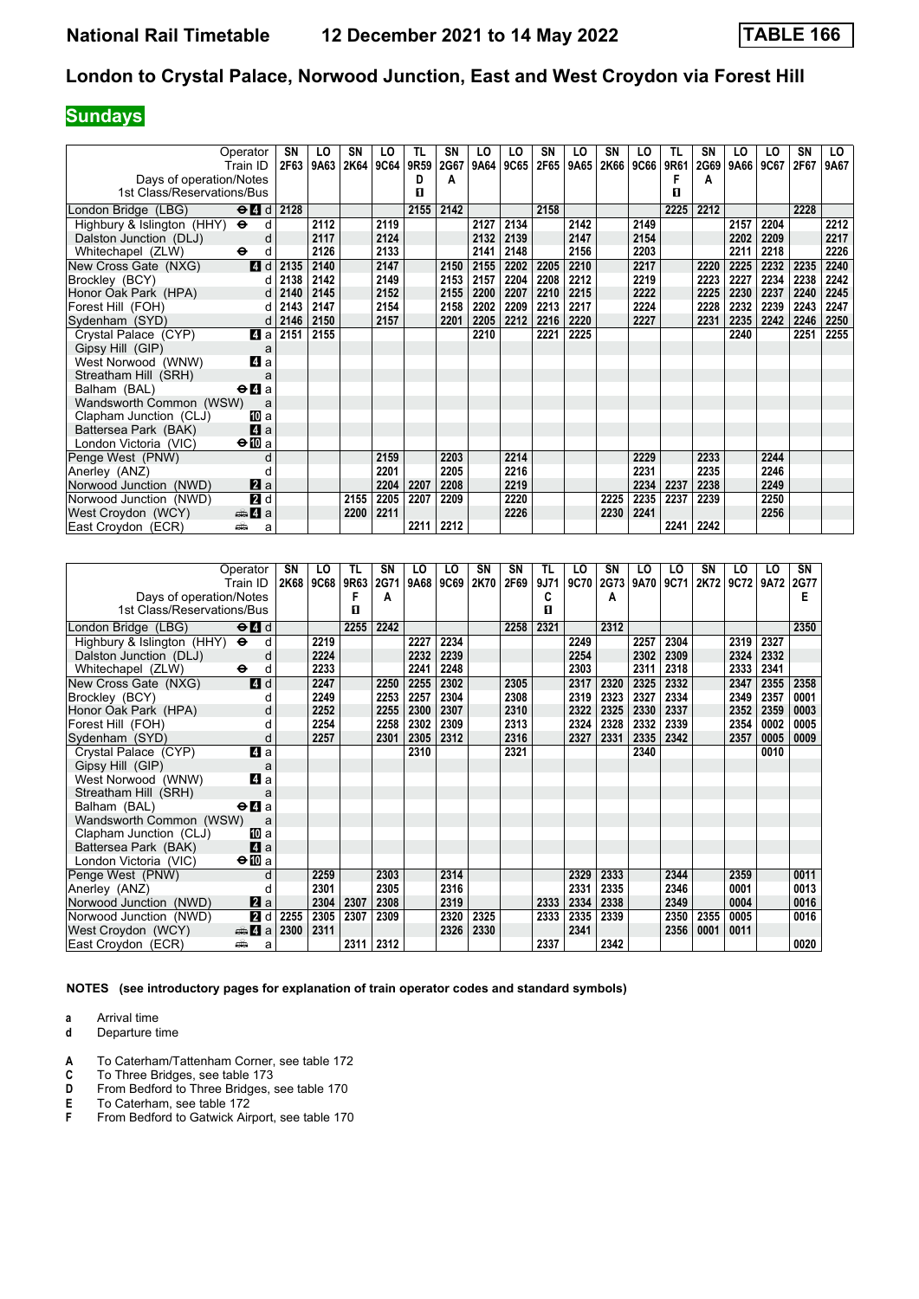# **Sundays**

| Operator<br>Train ID                                  | SN<br>2F63                 | LO<br>9A63 | SN<br>2K64 | LO<br><b>9C64</b> | TL<br>9R59 | <b>SN</b><br>2G67 | LO<br>9A64 | LO<br>9C65 | <b>SN</b><br>2F65 | LO<br>9A65 | <b>SN</b><br>2K66 | LO<br><b>9C66</b> | TL<br>9R61 | SN<br>2G69 | LO<br>9A66 | LO<br>9C67 | <b>SN</b><br>2F67 | LO.<br>9A67 |
|-------------------------------------------------------|----------------------------|------------|------------|-------------------|------------|-------------------|------------|------------|-------------------|------------|-------------------|-------------------|------------|------------|------------|------------|-------------------|-------------|
| Days of operation/Notes                               |                            |            |            |                   | D          | A                 |            |            |                   |            |                   |                   |            | А          |            |            |                   |             |
| 1st Class/Reservations/Bus                            |                            |            |            |                   | п          |                   |            |            |                   |            |                   |                   | п          |            |            |            |                   |             |
| London Bridge (LBG)                                   | $\Theta$ d $\theta$ d 2128 |            |            |                   | 2155       | 2142              |            |            | 2158              |            |                   |                   | 2225       | 2212       |            |            | 2228              |             |
| Highbury & Islington (HHY) $\Theta$                   | d                          | 2112       |            | 2119              |            |                   | 2127       | 2134       |                   | 2142       |                   | 2149              |            |            | 2157       | 2204       |                   | 2212        |
| Dalston Junction (DLJ)<br>d                           |                            | 2117       |            | 2124              |            |                   | 2132       | 2139       |                   | 2147       |                   | 2154              |            |            | 2202       | 2209       |                   | 2217        |
| Whitechapel (ZLW)<br>$\bullet$<br>d                   |                            | 2126       |            | 2133              |            |                   | 2141       | 2148       |                   | 2156       |                   | 2203              |            |            | 2211       | 2218       |                   | 2226        |
| $\blacksquare$ d<br>New Cross Gate (NXG)              | 2135                       | 2140       |            | 2147              |            | 2150              | 2155       | 2202       | 2205              | 2210       |                   | 2217              |            | 2220       | 2225       | 2232       | 2235              | 2240        |
| Brockley (BCY)                                        | 2138<br>d l                | 2142       |            | 2149              |            | 2153              | 2157       | 2204       | 2208              | 2212       |                   | 2219              |            | 2223       | 2227       | 2234       | 2238              | 2242        |
| Honor Oak Park (HPA)                                  | 2140<br>d                  | 2145       |            | 2152              |            | 2155              | 2200       | 2207       | 2210              | 2215       |                   | 2222              |            | 2225       | 2230       | 2237       | 2240              | 2245        |
| Forest Hill (FOH)                                     | 2143<br>dl                 | 2147       |            | 2154              |            | 2158              | 2202       | 2209       | 2213              | 2217       |                   | 2224              |            | 2228       | 2232       | 2239       | 2243              | 2247        |
| Sydenham (SYD)                                        | 2146<br>$d \mid$           | 2150       |            | 2157              |            | 2201              | 2205       | 2212       | 2216              | 2220       |                   | 2227              |            | 2231       | 2235       | 2242       | 2246              | 2250        |
| 4a<br>Crystal Palace (CYP)                            | 2151                       | 2155       |            |                   |            |                   | 2210       |            | 2221              | 2225       |                   |                   |            |            | 2240       |            | 2251              | 2255        |
| Gipsy Hill (GIP)                                      | a                          |            |            |                   |            |                   |            |            |                   |            |                   |                   |            |            |            |            |                   |             |
| 4 a<br>West Norwood (WNW)                             |                            |            |            |                   |            |                   |            |            |                   |            |                   |                   |            |            |            |            |                   |             |
| Streatham Hill (SRH)                                  | a                          |            |            |                   |            |                   |            |            |                   |            |                   |                   |            |            |            |            |                   |             |
| $\Theta$ <b><math>\Omega</math></b> a<br>Balham (BAL) |                            |            |            |                   |            |                   |            |            |                   |            |                   |                   |            |            |            |            |                   |             |
| Wandsworth Common (WSW)<br>a                          |                            |            |            |                   |            |                   |            |            |                   |            |                   |                   |            |            |            |            |                   |             |
| Clapham Junction (CLJ)<br>[10] a                      |                            |            |            |                   |            |                   |            |            |                   |            |                   |                   |            |            |            |            |                   |             |
| Zi a<br>Battersea Park (BAK)                          |                            |            |            |                   |            |                   |            |            |                   |            |                   |                   |            |            |            |            |                   |             |
| $\Theta$ III a<br>London Victoria (VIC)               |                            |            |            |                   |            |                   |            |            |                   |            |                   |                   |            |            |            |            |                   |             |
| Penge West (PNW)<br>d                                 |                            |            |            | 2159              |            | 2203              |            | 2214       |                   |            |                   | 2229              |            | 2233       |            | 2244       |                   |             |
| Anerley (ANZ)                                         |                            |            |            | 2201              |            | 2205              |            | 2216       |                   |            |                   | 2231              |            | 2235       |            | 2246       |                   |             |
| $\mathbf{z}$ a<br>Norwood Junction (NWD)              |                            |            |            | 2204              | 2207       | 2208              |            | 2219       |                   |            |                   | 2234              | 2237       | 2238       |            | 2249       |                   |             |
| 2d<br>Norwood Junction (NWD)                          |                            |            | 2155       | 2205              | 2207       | 2209              |            | 2220       |                   |            | 2225              | 2235              | 2237       | 2239       |            | 2250       |                   |             |
| West Croydon (WCY)<br><del>⊯</del> 4 a                |                            |            | 2200       | 2211              |            |                   |            | 2226       |                   |            | 2230              | 2241              |            |            |            | 2256       |                   |             |
| East Croydon (ECR)<br>پیش<br>a                        |                            |            |            |                   | 2211       | 2212              |            |            |                   |            |                   |                   |            | 2241 2242  |            |            |                   |             |

|                            | Operator                                  | SN   | LO   | TL   | SN   | LO   | LO   | SN   | SΝ   | TL   | LO   | SN   | LO   | LO   | SN   | LO   | LO   | SN   |
|----------------------------|-------------------------------------------|------|------|------|------|------|------|------|------|------|------|------|------|------|------|------|------|------|
|                            | Train ID                                  | 2K68 | 9C68 | 9R63 | 2G71 | 9A68 | 9C69 | 2K70 | 2F69 | 9J71 | 9C70 | 2G73 | 9A70 | 9C71 | 2K72 | 9C72 | 9A72 | 2G77 |
| Days of operation/Notes    |                                           |      |      | F    | A    |      |      |      |      | C    |      | A    |      |      |      |      |      | E    |
| 1st Class/Reservations/Bus |                                           |      |      | п    |      |      |      |      |      | п    |      |      |      |      |      |      |      |      |
| London Bridge (LBG)        | $\Theta$ <sup><math>\Omega</math></sup> d |      |      | 2255 | 2242 |      |      |      | 2258 | 2321 |      | 2312 |      |      |      |      |      | 2350 |
| Highbury & Islington (HHY) | $\ddot{\bullet}$<br>d                     |      | 2219 |      |      | 2227 | 2234 |      |      |      | 2249 |      | 2257 | 2304 |      | 2319 | 2327 |      |
| Dalston Junction (DLJ)     | d                                         |      | 2224 |      |      | 2232 | 2239 |      |      |      | 2254 |      | 2302 | 2309 |      | 2324 | 2332 |      |
| Whitechapel (ZLW)          | $\ddot{\bullet}$<br>d                     |      | 2233 |      |      | 2241 | 2248 |      |      |      | 2303 |      | 2311 | 2318 |      | 2333 | 2341 |      |
| New Cross Gate (NXG)       | 4d                                        |      | 2247 |      | 2250 | 2255 | 2302 |      | 2305 |      | 2317 | 2320 | 2325 | 2332 |      | 2347 | 2355 | 2358 |
| Brockley (BCY)             | d                                         |      | 2249 |      | 2253 | 2257 | 2304 |      | 2308 |      | 2319 | 2323 | 2327 | 2334 |      | 2349 | 2357 | 0001 |
| Honor Oak Park (HPA)       |                                           |      | 2252 |      | 2255 | 2300 | 2307 |      | 2310 |      | 2322 | 2325 | 2330 | 2337 |      | 2352 | 2359 | 0003 |
| Forest Hill (FOH)          | d                                         |      | 2254 |      | 2258 | 2302 | 2309 |      | 2313 |      | 2324 | 2328 | 2332 | 2339 |      | 2354 | 0002 | 0005 |
| Sydenham (SYD)             | d                                         |      | 2257 |      | 2301 | 2305 | 2312 |      | 2316 |      | 2327 | 2331 | 2335 | 2342 |      | 2357 | 0005 | 0009 |
| Crystal Palace (CYP)       | 4 a                                       |      |      |      |      | 2310 |      |      | 2321 |      |      |      | 2340 |      |      |      | 0010 |      |
| Gipsy Hill (GIP)           | a                                         |      |      |      |      |      |      |      |      |      |      |      |      |      |      |      |      |      |
| West Norwood (WNW)         | $\boldsymbol{A}$ a                        |      |      |      |      |      |      |      |      |      |      |      |      |      |      |      |      |      |
| Streatham Hill (SRH)       | a                                         |      |      |      |      |      |      |      |      |      |      |      |      |      |      |      |      |      |
| Balham (BAL)               | <b>⊖Иа</b>                                |      |      |      |      |      |      |      |      |      |      |      |      |      |      |      |      |      |
| Wandsworth Common (WSW)    | a                                         |      |      |      |      |      |      |      |      |      |      |      |      |      |      |      |      |      |
| Clapham Junction (CLJ)     | [10] a                                    |      |      |      |      |      |      |      |      |      |      |      |      |      |      |      |      |      |
| Battersea Park (BAK)       | $\mathbf{A}$ a                            |      |      |      |      |      |      |      |      |      |      |      |      |      |      |      |      |      |
| London Victoria (VIC)      | $\Theta$ III a                            |      |      |      |      |      |      |      |      |      |      |      |      |      |      |      |      |      |
| Penge West (PNW)           | d                                         |      | 2259 |      | 2303 |      | 2314 |      |      |      | 2329 | 2333 |      | 2344 |      | 2359 |      | 0011 |
| Anerley (ANZ)              | d                                         |      | 2301 |      | 2305 |      | 2316 |      |      |      | 2331 | 2335 |      | 2346 |      | 0001 |      | 0013 |
| Norwood Junction (NWD)     | 2a                                        |      | 2304 | 2307 | 2308 |      | 2319 |      |      | 2333 | 2334 | 2338 |      | 2349 |      | 0004 |      | 0016 |
| Norwood Junction (NWD)     | 2d                                        | 2255 | 2305 | 2307 | 2309 |      | 2320 | 2325 |      | 2333 | 2335 | 2339 |      | 2350 | 2355 | 0005 |      | 0016 |
| West Croydon (WCY)         | de 4 a                                    | 2300 | 2311 |      |      |      | 2326 | 2330 |      |      | 2341 |      |      | 2356 | 0001 | 0011 |      |      |
| East Croydon (ECR)         | ۵Â<br>a                                   |      |      | 2311 | 2312 |      |      |      |      | 2337 |      | 2342 |      |      |      |      |      | 0020 |

**NOTES (see introductory pages for explanation of train operator codes and standard symbols)**

- **a** Arrival time<br>**d** Departure t
- **d** Departure time
- **A** To Caterham/Tattenham Corner, see table 172<br>**C** To Three Bridges, see table 173
- **C** To Three Bridges, see table 173
- **D** From Bedford to Three Bridges, see table 170
- **E** To Caterham, see table 172<br>**F** From Bedford to Gatwick Air From Bedford to Gatwick Airport, see table 170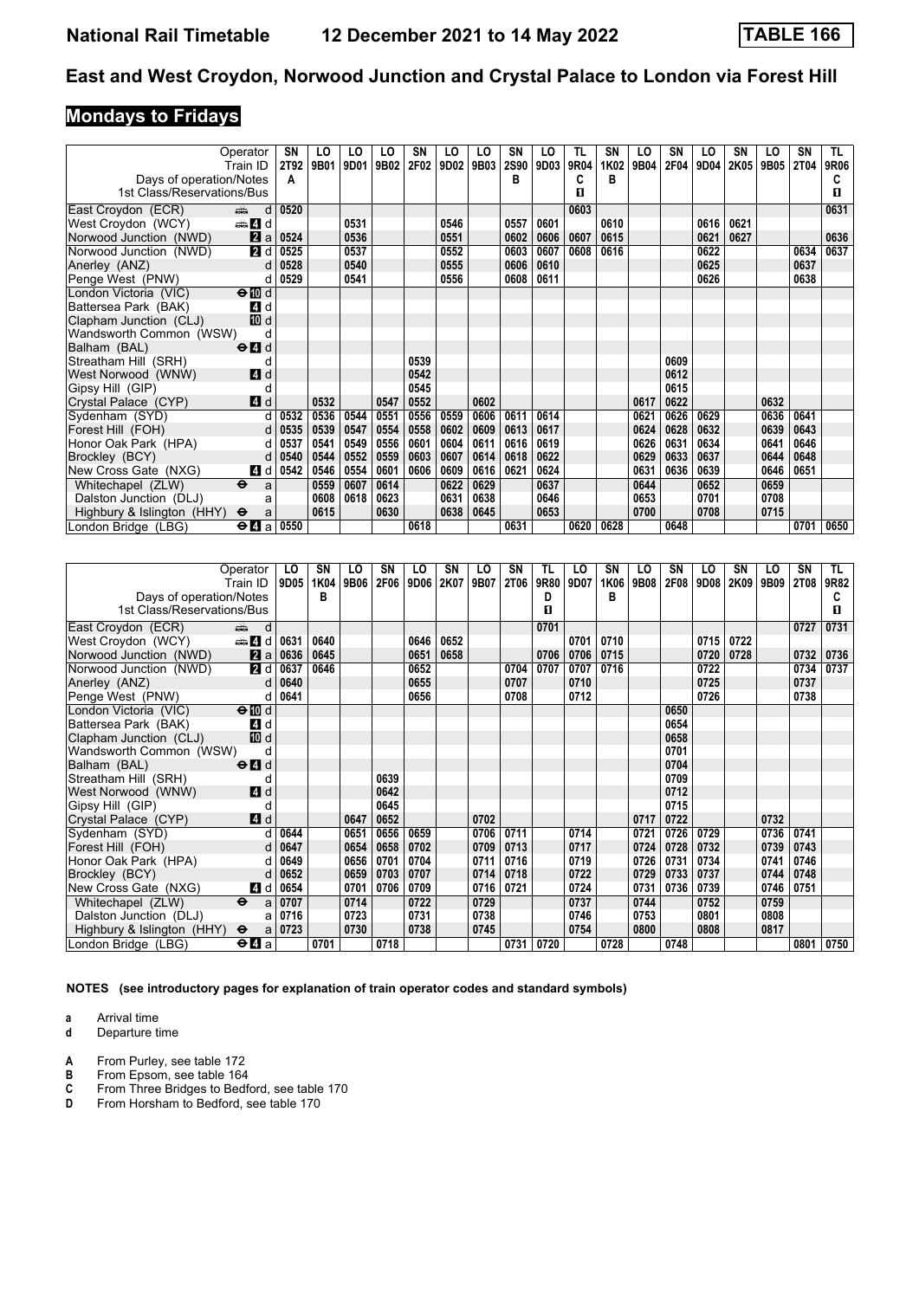# **Mondays to Fridays**

|                            | Operator                                    | SN          | LO   | LO   | LO   | SN   | LO   | LO   | SN          | LO   | TL   | SN   | LO   | SN   | LO   | SN   | LO   | <b>SN</b> | TL.         |
|----------------------------|---------------------------------------------|-------------|------|------|------|------|------|------|-------------|------|------|------|------|------|------|------|------|-----------|-------------|
|                            | Train ID                                    | <b>2T92</b> | 9B01 | 9D01 | 9B02 | 2F02 | 9D02 | 9B03 | <b>2S90</b> | 9D03 | 9R04 | 1K02 | 9B04 | 2F04 | 9D04 | 2K05 | 9B05 | 2T04      | <b>9R06</b> |
| Days of operation/Notes    |                                             | A           |      |      |      |      |      |      | в           |      | c    | в    |      |      |      |      |      |           |             |
| 1st Class/Reservations/Bus |                                             |             |      |      |      |      |      |      |             |      | 0    |      |      |      |      |      |      |           | П.          |
| East Croydon (ECR)         | d<br>ه ک                                    | 0520        |      |      |      |      |      |      |             |      | 0603 |      |      |      |      |      |      |           | 0631        |
| West Croydon (WCY)         | den and d                                   |             |      | 0531 |      |      | 0546 |      | 0557        | 0601 |      | 0610 |      |      | 0616 | 0621 |      |           |             |
| Norwood Junction (NWD)     | 2a                                          | 0524        |      | 0536 |      |      | 0551 |      | 0602        | 0606 | 0607 | 0615 |      |      | 0621 | 0627 |      |           | 0636        |
| Norwood Junction (NWD)     | 2d                                          | 0525        |      | 0537 |      |      | 0552 |      | 0603        | 0607 | 0608 | 0616 |      |      | 0622 |      |      | 0634      | 0637        |
| Anerley (ANZ)              | d                                           | 0528        |      | 0540 |      |      | 0555 |      | 0606        | 0610 |      |      |      |      | 0625 |      |      | 0637      |             |
| Penge West (PNW)           | d                                           | 0529        |      | 0541 |      |      | 0556 |      | 0608        | 0611 |      |      |      |      | 0626 |      |      | 0638      |             |
| London Victoria (VIC)      | $\Theta$ III d                              |             |      |      |      |      |      |      |             |      |      |      |      |      |      |      |      |           |             |
| Battersea Park (BAK)       | 4 d                                         |             |      |      |      |      |      |      |             |      |      |      |      |      |      |      |      |           |             |
| Clapham Junction (CLJ)     | <b>ID</b> d                                 |             |      |      |      |      |      |      |             |      |      |      |      |      |      |      |      |           |             |
| Wandsworth Common (WSW)    | d                                           |             |      |      |      |      |      |      |             |      |      |      |      |      |      |      |      |           |             |
| Balham (BAL)               | $\Theta$ <sup><math>\Omega</math></sup> d   |             |      |      |      |      |      |      |             |      |      |      |      |      |      |      |      |           |             |
| Streatham Hill (SRH)       | d                                           |             |      |      |      | 0539 |      |      |             |      |      |      |      | 0609 |      |      |      |           |             |
| West Norwood (WNW)         | 4d                                          |             |      |      |      | 0542 |      |      |             |      |      |      |      | 0612 |      |      |      |           |             |
| Gipsy Hill (GIP)           | d                                           |             |      |      |      | 0545 |      |      |             |      |      |      |      | 0615 |      |      |      |           |             |
| Crystal Palace (CYP)       | 4d                                          |             | 0532 |      | 0547 | 0552 |      | 0602 |             |      |      |      | 0617 | 0622 |      |      | 0632 |           |             |
| Sydenham (SYD)             | d                                           | 0532        | 0536 | 0544 | 0551 | 0556 | 0559 | 0606 | 0611        | 0614 |      |      | 0621 | 0626 | 0629 |      | 0636 | 0641      |             |
| Forest Hill (FOH)          | d                                           | 0535        | 0539 | 0547 | 0554 | 0558 | 0602 | 0609 | 0613        | 0617 |      |      | 0624 | 0628 | 0632 |      | 0639 | 0643      |             |
| Honor Oak Park (HPA)       | d                                           | 0537        | 0541 | 0549 | 0556 | 0601 | 0604 | 0611 | 0616        | 0619 |      |      | 0626 | 0631 | 0634 |      | 0641 | 0646      |             |
| Brockley (BCY)             | d                                           | 0540        | 0544 | 0552 | 0559 | 0603 | 0607 | 0614 | 0618        | 0622 |      |      | 0629 | 0633 | 0637 |      | 0644 | 0648      |             |
| New Cross Gate (NXG)       | 4 d                                         | 0542        | 0546 | 0554 | 0601 | 0606 | 0609 | 0616 | 0621        | 0624 |      |      | 0631 | 0636 | 0639 |      | 0646 | 0651      |             |
| Whitechapel (ZLW)          | $\ddot{\boldsymbol{\theta}}$<br>a           |             | 0559 | 0607 | 0614 |      | 0622 | 0629 |             | 0637 |      |      | 0644 |      | 0652 |      | 0659 |           |             |
| Dalston Junction (DLJ)     | a                                           |             | 0608 | 0618 | 0623 |      | 0631 | 0638 |             | 0646 |      |      | 0653 |      | 0701 |      | 0708 |           |             |
| Highbury & Islington (HHY) | $\ddot{\mathbf{e}}$<br>a                    |             | 0615 |      | 0630 |      | 0638 | 0645 |             | 0653 |      |      | 0700 |      | 0708 |      | 0715 |           |             |
| London Bridge (LBG)        | $\Theta$ <b><math>\blacksquare</math></b> a | 0550        |      |      |      | 0618 |      |      | 0631        |      | 0620 | 0628 |      | 0648 |      |      |      | 0701      | 0650        |

|                            | Operator                                                                                                                                                                                                                           | LO   | SN   | LO   | SN   | LO   | <b>SN</b> | LO   | SΝ          | TL   | LO   | SN   | LO   | SN   | LO   | <b>SN</b> | LO   | <b>SN</b> | TL.  |
|----------------------------|------------------------------------------------------------------------------------------------------------------------------------------------------------------------------------------------------------------------------------|------|------|------|------|------|-----------|------|-------------|------|------|------|------|------|------|-----------|------|-----------|------|
|                            | Train ID                                                                                                                                                                                                                           | 9D05 | 1K04 | 9B06 | 2F06 | 9D06 | 2K07      | 9B07 | <b>2T06</b> | 9R80 | 9D07 | 1K06 | 9B08 | 2F08 | 9D08 | 2K09      | 9B09 | 2T08      | 9R82 |
| Days of operation/Notes    |                                                                                                                                                                                                                                    |      | B    |      |      |      |           |      |             | D    |      | В    |      |      |      |           |      |           | C    |
| 1st Class/Reservations/Bus |                                                                                                                                                                                                                                    |      |      |      |      |      |           |      |             | п    |      |      |      |      |      |           |      |           | 0    |
| East Croydon (ECR)         | and the second second second second the second second second second second second second second second second second second second second second second second second second second second second second second second second<br>d |      |      |      |      |      |           |      |             | 0701 |      |      |      |      |      |           |      | 0727      | 0731 |
| West Croydon (WCY)         | den and a                                                                                                                                                                                                                          | 0631 | 0640 |      |      | 0646 | 0652      |      |             |      | 0701 | 0710 |      |      | 0715 | 0722      |      |           |      |
| Norwood Junction (NWD)     | 2a                                                                                                                                                                                                                                 | 0636 | 0645 |      |      | 0651 | 0658      |      |             | 0706 | 0706 | 0715 |      |      | 0720 | 0728      |      | 0732      | 0736 |
| Norwood Junction (NWD)     | 2d                                                                                                                                                                                                                                 | 0637 | 0646 |      |      | 0652 |           |      | 0704        | 0707 | 0707 | 0716 |      |      | 0722 |           |      | 0734      | 0737 |
| Anerley (ANZ)              | <sub>d</sub>                                                                                                                                                                                                                       | 0640 |      |      |      | 0655 |           |      | 0707        |      | 0710 |      |      |      | 0725 |           |      | 0737      |      |
| Penge West (PNW)           | d                                                                                                                                                                                                                                  | 0641 |      |      |      | 0656 |           |      | 0708        |      | 0712 |      |      |      | 0726 |           |      | 0738      |      |
| London Victoria (VIC)      | $\Theta$ III d                                                                                                                                                                                                                     |      |      |      |      |      |           |      |             |      |      |      |      | 0650 |      |           |      |           |      |
| Battersea Park (BAK)       | 4 d                                                                                                                                                                                                                                |      |      |      |      |      |           |      |             |      |      |      |      | 0654 |      |           |      |           |      |
| Clapham Junction (CLJ)     | 10 d                                                                                                                                                                                                                               |      |      |      |      |      |           |      |             |      |      |      |      | 0658 |      |           |      |           |      |
| Wandsworth Common (WSW)    | d                                                                                                                                                                                                                                  |      |      |      |      |      |           |      |             |      |      |      |      | 0701 |      |           |      |           |      |
| Balham (BAL)               | $\Theta$ <sup><math>\Omega</math></sup> d                                                                                                                                                                                          |      |      |      |      |      |           |      |             |      |      |      |      | 0704 |      |           |      |           |      |
| Streatham Hill (SRH)       | d                                                                                                                                                                                                                                  |      |      |      | 0639 |      |           |      |             |      |      |      |      | 0709 |      |           |      |           |      |
| West Norwood (WNW)         | 4d                                                                                                                                                                                                                                 |      |      |      | 0642 |      |           |      |             |      |      |      |      | 0712 |      |           |      |           |      |
| Gipsy Hill (GIP)           | d                                                                                                                                                                                                                                  |      |      |      | 0645 |      |           |      |             |      |      |      |      | 0715 |      |           |      |           |      |
| Crystal Palace (CYP)       | 4 d                                                                                                                                                                                                                                |      |      | 0647 | 0652 |      |           | 0702 |             |      |      |      | 0717 | 0722 |      |           | 0732 |           |      |
| Sydenham (SYD)             |                                                                                                                                                                                                                                    | 0644 |      | 0651 | 0656 | 0659 |           | 0706 | 0711        |      | 0714 |      | 0721 | 0726 | 0729 |           | 0736 | 0741      |      |
| Forest Hill (FOH)          | d                                                                                                                                                                                                                                  | 0647 |      | 0654 | 0658 | 0702 |           | 0709 | 0713        |      | 0717 |      | 0724 | 0728 | 0732 |           | 0739 | 0743      |      |
| Honor Oak Park (HPA)       |                                                                                                                                                                                                                                    | 0649 |      | 0656 | 0701 | 0704 |           | 0711 | 0716        |      | 0719 |      | 0726 | 0731 | 0734 |           | 0741 | 0746      |      |
| Brockley (BCY)             | d                                                                                                                                                                                                                                  | 0652 |      | 0659 | 0703 | 0707 |           | 0714 | 0718        |      | 0722 |      | 0729 | 0733 | 0737 |           | 0744 | 0748      |      |
| New Cross Gate (NXG)       | 4 d                                                                                                                                                                                                                                | 0654 |      | 0701 | 0706 | 0709 |           | 0716 | 0721        |      | 0724 |      | 0731 | 0736 | 0739 |           | 0746 | 0751      |      |
| Whitechapel (ZLW)          | $\ddot{\mathbf{e}}$<br>a                                                                                                                                                                                                           | 0707 |      | 0714 |      | 0722 |           | 0729 |             |      | 0737 |      | 0744 |      | 0752 |           | 0759 |           |      |
| Dalston Junction (DLJ)     | a                                                                                                                                                                                                                                  | 0716 |      | 0723 |      | 0731 |           | 0738 |             |      | 0746 |      | 0753 |      | 0801 |           | 0808 |           |      |
| Highbury & Islington (HHY) | $\ddot{\mathbf{e}}$<br>a                                                                                                                                                                                                           | 0723 |      | 0730 |      | 0738 |           | 0745 |             |      | 0754 |      | 0800 |      | 0808 |           | 0817 |           |      |
| London Bridge (LBG)        | $\Theta$ <b><math>\blacksquare</math></b> a                                                                                                                                                                                        |      | 0701 |      | 0718 |      |           |      | 0731        | 0720 |      | 0728 |      | 0748 |      |           |      | 0801      | 0750 |

**NOTES (see introductory pages for explanation of train operator codes and standard symbols)**

**a** Arrival time<br>**d** Departure t

- **d** Departure time
- **A** From Purley, see table 172<br>**B** From Epsom, see table 164
- **B** From Epsom, see table 164<br>**C** From Three Bridges to Bedf
- **C** From Three Bridges to Bedford, see table 170<br>**D** From Horsham to Bedford, see table 170
- From Horsham to Bedford, see table 170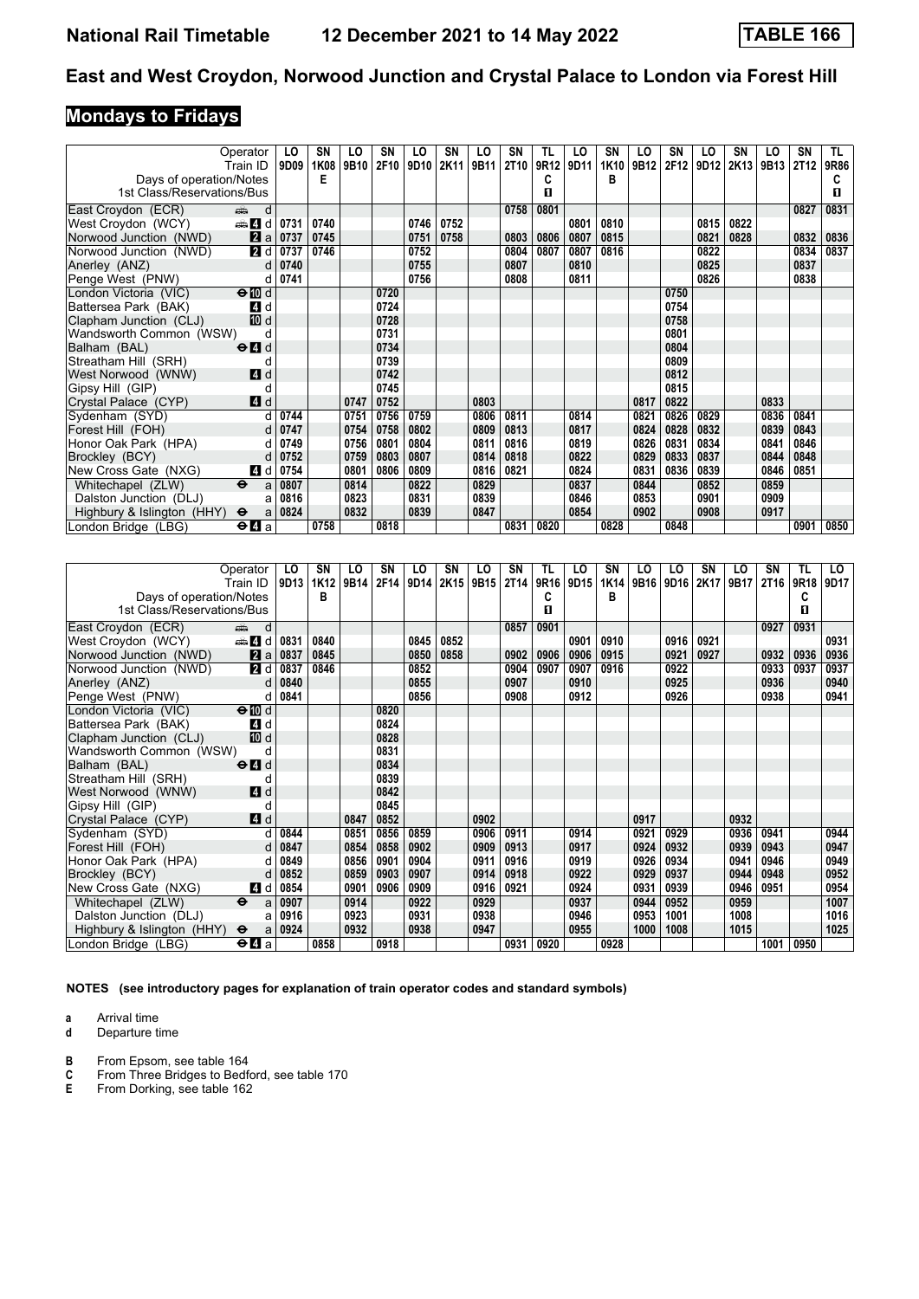# **Mondays to Fridays**

|                            | Operator                                    | LO   | SΝ   | LO   | SN   | LO   | <b>SN</b> | LO   | <b>SN</b>   | TL   | LO   | SN   | LO   | SN   | LO   | SN   | LO   | SN   | TL.  |
|----------------------------|---------------------------------------------|------|------|------|------|------|-----------|------|-------------|------|------|------|------|------|------|------|------|------|------|
|                            | Train ID                                    | 9D09 | 1K08 | 9B10 | 2F10 | 9D10 | 2K11      | 9B11 | <b>2T10</b> | 9R12 | 9D11 | 1K10 | 9B12 | 2F12 | 9D12 | 2K13 | 9B13 | 2T12 | 9R86 |
| Days of operation/Notes    |                                             |      | Е    |      |      |      |           |      |             |      |      | в    |      |      |      |      |      |      |      |
| 1st Class/Reservations/Bus |                                             |      |      |      |      |      |           |      |             | п    |      |      |      |      |      |      |      |      | п    |
| East Croydon (ECR)         | d<br>ain                                    |      |      |      |      |      |           |      | 0758        | 0801 |      |      |      |      |      |      |      | 0827 | 0831 |
| West Croydon (WCY)         | den and d                                   | 0731 | 0740 |      |      | 0746 | 0752      |      |             |      | 0801 | 0810 |      |      | 0815 | 0822 |      |      |      |
| Norwood Junction (NWD)     | 2a                                          | 0737 | 0745 |      |      | 0751 | 0758      |      | 0803        | 0806 | 0807 | 0815 |      |      | 0821 | 0828 |      | 0832 | 0836 |
| Norwood Junction (NWD)     | <b>2</b> d                                  | 0737 | 0746 |      |      | 0752 |           |      | 0804        | 0807 | 0807 | 0816 |      |      | 0822 |      |      | 0834 | 0837 |
| Anerley (ANZ)              | d                                           | 0740 |      |      |      | 0755 |           |      | 0807        |      | 0810 |      |      |      | 0825 |      |      | 0837 |      |
| Penge West (PNW)           | d                                           | 0741 |      |      |      | 0756 |           |      | 0808        |      | 0811 |      |      |      | 0826 |      |      | 0838 |      |
| London Victoria (VIC)      | $\Theta$ 10 d                               |      |      |      | 0720 |      |           |      |             |      |      |      |      | 0750 |      |      |      |      |      |
| Battersea Park (BAK)       | 4 d                                         |      |      |      | 0724 |      |           |      |             |      |      |      |      | 0754 |      |      |      |      |      |
| Clapham Junction (CLJ)     | 10 d                                        |      |      |      | 0728 |      |           |      |             |      |      |      |      | 0758 |      |      |      |      |      |
| Wandsworth Common (WSW)    | d                                           |      |      |      | 0731 |      |           |      |             |      |      |      |      | 0801 |      |      |      |      |      |
| Balham (BAL)               | $\Theta$ <sup><math>\Omega</math></sup> d   |      |      |      | 0734 |      |           |      |             |      |      |      |      | 0804 |      |      |      |      |      |
| Streatham Hill (SRH)       | d                                           |      |      |      | 0739 |      |           |      |             |      |      |      |      | 0809 |      |      |      |      |      |
| West Norwood (WNW)         | <b>4</b> d                                  |      |      |      | 0742 |      |           |      |             |      |      |      |      | 0812 |      |      |      |      |      |
| Gipsy Hill (GIP)           | d                                           |      |      |      | 0745 |      |           |      |             |      |      |      |      | 0815 |      |      |      |      |      |
| Crystal Palace (CYP)       | 4d                                          |      |      | 0747 | 0752 |      |           | 0803 |             |      |      |      | 0817 | 0822 |      |      | 0833 |      |      |
| Sydenham (SYD)             | d                                           | 0744 |      | 0751 | 0756 | 0759 |           | 0806 | 0811        |      | 0814 |      | 0821 | 0826 | 0829 |      | 0836 | 0841 |      |
| Forest Hill (FOH)          | d                                           | 0747 |      | 0754 | 0758 | 0802 |           | 0809 | 0813        |      | 0817 |      | 0824 | 0828 | 0832 |      | 0839 | 0843 |      |
| Honor Oak Park (HPA)       | d                                           | 0749 |      | 0756 | 0801 | 0804 |           | 0811 | 0816        |      | 0819 |      | 0826 | 0831 | 0834 |      | 0841 | 0846 |      |
| Brockley (BCY)             | d                                           | 0752 |      | 0759 | 0803 | 0807 |           | 0814 | 0818        |      | 0822 |      | 0829 | 0833 | 0837 |      | 0844 | 0848 |      |
| New Cross Gate (NXG)       | 4 d                                         | 0754 |      | 0801 | 0806 | 0809 |           | 0816 | 0821        |      | 0824 |      | 0831 | 0836 | 0839 |      | 0846 | 0851 |      |
| Whitechapel (ZLW)          | $\ddot{\mathbf{e}}$<br>a                    | 0807 |      | 0814 |      | 0822 |           | 0829 |             |      | 0837 |      | 0844 |      | 0852 |      | 0859 |      |      |
| Dalston Junction (DLJ)     | a                                           | 0816 |      | 0823 |      | 0831 |           | 0839 |             |      | 0846 |      | 0853 |      | 0901 |      | 0909 |      |      |
| Highbury & Islington (HHY) | $\ddot{\mathbf{e}}$<br>a                    | 0824 |      | 0832 |      | 0839 |           | 0847 |             |      | 0854 |      | 0902 |      | 0908 |      | 0917 |      |      |
| London Bridge (LBG)        | $\Theta$ <b><math>\blacksquare</math></b> a |      | 0758 |      | 0818 |      |           |      | 0831        | 0820 |      | 0828 |      | 0848 |      |      |      | 0901 | 0850 |

|                            | Operator                  | LO   | <b>SN</b> | LO   | SN   | LO   | SN   | LO   | SΝ          | TL   | LO   | <b>SN</b> | LO   | LO   | SΝ   | LO   | SΝ               | TL   | LO   |
|----------------------------|---------------------------|------|-----------|------|------|------|------|------|-------------|------|------|-----------|------|------|------|------|------------------|------|------|
|                            | Train ID                  | 9D13 | 1K12      | 9B14 | 2F14 | 9D14 | 2K15 | 9B15 | <b>2T14</b> | 9R16 | 9D15 | 1K14      | 9B16 | 9D16 | 2K17 | 9B17 | 2T <sub>16</sub> | 9R18 | 9D17 |
| Days of operation/Notes    |                           |      | B         |      |      |      |      |      |             | c    |      | в         |      |      |      |      |                  | C    |      |
| 1st Class/Reservations/Bus |                           |      |           |      |      |      |      |      |             | п    |      |           |      |      |      |      |                  | п    |      |
| East Croydon (ECR)         | din 1<br>d                |      |           |      |      |      |      |      | 0857        | 0901 |      |           |      |      |      |      | 0927             | 0931 |      |
| West Croydon (WCY)         | den and d                 | 0831 | 0840      |      |      | 0845 | 0852 |      |             |      | 0901 | 0910      |      | 0916 | 0921 |      |                  |      | 0931 |
| Norwood Junction (NWD)     | 2a                        | 0837 | 0845      |      |      | 0850 | 0858 |      | 0902        | 0906 | 0906 | 0915      |      | 0921 | 0927 |      | 0932             | 0936 | 0936 |
| Norwood Junction (NWD)     | 2d                        | 0837 | 0846      |      |      | 0852 |      |      | 0904        | 0907 | 0907 | 0916      |      | 0922 |      |      | 0933             | 0937 | 0937 |
| Anerley (ANZ)              | d                         | 0840 |           |      |      | 0855 |      |      | 0907        |      | 0910 |           |      | 0925 |      |      | 0936             |      | 0940 |
| Penge West (PNW)           | d                         | 0841 |           |      |      | 0856 |      |      | 0908        |      | 0912 |           |      | 0926 |      |      | 0938             |      | 0941 |
| London Victoria (VIC)      | $\Theta$ III d            |      |           |      | 0820 |      |      |      |             |      |      |           |      |      |      |      |                  |      |      |
| Battersea Park (BAK)       | 4 d                       |      |           |      | 0824 |      |      |      |             |      |      |           |      |      |      |      |                  |      |      |
| Clapham Junction (CLJ)     | 10 d                      |      |           |      | 0828 |      |      |      |             |      |      |           |      |      |      |      |                  |      |      |
| Wandsworth Common (WSW)    | d                         |      |           |      | 0831 |      |      |      |             |      |      |           |      |      |      |      |                  |      |      |
| Balham (BAL)               | $\Theta$ $\blacksquare$ d |      |           |      | 0834 |      |      |      |             |      |      |           |      |      |      |      |                  |      |      |
| Streatham Hill (SRH)       | d                         |      |           |      | 0839 |      |      |      |             |      |      |           |      |      |      |      |                  |      |      |
| West Norwood (WNW)         | <b>4</b> d                |      |           |      | 0842 |      |      |      |             |      |      |           |      |      |      |      |                  |      |      |
| Gipsy Hill (GIP)           | d                         |      |           |      | 0845 |      |      |      |             |      |      |           |      |      |      |      |                  |      |      |
| Crystal Palace (CYP)       | 4d                        |      |           | 0847 | 0852 |      |      | 0902 |             |      |      |           | 0917 |      |      | 0932 |                  |      |      |
| Sydenham (SYD)             |                           | 0844 |           | 0851 | 0856 | 0859 |      | 0906 | 0911        |      | 0914 |           | 0921 | 0929 |      | 0936 | 0941             |      | 0944 |
| Forest Hill (FOH)          |                           | 0847 |           | 0854 | 0858 | 0902 |      | 0909 | 0913        |      | 0917 |           | 0924 | 0932 |      | 0939 | 0943             |      | 0947 |
| Honor Oak Park (HPA)       | d                         | 0849 |           | 0856 | 0901 | 0904 |      | 0911 | 0916        |      | 0919 |           | 0926 | 0934 |      | 0941 | 0946             |      | 0949 |
| Brockley (BCY)             | d                         | 0852 |           | 0859 | 0903 | 0907 |      | 0914 | 0918        |      | 0922 |           | 0929 | 0937 |      | 0944 | 0948             |      | 0952 |
| New Cross Gate (NXG)       | 4 d                       | 0854 |           | 0901 | 0906 | 0909 |      | 0916 | 0921        |      | 0924 |           | 0931 | 0939 |      | 0946 | 0951             |      | 0954 |
| Whitechapel (ZLW)          | $\ddot{\mathbf{e}}$<br>a  | 0907 |           | 0914 |      | 0922 |      | 0929 |             |      | 0937 |           | 0944 | 0952 |      | 0959 |                  |      | 1007 |
| Dalston Junction (DLJ)     | a                         | 0916 |           | 0923 |      | 0931 |      | 0938 |             |      | 0946 |           | 0953 | 1001 |      | 1008 |                  |      | 1016 |
| Highbury & Islington (HHY) | $\bullet$<br>a            | 0924 |           | 0932 |      | 0938 |      | 0947 |             |      | 0955 |           | 1000 | 1008 |      | 1015 |                  |      | 1025 |
| London Bridge (LBG)        | $\Theta$ <b>d</b> a       |      | 0858      |      | 0918 |      |      |      | 0931        | 0920 |      | 0928      |      |      |      |      | 1001             | 0950 |      |

**NOTES (see introductory pages for explanation of train operator codes and standard symbols)**

**a** Arrival time<br>**d** Departure t

- **B** From Epsom, see table 164<br>**C** From Three Bridges to Bedfa<br>**E** From Dorking, see table 162 **C** From Three Bridges to Bedford, see table 170
- **E** From Dorking, see table 162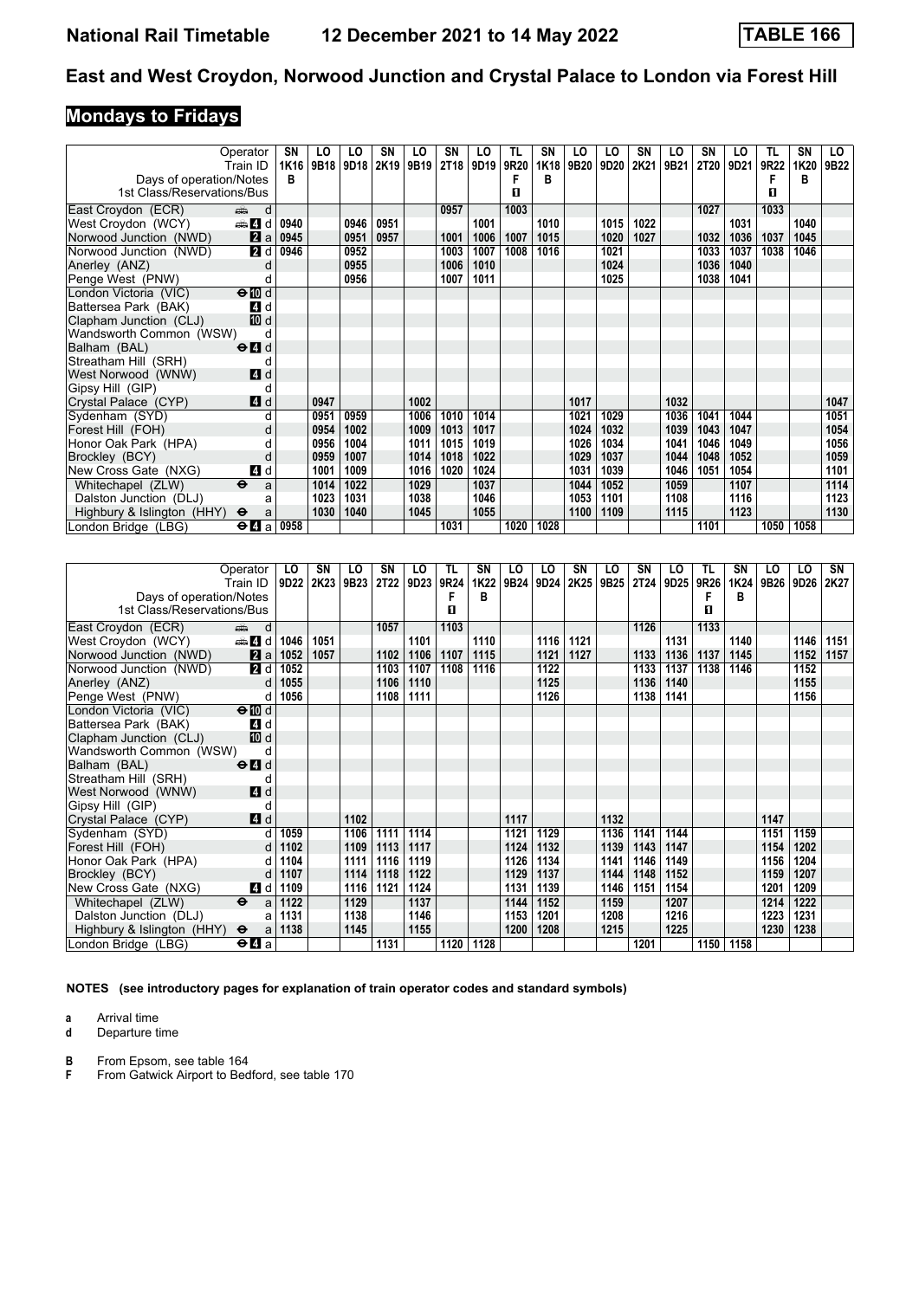# **Mondays to Fridays**

|                            | Operator<br>Train ID                        | SN<br>1K16 | LO<br>9B18 | LO<br>9D18 | SN   | LO<br>2K19 9B19 | <b>SN</b> | LO<br>2T18 9D19 | TL<br><b>9R20</b> | SN<br>1K18 | LO<br>9B20 | LO<br>9D20 | SΝ<br>2K21 | LO<br>9B21 | SN<br>2T20 | LO<br>9D21 | TL<br>9R22 | SN<br>1K20 | LO.<br>9B22 |
|----------------------------|---------------------------------------------|------------|------------|------------|------|-----------------|-----------|-----------------|-------------------|------------|------------|------------|------------|------------|------------|------------|------------|------------|-------------|
| Days of operation/Notes    |                                             | B          |            |            |      |                 |           |                 |                   | в          |            |            |            |            |            |            |            | в          |             |
| 1st Class/Reservations/Bus |                                             |            |            |            |      |                 |           |                 | п                 |            |            |            |            |            |            |            | п          |            |             |
| East Croydon (ECR)         | d<br>بيتيته                                 |            |            |            |      |                 | 0957      |                 | 1003              |            |            |            |            |            | 1027       |            | 1033       |            |             |
| West Croydon (WCY)         | den and                                     | 0940       |            | 0946       | 0951 |                 |           | 1001            |                   | 1010       |            | 1015       | 1022       |            |            | 1031       |            | 1040       |             |
| Norwood Junction (NWD)     | 2a                                          | 0945       |            | 0951       | 0957 |                 | 1001      | 1006            | 1007              | 1015       |            | 1020       | 1027       |            | 1032       | 1036       | 1037       | 1045       |             |
| Norwood Junction (NWD)     | 2d                                          | 0946       |            | 0952       |      |                 | 1003      | 1007            | 1008              | 1016       |            | 1021       |            |            | 1033       | 1037       | 1038       | 1046       |             |
| Anerley (ANZ)              | d                                           |            |            | 0955       |      |                 | 1006      | 1010            |                   |            |            | 1024       |            |            | 1036       | 1040       |            |            |             |
| Penge West (PNW)           | d                                           |            |            | 0956       |      |                 | 1007      | 1011            |                   |            |            | 1025       |            |            | 1038       | 1041       |            |            |             |
| London Victoria (VIC)      | $\Theta$ $\overline{w}$ d                   |            |            |            |      |                 |           |                 |                   |            |            |            |            |            |            |            |            |            |             |
| Battersea Park (BAK)       | 4 d                                         |            |            |            |      |                 |           |                 |                   |            |            |            |            |            |            |            |            |            |             |
| Clapham Junction (CLJ)     | 10 d                                        |            |            |            |      |                 |           |                 |                   |            |            |            |            |            |            |            |            |            |             |
| Wandsworth Common (WSW)    | d                                           |            |            |            |      |                 |           |                 |                   |            |            |            |            |            |            |            |            |            |             |
| Balham (BAL)               | $\Theta$ <sup><math>\Omega</math></sup> d   |            |            |            |      |                 |           |                 |                   |            |            |            |            |            |            |            |            |            |             |
| Streatham Hill (SRH)       | d                                           |            |            |            |      |                 |           |                 |                   |            |            |            |            |            |            |            |            |            |             |
| West Norwood (WNW)         | 4d                                          |            |            |            |      |                 |           |                 |                   |            |            |            |            |            |            |            |            |            |             |
| Gipsy Hill (GIP)           | d                                           |            |            |            |      |                 |           |                 |                   |            |            |            |            |            |            |            |            |            |             |
| Crystal Palace (CYP)       | 4d                                          |            | 0947       |            |      | 1002            |           |                 |                   |            | 1017       |            |            | 1032       |            |            |            |            | 1047        |
| Sydenham (SYD)             | d                                           |            | 0951       | 0959       |      | 1006            | 1010      | 1014            |                   |            | 1021       | 1029       |            | 1036       | 1041       | 1044       |            |            | 1051        |
| Forest Hill (FOH)          |                                             |            | 0954       | 1002       |      | 1009            | 1013      | 1017            |                   |            | 1024       | 1032       |            | 1039       | 1043       | 1047       |            |            | 1054        |
| Honor Oak Park (HPA)       | d                                           |            | 0956       | 1004       |      | 1011            | 1015      | 1019            |                   |            | 1026       | 1034       |            | 1041       | 1046       | 1049       |            |            | 1056        |
| Brockley (BCY)             | d                                           |            | 0959       | 1007       |      | 1014            | 1018      | 1022            |                   |            | 1029       | 1037       |            | 1044       | 1048       | 1052       |            |            | 1059        |
| New Cross Gate (NXG)       | 4 d                                         |            | 1001       | 1009       |      | 1016            | 1020      | 1024            |                   |            | 1031       | 1039       |            | 1046       | 1051       | 1054       |            |            | 1101        |
| Whitechapel (ZLW)          | $\ddot{\boldsymbol{\Theta}}$<br>a           |            | 1014       | 1022       |      | 1029            |           | 1037            |                   |            | 1044       | 1052       |            | 1059       |            | 1107       |            |            | 1114        |
| Dalston Junction (DLJ)     | a                                           |            | 1023       | 1031       |      | 1038            |           | 1046            |                   |            | 1053       | 1101       |            | 1108       |            | 1116       |            |            | 1123        |
| Highbury & Islington (HHY) | $\ddot{\mathbf{e}}$<br>a                    |            | 1030       | 1040       |      | 1045            |           | 1055            |                   |            | 1100       | 1109       |            | 1115       |            | 1123       |            |            | 1130        |
| London Bridge (LBG)        | $\Theta$ <b><math>\blacksquare</math></b> a | 0958       |            |            |      |                 | 1031      |                 | 1020              | 1028       |            |            |            |            | 1101       |            | 1050       | 1058       |             |

|                            | Operator                                        | LO               | SN   | LO   | SΝ          | LO   | <b>TL</b> | SN   | LO   | LO   | SΝ   | LO   | SN   | LO   | TL   | <b>SN</b> | LO   | LO   | SN   |
|----------------------------|-------------------------------------------------|------------------|------|------|-------------|------|-----------|------|------|------|------|------|------|------|------|-----------|------|------|------|
|                            | Train ID                                        | 9D <sub>22</sub> | 2K23 | 9B23 | <b>2T22</b> | 9D23 | 9R24      | 1K22 | 9B24 | 9D24 | 2K25 | 9B25 | 2T24 | 9D25 | 9R26 | 1K24      | 9B26 | 9D26 | 2K27 |
| Days of operation/Notes    |                                                 |                  |      |      |             |      | F         | в    |      |      |      |      |      |      |      | в         |      |      |      |
| 1st Class/Reservations/Bus |                                                 |                  |      |      |             |      | п         |      |      |      |      |      |      |      | П    |           |      |      |      |
| East Croydon (ECR)         | dia 1<br>d                                      |                  |      |      | 1057        |      | 1103      |      |      |      |      |      | 1126 |      | 1133 |           |      |      |      |
| West Croydon (WCY)         | den and d                                       | 1046             | 1051 |      |             | 1101 |           | 1110 |      | 1116 | 1121 |      |      | 1131 |      | 1140      |      | 1146 | 1151 |
| Norwood Junction (NWD)     | 2a                                              | 1052             | 1057 |      | 1102        | 1106 | 1107      | 1115 |      | 1121 | 1127 |      | 1133 | 1136 | 1137 | 1145      |      | 1152 | 1157 |
| Norwood Junction (NWD)     | <b>2</b> d                                      | 1052             |      |      | 1103        | 1107 | 1108      | 1116 |      | 1122 |      |      | 1133 | 1137 | 1138 | 1146      |      | 1152 |      |
| Anerley (ANZ)              | $\mathsf{d}$                                    | 1055             |      |      | 1106        | 1110 |           |      |      | 1125 |      |      | 1136 | 1140 |      |           |      | 1155 |      |
| Penge West (PNW)           | d                                               | 1056             |      |      | 1108        | 1111 |           |      |      | 1126 |      |      | 1138 | 1141 |      |           |      | 1156 |      |
| London Victoria (VIC)      | $\Theta$ III d                                  |                  |      |      |             |      |           |      |      |      |      |      |      |      |      |           |      |      |      |
| Battersea Park (BAK)       | 4 d                                             |                  |      |      |             |      |           |      |      |      |      |      |      |      |      |           |      |      |      |
| Clapham Junction (CLJ)     | 10 d                                            |                  |      |      |             |      |           |      |      |      |      |      |      |      |      |           |      |      |      |
| Wandsworth Common (WSW)    | d                                               |                  |      |      |             |      |           |      |      |      |      |      |      |      |      |           |      |      |      |
| Balham (BAL)               | $\Theta$ <sup><math>\blacksquare</math> d</sup> |                  |      |      |             |      |           |      |      |      |      |      |      |      |      |           |      |      |      |
| Streatham Hill (SRH)       | d                                               |                  |      |      |             |      |           |      |      |      |      |      |      |      |      |           |      |      |      |
| West Norwood (WNW)         | <b>4</b> d                                      |                  |      |      |             |      |           |      |      |      |      |      |      |      |      |           |      |      |      |
| Gipsy Hill (GIP)           | d                                               |                  |      |      |             |      |           |      |      |      |      |      |      |      |      |           |      |      |      |
| Crystal Palace (CYP)       | 4d                                              |                  |      | 1102 |             |      |           |      | 1117 |      |      | 1132 |      |      |      |           | 1147 |      |      |
| Sydenham (SYD)             | d                                               | 1059             |      | 1106 | 1111        | 1114 |           |      | 1121 | 1129 |      | 1136 | 1141 | 1144 |      |           | 1151 | 1159 |      |
| Forest Hill (FOH)          | $\mathsf{d}$                                    | 1102             |      | 1109 | 1113        | 1117 |           |      | 1124 | 1132 |      | 1139 | 1143 | 1147 |      |           | 1154 | 1202 |      |
| Honor Oak Park (HPA)       | d                                               | 1104             |      | 1111 | 1116        | 1119 |           |      | 1126 | 1134 |      | 1141 | 1146 | 1149 |      |           | 1156 | 1204 |      |
| Brockley (BCY)             | d                                               | 1107             |      | 1114 | 1118        | 1122 |           |      | 1129 | 1137 |      | 1144 | 1148 | 1152 |      |           | 1159 | 1207 |      |
| New Cross Gate (NXG)       | 4 d                                             | 1109             |      | 1116 | 1121        | 1124 |           |      | 1131 | 1139 |      | 1146 | 1151 | 1154 |      |           | 1201 | 1209 |      |
| Whitechapel (ZLW)          | $\ddot{\mathbf{e}}$<br>a                        | 1122             |      | 1129 |             | 1137 |           |      | 1144 | 1152 |      | 1159 |      | 1207 |      |           | 1214 | 1222 |      |
| Dalston Junction (DLJ)     | a                                               | 1131             |      | 1138 |             | 1146 |           |      | 1153 | 1201 |      | 1208 |      | 1216 |      |           | 1223 | 1231 |      |
| Highbury & Islington (HHY) | $\ddot{\mathbf{e}}$<br>a                        | 1138             |      | 1145 |             | 1155 |           |      | 1200 | 1208 |      | 1215 |      | 1225 |      |           | 1230 | 1238 |      |
| London Bridge (LBG)        | $\Theta$ <b><math>\blacksquare</math></b> a     |                  |      |      | 1131        |      | 1120      | 1128 |      |      |      |      | 1201 |      | 1150 | 1158      |      |      |      |

**NOTES (see introductory pages for explanation of train operator codes and standard symbols)**

**a** Arrival time<br>**d** Departure t

**d** Departure time

**B** From Epsom, see table 164<br>**F** From Gatwick Airport to Bed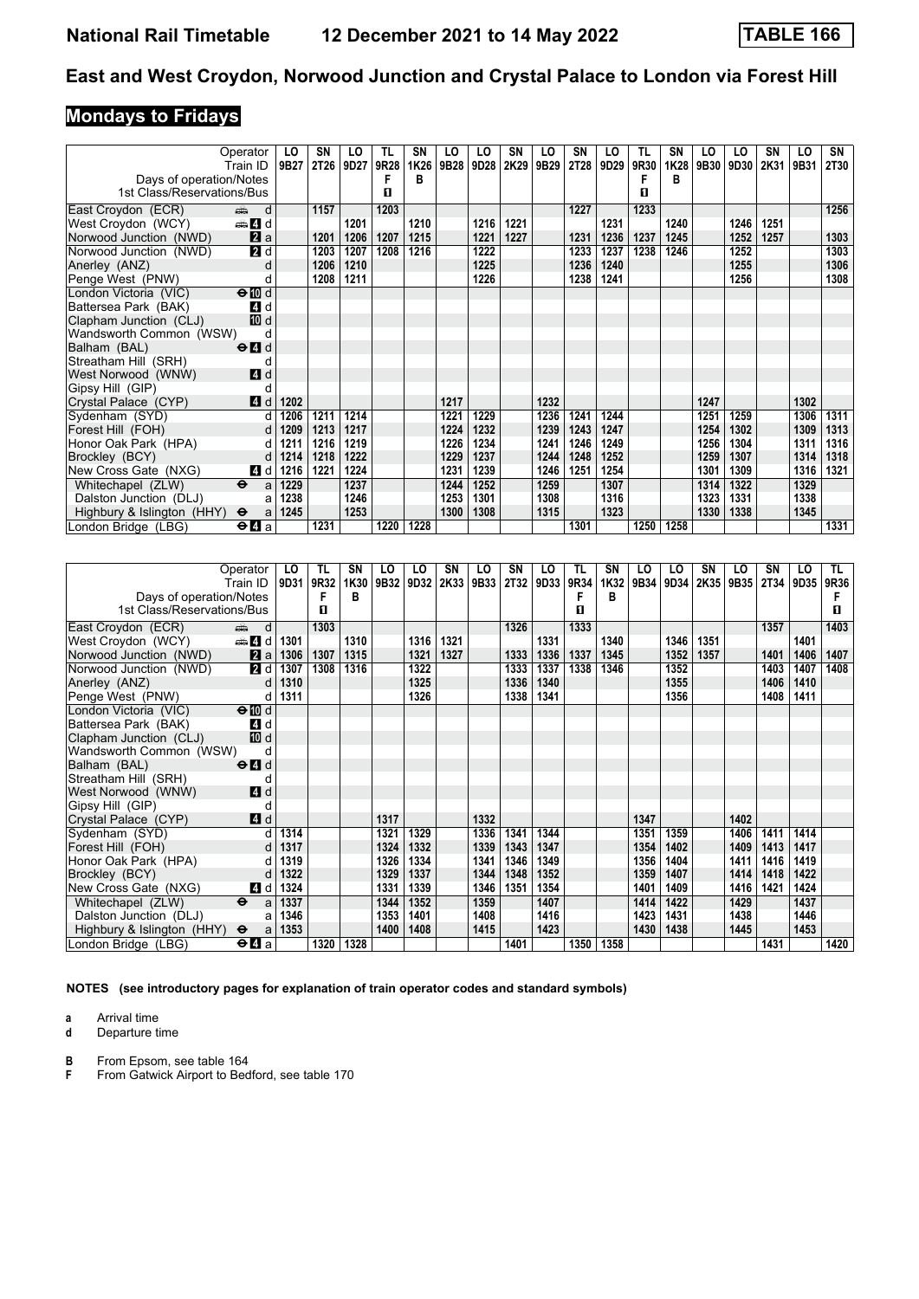# **Mondays to Fridays**

|                            | Operator                                    | LO   | SN          | LO   | TL   | SN   | LO   | LO   | SΝ   | LO        | SΝ          | LO   | TL   | SN   | LO   | LO   | SN   | LO   | SN          |
|----------------------------|---------------------------------------------|------|-------------|------|------|------|------|------|------|-----------|-------------|------|------|------|------|------|------|------|-------------|
|                            | Train ID                                    | 9B27 | <b>2T26</b> | 9D27 | 9R28 | 1K26 | 9B28 | 9D28 |      | 2K29 9B29 | <b>2T28</b> | 9D29 | 9R30 | 1K28 | 9B30 | 9D30 | 2K31 | 9B31 | <b>2T30</b> |
| Days of operation/Notes    |                                             |      |             |      |      | в    |      |      |      |           |             |      |      | в    |      |      |      |      |             |
| 1st Class/Reservations/Bus |                                             |      |             |      | п    |      |      |      |      |           |             |      | П    |      |      |      |      |      |             |
| East Croydon (ECR)         | d<br>dia 1                                  |      | 1157        |      | 1203 |      |      |      |      |           | 1227        |      | 1233 |      |      |      |      |      | 1256        |
| West Croydon (WCY)         | den and a                                   |      |             | 1201 |      | 1210 |      | 1216 | 1221 |           |             | 1231 |      | 1240 |      | 1246 | 1251 |      |             |
| Norwood Junction (NWD)     | 2a                                          |      | 1201        | 1206 | 1207 | 1215 |      | 1221 | 1227 |           | 1231        | 1236 | 1237 | 1245 |      | 1252 | 1257 |      | 1303        |
| Norwood Junction (NWD)     | 2d                                          |      | 1203        | 1207 | 1208 | 1216 |      | 1222 |      |           | 1233        | 1237 | 1238 | 1246 |      | 1252 |      |      | 1303        |
| Anerley (ANZ)              | d                                           |      | 1206        | 1210 |      |      |      | 1225 |      |           | 1236        | 1240 |      |      |      | 1255 |      |      | 1306        |
| Penge West (PNW)           | d                                           |      | 1208        | 1211 |      |      |      | 1226 |      |           | 1238        | 1241 |      |      |      | 1256 |      |      | 1308        |
| London Victoria (VIC)      | $\Theta$ III d                              |      |             |      |      |      |      |      |      |           |             |      |      |      |      |      |      |      |             |
| Battersea Park (BAK)       | 4 d                                         |      |             |      |      |      |      |      |      |           |             |      |      |      |      |      |      |      |             |
| Clapham Junction (CLJ)     | 10 d                                        |      |             |      |      |      |      |      |      |           |             |      |      |      |      |      |      |      |             |
| Wandsworth Common (WSW)    | d                                           |      |             |      |      |      |      |      |      |           |             |      |      |      |      |      |      |      |             |
| Balham (BAL)               | $\Theta$ <sup><math>\Omega</math></sup> d   |      |             |      |      |      |      |      |      |           |             |      |      |      |      |      |      |      |             |
| Streatham Hill (SRH)       | d                                           |      |             |      |      |      |      |      |      |           |             |      |      |      |      |      |      |      |             |
| West Norwood (WNW)         | 4d                                          |      |             |      |      |      |      |      |      |           |             |      |      |      |      |      |      |      |             |
| Gipsy Hill (GIP)           |                                             |      |             |      |      |      |      |      |      |           |             |      |      |      |      |      |      |      |             |
| Crystal Palace (CYP)       | 4d                                          | 1202 |             |      |      |      | 1217 |      |      | 1232      |             |      |      |      | 1247 |      |      | 1302 |             |
| Sydenham (SYD)             | d                                           | 1206 | 1211        | 1214 |      |      | 1221 | 1229 |      | 1236      | 1241        | 1244 |      |      | 1251 | 1259 |      | 1306 | 1311        |
| Forest Hill (FOH)          | d                                           | 1209 | 1213        | 1217 |      |      | 1224 | 1232 |      | 1239      | 1243        | 1247 |      |      | 1254 | 1302 |      | 1309 | 1313        |
| Honor Oak Park (HPA)       | d                                           | 1211 | 1216        | 1219 |      |      | 1226 | 1234 |      | 1241      | 1246        | 1249 |      |      | 1256 | 1304 |      | 1311 | 1316        |
| Brockley (BCY)             | d                                           | 1214 | 1218        | 1222 |      |      | 1229 | 1237 |      | 1244      | 1248        | 1252 |      |      | 1259 | 1307 |      | 1314 | 1318        |
| New Cross Gate (NXG)       | 4 d                                         | 1216 | 1221        | 1224 |      |      | 1231 | 1239 |      | 1246      | 1251        | 1254 |      |      | 1301 | 1309 |      | 1316 | 1321        |
| Whitechapel (ZLW)          | $\ddot{\mathbf{e}}$<br>a                    | 1229 |             | 1237 |      |      | 1244 | 1252 |      | 1259      |             | 1307 |      |      | 1314 | 1322 |      | 1329 |             |
| Dalston Junction (DLJ)     | a                                           | 1238 |             | 1246 |      |      | 1253 | 1301 |      | 1308      |             | 1316 |      |      | 1323 | 1331 |      | 1338 |             |
| Highbury & Islington (HHY) | $\ddot{\mathbf{e}}$<br>a                    | 1245 |             | 1253 |      |      | 1300 | 1308 |      | 1315      |             | 1323 |      |      | 1330 | 1338 |      | 1345 |             |
| London Bridge (LBG)        | $\Theta$ <b><math>\blacksquare</math></b> a |      | 1231        |      | 1220 | 1228 |      |      |      |           | 1301        |      | 1250 | 1258 |      |      |      |      | 1331        |

|                            | Operator                                    | LO   | TL   | <b>SN</b> | LO   | LO   | SΝ   | LO   | SN   | LO   | TL   | SΝ   | LO   | LO   | SΝ   | LO   | SΝ          | LO   | TL.  |
|----------------------------|---------------------------------------------|------|------|-----------|------|------|------|------|------|------|------|------|------|------|------|------|-------------|------|------|
|                            | Train ID                                    | 9D31 | 9R32 | 1K30      | 9B32 | 9D32 | 2K33 | 9B33 | 2T32 | 9D33 | 9R34 | 1K32 | 9B34 | 9D34 | 2K35 | 9B35 | <b>2T34</b> | 9D35 | 9R36 |
| Days of operation/Notes    |                                             |      | F    | в         |      |      |      |      |      |      | F    | в    |      |      |      |      |             |      |      |
| 1st Class/Reservations/Bus |                                             |      | п    |           |      |      |      |      |      |      | п    |      |      |      |      |      |             |      | п    |
| East Croydon (ECR)         | d<br>dia 1                                  |      | 1303 |           |      |      |      |      | 1326 |      | 1333 |      |      |      |      |      | 1357        |      | 1403 |
| West Croydon (WCY)         | den and d                                   | 1301 |      | 1310      |      | 1316 | 1321 |      |      | 1331 |      | 1340 |      | 1346 | 1351 |      |             | 1401 |      |
| Norwood Junction (NWD)     | 2a                                          | 1306 | 1307 | 1315      |      | 1321 | 1327 |      | 1333 | 1336 | 1337 | 1345 |      | 1352 | 1357 |      | 1401        | 1406 | 1407 |
| Norwood Junction (NWD)     | <b>2</b> d                                  | 1307 | 1308 | 1316      |      | 1322 |      |      | 1333 | 1337 | 1338 | 1346 |      | 1352 |      |      | 1403        | 1407 | 1408 |
| Anerley (ANZ)              | d                                           | 1310 |      |           |      | 1325 |      |      | 1336 | 1340 |      |      |      | 1355 |      |      | 1406        | 1410 |      |
| Penge West (PNW)           | d                                           | 1311 |      |           |      | 1326 |      |      | 1338 | 1341 |      |      |      | 1356 |      |      | 1408        | 1411 |      |
| London Victoria (VIC)      | $\Theta$ III d                              |      |      |           |      |      |      |      |      |      |      |      |      |      |      |      |             |      |      |
| Battersea Park (BAK)       | 4 d                                         |      |      |           |      |      |      |      |      |      |      |      |      |      |      |      |             |      |      |
| Clapham Junction (CLJ)     | 10 d                                        |      |      |           |      |      |      |      |      |      |      |      |      |      |      |      |             |      |      |
| Wandsworth Common (WSW)    | d                                           |      |      |           |      |      |      |      |      |      |      |      |      |      |      |      |             |      |      |
| Balham (BAL)               | $\Theta$ <sup><math>\Omega</math></sup> d   |      |      |           |      |      |      |      |      |      |      |      |      |      |      |      |             |      |      |
| Streatham Hill (SRH)       | d                                           |      |      |           |      |      |      |      |      |      |      |      |      |      |      |      |             |      |      |
| West Norwood (WNW)         | <b>4</b> d                                  |      |      |           |      |      |      |      |      |      |      |      |      |      |      |      |             |      |      |
| Gipsy Hill (GIP)           | d                                           |      |      |           |      |      |      |      |      |      |      |      |      |      |      |      |             |      |      |
| Crystal Palace (CYP)       | 4d                                          |      |      |           | 1317 |      |      | 1332 |      |      |      |      | 1347 |      |      | 1402 |             |      |      |
| Sydenham (SYD)             | d                                           | 1314 |      |           | 1321 | 1329 |      | 1336 | 1341 | 1344 |      |      | 1351 | 1359 |      | 1406 | 1411        | 1414 |      |
| Forest Hill (FOH)          | d                                           | 1317 |      |           | 1324 | 1332 |      | 1339 | 1343 | 1347 |      |      | 1354 | 1402 |      | 1409 | 1413        | 1417 |      |
| Honor Oak Park (HPA)       | d                                           | 1319 |      |           | 1326 | 1334 |      | 1341 | 1346 | 1349 |      |      | 1356 | 1404 |      | 1411 | 1416        | 1419 |      |
| Brockley (BCY)             | d                                           | 1322 |      |           | 1329 | 1337 |      | 1344 | 1348 | 1352 |      |      | 1359 | 1407 |      | 1414 | 1418        | 1422 |      |
| New Cross Gate (NXG)       | 4 d                                         | 1324 |      |           | 1331 | 1339 |      | 1346 | 1351 | 1354 |      |      | 1401 | 1409 |      | 1416 | 1421        | 1424 |      |
| Whitechapel (ZLW)          | $\ddot{\mathbf{e}}$<br>a                    | 1337 |      |           | 1344 | 1352 |      | 1359 |      | 1407 |      |      | 1414 | 1422 |      | 1429 |             | 1437 |      |
| Dalston Junction (DLJ)     | a                                           | 1346 |      |           | 1353 | 1401 |      | 1408 |      | 1416 |      |      | 1423 | 1431 |      | 1438 |             | 1446 |      |
| Highbury & Islington (HHY) | $\ddot{\mathbf{e}}$<br>a                    | 1353 |      |           | 1400 | 1408 |      | 1415 |      | 1423 |      |      | 1430 | 1438 |      | 1445 |             | 1453 |      |
| London Bridge (LBG)        | $\Theta$ <b><math>\blacksquare</math></b> a |      | 1320 | 1328      |      |      |      |      | 1401 |      | 1350 | 1358 |      |      |      |      | 1431        |      | 1420 |

**NOTES (see introductory pages for explanation of train operator codes and standard symbols)**

**a** Arrival time<br>**d** Departure t

**d** Departure time

**B** From Epsom, see table 164<br>**F** From Gatwick Airport to Bed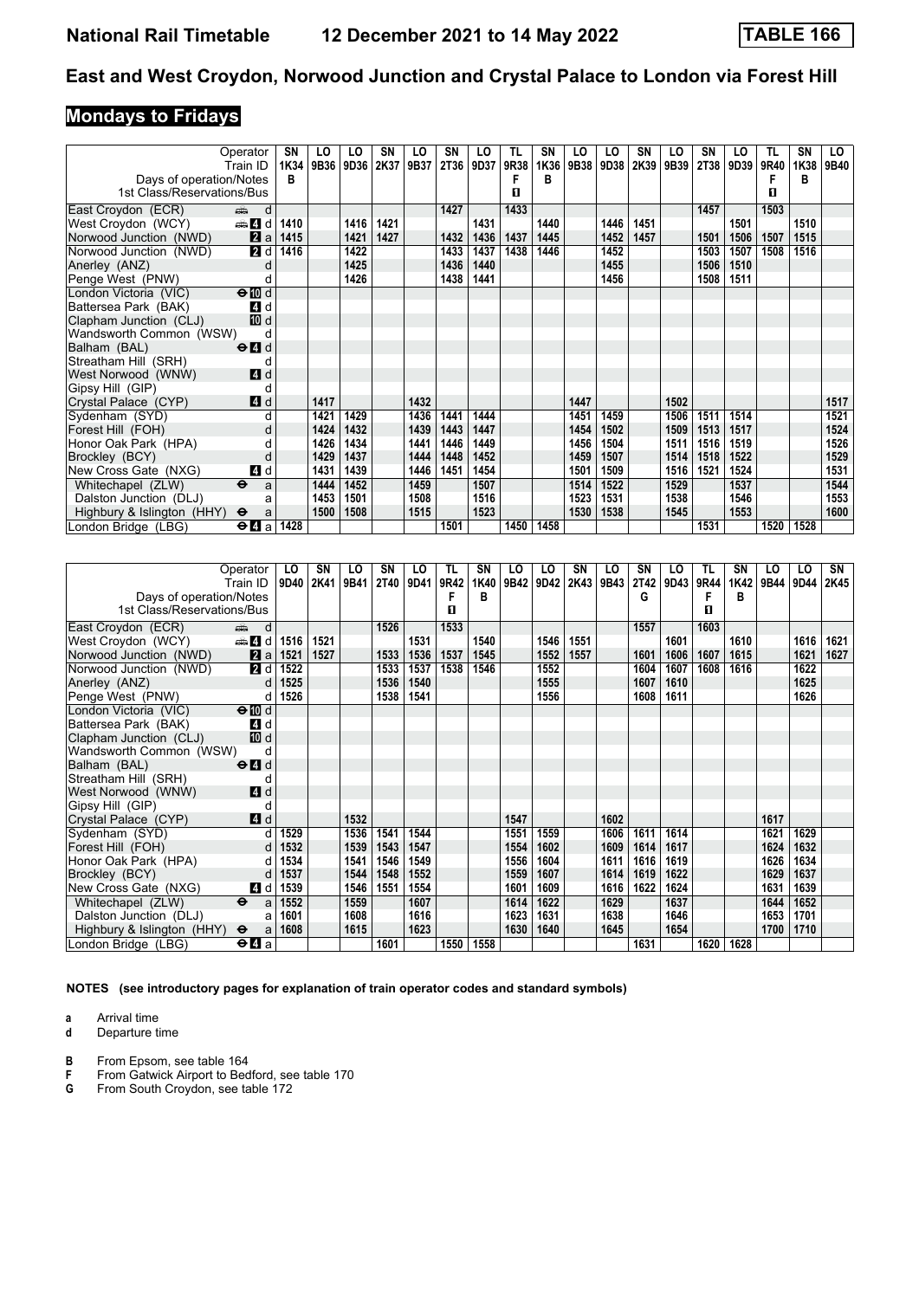# **Mondays to Fridays**

|                            | Operator                                    | SN   | LO   | LO   | SN   | LO   | SN   | LO   | TL   | SN   | LO   | LO   | SΝ   | LO   | SN   | LO   | TL   | SΝ   | LO   |
|----------------------------|---------------------------------------------|------|------|------|------|------|------|------|------|------|------|------|------|------|------|------|------|------|------|
|                            | Train ID                                    | 1K34 | 9B36 | 9D36 | 2K37 | 9B37 | 2T36 | 9D37 | 9R38 | 1K36 | 9B38 | 9D38 | 2K39 | 9B39 | 2T38 | 9D39 | 9R40 | 1K38 | 9B40 |
| Days of operation/Notes    |                                             | в    |      |      |      |      |      |      |      | в    |      |      |      |      |      |      |      | в    |      |
| 1st Class/Reservations/Bus |                                             |      |      |      |      |      |      |      | п    |      |      |      |      |      |      |      | п    |      |      |
| East Croydon (ECR)         | d<br>dia 1                                  |      |      |      |      |      | 1427 |      | 1433 |      |      |      |      |      | 1457 |      | 1503 |      |      |
| West Croydon (WCY)         | den and d                                   | 1410 |      | 1416 | 1421 |      |      | 1431 |      | 1440 |      | 1446 | 1451 |      |      | 1501 |      | 1510 |      |
| Norwood Junction (NWD)     | 2a                                          | 1415 |      | 1421 | 1427 |      | 1432 | 1436 | 1437 | 1445 |      | 1452 | 1457 |      | 1501 | 1506 | 1507 | 1515 |      |
| Norwood Junction (NWD)     | 2d                                          | 1416 |      | 1422 |      |      | 1433 | 1437 | 1438 | 1446 |      | 1452 |      |      | 1503 | 1507 | 1508 | 1516 |      |
| Anerley (ANZ)              | d                                           |      |      | 1425 |      |      | 1436 | 1440 |      |      |      | 1455 |      |      | 1506 | 1510 |      |      |      |
| Penge West (PNW)           | d                                           |      |      | 1426 |      |      | 1438 | 1441 |      |      |      | 1456 |      |      | 1508 | 1511 |      |      |      |
| London Victoria (VIC)      | $\Theta$ $\overline{w}$ d                   |      |      |      |      |      |      |      |      |      |      |      |      |      |      |      |      |      |      |
| Battersea Park (BAK)       | 4 d                                         |      |      |      |      |      |      |      |      |      |      |      |      |      |      |      |      |      |      |
| Clapham Junction (CLJ)     | <b>ID</b> d                                 |      |      |      |      |      |      |      |      |      |      |      |      |      |      |      |      |      |      |
| Wandsworth Common (WSW)    | d                                           |      |      |      |      |      |      |      |      |      |      |      |      |      |      |      |      |      |      |
| Balham (BAL)               | $\Theta$ <sup><math>\Omega</math></sup> d   |      |      |      |      |      |      |      |      |      |      |      |      |      |      |      |      |      |      |
| Streatham Hill (SRH)       | d                                           |      |      |      |      |      |      |      |      |      |      |      |      |      |      |      |      |      |      |
| West Norwood (WNW)         | 4d                                          |      |      |      |      |      |      |      |      |      |      |      |      |      |      |      |      |      |      |
| Gipsy Hill (GIP)           | d                                           |      |      |      |      |      |      |      |      |      |      |      |      |      |      |      |      |      |      |
| Crystal Palace (CYP)       | 4d                                          |      | 1417 |      |      | 1432 |      |      |      |      | 1447 |      |      | 1502 |      |      |      |      | 1517 |
| Sydenham (SYD)             | d                                           |      | 1421 | 1429 |      | 1436 | 1441 | 1444 |      |      | 1451 | 1459 |      | 1506 | 1511 | 1514 |      |      | 1521 |
| Forest Hill (FOH)          |                                             |      | 1424 | 1432 |      | 1439 | 1443 | 1447 |      |      | 1454 | 1502 |      | 1509 | 1513 | 1517 |      |      | 1524 |
| Honor Oak Park (HPA)       | d                                           |      | 1426 | 1434 |      | 1441 | 1446 | 1449 |      |      | 1456 | 1504 |      | 1511 | 1516 | 1519 |      |      | 1526 |
| Brockley (BCY)             | d                                           |      | 1429 | 1437 |      | 1444 | 1448 | 1452 |      |      | 1459 | 1507 |      | 1514 | 1518 | 1522 |      |      | 1529 |
| New Cross Gate (NXG)       | 4 d                                         |      | 1431 | 1439 |      | 1446 | 1451 | 1454 |      |      | 1501 | 1509 |      | 1516 | 1521 | 1524 |      |      | 1531 |
| Whitechapel (ZLW)          | $\ddot{\boldsymbol{\Theta}}$<br>a           |      | 1444 | 1452 |      | 1459 |      | 1507 |      |      | 1514 | 1522 |      | 1529 |      | 1537 |      |      | 1544 |
| Dalston Junction (DLJ)     | a                                           |      | 1453 | 1501 |      | 1508 |      | 1516 |      |      | 1523 | 1531 |      | 1538 |      | 1546 |      |      | 1553 |
| Highbury & Islington (HHY) | $\ddot{\mathbf{e}}$<br>a                    |      | 1500 | 1508 |      | 1515 |      | 1523 |      |      | 1530 | 1538 |      | 1545 |      | 1553 |      |      | 1600 |
| London Bridge (LBG)        | $\Theta$ <b><math>\blacksquare</math></b> a | 1428 |      |      |      |      | 1501 |      | 1450 | 1458 |      |      |      |      | 1531 |      | 1520 | 1528 |      |

|                            | Operator                                        | LO.  | SΝ   | LO   | SΝ   | LO   | <b>TL</b> | SN   | LO   | LO   | SΝ   | LO   | SΝ   | LO   | TL   | <b>SN</b> | LO   | LO   | SN   |
|----------------------------|-------------------------------------------------|------|------|------|------|------|-----------|------|------|------|------|------|------|------|------|-----------|------|------|------|
|                            | Train ID                                        | 9D40 | 2K41 | 9B41 | 2T40 | 9D41 | 9R42      | 1K40 | 9B42 | 9D42 | 2K43 | 9B43 | 2T42 | 9D43 | 9R44 | 1K42      | 9B44 | 9D44 | 2K45 |
| Days of operation/Notes    |                                                 |      |      |      |      |      | F         | в    |      |      |      |      | G    |      | F    | в         |      |      |      |
| 1st Class/Reservations/Bus |                                                 |      |      |      |      |      | п         |      |      |      |      |      |      |      | П    |           |      |      |      |
| East Croydon (ECR)         | dia 1<br>d                                      |      |      |      | 1526 |      | 1533      |      |      |      |      |      | 1557 |      | 1603 |           |      |      |      |
| West Croydon (WCY)         | den and a                                       | 1516 | 1521 |      |      | 1531 |           | 1540 |      | 1546 | 1551 |      |      | 1601 |      | 1610      |      | 1616 | 1621 |
| Norwood Junction (NWD)     | 2a                                              | 1521 | 1527 |      | 1533 | 1536 | 1537      | 1545 |      | 1552 | 1557 |      | 1601 | 1606 | 1607 | 1615      |      | 1621 | 1627 |
| Norwood Junction (NWD)     | <b>2</b> d                                      | 1522 |      |      | 1533 | 1537 | 1538      | 1546 |      | 1552 |      |      | 1604 | 1607 | 1608 | 1616      |      | 1622 |      |
| Anerley (ANZ)              | $\mathsf{d}$                                    | 1525 |      |      | 1536 | 1540 |           |      |      | 1555 |      |      | 1607 | 1610 |      |           |      | 1625 |      |
| Penge West (PNW)           | d                                               | 1526 |      |      | 1538 | 1541 |           |      |      | 1556 |      |      | 1608 | 1611 |      |           |      | 1626 |      |
| London Victoria (VIC)      | $\Theta$ III d                                  |      |      |      |      |      |           |      |      |      |      |      |      |      |      |           |      |      |      |
| Battersea Park (BAK)       | 4 d                                             |      |      |      |      |      |           |      |      |      |      |      |      |      |      |           |      |      |      |
| Clapham Junction (CLJ)     | 10 d                                            |      |      |      |      |      |           |      |      |      |      |      |      |      |      |           |      |      |      |
| Wandsworth Common (WSW)    | d                                               |      |      |      |      |      |           |      |      |      |      |      |      |      |      |           |      |      |      |
| Balham (BAL)               | $\Theta$ <sup><math>\blacksquare</math> d</sup> |      |      |      |      |      |           |      |      |      |      |      |      |      |      |           |      |      |      |
| Streatham Hill (SRH)       | d                                               |      |      |      |      |      |           |      |      |      |      |      |      |      |      |           |      |      |      |
| West Norwood (WNW)         | <b>4</b> d                                      |      |      |      |      |      |           |      |      |      |      |      |      |      |      |           |      |      |      |
| Gipsy Hill (GIP)           | d                                               |      |      |      |      |      |           |      |      |      |      |      |      |      |      |           |      |      |      |
| Crystal Palace (CYP)       | 4d                                              |      |      | 1532 |      |      |           |      | 1547 |      |      | 1602 |      |      |      |           | 1617 |      |      |
| Sydenham (SYD)             | d                                               | 1529 |      | 1536 | 1541 | 1544 |           |      | 1551 | 1559 |      | 1606 | 1611 | 1614 |      |           | 1621 | 1629 |      |
| Forest Hill (FOH)          | $\mathbf d$                                     | 1532 |      | 1539 | 1543 | 1547 |           |      | 1554 | 1602 |      | 1609 | 1614 | 1617 |      |           | 1624 | 1632 |      |
| Honor Oak Park (HPA)       | d                                               | 1534 |      | 1541 | 1546 | 1549 |           |      | 1556 | 1604 |      | 1611 | 1616 | 1619 |      |           | 1626 | 1634 |      |
| Brockley (BCY)             | d                                               | 1537 |      | 1544 | 1548 | 1552 |           |      | 1559 | 1607 |      | 1614 | 1619 | 1622 |      |           | 1629 | 1637 |      |
| New Cross Gate (NXG)       | 4 d                                             | 1539 |      | 1546 | 1551 | 1554 |           |      | 1601 | 1609 |      | 1616 | 1622 | 1624 |      |           | 1631 | 1639 |      |
| Whitechapel (ZLW)          | $\ddot{\mathbf{e}}$<br>a                        | 1552 |      | 1559 |      | 1607 |           |      | 1614 | 1622 |      | 1629 |      | 1637 |      |           | 1644 | 1652 |      |
| Dalston Junction (DLJ)     | a                                               | 1601 |      | 1608 |      | 1616 |           |      | 1623 | 1631 |      | 1638 |      | 1646 |      |           | 1653 | 1701 |      |
| Highbury & Islington (HHY) | $\ddot{\mathbf{e}}$<br>a                        | 1608 |      | 1615 |      | 1623 |           |      | 1630 | 1640 |      | 1645 |      | 1654 |      |           | 1700 | 1710 |      |
| London Bridge (LBG)        | $\Theta$ <b><math>\blacksquare</math></b> a     |      |      |      | 1601 |      | 1550      | 1558 |      |      |      |      | 1631 |      | 1620 | 1628      |      |      |      |

**NOTES (see introductory pages for explanation of train operator codes and standard symbols)**

**a** Arrival time<br>**d** Departure t

- **B** From Epsom, see table 164<br>**F** From Gatwick Airport to Bed
- **F** From Gatwick Airport to Bedford, see table 170
- **G** From South Croydon, see table 172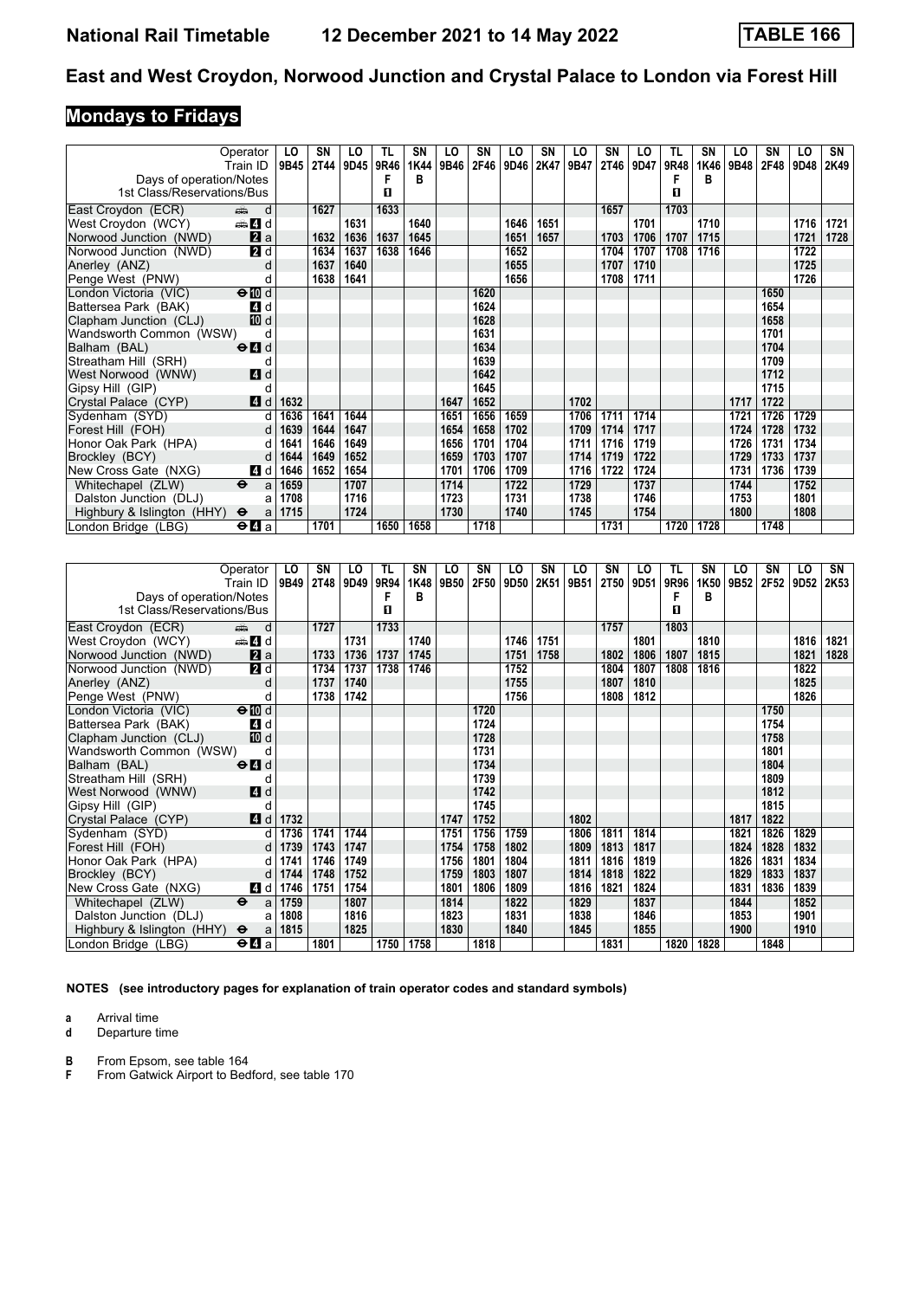# **Mondays to Fridays**

|                            | Operator<br>Train ID                      | LO<br>9B45 | SΝ<br><b>2T44</b> | LO<br>9D45 | TL<br>9R46 | SN<br>1K44 | LO<br>9B46 | SN<br>2F46 | LO<br>9D46 | SN<br>2K47 | LO<br>9B47 | SN<br>2T46 | LO<br>9D47 | TL<br>9R48 | <b>SN</b><br>1K46 | LO<br>9B48 | SΝ<br>2F48 | LO<br>9D48 | SN<br>2K49 |
|----------------------------|-------------------------------------------|------------|-------------------|------------|------------|------------|------------|------------|------------|------------|------------|------------|------------|------------|-------------------|------------|------------|------------|------------|
| Days of operation/Notes    |                                           |            |                   |            |            | в          |            |            |            |            |            |            |            |            | в                 |            |            |            |            |
| 1st Class/Reservations/Bus |                                           |            |                   |            | П          |            |            |            |            |            |            |            |            | п          |                   |            |            |            |            |
| East Croydon (ECR)         | d<br>ه ک                                  |            | 1627              |            | 1633       |            |            |            |            |            |            | 1657       |            | 1703       |                   |            |            |            |            |
| West Croydon (WCY)         | dan Zid                                   |            |                   | 1631       |            | 1640       |            |            | 1646       | 1651       |            |            | 1701       |            | 1710              |            |            | 1716       | 1721       |
| Norwood Junction (NWD)     | $\mathbf{z}$ a                            |            | 1632              | 1636       | 1637       | 1645       |            |            | 1651       | 1657       |            | 1703       | 1706       | 1707       | 1715              |            |            | 1721       | 1728       |
| Norwood Junction (NWD)     | 2d                                        |            | 1634              | 1637       | 1638       | 1646       |            |            | 1652       |            |            | 1704       | 1707       | 1708       | 1716              |            |            | 1722       |            |
| Anerley (ANZ)              | d                                         |            | 1637              | 1640       |            |            |            |            | 1655       |            |            | 1707       | 1710       |            |                   |            |            | 1725       |            |
| Penge West (PNW)           | d                                         |            | 1638              | 1641       |            |            |            |            | 1656       |            |            | 1708       | 1711       |            |                   |            |            | 1726       |            |
| London Victoria (VIC)      | $\Theta$ III d                            |            |                   |            |            |            |            | 1620       |            |            |            |            |            |            |                   |            | 1650       |            |            |
| Battersea Park (BAK)       | 4 d                                       |            |                   |            |            |            |            | 1624       |            |            |            |            |            |            |                   |            | 1654       |            |            |
| Clapham Junction (CLJ)     | 10 d                                      |            |                   |            |            |            |            | 1628       |            |            |            |            |            |            |                   |            | 1658       |            |            |
| Wandsworth Common (WSW)    | d                                         |            |                   |            |            |            |            | 1631       |            |            |            |            |            |            |                   |            | 1701       |            |            |
| Balham (BAL)               | $\Theta$ <sup><math>\Omega</math></sup> d |            |                   |            |            |            |            | 1634       |            |            |            |            |            |            |                   |            | 1704       |            |            |
| Streatham Hill (SRH)       | d                                         |            |                   |            |            |            |            | 1639       |            |            |            |            |            |            |                   |            | 1709       |            |            |
| West Norwood (WNW)         | 4d                                        |            |                   |            |            |            |            | 1642       |            |            |            |            |            |            |                   |            | 1712       |            |            |
| Gipsy Hill (GIP)           |                                           |            |                   |            |            |            |            | 1645       |            |            |            |            |            |            |                   |            | 1715       |            |            |
| Crystal Palace (CYP)       | 4d                                        | 1632       |                   |            |            |            | 1647       | 1652       |            |            | 1702       |            |            |            |                   | 1717       | 1722       |            |            |
| Sydenham (SYD)             | d                                         | 1636       | 1641              | 1644       |            |            | 1651       | 1656       | 1659       |            | 1706       | 1711       | 1714       |            |                   | 1721       | 1726       | 1729       |            |
| Forest Hill (FOH)          | d                                         | 1639       | 1644              | 1647       |            |            | 1654       | 1658       | 1702       |            | 1709       | 1714       | 1717       |            |                   | 1724       | 1728       | 1732       |            |
| Honor Oak Park (HPA)       | d                                         | 1641       | 1646              | 1649       |            |            | 1656       | 1701       | 1704       |            | 1711       | 1716       | 1719       |            |                   | 1726       | 1731       | 1734       |            |
| Brockley (BCY)             | d                                         | 1644       | 1649              | 1652       |            |            | 1659       | 1703       | 1707       |            | 1714       | 1719       | 1722       |            |                   | 1729       | 1733       | 1737       |            |
| New Cross Gate (NXG)       | 4 d                                       | 1646       | 1652              | 1654       |            |            | 1701       | 1706       | 1709       |            | 1716       | 1722       | 1724       |            |                   | 1731       | 1736       | 1739       |            |
| Whitechapel (ZLW)          | $\ddot{\mathbf{e}}$<br>a                  | 1659       |                   | 1707       |            |            | 1714       |            | 1722       |            | 1729       |            | 1737       |            |                   | 1744       |            | 1752       |            |
| Dalston Junction (DLJ)     | a                                         | 1708       |                   | 1716       |            |            | 1723       |            | 1731       |            | 1738       |            | 1746       |            |                   | 1753       |            | 1801       |            |
| Highbury & Islington (HHY) | $\ddot{\mathbf{e}}$<br>a                  | 1715       |                   | 1724       |            |            | 1730       |            | 1740       |            | 1745       |            | 1754       |            |                   | 1800       |            | 1808       |            |
| London Bridge (LBG)        | $\Theta$ $\blacksquare$ a                 |            | 1701              |            | 1650       | 1658       |            | 1718       |            |            |            | 1731       |            | 1720       | 1728              |            | 1748       |            |            |

|                            | Operator                                        | LO   | SN          | LO   | TL   | SN   | LO   | SN   | LO   | SN   | LO   | SN   | LO   | TL   | <b>SN</b> | LO   | <b>SN</b> | LO   | SN   |
|----------------------------|-------------------------------------------------|------|-------------|------|------|------|------|------|------|------|------|------|------|------|-----------|------|-----------|------|------|
|                            | Train ID                                        | 9B49 | <b>2T48</b> | 9D49 | 9R94 | 1K48 | 9B50 | 2F50 | 9D50 | 2K51 | 9B51 | 2T50 | 9D51 | 9R96 | 1K50      | 9B52 | 2F52      | 9D52 | 2K53 |
| Days of operation/Notes    |                                                 |      |             |      | F    | в    |      |      |      |      |      |      |      | F    | в         |      |           |      |      |
| 1st Class/Reservations/Bus |                                                 |      |             |      | п    |      |      |      |      |      |      |      |      | п    |           |      |           |      |      |
| East Croydon (ECR)         | d<br>dia 1                                      |      | 1727        |      | 1733 |      |      |      |      |      |      | 1757 |      | 1803 |           |      |           |      |      |
| West Croydon (WCY)         | den and d                                       |      |             | 1731 |      | 1740 |      |      | 1746 | 1751 |      |      | 1801 |      | 1810      |      |           | 1816 | 1821 |
| Norwood Junction (NWD)     | $\mathbf{a}$                                    |      | 1733        | 1736 | 1737 | 1745 |      |      | 1751 | 1758 |      | 1802 | 1806 | 1807 | 1815      |      |           | 1821 | 1828 |
| Norwood Junction (NWD)     | 2d                                              |      | 1734        | 1737 | 1738 | 1746 |      |      | 1752 |      |      | 1804 | 1807 | 1808 | 1816      |      |           | 1822 |      |
| Anerley (ANZ)              | d                                               |      | 1737        | 1740 |      |      |      |      | 1755 |      |      | 1807 | 1810 |      |           |      |           | 1825 |      |
| Penge West (PNW)           | d                                               |      | 1738        | 1742 |      |      |      |      | 1756 |      |      | 1808 | 1812 |      |           |      |           | 1826 |      |
| London Victoria (VIC)      | $\Theta$ III d                                  |      |             |      |      |      |      | 1720 |      |      |      |      |      |      |           |      | 1750      |      |      |
| Battersea Park (BAK)       | 4 d                                             |      |             |      |      |      |      | 1724 |      |      |      |      |      |      |           |      | 1754      |      |      |
| Clapham Junction (CLJ)     | [10] d                                          |      |             |      |      |      |      | 1728 |      |      |      |      |      |      |           |      | 1758      |      |      |
| Wandsworth Common (WSW)    | d                                               |      |             |      |      |      |      | 1731 |      |      |      |      |      |      |           |      | 1801      |      |      |
| Balham (BAL)               | $\Theta$ <sup><math>\blacksquare</math> d</sup> |      |             |      |      |      |      | 1734 |      |      |      |      |      |      |           |      | 1804      |      |      |
| Streatham Hill (SRH)       | d                                               |      |             |      |      |      |      | 1739 |      |      |      |      |      |      |           |      | 1809      |      |      |
| West Norwood (WNW)         | <b>4</b> d                                      |      |             |      |      |      |      | 1742 |      |      |      |      |      |      |           |      | 1812      |      |      |
| Gipsy Hill (GIP)           | d                                               |      |             |      |      |      |      | 1745 |      |      |      |      |      |      |           |      | 1815      |      |      |
| Crystal Palace (CYP)       | 4 d                                             | 1732 |             |      |      |      | 1747 | 1752 |      |      | 1802 |      |      |      |           | 1817 | 1822      |      |      |
| Sydenham (SYD)             | d                                               | 1736 | 1741        | 1744 |      |      | 1751 | 1756 | 1759 |      | 1806 | 1811 | 1814 |      |           | 1821 | 1826      | 1829 |      |
| Forest Hill (FOH)          | d                                               | 1739 | 1743        | 1747 |      |      | 1754 | 1758 | 1802 |      | 1809 | 1813 | 1817 |      |           | 1824 | 1828      | 1832 |      |
| Honor Oak Park (HPA)       | d                                               | 1741 | 1746        | 1749 |      |      | 1756 | 1801 | 1804 |      | 1811 | 1816 | 1819 |      |           | 1826 | 1831      | 1834 |      |
| Brockley (BCY)             | d                                               | 1744 | 1748        | 1752 |      |      | 1759 | 1803 | 1807 |      | 1814 | 1818 | 1822 |      |           | 1829 | 1833      | 1837 |      |
| New Cross Gate (NXG)       | 4 d                                             | 1746 | 1751        | 1754 |      |      | 1801 | 1806 | 1809 |      | 1816 | 1821 | 1824 |      |           | 1831 | 1836      | 1839 |      |
| Whitechapel (ZLW)          | $\ddot{\mathbf{e}}$<br>a                        | 1759 |             | 1807 |      |      | 1814 |      | 1822 |      | 1829 |      | 1837 |      |           | 1844 |           | 1852 |      |
| Dalston Junction (DLJ)     | a                                               | 1808 |             | 1816 |      |      | 1823 |      | 1831 |      | 1838 |      | 1846 |      |           | 1853 |           | 1901 |      |
| Highbury & Islington (HHY) | $\ddot{\mathbf{e}}$<br>a                        | 1815 |             | 1825 |      |      | 1830 |      | 1840 |      | 1845 |      | 1855 |      |           | 1900 |           | 1910 |      |
| London Bridge (LBG)        | $\Theta$ <b><math>\blacksquare</math></b> a     |      | 1801        |      | 1750 | 1758 |      | 1818 |      |      |      | 1831 |      | 1820 | 1828      |      | 1848      |      |      |

**NOTES (see introductory pages for explanation of train operator codes and standard symbols)**

**a** Arrival time<br>**d** Departure t

**d** Departure time

**B** From Epsom, see table 164<br>**F** From Gatwick Airport to Bed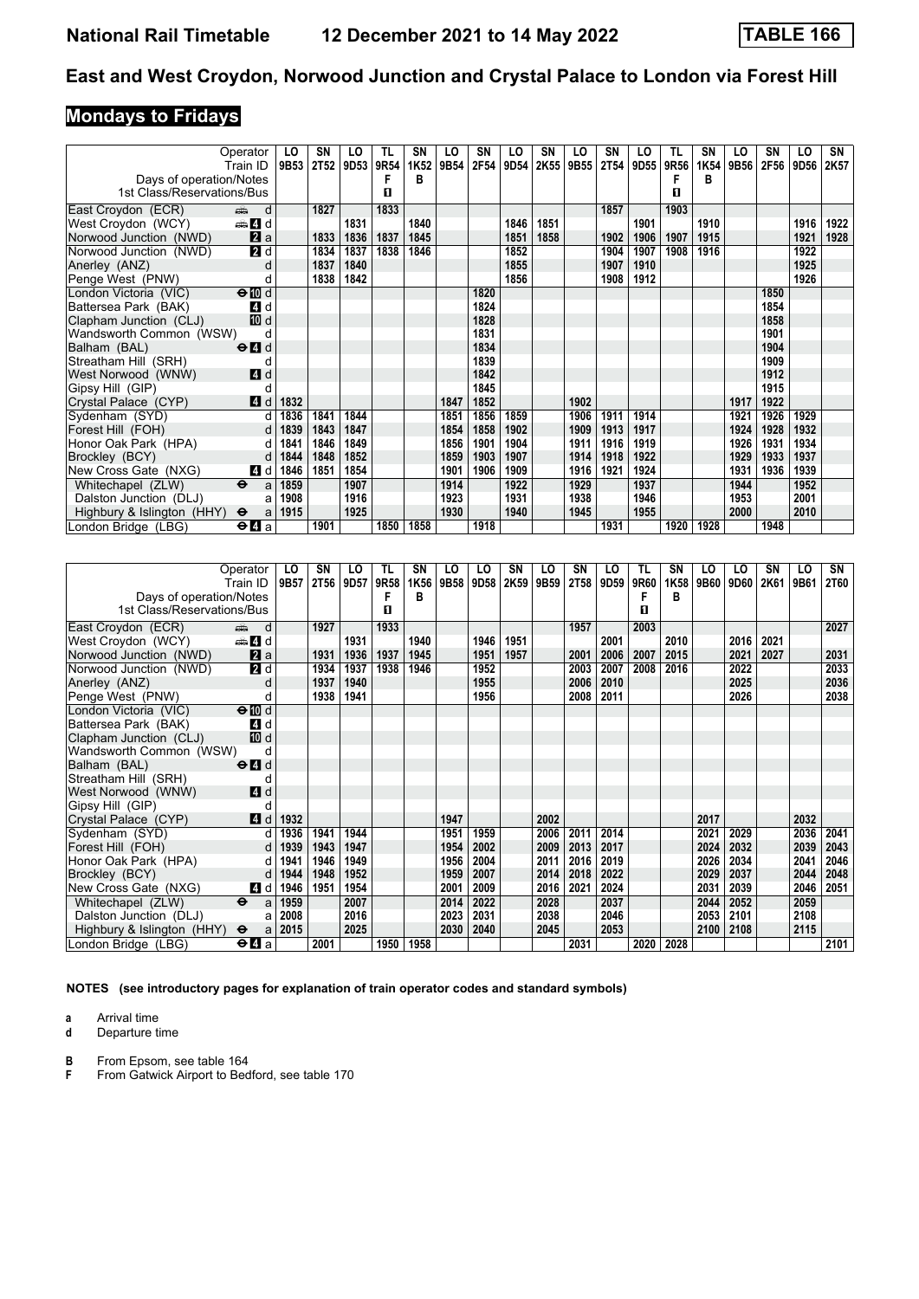# **Mondays to Fridays**

|                            | Operator                                    | LO   | SΝ          | LO               | TL   | SN   | LO   | SN   | LO   | SN   | LO   | SN          | LO   | TL   | SN   | LO   | SΝ   | LO   | SN   |
|----------------------------|---------------------------------------------|------|-------------|------------------|------|------|------|------|------|------|------|-------------|------|------|------|------|------|------|------|
|                            | Train ID                                    | 9B53 | <b>2T52</b> | 9D <sub>53</sub> | 9R54 | 1K52 | 9B54 | 2F54 | 9D54 | 2K55 | 9B55 | <b>2T54</b> | 9D55 | 9R56 | 1K54 | 9B56 | 2F56 | 9D56 | 2K57 |
| Days of operation/Notes    |                                             |      |             |                  |      | в    |      |      |      |      |      |             |      |      | в    |      |      |      |      |
| 1st Class/Reservations/Bus |                                             |      |             |                  | П    |      |      |      |      |      |      |             |      | п    |      |      |      |      |      |
| East Croydon (ECR)         | d<br>din 1                                  |      | 1827        |                  | 1833 |      |      |      |      |      |      | 1857        |      | 1903 |      |      |      |      |      |
| West Croydon (WCY)         | den <b>d</b>                                |      |             | 1831             |      | 1840 |      |      | 1846 | 1851 |      |             | 1901 |      | 1910 |      |      | 1916 | 1922 |
| Norwood Junction (NWD)     | 2a                                          |      | 1833        | 1836             | 1837 | 1845 |      |      | 1851 | 1858 |      | 1902        | 1906 | 1907 | 1915 |      |      | 1921 | 1928 |
| Norwood Junction (NWD)     | $\overline{2}$ d                            |      | 1834        | 1837             | 1838 | 1846 |      |      | 1852 |      |      | 1904        | 1907 | 1908 | 1916 |      |      | 1922 |      |
| Anerley (ANZ)              | d                                           |      | 1837        | 1840             |      |      |      |      | 1855 |      |      | 1907        | 1910 |      |      |      |      | 1925 |      |
| Penge West (PNW)           | d                                           |      | 1838        | 1842             |      |      |      |      | 1856 |      |      | 1908        | 1912 |      |      |      |      | 1926 |      |
| London Victoria (VIC)      | $\Theta$ III d                              |      |             |                  |      |      |      | 1820 |      |      |      |             |      |      |      |      | 1850 |      |      |
| Battersea Park (BAK)       | 4 d                                         |      |             |                  |      |      |      | 1824 |      |      |      |             |      |      |      |      | 1854 |      |      |
| Clapham Junction (CLJ)     | [10] d                                      |      |             |                  |      |      |      | 1828 |      |      |      |             |      |      |      |      | 1858 |      |      |
| Wandsworth Common (WSW)    | d                                           |      |             |                  |      |      |      | 1831 |      |      |      |             |      |      |      |      | 1901 |      |      |
| Balham (BAL)               | $\Theta$ <sup><math>\Omega</math></sup> d   |      |             |                  |      |      |      | 1834 |      |      |      |             |      |      |      |      | 1904 |      |      |
| Streatham Hill (SRH)       | d                                           |      |             |                  |      |      |      | 1839 |      |      |      |             |      |      |      |      | 1909 |      |      |
| West Norwood (WNW)         | 4d                                          |      |             |                  |      |      |      | 1842 |      |      |      |             |      |      |      |      | 1912 |      |      |
| Gipsy Hill (GIP)           |                                             |      |             |                  |      |      |      | 1845 |      |      |      |             |      |      |      |      | 1915 |      |      |
| Crystal Palace (CYP)       | 4d                                          | 1832 |             |                  |      |      | 1847 | 1852 |      |      | 1902 |             |      |      |      | 1917 | 1922 |      |      |
| Sydenham (SYD)             | d                                           | 1836 | 1841        | 1844             |      |      | 1851 | 1856 | 1859 |      | 1906 | 1911        | 1914 |      |      | 1921 | 1926 | 1929 |      |
| Forest Hill (FOH)          | d                                           | 1839 | 1843        | 1847             |      |      | 1854 | 1858 | 1902 |      | 1909 | 1913        | 1917 |      |      | 1924 | 1928 | 1932 |      |
| Honor Oak Park (HPA)       | d                                           | 1841 | 1846        | 1849             |      |      | 1856 | 1901 | 1904 |      | 1911 | 1916        | 1919 |      |      | 1926 | 1931 | 1934 |      |
| Brockley (BCY)             | d                                           | 1844 | 1848        | 1852             |      |      | 1859 | 1903 | 1907 |      | 1914 | 1918        | 1922 |      |      | 1929 | 1933 | 1937 |      |
| New Cross Gate (NXG)       | 4 d                                         | 1846 | 1851        | 1854             |      |      | 1901 | 1906 | 1909 |      | 1916 | 1921        | 1924 |      |      | 1931 | 1936 | 1939 |      |
| Whitechapel (ZLW)          | $\ddot{\mathbf{e}}$<br>a                    | 1859 |             | 1907             |      |      | 1914 |      | 1922 |      | 1929 |             | 1937 |      |      | 1944 |      | 1952 |      |
| Dalston Junction (DLJ)     | a                                           | 1908 |             | 1916             |      |      | 1923 |      | 1931 |      | 1938 |             | 1946 |      |      | 1953 |      | 2001 |      |
| Highbury & Islington (HHY) | $\ddot{\mathbf{e}}$<br>a                    | 1915 |             | 1925             |      |      | 1930 |      | 1940 |      | 1945 |             | 1955 |      |      | 2000 |      | 2010 |      |
| London Bridge (LBG)        | $\Theta$ <b><math>\blacksquare</math></b> a |      | 1901        |                  | 1850 | 1858 |      | 1918 |      |      |      | 1931        |      | 1920 | 1928 |      | 1948 |      |      |

|                            | Operator                                    | LO   | SΝ          | LO   | TL   | SN   | LO   | LO   | SN   | LO   | SN          | LO   | TL   | SN   | LO   | LO   | SN   | LO   | SN          |
|----------------------------|---------------------------------------------|------|-------------|------|------|------|------|------|------|------|-------------|------|------|------|------|------|------|------|-------------|
|                            | Train ID                                    | 9B57 | <b>2T56</b> | 9D57 | 9R58 | 1K56 | 9B58 | 9D58 | 2K59 | 9B59 | <b>2T58</b> | 9D59 | 9R60 | 1K58 | 9B60 | 9D60 | 2K61 | 9B61 | <b>2T60</b> |
| Days of operation/Notes    |                                             |      |             |      | F    | В    |      |      |      |      |             |      |      | в    |      |      |      |      |             |
| 1st Class/Reservations/Bus |                                             |      |             |      | П    |      |      |      |      |      |             |      | п    |      |      |      |      |      |             |
| East Croydon (ECR)         | d<br>dia 1                                  |      | 1927        |      | 1933 |      |      |      |      |      | 1957        |      | 2003 |      |      |      |      |      | 2027        |
| West Croydon (WCY)         | den and d                                   |      |             | 1931 |      | 1940 |      | 1946 | 1951 |      |             | 2001 |      | 2010 |      | 2016 | 2021 |      |             |
| Norwood Junction (NWD)     | $\mathbf{a}$ a                              |      | 1931        | 1936 | 1937 | 1945 |      | 1951 | 1957 |      | 2001        | 2006 | 2007 | 2015 |      | 2021 | 2027 |      | 2031        |
| Norwood Junction (NWD)     | 2d                                          |      | 1934        | 1937 | 1938 | 1946 |      | 1952 |      |      | 2003        | 2007 | 2008 | 2016 |      | 2022 |      |      | 2033        |
| Anerley (ANZ)              | d                                           |      | 1937        | 1940 |      |      |      | 1955 |      |      | 2006        | 2010 |      |      |      | 2025 |      |      | 2036        |
| Penge West (PNW)           | d                                           |      | 1938        | 1941 |      |      |      | 1956 |      |      | 2008        | 2011 |      |      |      | 2026 |      |      | 2038        |
| London Victoria (VIC)      | $\Theta$ III d                              |      |             |      |      |      |      |      |      |      |             |      |      |      |      |      |      |      |             |
| Battersea Park (BAK)       | 4 d                                         |      |             |      |      |      |      |      |      |      |             |      |      |      |      |      |      |      |             |
| Clapham Junction (CLJ)     | 10 d                                        |      |             |      |      |      |      |      |      |      |             |      |      |      |      |      |      |      |             |
| Wandsworth Common (WSW)    | d                                           |      |             |      |      |      |      |      |      |      |             |      |      |      |      |      |      |      |             |
| Balham (BAL)               | $\Theta$ <sup><math>\Omega</math></sup> d   |      |             |      |      |      |      |      |      |      |             |      |      |      |      |      |      |      |             |
| Streatham Hill (SRH)       | d                                           |      |             |      |      |      |      |      |      |      |             |      |      |      |      |      |      |      |             |
| West Norwood (WNW)         | <b>4</b> d                                  |      |             |      |      |      |      |      |      |      |             |      |      |      |      |      |      |      |             |
| Gipsy Hill (GIP)           |                                             |      |             |      |      |      |      |      |      |      |             |      |      |      |      |      |      |      |             |
| Crystal Palace (CYP)       | 4d                                          | 1932 |             |      |      |      | 1947 |      |      | 2002 |             |      |      |      | 2017 |      |      | 2032 |             |
| Sydenham (SYD)             | d                                           | 1936 | 1941        | 1944 |      |      | 1951 | 1959 |      | 2006 | 2011        | 2014 |      |      | 2021 | 2029 |      | 2036 | 2041        |
| Forest Hill (FOH)          | $\mathsf{d}$                                | 1939 | 1943        | 1947 |      |      | 1954 | 2002 |      | 2009 | 2013        | 2017 |      |      | 2024 | 2032 |      | 2039 | 2043        |
| Honor Oak Park (HPA)       | d                                           | 1941 | 1946        | 1949 |      |      | 1956 | 2004 |      | 2011 | 2016        | 2019 |      |      | 2026 | 2034 |      | 2041 | 2046        |
| Brockley (BCY)             | d                                           | 1944 | 1948        | 1952 |      |      | 1959 | 2007 |      | 2014 | 2018        | 2022 |      |      | 2029 | 2037 |      | 2044 | 2048        |
| New Cross Gate (NXG)       | 4 d                                         | 1946 | 1951        | 1954 |      |      | 2001 | 2009 |      | 2016 | 2021        | 2024 |      |      | 2031 | 2039 |      | 2046 | 2051        |
| Whitechapel (ZLW)          | $\ddot{\mathbf{e}}$<br>a                    | 1959 |             | 2007 |      |      | 2014 | 2022 |      | 2028 |             | 2037 |      |      | 2044 | 2052 |      | 2059 |             |
| Dalston Junction (DLJ)     | a                                           | 2008 |             | 2016 |      |      | 2023 | 2031 |      | 2038 |             | 2046 |      |      | 2053 | 2101 |      | 2108 |             |
| Highbury & Islington (HHY) | $\Theta$<br>a                               | 2015 |             | 2025 |      |      | 2030 | 2040 |      | 2045 |             | 2053 |      |      | 2100 | 2108 |      | 2115 |             |
| London Bridge (LBG)        | $\Theta$ <b><math>\blacksquare</math></b> a |      | 2001        |      | 1950 | 1958 |      |      |      |      | 2031        |      | 2020 | 2028 |      |      |      |      | 2101        |

**NOTES (see introductory pages for explanation of train operator codes and standard symbols)**

**a** Arrival time<br>**d** Departure t

**d** Departure time

**B** From Epsom, see table 164<br>**F** From Gatwick Airport to Bed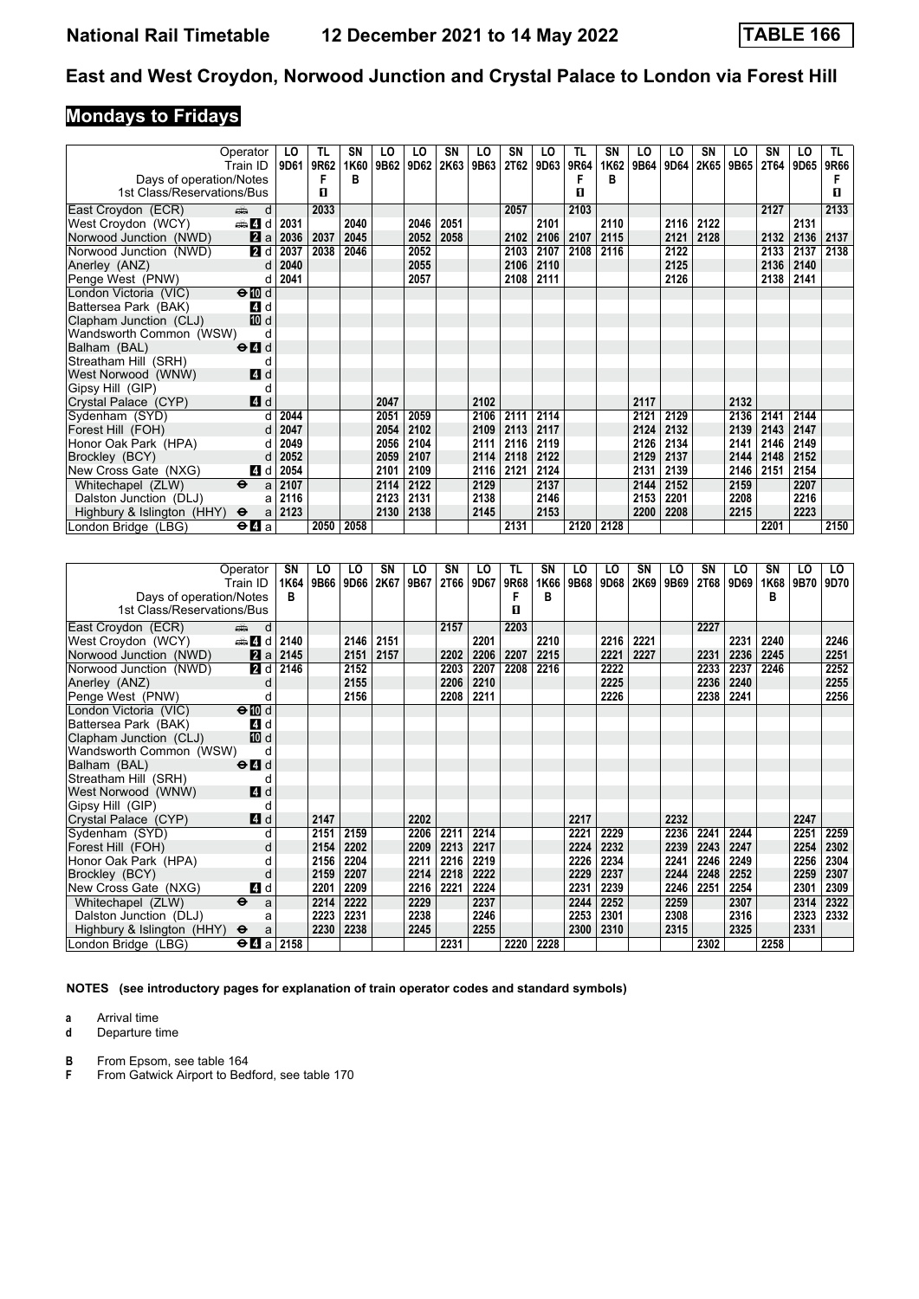# **Mondays to Fridays**

|                            | Operator                                    | LO   | TL   | <b>SN</b> | LO   | LO   | <b>SN</b> | LO   | <b>SN</b>   | LO   | TL   | SN        | LO   | LO   | SΝ   | LO   | SΝ   | LO   | TL.  |
|----------------------------|---------------------------------------------|------|------|-----------|------|------|-----------|------|-------------|------|------|-----------|------|------|------|------|------|------|------|
|                            | Train ID                                    | 9D61 | 9R62 | 1K60      | 9B62 | 9D62 | 2K63      | 9B63 | <b>2T62</b> | 9D63 | 9R64 | 1K62      | 9B64 | 9D64 | 2K65 | 9B65 | 2T64 | 9D65 | 9R66 |
| Days of operation/Notes    |                                             |      | F    | в         |      |      |           |      |             |      |      | в         |      |      |      |      |      |      |      |
| 1st Class/Reservations/Bus |                                             |      | п    |           |      |      |           |      |             |      | п    |           |      |      |      |      |      |      | п    |
| East Croydon (ECR)         | d<br>ر پیشته                                |      | 2033 |           |      |      |           |      | 2057        |      | 2103 |           |      |      |      |      | 2127 |      | 2133 |
| West Croydon (WCY)         | d d                                         | 2031 |      | 2040      |      | 2046 | 2051      |      |             | 2101 |      | 2110      |      | 2116 | 2122 |      |      | 2131 |      |
| Norwood Junction (NWD)     | 2a                                          | 2036 | 2037 | 2045      |      | 2052 | 2058      |      | 2102        | 2106 | 2107 | 2115      |      | 2121 | 2128 |      | 2132 | 2136 | 2137 |
| Norwood Junction (NWD)     | 2d                                          | 2037 | 2038 | 2046      |      | 2052 |           |      | 2103        | 2107 | 2108 | 2116      |      | 2122 |      |      | 2133 | 2137 | 2138 |
| Anerley (ANZ)              | d                                           | 2040 |      |           |      | 2055 |           |      | 2106        | 2110 |      |           |      | 2125 |      |      | 2136 | 2140 |      |
| Penge West (PNW)           | d                                           | 2041 |      |           |      | 2057 |           |      | 2108        | 2111 |      |           |      | 2126 |      |      | 2138 | 2141 |      |
| London Victoria (VIC)      | $\Theta$ III d                              |      |      |           |      |      |           |      |             |      |      |           |      |      |      |      |      |      |      |
| Battersea Park (BAK)       | 4 d                                         |      |      |           |      |      |           |      |             |      |      |           |      |      |      |      |      |      |      |
| Clapham Junction (CLJ)     | 10 d                                        |      |      |           |      |      |           |      |             |      |      |           |      |      |      |      |      |      |      |
| Wandsworth Common (WSW)    | d                                           |      |      |           |      |      |           |      |             |      |      |           |      |      |      |      |      |      |      |
| Balham (BAL)               | $\Theta$ <sup><math>\Omega</math></sup> d   |      |      |           |      |      |           |      |             |      |      |           |      |      |      |      |      |      |      |
| Streatham Hill (SRH)       | d                                           |      |      |           |      |      |           |      |             |      |      |           |      |      |      |      |      |      |      |
| West Norwood (WNW)         | <b>4</b> d                                  |      |      |           |      |      |           |      |             |      |      |           |      |      |      |      |      |      |      |
| Gipsy Hill (GIP)           | d                                           |      |      |           |      |      |           |      |             |      |      |           |      |      |      |      |      |      |      |
| Crystal Palace (CYP)       | 4d                                          |      |      |           | 2047 |      |           | 2102 |             |      |      |           | 2117 |      |      | 2132 |      |      |      |
| Sydenham (SYD)             |                                             | 2044 |      |           | 2051 | 2059 |           | 2106 | 2111        | 2114 |      |           | 2121 | 2129 |      | 2136 | 2141 | 2144 |      |
| Forest Hill (FOH)          | d                                           | 2047 |      |           | 2054 | 2102 |           | 2109 | 2113        | 2117 |      |           | 2124 | 2132 |      | 2139 | 2143 | 2147 |      |
| Honor Oak Park (HPA)       | d                                           | 2049 |      |           | 2056 | 2104 |           | 2111 | 2116        | 2119 |      |           | 2126 | 2134 |      | 2141 | 2146 | 2149 |      |
| Brockley (BCY)             | d                                           | 2052 |      |           | 2059 | 2107 |           | 2114 | 2118        | 2122 |      |           | 2129 | 2137 |      | 2144 | 2148 | 2152 |      |
| New Cross Gate (NXG)       | 4 d                                         | 2054 |      |           | 2101 | 2109 |           | 2116 | 2121        | 2124 |      |           | 2131 | 2139 |      | 2146 | 2151 | 2154 |      |
| Whitechapel (ZLW)          | $\Theta$<br>a                               | 2107 |      |           | 2114 | 2122 |           | 2129 |             | 2137 |      |           | 2144 | 2152 |      | 2159 |      | 2207 |      |
| Dalston Junction (DLJ)     | a                                           | 2116 |      |           | 2123 | 2131 |           | 2138 |             | 2146 |      |           | 2153 | 2201 |      | 2208 |      | 2216 |      |
| Highbury & Islington (HHY) | $\ddot{\mathbf{e}}$<br>a                    | 2123 |      |           | 2130 | 2138 |           | 2145 |             | 2153 |      |           | 2200 | 2208 |      | 2215 |      | 2223 |      |
| London Bridge (LBG)        | $\Theta$ <b><math>\blacksquare</math></b> a |      | 2050 | 2058      |      |      |           |      | 2131        |      |      | 2120 2128 |      |      |      |      | 2201 |      | 2150 |

|                            | Operator                                      | SN   | LO   | LO.  | SΝ   | LO   | SN   | LO   | TL   | <b>SN</b> | LO   | LO   | SΝ   | LO   | SΝ   | LO   | SΝ   | LO   | LO   |
|----------------------------|-----------------------------------------------|------|------|------|------|------|------|------|------|-----------|------|------|------|------|------|------|------|------|------|
|                            | Train ID                                      | 1K64 | 9B66 | 9D66 | 2K67 | 9B67 | 2T66 | 9D67 | 9R68 | 1K66      | 9B68 | 9D68 | 2K69 | 9B69 | 2T68 | 9D69 | 1K68 | 9B70 | 9D70 |
| Days of operation/Notes    |                                               | в    |      |      |      |      |      |      | F    | в         |      |      |      |      |      |      | в    |      |      |
| 1st Class/Reservations/Bus |                                               |      |      |      |      |      |      |      | п    |           |      |      |      |      |      |      |      |      |      |
| East Croydon (ECR)         | d<br>din 1                                    |      |      |      |      |      | 2157 |      | 2203 |           |      |      |      |      | 2227 |      |      |      |      |
| West Croydon (WCY)         | den den d                                     | 2140 |      | 2146 | 2151 |      |      | 2201 |      | 2210      |      | 2216 | 2221 |      |      | 2231 | 2240 |      | 2246 |
| Norwood Junction (NWD)     | 2a                                            | 2145 |      | 2151 | 2157 |      | 2202 | 2206 | 2207 | 2215      |      | 2221 | 2227 |      | 2231 | 2236 | 2245 |      | 2251 |
| Norwood Junction (NWD)     | 2d                                            | 2146 |      | 2152 |      |      | 2203 | 2207 | 2208 | 2216      |      | 2222 |      |      | 2233 | 2237 | 2246 |      | 2252 |
| Anerley (ANZ)              | d                                             |      |      | 2155 |      |      | 2206 | 2210 |      |           |      | 2225 |      |      | 2236 | 2240 |      |      | 2255 |
| Penge West (PNW)           | d                                             |      |      | 2156 |      |      | 2208 | 2211 |      |           |      | 2226 |      |      | 2238 | 2241 |      |      | 2256 |
| London Victoria (VIC)      | $\Theta$ III d                                |      |      |      |      |      |      |      |      |           |      |      |      |      |      |      |      |      |      |
| Battersea Park (BAK)       | 4 d                                           |      |      |      |      |      |      |      |      |           |      |      |      |      |      |      |      |      |      |
| Clapham Junction (CLJ)     | 10 d                                          |      |      |      |      |      |      |      |      |           |      |      |      |      |      |      |      |      |      |
| Wandsworth Common (WSW)    | d                                             |      |      |      |      |      |      |      |      |           |      |      |      |      |      |      |      |      |      |
| Balham (BAL)               | $\Theta$ <sup><math>\Omega</math></sup> d     |      |      |      |      |      |      |      |      |           |      |      |      |      |      |      |      |      |      |
| Streatham Hill (SRH)       | d                                             |      |      |      |      |      |      |      |      |           |      |      |      |      |      |      |      |      |      |
| West Norwood (WNW)         | 4d                                            |      |      |      |      |      |      |      |      |           |      |      |      |      |      |      |      |      |      |
| Gipsy Hill (GIP)           | d                                             |      |      |      |      |      |      |      |      |           |      |      |      |      |      |      |      |      |      |
| Crystal Palace (CYP)       | 4d                                            |      | 2147 |      |      | 2202 |      |      |      |           | 2217 |      |      | 2232 |      |      |      | 2247 |      |
| Sydenham (SYD)             | d                                             |      | 2151 | 2159 |      | 2206 | 2211 | 2214 |      |           | 2221 | 2229 |      | 2236 | 2241 | 2244 |      | 2251 | 2259 |
| Forest Hill (FOH)          | d                                             |      | 2154 | 2202 |      | 2209 | 2213 | 2217 |      |           | 2224 | 2232 |      | 2239 | 2243 | 2247 |      | 2254 | 2302 |
| Honor Oak Park (HPA)       |                                               |      | 2156 | 2204 |      | 2211 | 2216 | 2219 |      |           | 2226 | 2234 |      | 2241 | 2246 | 2249 |      | 2256 | 2304 |
| Brockley (BCY)             | d                                             |      | 2159 | 2207 |      | 2214 | 2218 | 2222 |      |           | 2229 | 2237 |      | 2244 | 2248 | 2252 |      | 2259 | 2307 |
| New Cross Gate (NXG)       | 4 d                                           |      | 2201 | 2209 |      | 2216 | 2221 | 2224 |      |           | 2231 | 2239 |      | 2246 | 2251 | 2254 |      | 2301 | 2309 |
| Whitechapel (ZLW)          | $\ddot{\mathbf{e}}$<br>a                      |      | 2214 | 2222 |      | 2229 |      | 2237 |      |           | 2244 | 2252 |      | 2259 |      | 2307 |      | 2314 | 2322 |
| Dalston Junction (DLJ)     | a                                             |      | 2223 | 2231 |      | 2238 |      | 2246 |      |           | 2253 | 2301 |      | 2308 |      | 2316 |      | 2323 | 2332 |
| Highbury & Islington (HHY) | $\ddot{\mathbf{e}}$<br>a                      |      | 2230 | 2238 |      | 2245 |      | 2255 |      |           | 2300 | 2310 |      | 2315 |      | 2325 |      | 2331 |      |
| London Bridge (LBG)        | $\Theta$ <b><math>\blacksquare</math></b> all | 2158 |      |      |      |      | 2231 |      | 2220 | 2228      |      |      |      |      | 2302 |      | 2258 |      |      |

**NOTES (see introductory pages for explanation of train operator codes and standard symbols)**

**a** Arrival time<br>**d** Departure t

**d** Departure time

**B** From Epsom, see table 164<br>**F** From Gatwick Airport to Bed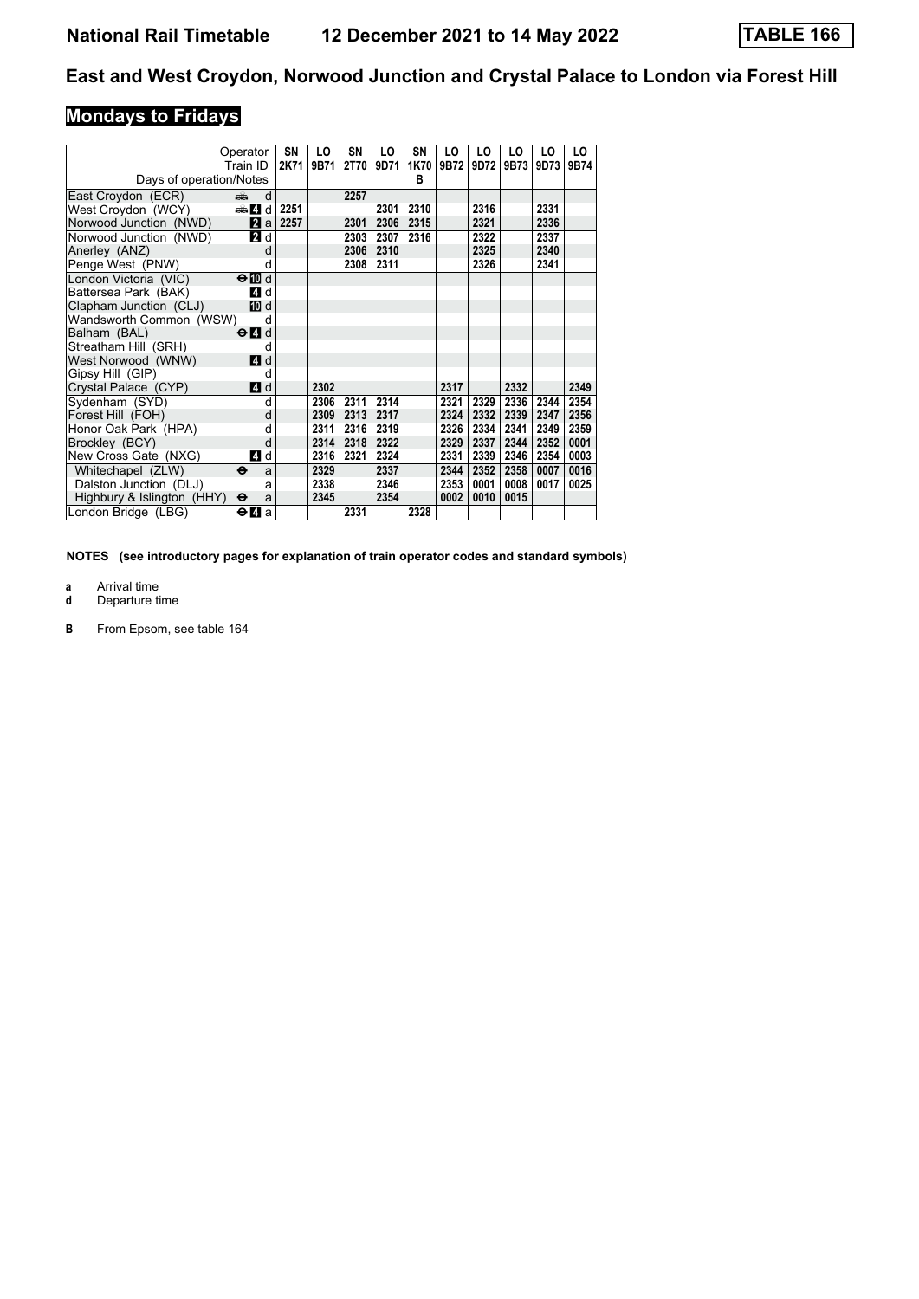# **Mondays to Fridays**

|                            | Operator                                    | SN   | LO   | SN          | LO   | SN   | LO   | LO   | LO   | LO   | LO.  |
|----------------------------|---------------------------------------------|------|------|-------------|------|------|------|------|------|------|------|
|                            | Train ID                                    | 2K71 | 9B71 | <b>2T70</b> | 9D71 | 1K70 | 9B72 | 9D72 | 9B73 | 9D73 | 9B74 |
| Days of operation/Notes    |                                             |      |      |             |      | в    |      |      |      |      |      |
| East Croydon (ECR)         | añ,<br>d                                    |      |      | 2257        |      |      |      |      |      |      |      |
| West Croydon (WCY)         | d d a                                       | 2251 |      |             | 2301 | 2310 |      | 2316 |      | 2331 |      |
| Norwood Junction (NWD)     | <b>Z</b> a                                  | 2257 |      | 2301        | 2306 | 2315 |      | 2321 |      | 2336 |      |
| Norwood Junction (NWD)     | <b>2</b> d                                  |      |      | 2303        | 2307 | 2316 |      | 2322 |      | 2337 |      |
| Anerley (ANZ)              | d                                           |      |      | 2306        | 2310 |      |      | 2325 |      | 2340 |      |
| Penge West (PNW)           | d                                           |      |      | 2308        | 2311 |      |      | 2326 |      | 2341 |      |
| London Victoria (VIC)      | $\Theta$ M d                                |      |      |             |      |      |      |      |      |      |      |
| Battersea Park (BAK)       | 4 d                                         |      |      |             |      |      |      |      |      |      |      |
| Clapham Junction (CLJ)     | [10] d                                      |      |      |             |      |      |      |      |      |      |      |
| Wandsworth Common (WSW)    | d                                           |      |      |             |      |      |      |      |      |      |      |
| Balham (BAL)               | $\Theta$ <sup><math>\Omega</math></sup> d   |      |      |             |      |      |      |      |      |      |      |
| Streatham Hill (SRH)       | d                                           |      |      |             |      |      |      |      |      |      |      |
| West Norwood (WNW)         | <b>4</b> d                                  |      |      |             |      |      |      |      |      |      |      |
| Gipsy Hill (GIP)           | d                                           |      |      |             |      |      |      |      |      |      |      |
| Crystal Palace (CYP)       | 4d                                          |      | 2302 |             |      |      | 2317 |      | 2332 |      | 2349 |
| Sydenham (SYD)             | d                                           |      | 2306 | 2311        | 2314 |      | 2321 | 2329 | 2336 | 2344 | 2354 |
| Forest Hill (FOH)          | d                                           |      | 2309 | 2313        | 2317 |      | 2324 | 2332 | 2339 | 2347 | 2356 |
| Honor Oak Park (HPA)       | d                                           |      | 2311 | 2316        | 2319 |      | 2326 | 2334 | 2341 | 2349 | 2359 |
| Brockley (BCY)             | d                                           |      | 2314 | 2318        | 2322 |      | 2329 | 2337 | 2344 | 2352 | 0001 |
| New Cross Gate (NXG)       | 4 d                                         |      | 2316 | 2321        | 2324 |      | 2331 | 2339 | 2346 | 2354 | 0003 |
| Whitechapel (ZLW)          | $\ddot{\mathbf{e}}$<br>a                    |      | 2329 |             | 2337 |      | 2344 | 2352 | 2358 | 0007 | 0016 |
| Dalston Junction (DLJ)     | a                                           |      | 2338 |             | 2346 |      | 2353 | 0001 | 0008 | 0017 | 0025 |
| Highbury & Islington (HHY) | $\ddot{\boldsymbol{\Theta}}$<br>a           |      | 2345 |             | 2354 |      | 0002 | 0010 | 0015 |      |      |
| London Bridge (LBG)        | $\Theta$ <b><math>\blacksquare</math></b> a |      |      | 2331        |      | 2328 |      |      |      |      |      |

**NOTES (see introductory pages for explanation of train operator codes and standard symbols)**

- **a** Arrival time<br>**d** Departure t
- **d** Departure time
- **B** From Epsom, see table 164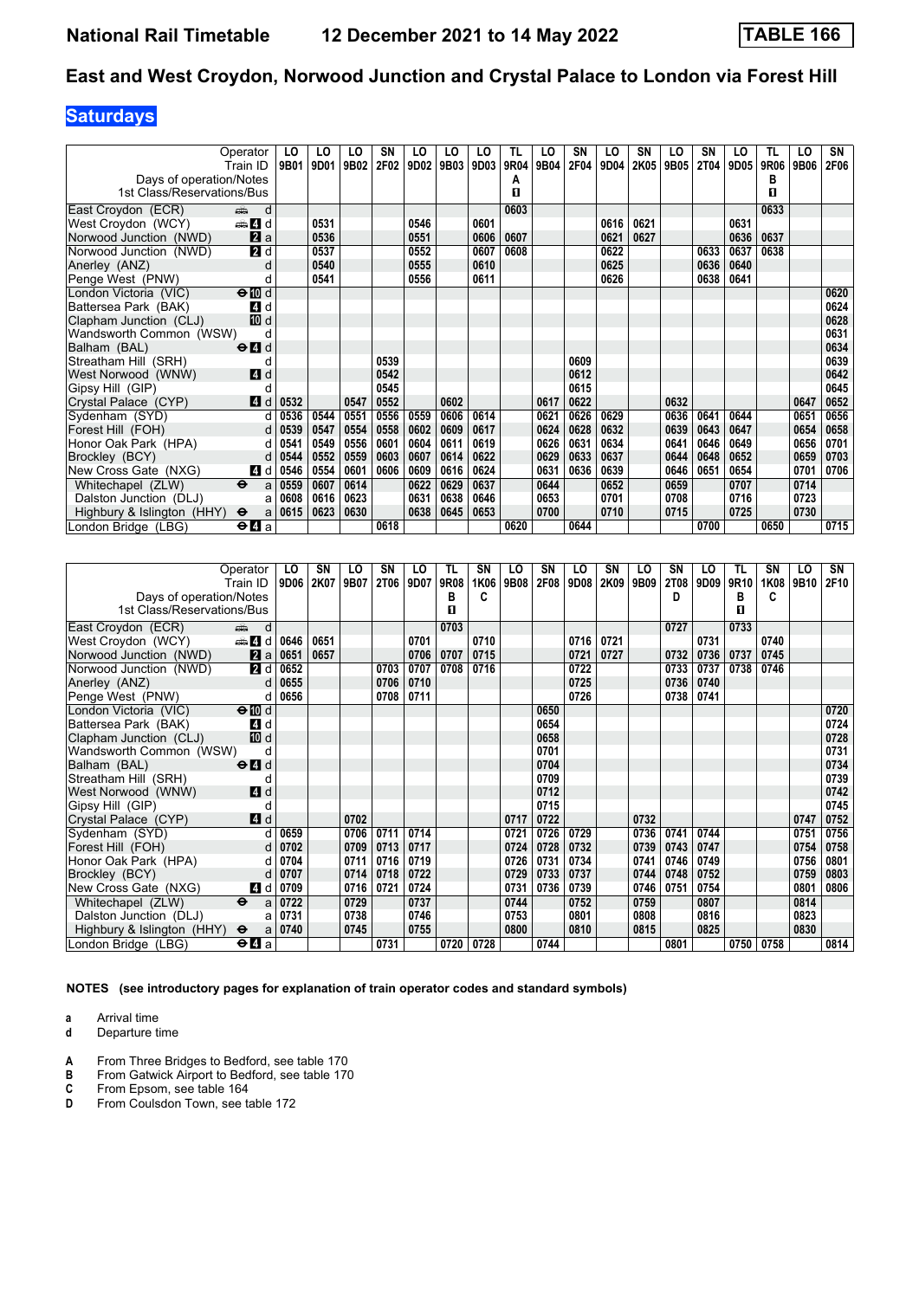# **Saturdays**

|                                                       | Operator<br>Train ID.                       | LO<br>9B01 | LO<br>9D01 | LO<br>9B02 | SN<br>2F02 | LO<br>9D02 | LO<br>9B03 | LO<br>9D03 | TL<br>9R04 | LO<br>9B04 | SN<br>2F04 | LO<br>9D04 | SΝ<br>2K05 | LO<br>9B05 | <b>SN</b><br>2T04 | LO<br>9D05 | TL<br>9R06 | LO<br>9B06 | SN<br>2F06 |
|-------------------------------------------------------|---------------------------------------------|------------|------------|------------|------------|------------|------------|------------|------------|------------|------------|------------|------------|------------|-------------------|------------|------------|------------|------------|
| Days of operation/Notes<br>1st Class/Reservations/Bus |                                             |            |            |            |            |            |            |            | А<br>п     |            |            |            |            |            |                   |            | в<br>п     |            |            |
| East Croydon (ECR)                                    | d<br>din 1                                  |            |            |            |            |            |            |            | 0603       |            |            |            |            |            |                   |            | 0633       |            |            |
| West Croydon (WCY)                                    | den <b>Z</b> id                             |            | 0531       |            |            | 0546       |            | 0601       |            |            |            | 0616       | 0621       |            |                   | 0631       |            |            |            |
| Norwood Junction (NWD)                                | <b>Z</b> a                                  |            | 0536       |            |            | 0551       |            | 0606       | 0607       |            |            | 0621       | 0627       |            |                   | 0636       | 0637       |            |            |
| Norwood Junction (NWD)                                | 2d                                          |            | 0537       |            |            | 0552       |            | 0607       | 0608       |            |            | 0622       |            |            | 0633              | 0637       | 0638       |            |            |
| Anerley (ANZ)                                         | d                                           |            | 0540       |            |            | 0555       |            | 0610       |            |            |            | 0625       |            |            | 0636              | 0640       |            |            |            |
| Penge West (PNW)                                      | d                                           |            | 0541       |            |            | 0556       |            | 0611       |            |            |            | 0626       |            |            | 0638              | 0641       |            |            |            |
| London Victoria (VIC)                                 | $\Theta$ III d                              |            |            |            |            |            |            |            |            |            |            |            |            |            |                   |            |            |            | 0620       |
| Battersea Park (BAK)                                  | 4 d                                         |            |            |            |            |            |            |            |            |            |            |            |            |            |                   |            |            |            | 0624       |
| Clapham Junction (CLJ)                                | III d                                       |            |            |            |            |            |            |            |            |            |            |            |            |            |                   |            |            |            | 0628       |
| Wandsworth Common (WSW)                               | d                                           |            |            |            |            |            |            |            |            |            |            |            |            |            |                   |            |            |            | 0631       |
| Balham (BAL)                                          | $\Theta$ $\blacksquare$ d                   |            |            |            |            |            |            |            |            |            |            |            |            |            |                   |            |            |            | 0634       |
| Streatham Hill (SRH)                                  | d                                           |            |            |            | 0539       |            |            |            |            |            | 0609       |            |            |            |                   |            |            |            | 0639       |
| West Norwood (WNW)                                    | <b>4</b> d                                  |            |            |            | 0542       |            |            |            |            |            | 0612       |            |            |            |                   |            |            |            | 0642       |
| Gipsy Hill (GIP)                                      | d                                           |            |            |            | 0545       |            |            |            |            |            | 0615       |            |            |            |                   |            |            |            | 0645       |
| Crystal Palace (CYP)                                  | 4 d                                         | 0532       |            | 0547       | 0552       |            | 0602       |            |            | 0617       | 0622       |            |            | 0632       |                   |            |            | 0647       | 0652       |
| Sydenham (SYD)                                        | d                                           | 0536       | 0544       | 0551       | 0556       | 0559       | 0606       | 0614       |            | 0621       | 0626       | 0629       |            | 0636       | 0641              | 0644       |            | 0651       | 0656       |
| Forest Hill (FOH)                                     | d                                           | 0539       | 0547       | 0554       | 0558       | 0602       | 0609       | 0617       |            | 0624       | 0628       | 0632       |            | 0639       | 0643              | 0647       |            | 0654       | 0658       |
| Honor Oak Park (HPA)                                  | d                                           | 0541       | 0549       | 0556       | 0601       | 0604       | 0611       | 0619       |            | 0626       | 0631       | 0634       |            | 0641       | 0646              | 0649       |            | 0656       | 0701       |
| Brockley (BCY)                                        | d                                           | 0544       | 0552       | 0559       | 0603       | 0607       | 0614       | 0622       |            | 0629       | 0633       | 0637       |            | 0644       | 0648              | 0652       |            | 0659       | 0703       |
| New Cross Gate (NXG)                                  | 4 d                                         | 0546       | 0554       | 0601       | 0606       | 0609       | 0616       | 0624       |            | 0631       | 0636       | 0639       |            | 0646       | 0651              | 0654       |            | 0701       | 0706       |
| Whitechapel (ZLW)                                     | $\ddot{\mathbf{e}}$<br>a                    | 0559       | 0607       | 0614       |            | 0622       | 0629       | 0637       |            | 0644       |            | 0652       |            | 0659       |                   | 0707       |            | 0714       |            |
| Dalston Junction (DLJ)                                | a                                           | 0608       | 0616       | 0623       |            | 0631       | 0638       | 0646       |            | 0653       |            | 0701       |            | 0708       |                   | 0716       |            | 0723       |            |
| Highbury & Islington (HHY)                            | $\ddot{\mathbf{e}}$<br>a                    | 0615       | 0623       | 0630       |            | 0638       | 0645       | 0653       |            | 0700       |            | 0710       |            | 0715       |                   | 0725       |            | 0730       |            |
| London Bridge (LBG)                                   | $\Theta$ <b><math>\blacksquare</math></b> a |            |            |            | 0618       |            |            |            | 0620       |            | 0644       |            |            |            | 0700              |            | 0650       |            | 0715       |

|                            | Operator                                    | LO   | SN   | LO   | SN          | LO   | <b>TL</b> | SN   | LO   | SN   | LO   | SN   | LO   | <b>SN</b>   | LO   | TL   | SN   | LO   | SN   |
|----------------------------|---------------------------------------------|------|------|------|-------------|------|-----------|------|------|------|------|------|------|-------------|------|------|------|------|------|
|                            | Train ID                                    | 9D06 | 2K07 | 9B07 | <b>2T06</b> | 9D07 | 9R08      | 1K06 | 9B08 | 2F08 | 9D08 | 2K09 | 9B09 | <b>2T08</b> | 9D09 | 9R10 | 1K08 | 9B10 | 2F10 |
| Days of operation/Notes    |                                             |      |      |      |             |      | в         | c    |      |      |      |      |      | D           |      | в    | c    |      |      |
| 1st Class/Reservations/Bus |                                             |      |      |      |             |      | П         |      |      |      |      |      |      |             |      | п    |      |      |      |
| East Croydon (ECR)         | d<br>dia 1                                  |      |      |      |             |      | 0703      |      |      |      |      |      |      | 0727        |      | 0733 |      |      |      |
| West Croydon (WCY)         | den and a                                   | 0646 | 0651 |      |             | 0701 |           | 0710 |      |      | 0716 | 0721 |      |             | 0731 |      | 0740 |      |      |
| Norwood Junction (NWD)     | 2a                                          | 0651 | 0657 |      |             | 0706 | 0707      | 0715 |      |      | 0721 | 0727 |      | 0732        | 0736 | 0737 | 0745 |      |      |
| Norwood Junction (NWD)     | <b>2</b> d                                  | 0652 |      |      | 0703        | 0707 | 0708      | 0716 |      |      | 0722 |      |      | 0733        | 0737 | 0738 | 0746 |      |      |
| Anerley (ANZ)              | d                                           | 0655 |      |      | 0706        | 0710 |           |      |      |      | 0725 |      |      | 0736        | 0740 |      |      |      |      |
| Penge West (PNW)           | d                                           | 0656 |      |      | 0708        | 0711 |           |      |      |      | 0726 |      |      | 0738        | 0741 |      |      |      |      |
| London Victoria (VIC)      | $\Theta$ III d                              |      |      |      |             |      |           |      |      | 0650 |      |      |      |             |      |      |      |      | 0720 |
| Battersea Park (BAK)       | 4 d                                         |      |      |      |             |      |           |      |      | 0654 |      |      |      |             |      |      |      |      | 0724 |
| Clapham Junction (CLJ)     | 10 d                                        |      |      |      |             |      |           |      |      | 0658 |      |      |      |             |      |      |      |      | 0728 |
| Wandsworth Common (WSW)    | d                                           |      |      |      |             |      |           |      |      | 0701 |      |      |      |             |      |      |      |      | 0731 |
| Balham (BAL)               | $\Theta$ <sup><math>\Omega</math></sup> d   |      |      |      |             |      |           |      |      | 0704 |      |      |      |             |      |      |      |      | 0734 |
| Streatham Hill (SRH)       | d                                           |      |      |      |             |      |           |      |      | 0709 |      |      |      |             |      |      |      |      | 0739 |
| West Norwood (WNW)         | 4d                                          |      |      |      |             |      |           |      |      | 0712 |      |      |      |             |      |      |      |      | 0742 |
| Gipsy Hill (GIP)           | d                                           |      |      |      |             |      |           |      |      | 0715 |      |      |      |             |      |      |      |      | 0745 |
| Crystal Palace (CYP)       | 4d                                          |      |      | 0702 |             |      |           |      | 0717 | 0722 |      |      | 0732 |             |      |      |      | 0747 | 0752 |
| Sydenham (SYD)             |                                             | 0659 |      | 0706 | 0711        | 0714 |           |      | 0721 | 0726 | 0729 |      | 0736 | 0741        | 0744 |      |      | 0751 | 0756 |
| Forest Hill (FOH)          |                                             | 0702 |      | 0709 | 0713        | 0717 |           |      | 0724 | 0728 | 0732 |      | 0739 | 0743        | 0747 |      |      | 0754 | 0758 |
| Honor Oak Park (HPA)       | d                                           | 0704 |      | 0711 | 0716        | 0719 |           |      | 0726 | 0731 | 0734 |      | 0741 | 0746        | 0749 |      |      | 0756 | 0801 |
| Brockley (BCY)             | d                                           | 0707 |      | 0714 | 0718        | 0722 |           |      | 0729 | 0733 | 0737 |      | 0744 | 0748        | 0752 |      |      | 0759 | 0803 |
| New Cross Gate (NXG)       | 4 d                                         | 0709 |      | 0716 | 0721        | 0724 |           |      | 0731 | 0736 | 0739 |      | 0746 | 0751        | 0754 |      |      | 0801 | 0806 |
| Whitechapel (ZLW)          | $\ddot{\mathbf{e}}$<br>a                    | 0722 |      | 0729 |             | 0737 |           |      | 0744 |      | 0752 |      | 0759 |             | 0807 |      |      | 0814 |      |
| Dalston Junction (DLJ)     | a                                           | 0731 |      | 0738 |             | 0746 |           |      | 0753 |      | 0801 |      | 0808 |             | 0816 |      |      | 0823 |      |
| Highbury & Islington (HHY) | $\ddot{\mathbf{e}}$<br>a                    | 0740 |      | 0745 |             | 0755 |           |      | 0800 |      | 0810 |      | 0815 |             | 0825 |      |      | 0830 |      |
| London Bridge (LBG)        | $\Theta$ <b><math>\blacksquare</math></b> a |      |      |      | 0731        |      | 0720      | 0728 |      | 0744 |      |      |      | 0801        |      | 0750 | 0758 |      | 0814 |

**NOTES (see introductory pages for explanation of train operator codes and standard symbols)**

**a** Arrival time<br>**d** Departure t

- **A** From Three Bridges to Bedford, see table 170 **B** From Gatwick Airport to Bedford, see table 170
- **B** From Gatwick Airport to Bedford, see table 170<br>**C** From Epsom, see table 164
- **C** From Epsom, see table 164<br>**D** From Coulsdon Town, see ta
- From Coulsdon Town, see table 172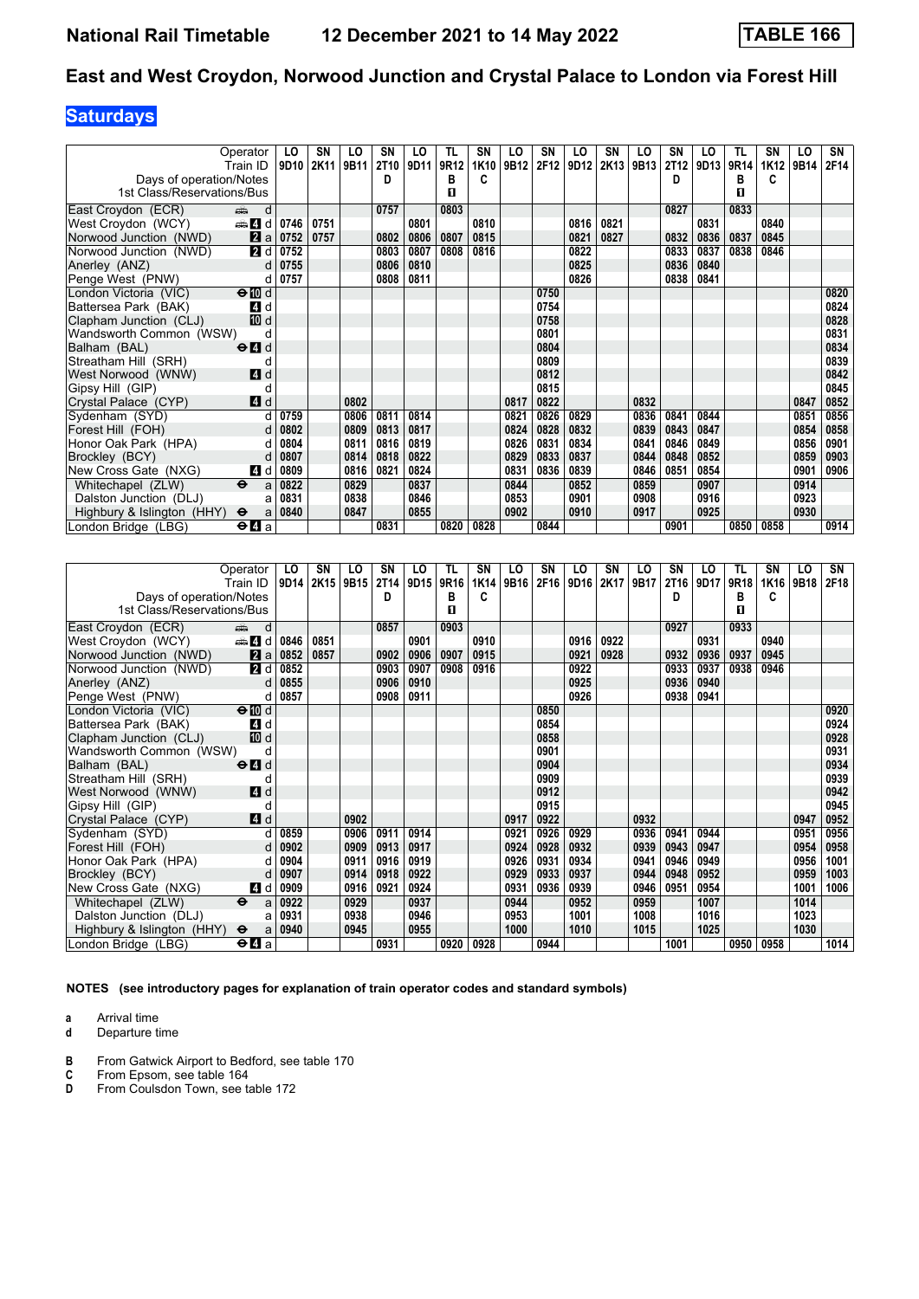# **Saturdays**

|                            | Operator                                  | LO               | SΝ   | LO   | SN               | LO   | TL   | SN   | LO   | SN   | LO   | SN   | LO               | SN          | LO   | TL   | SΝ   | LO   | SN   |
|----------------------------|-------------------------------------------|------------------|------|------|------------------|------|------|------|------|------|------|------|------------------|-------------|------|------|------|------|------|
|                            | Train ID                                  | 9D <sub>10</sub> | 2K11 | 9B11 | 2T <sub>10</sub> | 9D11 | 9R12 | 1K10 | 9B12 | 2F12 | 9D12 | 2K13 | 9B <sub>13</sub> | <b>2T12</b> | 9D13 | 9R14 | 1K12 | 9B14 | 2F14 |
| Days of operation/Notes    |                                           |                  |      |      | D                |      | в    | c    |      |      |      |      |                  | D           |      | в    | c    |      |      |
| 1st Class/Reservations/Bus |                                           |                  |      |      |                  |      | п    |      |      |      |      |      |                  |             |      | п    |      |      |      |
| East Croydon (ECR)         | d<br>dia 1                                |                  |      |      | 0757             |      | 0803 |      |      |      |      |      |                  | 0827        |      | 0833 |      |      |      |
| West Croydon (WCY)         | $\oplus$ 4 d                              | 0746             | 0751 |      |                  | 0801 |      | 0810 |      |      | 0816 | 0821 |                  |             | 0831 |      | 0840 |      |      |
| Norwood Junction (NWD)     | 2a                                        | 0752             | 0757 |      | 0802             | 0806 | 0807 | 0815 |      |      | 0821 | 0827 |                  | 0832        | 0836 | 0837 | 0845 |      |      |
| Norwood Junction (NWD)     | 2d                                        | 0752             |      |      | 0803             | 0807 | 0808 | 0816 |      |      | 0822 |      |                  | 0833        | 0837 | 0838 | 0846 |      |      |
| Anerley (ANZ)              | d                                         | 0755             |      |      | 0806             | 0810 |      |      |      |      | 0825 |      |                  | 0836        | 0840 |      |      |      |      |
| Penge West (PNW)           | d                                         | 0757             |      |      | 0808             | 0811 |      |      |      |      | 0826 |      |                  | 0838        | 0841 |      |      |      |      |
| London Victoria (VIC)      | $\Theta$ $\overline{w}$ d                 |                  |      |      |                  |      |      |      |      | 0750 |      |      |                  |             |      |      |      |      | 0820 |
| Battersea Park (BAK)       | <b>4</b> d                                |                  |      |      |                  |      |      |      |      | 0754 |      |      |                  |             |      |      |      |      | 0824 |
| Clapham Junction (CLJ)     | 10 d                                      |                  |      |      |                  |      |      |      |      | 0758 |      |      |                  |             |      |      |      |      | 0828 |
| Wandsworth Common (WSW)    | d                                         |                  |      |      |                  |      |      |      |      | 0801 |      |      |                  |             |      |      |      |      | 0831 |
| Balham (BAL)               | $\Theta$ <sup><math>\Omega</math></sup> d |                  |      |      |                  |      |      |      |      | 0804 |      |      |                  |             |      |      |      |      | 0834 |
| Streatham Hill (SRH)       | d                                         |                  |      |      |                  |      |      |      |      | 0809 |      |      |                  |             |      |      |      |      | 0839 |
| West Norwood (WNW)         | 4 d                                       |                  |      |      |                  |      |      |      |      | 0812 |      |      |                  |             |      |      |      |      | 0842 |
| Gipsy Hill (GIP)           | d                                         |                  |      |      |                  |      |      |      |      | 0815 |      |      |                  |             |      |      |      |      | 0845 |
| Crystal Palace (CYP)       | 4d                                        |                  |      | 0802 |                  |      |      |      | 0817 | 0822 |      |      | 0832             |             |      |      |      | 0847 | 0852 |
| Sydenham (SYD)             |                                           | 0759             |      | 0806 | 0811             | 0814 |      |      | 0821 | 0826 | 0829 |      | 0836             | 0841        | 0844 |      |      | 0851 | 0856 |
| Forest Hill (FOH)          |                                           | 0802             |      | 0809 | 0813             | 0817 |      |      | 0824 | 0828 | 0832 |      | 0839             | 0843        | 0847 |      |      | 0854 | 0858 |
| Honor Oak Park (HPA)       | d                                         | 0804             |      | 0811 | 0816             | 0819 |      |      | 0826 | 0831 | 0834 |      | 0841             | 0846        | 0849 |      |      | 0856 | 0901 |
| Brockley (BCY)             | d                                         | 0807             |      | 0814 | 0818             | 0822 |      |      | 0829 | 0833 | 0837 |      | 0844             | 0848        | 0852 |      |      | 0859 | 0903 |
| New Cross Gate (NXG)       | 4 d                                       | 0809             |      | 0816 | 0821             | 0824 |      |      | 0831 | 0836 | 0839 |      | 0846             | 0851        | 0854 |      |      | 0901 | 0906 |
| Whitechapel (ZLW)          | $\ddot{\mathbf{e}}$<br>a                  | 0822             |      | 0829 |                  | 0837 |      |      | 0844 |      | 0852 |      | 0859             |             | 0907 |      |      | 0914 |      |
| Dalston Junction (DLJ)     | a                                         | 0831             |      | 0838 |                  | 0846 |      |      | 0853 |      | 0901 |      | 0908             |             | 0916 |      |      | 0923 |      |
| Highbury & Islington (HHY) | $\ddot{\mathbf{e}}$<br>a                  | 0840             |      | 0847 |                  | 0855 |      |      | 0902 |      | 0910 |      | 0917             |             | 0925 |      |      | 0930 |      |
| London Bridge (LBG)        | $\Theta$ <b><math>\Omega</math></b> a     |                  |      |      | 0831             |      | 0820 | 0828 |      | 0844 |      |      |                  | 0901        |      | 0850 | 0858 |      | 0914 |

|                            | Operator                                    | LO   | SΝ   | LO   | SN          | LO   | TL   | SN   | LO   | SN   | LO   | <b>SN</b> | LO   | SN   | LO   | TL   | SN   | LO   | SN   |
|----------------------------|---------------------------------------------|------|------|------|-------------|------|------|------|------|------|------|-----------|------|------|------|------|------|------|------|
|                            | Train ID                                    | 9D14 | 2K15 | 9B15 | <b>2T14</b> | 9D15 | 9R16 | 1K14 | 9B16 | 2F16 | 9D16 | 2K17      | 9B17 | 2T16 | 9D17 | 9R18 | 1K16 | 9B18 | 2F18 |
| Days of operation/Notes    |                                             |      |      |      | D           |      | в    | c    |      |      |      |           |      | D    |      | в    | c    |      |      |
| 1st Class/Reservations/Bus |                                             |      |      |      |             |      | п    |      |      |      |      |           |      |      |      | п    |      |      |      |
| East Croydon (ECR)         | d<br>din 1                                  |      |      |      | 0857        |      | 0903 |      |      |      |      |           |      | 0927 |      | 0933 |      |      |      |
| West Croydon (WCY)         | den and d                                   | 0846 | 0851 |      |             | 0901 |      | 0910 |      |      | 0916 | 0922      |      |      | 0931 |      | 0940 |      |      |
| Norwood Junction (NWD)     | 2a                                          | 0852 | 0857 |      | 0902        | 0906 | 0907 | 0915 |      |      | 0921 | 0928      |      | 0932 | 0936 | 0937 | 0945 |      |      |
| Norwood Junction (NWD)     | 2d                                          | 0852 |      |      | 0903        | 0907 | 0908 | 0916 |      |      | 0922 |           |      | 0933 | 0937 | 0938 | 0946 |      |      |
| Anerley (ANZ)              | d                                           | 0855 |      |      | 0906        | 0910 |      |      |      |      | 0925 |           |      | 0936 | 0940 |      |      |      |      |
| Penge West (PNW)           | d                                           | 0857 |      |      | 0908        | 0911 |      |      |      |      | 0926 |           |      | 0938 | 0941 |      |      |      |      |
| London Victoria (VIC)      | $\Theta$ III d                              |      |      |      |             |      |      |      |      | 0850 |      |           |      |      |      |      |      |      | 0920 |
| Battersea Park (BAK)       | 4 d                                         |      |      |      |             |      |      |      |      | 0854 |      |           |      |      |      |      |      |      | 0924 |
| Clapham Junction (CLJ)     | 10 d                                        |      |      |      |             |      |      |      |      | 0858 |      |           |      |      |      |      |      |      | 0928 |
| Wandsworth Common (WSW)    | d                                           |      |      |      |             |      |      |      |      | 0901 |      |           |      |      |      |      |      |      | 0931 |
| Balham (BAL)               | $\Theta$ $\blacksquare$ d                   |      |      |      |             |      |      |      |      | 0904 |      |           |      |      |      |      |      |      | 0934 |
| Streatham Hill (SRH)       | d                                           |      |      |      |             |      |      |      |      | 0909 |      |           |      |      |      |      |      |      | 0939 |
| West Norwood (WNW)         | <b>4</b> d                                  |      |      |      |             |      |      |      |      | 0912 |      |           |      |      |      |      |      |      | 0942 |
| Gipsy Hill (GIP)           | d                                           |      |      |      |             |      |      |      |      | 0915 |      |           |      |      |      |      |      |      | 0945 |
| Crystal Palace (CYP)       | $\blacksquare$ d                            |      |      | 0902 |             |      |      |      | 0917 | 0922 |      |           | 0932 |      |      |      |      | 0947 | 0952 |
| Sydenham (SYD)             |                                             | 0859 |      | 0906 | 0911        | 0914 |      |      | 0921 | 0926 | 0929 |           | 0936 | 0941 | 0944 |      |      | 0951 | 0956 |
| Forest Hill (FOH)          | d                                           | 0902 |      | 0909 | 0913        | 0917 |      |      | 0924 | 0928 | 0932 |           | 0939 | 0943 | 0947 |      |      | 0954 | 0958 |
| Honor Oak Park (HPA)       |                                             | 0904 |      | 0911 | 0916        | 0919 |      |      | 0926 | 0931 | 0934 |           | 0941 | 0946 | 0949 |      |      | 0956 | 1001 |
| Brockley (BCY)             | d                                           | 0907 |      | 0914 | 0918        | 0922 |      |      | 0929 | 0933 | 0937 |           | 0944 | 0948 | 0952 |      |      | 0959 | 1003 |
| New Cross Gate (NXG)       | 4 d                                         | 0909 |      | 0916 | 0921        | 0924 |      |      | 0931 | 0936 | 0939 |           | 0946 | 0951 | 0954 |      |      | 1001 | 1006 |
| Whitechapel (ZLW)          | $\overline{\bullet}$<br>a                   | 0922 |      | 0929 |             | 0937 |      |      | 0944 |      | 0952 |           | 0959 |      | 1007 |      |      | 1014 |      |
| Dalston Junction (DLJ)     | a                                           | 0931 |      | 0938 |             | 0946 |      |      | 0953 |      | 1001 |           | 1008 |      | 1016 |      |      | 1023 |      |
| Highbury & Islington (HHY) | $\ddot{\mathbf{e}}$<br>a                    | 0940 |      | 0945 |             | 0955 |      |      | 1000 |      | 1010 |           | 1015 |      | 1025 |      |      | 1030 |      |
| London Bridge (LBG)        | $\Theta$ <b><math>\blacksquare</math></b> a |      |      |      | 0931        |      | 0920 | 0928 |      | 0944 |      |           |      | 1001 |      | 0950 | 0958 |      | 1014 |

**NOTES (see introductory pages for explanation of train operator codes and standard symbols)**

**a** Arrival time<br>**d** Departure t

- **B** From Gatwick Airport to Bedford, see table 170<br> **C** From Epsom, see table 164<br> **D** From Coulsdon Town, see table 172
- **C** From Epsom, see table 164 **D** From Coulsdon Town, see table 172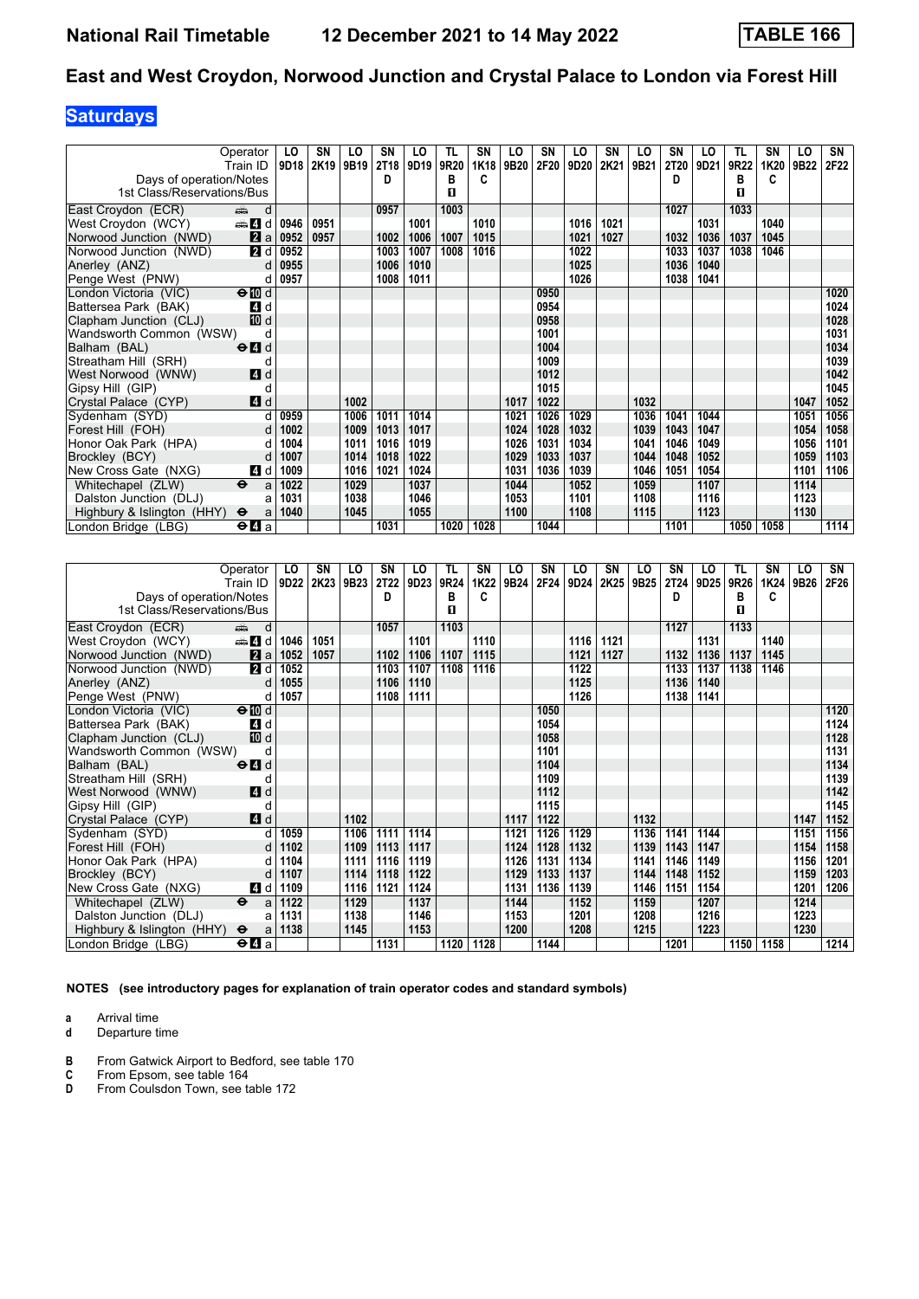# **Saturdays**

|                            | Operator<br>Train ID                      | LO<br>9D18 | SΝ<br>2K19 | LO<br>9B19 | SN<br>2T18 | LO<br>9D19 | TL<br>9R20 | SN<br>1K18 | LO<br>9B20 | SN<br>2F20 | LO<br>9D20 | SN<br>2K21 | LO<br>9B21 | SN<br><b>2T20</b> | LO<br>9D21 | TL<br>9R22 | SΝ<br>1K20 | LO<br>9B22 | SN<br>2F22 |
|----------------------------|-------------------------------------------|------------|------------|------------|------------|------------|------------|------------|------------|------------|------------|------------|------------|-------------------|------------|------------|------------|------------|------------|
| Days of operation/Notes    |                                           |            |            |            | D          |            | в          | c          |            |            |            |            |            | D                 |            | в          | C          |            |            |
| 1st Class/Reservations/Bus |                                           |            |            |            |            |            | п          |            |            |            |            |            |            |                   |            | п          |            |            |            |
|                            |                                           |            |            |            |            |            |            |            |            |            |            |            |            |                   |            |            |            |            |            |
| East Croydon (ECR)         | d<br>ه ک                                  |            |            |            | 0957       |            | 1003       |            |            |            |            |            |            | 1027              |            | 1033       |            |            |            |
| West Croydon (WCY)         | den and d                                 | 0946       | 0951       |            |            | 1001       |            | 1010       |            |            | 1016       | 1021       |            |                   | 1031       |            | 1040       |            |            |
| Norwood Junction (NWD)     | 2 a                                       | 0952       | 0957       |            | 1002       | 1006       | 1007       | 1015       |            |            | 1021       | 1027       |            | 1032              | 1036       | 1037       | 1045       |            |            |
| Norwood Junction (NWD)     | <b>2</b> d                                | 0952       |            |            | 1003       | 1007       | 1008       | 1016       |            |            | 1022       |            |            | 1033              | 1037       | 1038       | 1046       |            |            |
| Anerley (ANZ)              | d                                         | 0955       |            |            | 1006       | 1010       |            |            |            |            | 1025       |            |            | 1036              | 1040       |            |            |            |            |
| Penge West (PNW)           | d                                         | 0957       |            |            | 1008       | 1011       |            |            |            |            | 1026       |            |            | 1038              | 1041       |            |            |            |            |
| London Victoria (VIC)      | $\Theta$ III d                            |            |            |            |            |            |            |            |            | 0950       |            |            |            |                   |            |            |            |            | 1020       |
| Battersea Park (BAK)       | <b>4</b> d                                |            |            |            |            |            |            |            |            | 0954       |            |            |            |                   |            |            |            |            | 1024       |
| Clapham Junction (CLJ)     | 10 d                                      |            |            |            |            |            |            |            |            | 0958       |            |            |            |                   |            |            |            |            | 1028       |
| Wandsworth Common (WSW)    | d                                         |            |            |            |            |            |            |            |            | 1001       |            |            |            |                   |            |            |            |            | 1031       |
| Balham (BAL)               | $\Theta$ <sup><math>\Omega</math></sup> d |            |            |            |            |            |            |            |            | 1004       |            |            |            |                   |            |            |            |            | 1034       |
| Streatham Hill (SRH)       | d                                         |            |            |            |            |            |            |            |            | 1009       |            |            |            |                   |            |            |            |            | 1039       |
| West Norwood (WNW)         | 4 d                                       |            |            |            |            |            |            |            |            | 1012       |            |            |            |                   |            |            |            |            | 1042       |
| Gipsy Hill (GIP)           | d                                         |            |            |            |            |            |            |            |            | 1015       |            |            |            |                   |            |            |            |            | 1045       |
| Crystal Palace (CYP)       | 4d                                        |            |            | 1002       |            |            |            |            | 1017       | 1022       |            |            | 1032       |                   |            |            |            | 1047       | 1052       |
| Sydenham (SYD)             |                                           | 0959       |            | 1006       | 1011       | 1014       |            |            | 1021       | 1026       | 1029       |            | 1036       | 1041              | 1044       |            |            | 1051       | 1056       |
| Forest Hill (FOH)          |                                           | 1002       |            | 1009       | 1013       | 1017       |            |            | 1024       | 1028       | 1032       |            | 1039       | 1043              | 1047       |            |            | 1054       | 1058       |
| Honor Oak Park (HPA)       | d                                         | 1004       |            | 1011       | 1016       | 1019       |            |            | 1026       | 1031       | 1034       |            | 1041       | 1046              | 1049       |            |            | 1056       | 1101       |
| Brockley (BCY)             | d                                         | 1007       |            | 1014       | 1018       | 1022       |            |            | 1029       | 1033       | 1037       |            | 1044       | 1048              | 1052       |            |            | 1059       | 1103       |
| New Cross Gate (NXG)       | 4 d                                       | 1009       |            | 1016       | 1021       | 1024       |            |            | 1031       | 1036       | 1039       |            | 1046       | 1051              | 1054       |            |            | 1101       | 1106       |
| Whitechapel (ZLW)          | $\ddot{\mathbf{e}}$<br>a                  | 1022       |            | 1029       |            | 1037       |            |            | 1044       |            | 1052       |            | 1059       |                   | 1107       |            |            | 1114       |            |
| Dalston Junction (DLJ)     | a                                         | 1031       |            | 1038       |            | 1046       |            |            | 1053       |            | 1101       |            | 1108       |                   | 1116       |            |            | 1123       |            |
| Highbury & Islington (HHY) | $\ddot{\mathbf{e}}$<br>a                  | 1040       |            | 1045       |            | 1055       |            |            | 1100       |            | 1108       |            | 1115       |                   | 1123       |            |            | 1130       |            |
| London Bridge (LBG)        | $\Theta$ $\blacksquare$ a                 |            |            |            | 1031       |            | 1020       | 1028       |            | 1044       |            |            |            | 1101              |            | 1050       | 1058       |            | 1114       |

|                            | Operator                                    | LO.  | SN   | LO   | SN          | LO   | TL.  | SN   | LO   | SN   | LO   | SN   | LO   | <b>SN</b> | LO   | TL   | SN   | LO   | SN   |
|----------------------------|---------------------------------------------|------|------|------|-------------|------|------|------|------|------|------|------|------|-----------|------|------|------|------|------|
|                            | Train ID                                    | 9D22 | 2K23 | 9B23 | <b>2T22</b> | 9D23 | 9R24 | 1K22 | 9B24 | 2F24 | 9D24 | 2K25 | 9B25 | 2T24      | 9D25 | 9R26 | 1K24 | 9B26 | 2F26 |
| Days of operation/Notes    |                                             |      |      |      | D           |      | в    | c    |      |      |      |      |      | D         |      | в    | c    |      |      |
| 1st Class/Reservations/Bus |                                             |      |      |      |             |      | п    |      |      |      |      |      |      |           |      | п    |      |      |      |
| East Croydon (ECR)         | d<br>dia 1                                  |      |      |      | 1057        |      | 1103 |      |      |      |      |      |      | 1127      |      | 1133 |      |      |      |
| West Croydon (WCY)         | d d                                         | 1046 | 1051 |      |             | 1101 |      | 1110 |      |      | 1116 | 1121 |      |           | 1131 |      | 1140 |      |      |
| Norwood Junction (NWD)     | 2a                                          | 1052 | 1057 |      | 1102        | 1106 | 1107 | 1115 |      |      | 1121 | 1127 |      | 1132      | 1136 | 1137 | 1145 |      |      |
| Norwood Junction (NWD)     | <b>2</b> d                                  | 1052 |      |      | 1103        | 1107 | 1108 | 1116 |      |      | 1122 |      |      | 1133      | 1137 | 1138 | 1146 |      |      |
| Anerley (ANZ)              | d                                           | 1055 |      |      | 1106        | 1110 |      |      |      |      | 1125 |      |      | 1136      | 1140 |      |      |      |      |
| Penge West (PNW)           | d                                           | 1057 |      |      | 1108        | 1111 |      |      |      |      | 1126 |      |      | 1138      | 1141 |      |      |      |      |
| London Victoria (VIC)      | $\Theta$ III d                              |      |      |      |             |      |      |      |      | 1050 |      |      |      |           |      |      |      |      | 1120 |
| Battersea Park (BAK)       | 4 d                                         |      |      |      |             |      |      |      |      | 1054 |      |      |      |           |      |      |      |      | 1124 |
| Clapham Junction (CLJ)     | <b>ID</b> d                                 |      |      |      |             |      |      |      |      | 1058 |      |      |      |           |      |      |      |      | 1128 |
| Wandsworth Common (WSW)    | d                                           |      |      |      |             |      |      |      |      | 1101 |      |      |      |           |      |      |      |      | 1131 |
| Balham (BAL)               | $\Theta$ <sup><math>\Omega</math></sup> d   |      |      |      |             |      |      |      |      | 1104 |      |      |      |           |      |      |      |      | 1134 |
| Streatham Hill (SRH)       | d                                           |      |      |      |             |      |      |      |      | 1109 |      |      |      |           |      |      |      |      | 1139 |
| West Norwood (WNW)         | 4d                                          |      |      |      |             |      |      |      |      | 1112 |      |      |      |           |      |      |      |      | 1142 |
| Gipsy Hill (GIP)           | d                                           |      |      |      |             |      |      |      |      | 1115 |      |      |      |           |      |      |      |      | 1145 |
| Crystal Palace (CYP)       | 4d                                          |      |      | 1102 |             |      |      |      | 1117 | 1122 |      |      | 1132 |           |      |      |      | 1147 | 1152 |
| Sydenham (SYD)             | d                                           | 1059 |      | 1106 | 1111        | 1114 |      |      | 1121 | 1126 | 1129 |      | 1136 | 1141      | 1144 |      |      | 1151 | 1156 |
| Forest Hill (FOH)          | d                                           | 1102 |      | 1109 | 1113        | 1117 |      |      | 1124 | 1128 | 1132 |      | 1139 | 1143      | 1147 |      |      | 1154 | 1158 |
| Honor Oak Park (HPA)       | d                                           | 1104 |      | 1111 | 1116        | 1119 |      |      | 1126 | 1131 | 1134 |      | 1141 | 1146      | 1149 |      |      | 1156 | 1201 |
| Brockley (BCY)             | d                                           | 1107 |      | 1114 | 1118        | 1122 |      |      | 1129 | 1133 | 1137 |      | 1144 | 1148      | 1152 |      |      | 1159 | 1203 |
| New Cross Gate (NXG)       | 4 d                                         | 1109 |      | 1116 | 1121        | 1124 |      |      | 1131 | 1136 | 1139 |      | 1146 | 1151      | 1154 |      |      | 1201 | 1206 |
| Whitechapel (ZLW)          | $\ddot{\mathbf{e}}$<br>a                    | 1122 |      | 1129 |             | 1137 |      |      | 1144 |      | 1152 |      | 1159 |           | 1207 |      |      | 1214 |      |
| Dalston Junction (DLJ)     | a                                           | 1131 |      | 1138 |             | 1146 |      |      | 1153 |      | 1201 |      | 1208 |           | 1216 |      |      | 1223 |      |
| Highbury & Islington (HHY) | $\ddot{\mathbf{e}}$<br>a                    | 1138 |      | 1145 |             | 1153 |      |      | 1200 |      | 1208 |      | 1215 |           | 1223 |      |      | 1230 |      |
| London Bridge (LBG)        | $\Theta$ <b><math>\blacksquare</math></b> a |      |      |      | 1131        |      | 1120 | 1128 |      | 1144 |      |      |      | 1201      |      | 1150 | 1158 |      | 1214 |

**NOTES (see introductory pages for explanation of train operator codes and standard symbols)**

**a** Arrival time<br>**d** Departure t

- **B** From Gatwick Airport to Bedford, see table 170<br> **C** From Epsom, see table 164<br> **D** From Coulsdon Town, see table 172
- **C** From Epsom, see table 164 **D** From Coulsdon Town, see table 172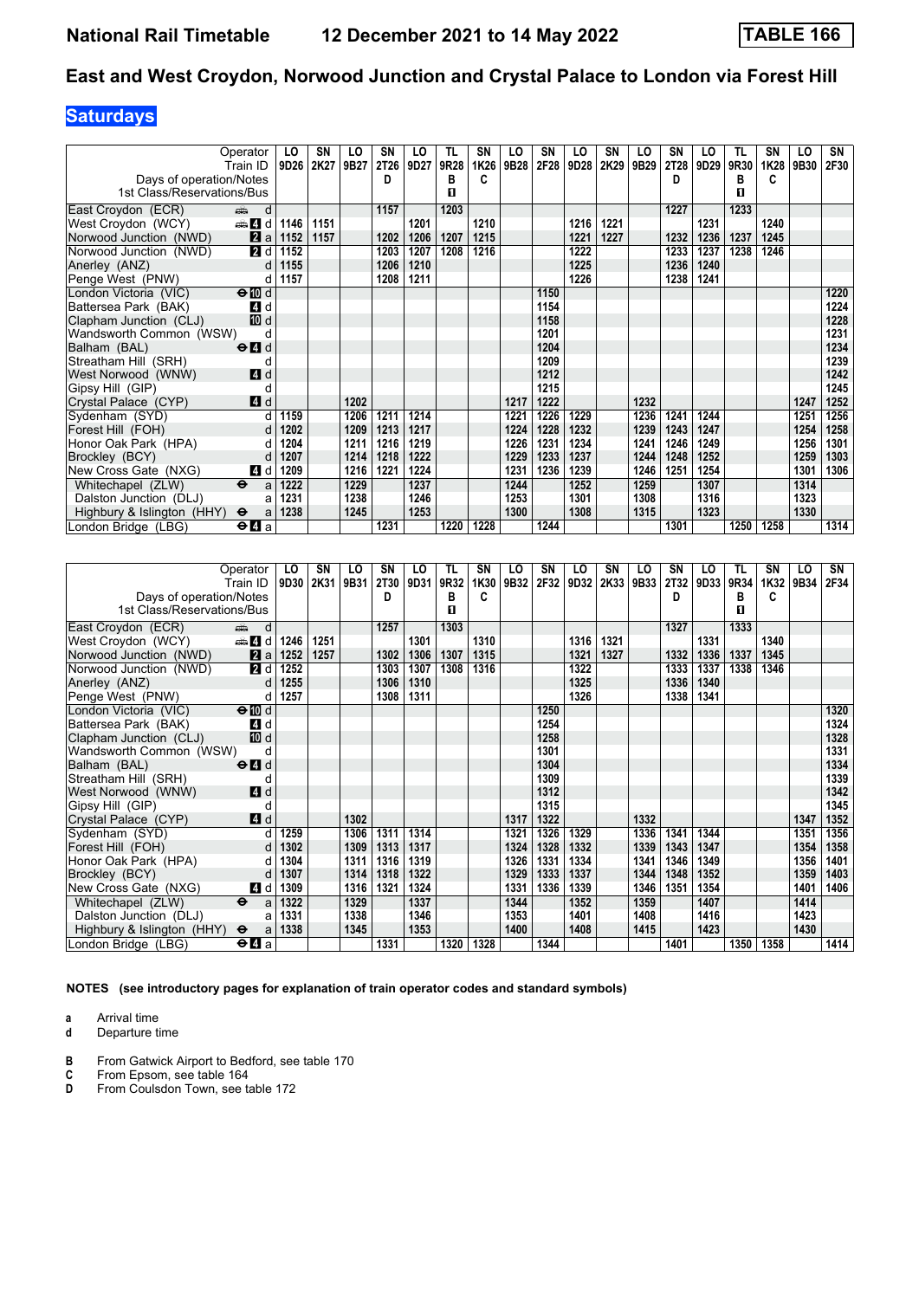# **Saturdays**

|                            | Operator                                  | LO   | SN   | LO   | SN   | LO   | TL.  | <b>SN</b> | LO   | SN   | LO   | SN   | LO   | SN   | LO   | TL   | SN   | LO   | SN   |
|----------------------------|-------------------------------------------|------|------|------|------|------|------|-----------|------|------|------|------|------|------|------|------|------|------|------|
|                            | Train ID   9D26                           |      | 2K27 | 9B27 | 2T26 | 9D27 | 9R28 | 1K26      | 9B28 | 2F28 | 9D28 | 2K29 | 9B29 | 2T28 | 9D29 | 9R30 | 1K28 | 9B30 | 2F30 |
| Days of operation/Notes    |                                           |      |      |      | D    |      | в    | c         |      |      |      |      |      | D    |      | в    | C    |      |      |
| 1st Class/Reservations/Bus |                                           |      |      |      |      |      | п    |           |      |      |      |      |      |      |      | п    |      |      |      |
| East Croydon (ECR)         | d<br>dia 1                                |      |      |      | 1157 |      | 1203 |           |      |      |      |      |      | 1227 |      | 1233 |      |      |      |
| West Croydon (WCY)         | $\oplus$ 4 d                              | 1146 | 1151 |      |      | 1201 |      | 1210      |      |      | 1216 | 1221 |      |      | 1231 |      | 1240 |      |      |
| Norwood Junction (NWD)     | 2a                                        | 1152 | 1157 |      | 1202 | 1206 | 1207 | 1215      |      |      | 1221 | 1227 |      | 1232 | 1236 | 1237 | 1245 |      |      |
| Norwood Junction (NWD)     | 2 d                                       | 1152 |      |      | 1203 | 1207 | 1208 | 1216      |      |      | 1222 |      |      | 1233 | 1237 | 1238 | 1246 |      |      |
| Anerley (ANZ)              | d                                         | 1155 |      |      | 1206 | 1210 |      |           |      |      | 1225 |      |      | 1236 | 1240 |      |      |      |      |
| Penge West (PNW)           | d                                         | 1157 |      |      | 1208 | 1211 |      |           |      |      | 1226 |      |      | 1238 | 1241 |      |      |      |      |
| London Victoria (VIC)      | $\Theta$ III d                            |      |      |      |      |      |      |           |      | 1150 |      |      |      |      |      |      |      |      | 1220 |
| Battersea Park (BAK)       | 4 d                                       |      |      |      |      |      |      |           |      | 1154 |      |      |      |      |      |      |      |      | 1224 |
| Clapham Junction (CLJ)     | 10 d                                      |      |      |      |      |      |      |           |      | 1158 |      |      |      |      |      |      |      |      | 1228 |
| Wandsworth Common (WSW)    | d                                         |      |      |      |      |      |      |           |      | 1201 |      |      |      |      |      |      |      |      | 1231 |
| Balham (BAL)               | $\Theta$ <sup><math>\Omega</math></sup> d |      |      |      |      |      |      |           |      | 1204 |      |      |      |      |      |      |      |      | 1234 |
| Streatham Hill (SRH)       | d                                         |      |      |      |      |      |      |           |      | 1209 |      |      |      |      |      |      |      |      | 1239 |
| West Norwood (WNW)         | 4d                                        |      |      |      |      |      |      |           |      | 1212 |      |      |      |      |      |      |      |      | 1242 |
| Gipsy Hill (GIP)           | d                                         |      |      |      |      |      |      |           |      | 1215 |      |      |      |      |      |      |      |      | 1245 |
| Crystal Palace (CYP)       | 4 d                                       |      |      | 1202 |      |      |      |           | 1217 | 1222 |      |      | 1232 |      |      |      |      | 1247 | 1252 |
| Sydenham (SYD)             | d                                         | 1159 |      | 1206 | 1211 | 1214 |      |           | 1221 | 1226 | 1229 |      | 1236 | 1241 | 1244 |      |      | 1251 | 1256 |
| Forest Hill (FOH)          | d                                         | 1202 |      | 1209 | 1213 | 1217 |      |           | 1224 | 1228 | 1232 |      | 1239 | 1243 | 1247 |      |      | 1254 | 1258 |
| Honor Oak Park (HPA)       | d                                         | 1204 |      | 1211 | 1216 | 1219 |      |           | 1226 | 1231 | 1234 |      | 1241 | 1246 | 1249 |      |      | 1256 | 1301 |
| Brockley (BCY)             | d                                         | 1207 |      | 1214 | 1218 | 1222 |      |           | 1229 | 1233 | 1237 |      | 1244 | 1248 | 1252 |      |      | 1259 | 1303 |
| New Cross Gate (NXG)       | 4 d                                       | 1209 |      | 1216 | 1221 | 1224 |      |           | 1231 | 1236 | 1239 |      | 1246 | 1251 | 1254 |      |      | 1301 | 1306 |
| Whitechapel (ZLW)          | $\ddot{\phantom{1}}$<br>a                 | 1222 |      | 1229 |      | 1237 |      |           | 1244 |      | 1252 |      | 1259 |      | 1307 |      |      | 1314 |      |
| Dalston Junction (DLJ)     | a                                         | 1231 |      | 1238 |      | 1246 |      |           | 1253 |      | 1301 |      | 1308 |      | 1316 |      |      | 1323 |      |
| Highbury & Islington (HHY) | $\ddot{\mathbf{e}}$<br>a                  | 1238 |      | 1245 |      | 1253 |      |           | 1300 |      | 1308 |      | 1315 |      | 1323 |      |      | 1330 |      |
| London Bridge (LBG)        | $\Theta$ $\blacksquare$ a                 |      |      |      | 1231 |      | 1220 | 1228      |      | 1244 |      |      |      | 1301 |      | 1250 | 1258 |      | 1314 |

|                            | Operator                                    | LO   | SN   | LO   | SN   | LO   | <b>TL</b> | SN   | LO   | SN   | LO   | SN   | LO   | <b>SN</b> | LO   | TL   | SΝ   | LO   | SN   |
|----------------------------|---------------------------------------------|------|------|------|------|------|-----------|------|------|------|------|------|------|-----------|------|------|------|------|------|
|                            | Train ID                                    | 9D30 | 2K31 | 9B31 | 2T30 | 9D31 | 9R32      | 1K30 | 9B32 | 2F32 | 9D32 | 2K33 | 9B33 | 2T32      | 9D33 | 9R34 | 1K32 | 9B34 | 2F34 |
| Days of operation/Notes    |                                             |      |      |      | D    |      | в         | C    |      |      |      |      |      | D         |      | в    | C    |      |      |
| 1st Class/Reservations/Bus |                                             |      |      |      |      |      | п         |      |      |      |      |      |      |           |      | п    |      |      |      |
| East Croydon (ECR)         | d<br>dia 1                                  |      |      |      | 1257 |      | 1303      |      |      |      |      |      |      | 1327      |      | 1333 |      |      |      |
| West Croydon (WCY)         | den and a                                   | 1246 | 1251 |      |      | 1301 |           | 1310 |      |      | 1316 | 1321 |      |           | 1331 |      | 1340 |      |      |
| Norwood Junction (NWD)     | 2a                                          | 1252 | 1257 |      | 1302 | 1306 | 1307      | 1315 |      |      | 1321 | 1327 |      | 1332      | 1336 | 1337 | 1345 |      |      |
| Norwood Junction (NWD)     | 2 d                                         | 1252 |      |      | 1303 | 1307 | 1308      | 1316 |      |      | 1322 |      |      | 1333      | 1337 | 1338 | 1346 |      |      |
| Anerley (ANZ)              | d                                           | 1255 |      |      | 1306 | 1310 |           |      |      |      | 1325 |      |      | 1336      | 1340 |      |      |      |      |
| Penge West (PNW)           | d                                           | 1257 |      |      | 1308 | 1311 |           |      |      |      | 1326 |      |      | 1338      | 1341 |      |      |      |      |
| London Victoria (VIC)      | $\Theta$ III d                              |      |      |      |      |      |           |      |      | 1250 |      |      |      |           |      |      |      |      | 1320 |
| Battersea Park (BAK)       | 4 d                                         |      |      |      |      |      |           |      |      | 1254 |      |      |      |           |      |      |      |      | 1324 |
| Clapham Junction (CLJ)     | 10 d                                        |      |      |      |      |      |           |      |      | 1258 |      |      |      |           |      |      |      |      | 1328 |
| Wandsworth Common (WSW)    | d                                           |      |      |      |      |      |           |      |      | 1301 |      |      |      |           |      |      |      |      | 1331 |
| Balham (BAL)               | $\Theta$ <sup><math>d</math></sup>          |      |      |      |      |      |           |      |      | 1304 |      |      |      |           |      |      |      |      | 1334 |
| Streatham Hill (SRH)       | d                                           |      |      |      |      |      |           |      |      | 1309 |      |      |      |           |      |      |      |      | 1339 |
| West Norwood (WNW)         | <b>4</b> d                                  |      |      |      |      |      |           |      |      | 1312 |      |      |      |           |      |      |      |      | 1342 |
| Gipsy Hill (GIP)           | d                                           |      |      |      |      |      |           |      |      | 1315 |      |      |      |           |      |      |      |      | 1345 |
| Crystal Palace (CYP)       | 4d                                          |      |      | 1302 |      |      |           |      | 1317 | 1322 |      |      | 1332 |           |      |      |      | 1347 | 1352 |
| Sydenham (SYD)             | d                                           | 1259 |      | 1306 | 1311 | 1314 |           |      | 1321 | 1326 | 1329 |      | 1336 | 1341      | 1344 |      |      | 1351 | 1356 |
| Forest Hill (FOH)          | $\mathsf{d}$                                | 1302 |      | 1309 | 1313 | 1317 |           |      | 1324 | 1328 | 1332 |      | 1339 | 1343      | 1347 |      |      | 1354 | 1358 |
| Honor Oak Park (HPA)       | d                                           | 1304 |      | 1311 | 1316 | 1319 |           |      | 1326 | 1331 | 1334 |      | 1341 | 1346      | 1349 |      |      | 1356 | 1401 |
| Brockley (BCY)             | d                                           | 1307 |      | 1314 | 1318 | 1322 |           |      | 1329 | 1333 | 1337 |      | 1344 | 1348      | 1352 |      |      | 1359 | 1403 |
| New Cross Gate (NXG)       | 4 d                                         | 1309 |      | 1316 | 1321 | 1324 |           |      | 1331 | 1336 | 1339 |      | 1346 | 1351      | 1354 |      |      | 1401 | 1406 |
| Whitechapel (ZLW)          | $\ddot{\mathbf{e}}$<br>a                    | 1322 |      | 1329 |      | 1337 |           |      | 1344 |      | 1352 |      | 1359 |           | 1407 |      |      | 1414 |      |
| Dalston Junction (DLJ)     | a                                           | 1331 |      | 1338 |      | 1346 |           |      | 1353 |      | 1401 |      | 1408 |           | 1416 |      |      | 1423 |      |
| Highbury & Islington (HHY) | $\ddot{\mathbf{e}}$<br>a                    | 1338 |      | 1345 |      | 1353 |           |      | 1400 |      | 1408 |      | 1415 |           | 1423 |      |      | 1430 |      |
| London Bridge (LBG)        | $\Theta$ <b><math>\blacksquare</math></b> a |      |      |      | 1331 |      | 1320      | 1328 |      | 1344 |      |      |      | 1401      |      | 1350 | 1358 |      | 1414 |

**NOTES (see introductory pages for explanation of train operator codes and standard symbols)**

**a** Arrival time<br>**d** Departure t

- **B** From Gatwick Airport to Bedford, see table 170<br> **C** From Epsom, see table 164<br> **D** From Coulsdon Town, see table 172
- **C** From Epsom, see table 164
- **D** From Coulsdon Town, see table 172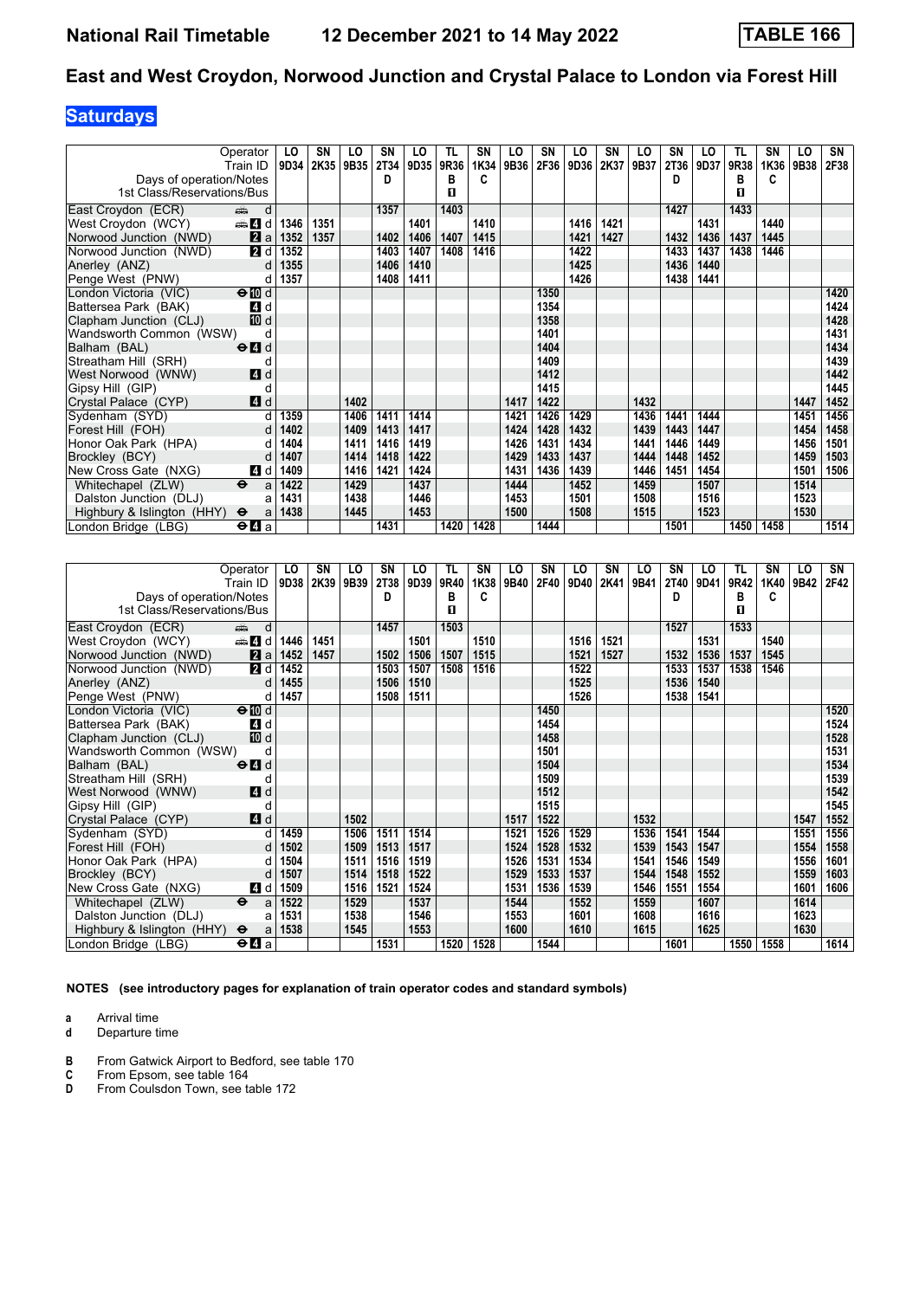# **Saturdays**

|                            | Operator                                  | LO   | SN   | LO   | SN   | LO   | <b>TL</b> | SN   | LO   | SN   | LO   | SN   | LO   | SN   | LO   | TL   | SN   | LO   | SN   |
|----------------------------|-------------------------------------------|------|------|------|------|------|-----------|------|------|------|------|------|------|------|------|------|------|------|------|
|                            | Train ID                                  | 9D34 | 2K35 | 9B35 | 2T34 | 9D35 | 9R36      | 1K34 | 9B36 | 2F36 | 9D36 | 2K37 | 9B37 | 2T36 | 9D37 | 9R38 | 1K36 | 9B38 | 2F38 |
| Days of operation/Notes    |                                           |      |      |      | D    |      | в         | c    |      |      |      |      |      | D    |      | в    | C    |      |      |
| 1st Class/Reservations/Bus |                                           |      |      |      |      |      | п         |      |      |      |      |      |      |      |      | п    |      |      |      |
| East Croydon (ECR)         | d<br>dia 1                                |      |      |      | 1357 |      | 1403      |      |      |      |      |      |      | 1427 |      | 1433 |      |      |      |
| West Croydon (WCY)         | d d                                       | 1346 | 1351 |      |      | 1401 |           | 1410 |      |      | 1416 | 1421 |      |      | 1431 |      | 1440 |      |      |
| Norwood Junction (NWD)     | 2a                                        | 1352 | 1357 |      | 1402 | 1406 | 1407      | 1415 |      |      | 1421 | 1427 |      | 1432 | 1436 | 1437 | 1445 |      |      |
| Norwood Junction (NWD)     | 2 d                                       | 1352 |      |      | 1403 | 1407 | 1408      | 1416 |      |      | 1422 |      |      | 1433 | 1437 | 1438 | 1446 |      |      |
| Anerley (ANZ)              | d                                         | 1355 |      |      | 1406 | 1410 |           |      |      |      | 1425 |      |      | 1436 | 1440 |      |      |      |      |
| Penge West (PNW)           | d                                         | 1357 |      |      | 1408 | 1411 |           |      |      |      | 1426 |      |      | 1438 | 1441 |      |      |      |      |
| London Victoria (VIC)      | $\Theta$ III d                            |      |      |      |      |      |           |      |      | 1350 |      |      |      |      |      |      |      |      | 1420 |
| Battersea Park (BAK)       | 4 d                                       |      |      |      |      |      |           |      |      | 1354 |      |      |      |      |      |      |      |      | 1424 |
| Clapham Junction (CLJ)     | 10 d                                      |      |      |      |      |      |           |      |      | 1358 |      |      |      |      |      |      |      |      | 1428 |
| Wandsworth Common (WSW)    | d                                         |      |      |      |      |      |           |      |      | 1401 |      |      |      |      |      |      |      |      | 1431 |
| Balham (BAL)               | $\Theta$ <sup><math>\Omega</math></sup> d |      |      |      |      |      |           |      |      | 1404 |      |      |      |      |      |      |      |      | 1434 |
| Streatham Hill (SRH)       | d                                         |      |      |      |      |      |           |      |      | 1409 |      |      |      |      |      |      |      |      | 1439 |
| West Norwood (WNW)         | 4d                                        |      |      |      |      |      |           |      |      | 1412 |      |      |      |      |      |      |      |      | 1442 |
| Gipsy Hill (GIP)           | d                                         |      |      |      |      |      |           |      |      | 1415 |      |      |      |      |      |      |      |      | 1445 |
| Crystal Palace (CYP)       | 4d                                        |      |      | 1402 |      |      |           |      | 1417 | 1422 |      |      | 1432 |      |      |      |      | 1447 | 1452 |
| Sydenham (SYD)             | d                                         | 1359 |      | 1406 | 1411 | 1414 |           |      | 1421 | 1426 | 1429 |      | 1436 | 1441 | 1444 |      |      | 1451 | 1456 |
| Forest Hill (FOH)          | d                                         | 1402 |      | 1409 | 1413 | 1417 |           |      | 1424 | 1428 | 1432 |      | 1439 | 1443 | 1447 |      |      | 1454 | 1458 |
| Honor Oak Park (HPA)       | d                                         | 1404 |      | 1411 | 1416 | 1419 |           |      | 1426 | 1431 | 1434 |      | 1441 | 1446 | 1449 |      |      | 1456 | 1501 |
| Brockley (BCY)             | d                                         | 1407 |      | 1414 | 1418 | 1422 |           |      | 1429 | 1433 | 1437 |      | 1444 | 1448 | 1452 |      |      | 1459 | 1503 |
| New Cross Gate (NXG)       | 4 d                                       | 1409 |      | 1416 | 1421 | 1424 |           |      | 1431 | 1436 | 1439 |      | 1446 | 1451 | 1454 |      |      | 1501 | 1506 |
| Whitechapel (ZLW)          | $\ddot{\mathbf{e}}$<br>a                  | 1422 |      | 1429 |      | 1437 |           |      | 1444 |      | 1452 |      | 1459 |      | 1507 |      |      | 1514 |      |
| Dalston Junction (DLJ)     | a                                         | 1431 |      | 1438 |      | 1446 |           |      | 1453 |      | 1501 |      | 1508 |      | 1516 |      |      | 1523 |      |
| Highbury & Islington (HHY) | $\ddot{\mathbf{e}}$<br>a                  | 1438 |      | 1445 |      | 1453 |           |      | 1500 |      | 1508 |      | 1515 |      | 1523 |      |      | 1530 |      |
| London Bridge (LBG)        | $\Theta$ $\blacksquare$ a                 |      |      |      | 1431 |      | 1420      | 1428 |      | 1444 |      |      |      | 1501 |      | 1450 | 1458 |      | 1514 |

|                            | Operator                                        | LO   | SN   | LO   | SN   | LO   | TL   | SN   | LO   | SN   | LO   | SN   | LO   | SN   | LO   | TL   | SΝ   | LO   | SN   |
|----------------------------|-------------------------------------------------|------|------|------|------|------|------|------|------|------|------|------|------|------|------|------|------|------|------|
|                            | Train ID                                        | 9D38 | 2K39 | 9B39 | 2T38 | 9D39 | 9R40 | 1K38 | 9B40 | 2F40 | 9D40 | 2K41 | 9B41 | 2T40 | 9D41 | 9R42 | 1K40 | 9B42 | 2F42 |
| Days of operation/Notes    |                                                 |      |      |      | D    |      | в    | C    |      |      |      |      |      | D    |      | в    | C    |      |      |
| 1st Class/Reservations/Bus |                                                 |      |      |      |      |      | п    |      |      |      |      |      |      |      |      | 0    |      |      |      |
| East Croydon (ECR)         | d<br>dia 1                                      |      |      |      | 1457 |      | 1503 |      |      |      |      |      |      | 1527 |      | 1533 |      |      |      |
| West Croydon (WCY)         | den den d                                       | 1446 | 1451 |      |      | 1501 |      | 1510 |      |      | 1516 | 1521 |      |      | 1531 |      | 1540 |      |      |
| Norwood Junction (NWD)     | 2a                                              | 1452 | 1457 |      | 1502 | 1506 | 1507 | 1515 |      |      | 1521 | 1527 |      | 1532 | 1536 | 1537 | 1545 |      |      |
| Norwood Junction (NWD)     | <b>2</b> d                                      | 1452 |      |      | 1503 | 1507 | 1508 | 1516 |      |      | 1522 |      |      | 1533 | 1537 | 1538 | 1546 |      |      |
| Anerley (ANZ)              | d                                               | 1455 |      |      | 1506 | 1510 |      |      |      |      | 1525 |      |      | 1536 | 1540 |      |      |      |      |
| Penge West (PNW)           | d                                               | 1457 |      |      | 1508 | 1511 |      |      |      |      | 1526 |      |      | 1538 | 1541 |      |      |      |      |
| London Victoria (VIC)      | $\Theta$ III d                                  |      |      |      |      |      |      |      |      | 1450 |      |      |      |      |      |      |      |      | 1520 |
| Battersea Park (BAK)       | 4 d                                             |      |      |      |      |      |      |      |      | 1454 |      |      |      |      |      |      |      |      | 1524 |
| Clapham Junction (CLJ)     | 10 d                                            |      |      |      |      |      |      |      |      | 1458 |      |      |      |      |      |      |      |      | 1528 |
| Wandsworth Common (WSW)    | d                                               |      |      |      |      |      |      |      |      | 1501 |      |      |      |      |      |      |      |      | 1531 |
| Balham (BAL)               | $\Theta$ <sup><math>\blacksquare</math> d</sup> |      |      |      |      |      |      |      |      | 1504 |      |      |      |      |      |      |      |      | 1534 |
| Streatham Hill (SRH)       | d                                               |      |      |      |      |      |      |      |      | 1509 |      |      |      |      |      |      |      |      | 1539 |
| West Norwood (WNW)         | <b>4</b> d                                      |      |      |      |      |      |      |      |      | 1512 |      |      |      |      |      |      |      |      | 1542 |
| Gipsy Hill (GIP)           | d                                               |      |      |      |      |      |      |      |      | 1515 |      |      |      |      |      |      |      |      | 1545 |
| Crystal Palace (CYP)       | 4d                                              |      |      | 1502 |      |      |      |      | 1517 | 1522 |      |      | 1532 |      |      |      |      | 1547 | 1552 |
| Sydenham (SYD)             | d                                               | 1459 |      | 1506 | 1511 | 1514 |      |      | 1521 | 1526 | 1529 |      | 1536 | 1541 | 1544 |      |      | 1551 | 1556 |
| Forest Hill (FOH)          | $\mathsf{d}$                                    | 1502 |      | 1509 | 1513 | 1517 |      |      | 1524 | 1528 | 1532 |      | 1539 | 1543 | 1547 |      |      | 1554 | 1558 |
| Honor Oak Park (HPA)       | d                                               | 1504 |      | 1511 | 1516 | 1519 |      |      | 1526 | 1531 | 1534 |      | 1541 | 1546 | 1549 |      |      | 1556 | 1601 |
| Brockley (BCY)             | d                                               | 1507 |      | 1514 | 1518 | 1522 |      |      | 1529 | 1533 | 1537 |      | 1544 | 1548 | 1552 |      |      | 1559 | 1603 |
| New Cross Gate (NXG)       | 4 d                                             | 1509 |      | 1516 | 1521 | 1524 |      |      | 1531 | 1536 | 1539 |      | 1546 | 1551 | 1554 |      |      | 1601 | 1606 |
| Whitechapel (ZLW)          | $\ddot{\mathbf{e}}$<br>a                        | 1522 |      | 1529 |      | 1537 |      |      | 1544 |      | 1552 |      | 1559 |      | 1607 |      |      | 1614 |      |
| Dalston Junction (DLJ)     | a                                               | 1531 |      | 1538 |      | 1546 |      |      | 1553 |      | 1601 |      | 1608 |      | 1616 |      |      | 1623 |      |
| Highbury & Islington (HHY) | $\ddot{\mathbf{e}}$<br>a                        | 1538 |      | 1545 |      | 1553 |      |      | 1600 |      | 1610 |      | 1615 |      | 1625 |      |      | 1630 |      |
| London Bridge (LBG)        | $\Theta$ <b><math>\blacksquare</math></b> a     |      |      |      | 1531 |      | 1520 | 1528 |      | 1544 |      |      |      | 1601 |      | 1550 | 1558 |      | 1614 |

**NOTES (see introductory pages for explanation of train operator codes and standard symbols)**

**a** Arrival time<br>**d** Departure t

- **B** From Gatwick Airport to Bedford, see table 170<br> **C** From Epsom, see table 164<br> **D** From Coulsdon Town, see table 172
- **C** From Epsom, see table 164
- **D** From Coulsdon Town, see table 172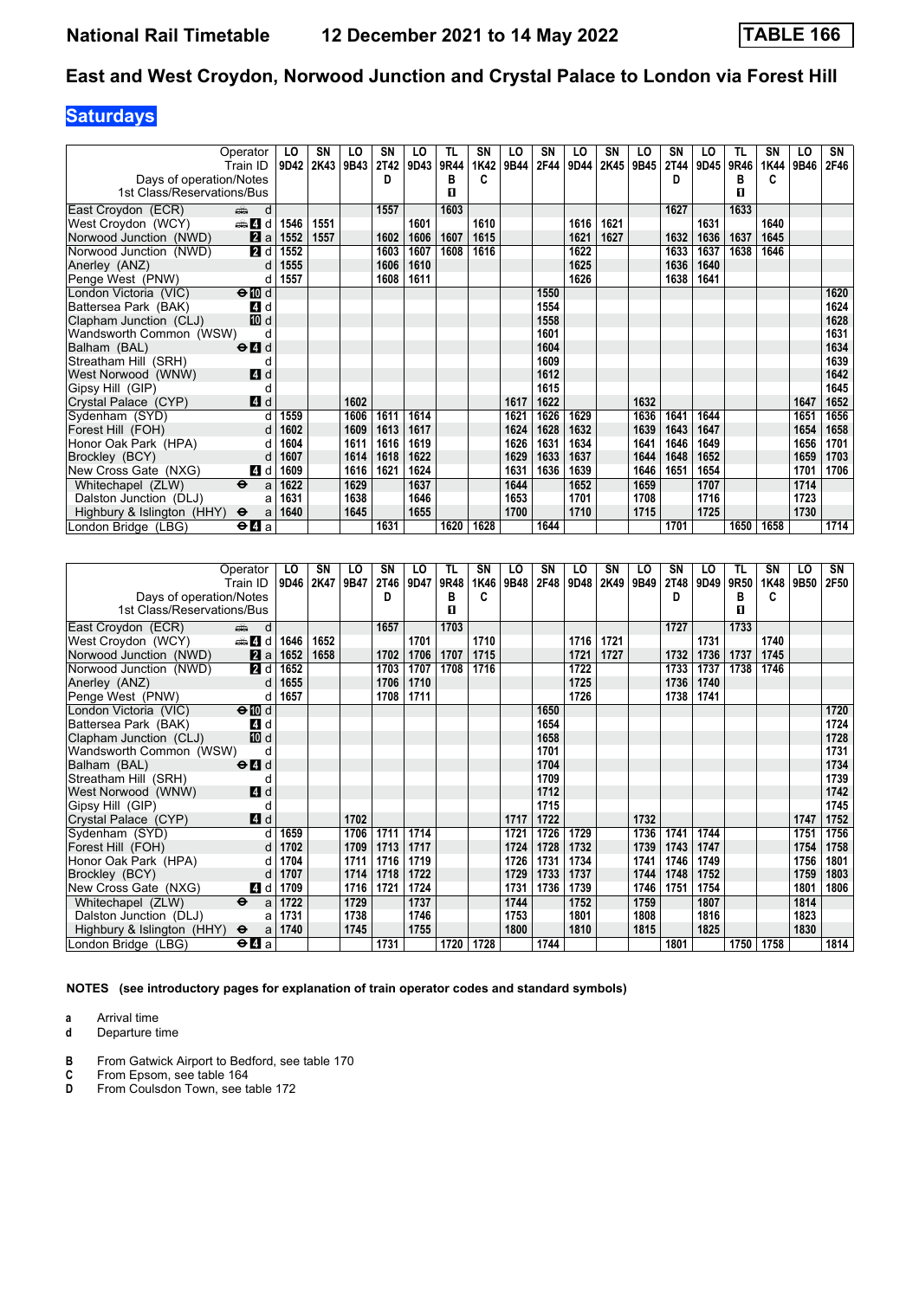# **Saturdays**

|                            | Operator                                  | LO   | SN   | LO   | SN   | LO   | TL.  | SN   | LO   | SN   | LO   | SN   | LO   | SN   | LO   | TL   | SN   | LO   | SN   |
|----------------------------|-------------------------------------------|------|------|------|------|------|------|------|------|------|------|------|------|------|------|------|------|------|------|
|                            | Train ID                                  | 9D42 | 2K43 | 9B43 | 2T42 | 9D43 | 9R44 | 1K42 | 9B44 | 2F44 | 9D44 | 2K45 | 9B45 | 2T44 | 9D45 | 9R46 | 1K44 | 9B46 | 2F46 |
| Days of operation/Notes    |                                           |      |      |      | D    |      | в    | c    |      |      |      |      |      | D    |      | в    | C    |      |      |
| 1st Class/Reservations/Bus |                                           |      |      |      |      |      | п    |      |      |      |      |      |      |      |      | п    |      |      |      |
| East Croydon (ECR)         | d<br>dia 1                                |      |      |      | 1557 |      | 1603 |      |      |      |      |      |      | 1627 |      | 1633 |      |      |      |
| West Croydon (WCY)         | d d                                       | 1546 | 1551 |      |      | 1601 |      | 1610 |      |      | 1616 | 1621 |      |      | 1631 |      | 1640 |      |      |
| Norwood Junction (NWD)     | 2a                                        | 1552 | 1557 |      | 1602 | 1606 | 1607 | 1615 |      |      | 1621 | 1627 |      | 1632 | 1636 | 1637 | 1645 |      |      |
| Norwood Junction (NWD)     | 2 d                                       | 1552 |      |      | 1603 | 1607 | 1608 | 1616 |      |      | 1622 |      |      | 1633 | 1637 | 1638 | 1646 |      |      |
| Anerley (ANZ)              | d                                         | 1555 |      |      | 1606 | 1610 |      |      |      |      | 1625 |      |      | 1636 | 1640 |      |      |      |      |
| Penge West (PNW)           | d                                         | 1557 |      |      | 1608 | 1611 |      |      |      |      | 1626 |      |      | 1638 | 1641 |      |      |      |      |
| London Victoria (VIC)      | $\Theta$ III d                            |      |      |      |      |      |      |      |      | 1550 |      |      |      |      |      |      |      |      | 1620 |
| Battersea Park (BAK)       | 4 d                                       |      |      |      |      |      |      |      |      | 1554 |      |      |      |      |      |      |      |      | 1624 |
| Clapham Junction (CLJ)     | 10 d                                      |      |      |      |      |      |      |      |      | 1558 |      |      |      |      |      |      |      |      | 1628 |
| Wandsworth Common (WSW)    | d                                         |      |      |      |      |      |      |      |      | 1601 |      |      |      |      |      |      |      |      | 1631 |
| Balham (BAL)               | $\Theta$ <sup><math>\Omega</math></sup> d |      |      |      |      |      |      |      |      | 1604 |      |      |      |      |      |      |      |      | 1634 |
| Streatham Hill (SRH)       | d                                         |      |      |      |      |      |      |      |      | 1609 |      |      |      |      |      |      |      |      | 1639 |
| West Norwood (WNW)         | 4d                                        |      |      |      |      |      |      |      |      | 1612 |      |      |      |      |      |      |      |      | 1642 |
| Gipsy Hill (GIP)           | d                                         |      |      |      |      |      |      |      |      | 1615 |      |      |      |      |      |      |      |      | 1645 |
| Crystal Palace (CYP)       | 4d                                        |      |      | 1602 |      |      |      |      | 1617 | 1622 |      |      | 1632 |      |      |      |      | 1647 | 1652 |
| Sydenham (SYD)             | q                                         | 1559 |      | 1606 | 1611 | 1614 |      |      | 1621 | 1626 | 1629 |      | 1636 | 1641 | 1644 |      |      | 1651 | 1656 |
| Forest Hill (FOH)          | d                                         | 1602 |      | 1609 | 1613 | 1617 |      |      | 1624 | 1628 | 1632 |      | 1639 | 1643 | 1647 |      |      | 1654 | 1658 |
| Honor Oak Park (HPA)       | d                                         | 1604 |      | 1611 | 1616 | 1619 |      |      | 1626 | 1631 | 1634 |      | 1641 | 1646 | 1649 |      |      | 1656 | 1701 |
| Brockley (BCY)             | d                                         | 1607 |      | 1614 | 1618 | 1622 |      |      | 1629 | 1633 | 1637 |      | 1644 | 1648 | 1652 |      |      | 1659 | 1703 |
| New Cross Gate (NXG)       | 4 d                                       | 1609 |      | 1616 | 1621 | 1624 |      |      | 1631 | 1636 | 1639 |      | 1646 | 1651 | 1654 |      |      | 1701 | 1706 |
| Whitechapel (ZLW)          | $\ddot{\mathbf{e}}$<br>a                  | 1622 |      | 1629 |      | 1637 |      |      | 1644 |      | 1652 |      | 1659 |      | 1707 |      |      | 1714 |      |
| Dalston Junction (DLJ)     | a                                         | 1631 |      | 1638 |      | 1646 |      |      | 1653 |      | 1701 |      | 1708 |      | 1716 |      |      | 1723 |      |
| Highbury & Islington (HHY) | $\ddot{\mathbf{e}}$<br>a                  | 1640 |      | 1645 |      | 1655 |      |      | 1700 |      | 1710 |      | 1715 |      | 1725 |      |      | 1730 |      |
| London Bridge (LBG)        | $\Theta$ $\blacksquare$ a                 |      |      |      | 1631 |      | 1620 | 1628 |      | 1644 |      |      |      | 1701 |      | 1650 | 1658 |      | 1714 |

|                            | Operator                                        | LO   | SN   | LO   | SΝ   | LO   | <b>TL</b> | SN   | LO   | SN   | LO   | SN   | LO   | SN          | LO   | TL   | SΝ   | LO   | SN   |
|----------------------------|-------------------------------------------------|------|------|------|------|------|-----------|------|------|------|------|------|------|-------------|------|------|------|------|------|
|                            | Train ID                                        | 9D46 | 2K47 | 9B47 | 2T46 | 9D47 | 9R48      | 1K46 | 9B48 | 2F48 | 9D48 | 2K49 | 9B49 | <b>2T48</b> | 9D49 | 9R50 | 1K48 | 9B50 | 2F50 |
| Days of operation/Notes    |                                                 |      |      |      | D    |      | в         | c    |      |      |      |      |      | D           |      | в    | C    |      |      |
| 1st Class/Reservations/Bus |                                                 |      |      |      |      |      | п         |      |      |      |      |      |      |             |      | п    |      |      |      |
| East Croydon (ECR)         | ain<br>d                                        |      |      |      | 1657 |      | 1703      |      |      |      |      |      |      | 1727        |      | 1733 |      |      |      |
| West Croydon (WCY)         | <b>en 4</b> d                                   | 1646 | 1652 |      |      | 1701 |           | 1710 |      |      | 1716 | 1721 |      |             | 1731 |      | 1740 |      |      |
| Norwood Junction (NWD)     | 2a                                              | 1652 | 1658 |      | 1702 | 1706 | 1707      | 1715 |      |      | 1721 | 1727 |      | 1732        | 1736 | 1737 | 1745 |      |      |
| Norwood Junction (NWD)     | <b>2</b> d                                      | 1652 |      |      | 1703 | 1707 | 1708      | 1716 |      |      | 1722 |      |      | 1733        | 1737 | 1738 | 1746 |      |      |
| Anerley (ANZ)              | $\mathbf d$                                     | 1655 |      |      | 1706 | 1710 |           |      |      |      | 1725 |      |      | 1736        | 1740 |      |      |      |      |
| Penge West (PNW)           | d                                               | 1657 |      |      | 1708 | 1711 |           |      |      |      | 1726 |      |      | 1738        | 1741 |      |      |      |      |
| London Victoria (VIC)      | $\Theta$ 10 d                                   |      |      |      |      |      |           |      |      | 1650 |      |      |      |             |      |      |      |      | 1720 |
| Battersea Park (BAK)       | 4 d                                             |      |      |      |      |      |           |      |      | 1654 |      |      |      |             |      |      |      |      | 1724 |
| Clapham Junction (CLJ)     | 10 d                                            |      |      |      |      |      |           |      |      | 1658 |      |      |      |             |      |      |      |      | 1728 |
| Wandsworth Common (WSW)    | d                                               |      |      |      |      |      |           |      |      | 1701 |      |      |      |             |      |      |      |      | 1731 |
| Balham (BAL)               | $\Theta$ <sup><math>\blacksquare</math> d</sup> |      |      |      |      |      |           |      |      | 1704 |      |      |      |             |      |      |      |      | 1734 |
| Streatham Hill (SRH)       | d                                               |      |      |      |      |      |           |      |      | 1709 |      |      |      |             |      |      |      |      | 1739 |
| West Norwood (WNW)         | 4d                                              |      |      |      |      |      |           |      |      | 1712 |      |      |      |             |      |      |      |      | 1742 |
| Gipsy Hill (GIP)           | d                                               |      |      |      |      |      |           |      |      | 1715 |      |      |      |             |      |      |      |      | 1745 |
| Crystal Palace (CYP)       | 4 d                                             |      |      | 1702 |      |      |           |      | 1717 | 1722 |      |      | 1732 |             |      |      |      | 1747 | 1752 |
| Sydenham (SYD)             | d                                               | 1659 |      | 1706 | 1711 | 1714 |           |      | 1721 | 1726 | 1729 |      | 1736 | 1741        | 1744 |      |      | 1751 | 1756 |
| Forest Hill (FOH)          | d                                               | 1702 |      | 1709 | 1713 | 1717 |           |      | 1724 | 1728 | 1732 |      | 1739 | 1743        | 1747 |      |      | 1754 | 1758 |
| Honor Oak Park (HPA)       | d                                               | 1704 |      | 1711 | 1716 | 1719 |           |      | 1726 | 1731 | 1734 |      | 1741 | 1746        | 1749 |      |      | 1756 | 1801 |
| Brockley (BCY)             | d                                               | 1707 |      | 1714 | 1718 | 1722 |           |      | 1729 | 1733 | 1737 |      | 1744 | 1748        | 1752 |      |      | 1759 | 1803 |
| New Cross Gate (NXG)       | 4 d                                             | 1709 |      | 1716 | 1721 | 1724 |           |      | 1731 | 1736 | 1739 |      | 1746 | 1751        | 1754 |      |      | 1801 | 1806 |
| Whitechapel (ZLW)          | $\ddot{\mathbf{e}}$<br>a                        | 1722 |      | 1729 |      | 1737 |           |      | 1744 |      | 1752 |      | 1759 |             | 1807 |      |      | 1814 |      |
| Dalston Junction (DLJ)     | a                                               | 1731 |      | 1738 |      | 1746 |           |      | 1753 |      | 1801 |      | 1808 |             | 1816 |      |      | 1823 |      |
| Highbury & Islington (HHY) | $\ddot{\mathbf{e}}$<br>a                        | 1740 |      | 1745 |      | 1755 |           |      | 1800 |      | 1810 |      | 1815 |             | 1825 |      |      | 1830 |      |
| London Bridge (LBG)        | $\Theta$ <b><math>\blacksquare</math></b> a     |      |      |      | 1731 |      | 1720      | 1728 |      | 1744 |      |      |      | 1801        |      | 1750 | 1758 |      | 1814 |

**NOTES (see introductory pages for explanation of train operator codes and standard symbols)**

**a** Arrival time<br>**d** Departure t

- **B** From Gatwick Airport to Bedford, see table 170<br> **C** From Epsom, see table 164<br> **D** From Coulsdon Town, see table 172
- **C** From Epsom, see table 164
- **D** From Coulsdon Town, see table 172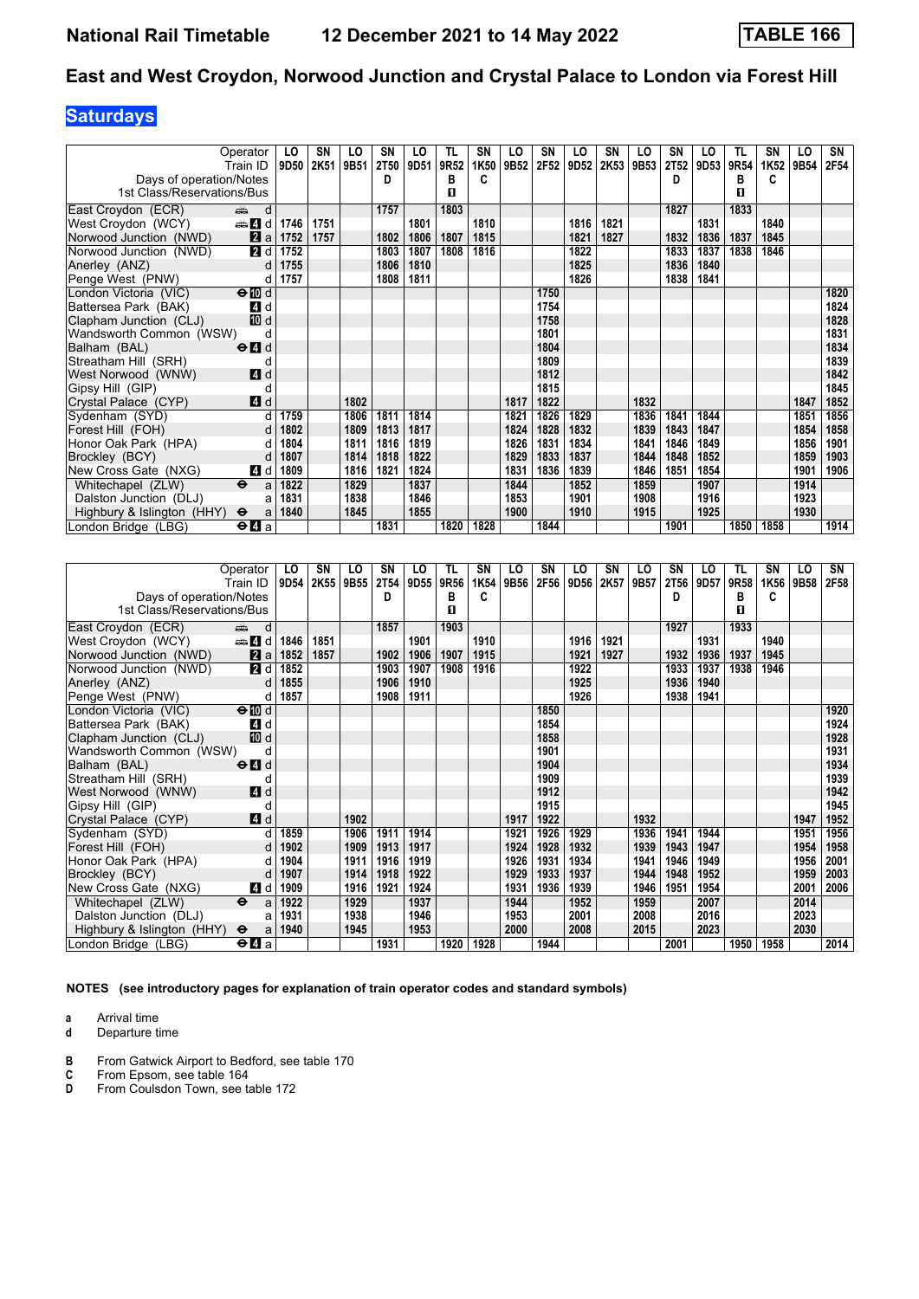# **Saturdays**

|                            | Operator                                  | LO   | SN   | LO   | SN          | LO   | <b>TL</b> | SN   | LO   | SN   | LO   | SN   | LO   | <b>SN</b> | LO   | TL   | SN   | LO   | SN   |
|----------------------------|-------------------------------------------|------|------|------|-------------|------|-----------|------|------|------|------|------|------|-----------|------|------|------|------|------|
|                            | Train ID                                  | 9D50 | 2K51 | 9B51 | <b>2T50</b> | 9D51 | 9R52      | 1K50 | 9B52 | 2F52 | 9D52 | 2K53 | 9B53 | 2T52      | 9D53 | 9R54 | 1K52 | 9B54 | 2F54 |
| Days of operation/Notes    |                                           |      |      |      | D           |      | в         | c    |      |      |      |      |      | D         |      | в    | C    |      |      |
| 1st Class/Reservations/Bus |                                           |      |      |      |             |      | п         |      |      |      |      |      |      |           |      | п    |      |      |      |
| East Croydon (ECR)         | d<br>dia 1                                |      |      |      | 1757        |      | 1803      |      |      |      |      |      |      | 1827      |      | 1833 |      |      |      |
| West Croydon (WCY)         | d d                                       | 1746 | 1751 |      |             | 1801 |           | 1810 |      |      | 1816 | 1821 |      |           | 1831 |      | 1840 |      |      |
| Norwood Junction (NWD)     | 2a                                        | 1752 | 1757 |      | 1802        | 1806 | 1807      | 1815 |      |      | 1821 | 1827 |      | 1832      | 1836 | 1837 | 1845 |      |      |
| Norwood Junction (NWD)     | 2 d                                       | 1752 |      |      | 1803        | 1807 | 1808      | 1816 |      |      | 1822 |      |      | 1833      | 1837 | 1838 | 1846 |      |      |
| Anerley (ANZ)              | d                                         | 1755 |      |      | 1806        | 1810 |           |      |      |      | 1825 |      |      | 1836      | 1840 |      |      |      |      |
| Penge West (PNW)           | d                                         | 1757 |      |      | 1808        | 1811 |           |      |      |      | 1826 |      |      | 1838      | 1841 |      |      |      |      |
| London Victoria (VIC)      | $\Theta$ III d                            |      |      |      |             |      |           |      |      | 1750 |      |      |      |           |      |      |      |      | 1820 |
| Battersea Park (BAK)       | 4 d                                       |      |      |      |             |      |           |      |      | 1754 |      |      |      |           |      |      |      |      | 1824 |
| Clapham Junction (CLJ)     | 10 d                                      |      |      |      |             |      |           |      |      | 1758 |      |      |      |           |      |      |      |      | 1828 |
| Wandsworth Common (WSW)    | d                                         |      |      |      |             |      |           |      |      | 1801 |      |      |      |           |      |      |      |      | 1831 |
| Balham (BAL)               | $\Theta$ <sup><math>\Omega</math></sup> d |      |      |      |             |      |           |      |      | 1804 |      |      |      |           |      |      |      |      | 1834 |
| Streatham Hill (SRH)       | d                                         |      |      |      |             |      |           |      |      | 1809 |      |      |      |           |      |      |      |      | 1839 |
| West Norwood (WNW)         | 4d                                        |      |      |      |             |      |           |      |      | 1812 |      |      |      |           |      |      |      |      | 1842 |
| Gipsy Hill (GIP)           | d                                         |      |      |      |             |      |           |      |      | 1815 |      |      |      |           |      |      |      |      | 1845 |
| Crystal Palace (CYP)       | 4d                                        |      |      | 1802 |             |      |           |      | 1817 | 1822 |      |      | 1832 |           |      |      |      | 1847 | 1852 |
| Sydenham (SYD)             | d                                         | 1759 |      | 1806 | 1811        | 1814 |           |      | 1821 | 1826 | 1829 |      | 1836 | 1841      | 1844 |      |      | 1851 | 1856 |
| Forest Hill (FOH)          | d                                         | 1802 |      | 1809 | 1813        | 1817 |           |      | 1824 | 1828 | 1832 |      | 1839 | 1843      | 1847 |      |      | 1854 | 1858 |
| Honor Oak Park (HPA)       | d                                         | 1804 |      | 1811 | 1816        | 1819 |           |      | 1826 | 1831 | 1834 |      | 1841 | 1846      | 1849 |      |      | 1856 | 1901 |
| Brockley (BCY)             | d                                         | 1807 |      | 1814 | 1818        | 1822 |           |      | 1829 | 1833 | 1837 |      | 1844 | 1848      | 1852 |      |      | 1859 | 1903 |
| New Cross Gate (NXG)       | 4 d                                       | 1809 |      | 1816 | 1821        | 1824 |           |      | 1831 | 1836 | 1839 |      | 1846 | 1851      | 1854 |      |      | 1901 | 1906 |
| Whitechapel (ZLW)          | $\ddot{\mathbf{e}}$<br>a                  | 1822 |      | 1829 |             | 1837 |           |      | 1844 |      | 1852 |      | 1859 |           | 1907 |      |      | 1914 |      |
| Dalston Junction (DLJ)     | a                                         | 1831 |      | 1838 |             | 1846 |           |      | 1853 |      | 1901 |      | 1908 |           | 1916 |      |      | 1923 |      |
| Highbury & Islington (HHY) | $\ddot{\mathbf{e}}$<br>a                  | 1840 |      | 1845 |             | 1855 |           |      | 1900 |      | 1910 |      | 1915 |           | 1925 |      |      | 1930 |      |
| London Bridge (LBG)        | $\Theta$ $\blacksquare$ a                 |      |      |      | 1831        |      | 1820      | 1828 |      | 1844 |      |      |      | 1901      |      | 1850 | 1858 |      | 1914 |

|                            | Operator                                        | LO   | SN   | LO   | SΝ   | LO   | TL   | SN   | LO   | SN   | LO   | SN   | LO   | <b>SN</b> | LO   | TL   | <b>SN</b> | LO   | SN   |
|----------------------------|-------------------------------------------------|------|------|------|------|------|------|------|------|------|------|------|------|-----------|------|------|-----------|------|------|
|                            | Train ID                                        | 9D54 | 2K55 | 9B55 | 2T54 | 9D55 | 9R56 | 1K54 | 9B56 | 2F56 | 9D56 | 2K57 | 9B57 | 2T56      | 9D57 | 9R58 | 1K56      | 9B58 | 2F58 |
| Days of operation/Notes    |                                                 |      |      |      | D    |      | в    | C    |      |      |      |      |      | D         |      | в    | C         |      |      |
| 1st Class/Reservations/Bus |                                                 |      |      |      |      |      | п    |      |      |      |      |      |      |           |      | 0    |           |      |      |
| East Croydon (ECR)         | d<br>din 1                                      |      |      |      | 1857 |      | 1903 |      |      |      |      |      |      | 1927      |      | 1933 |           |      |      |
| West Croydon (WCY)         | den den d                                       | 1846 | 1851 |      |      | 1901 |      | 1910 |      |      | 1916 | 1921 |      |           | 1931 |      | 1940      |      |      |
| Norwood Junction (NWD)     | 2a                                              | 1852 | 1857 |      | 1902 | 1906 | 1907 | 1915 |      |      | 1921 | 1927 |      | 1932      | 1936 | 1937 | 1945      |      |      |
| Norwood Junction (NWD)     | 2 d                                             | 1852 |      |      | 1903 | 1907 | 1908 | 1916 |      |      | 1922 |      |      | 1933      | 1937 | 1938 | 1946      |      |      |
| Anerley (ANZ)              | d                                               | 1855 |      |      | 1906 | 1910 |      |      |      |      | 1925 |      |      | 1936      | 1940 |      |           |      |      |
| Penge West (PNW)           | d                                               | 1857 |      |      | 1908 | 1911 |      |      |      |      | 1926 |      |      | 1938      | 1941 |      |           |      |      |
| London Victoria (VIC)      | $\Theta$ III d                                  |      |      |      |      |      |      |      |      | 1850 |      |      |      |           |      |      |           |      | 1920 |
| Battersea Park (BAK)       | 4 d                                             |      |      |      |      |      |      |      |      | 1854 |      |      |      |           |      |      |           |      | 1924 |
| Clapham Junction (CLJ)     | 10 d                                            |      |      |      |      |      |      |      |      | 1858 |      |      |      |           |      |      |           |      | 1928 |
| Wandsworth Common (WSW)    | d                                               |      |      |      |      |      |      |      |      | 1901 |      |      |      |           |      |      |           |      | 1931 |
| Balham (BAL)               | $\Theta$ <sup><math>\blacksquare</math> d</sup> |      |      |      |      |      |      |      |      | 1904 |      |      |      |           |      |      |           |      | 1934 |
| Streatham Hill (SRH)       | d                                               |      |      |      |      |      |      |      |      | 1909 |      |      |      |           |      |      |           |      | 1939 |
| West Norwood (WNW)         | <b>4</b> d                                      |      |      |      |      |      |      |      |      | 1912 |      |      |      |           |      |      |           |      | 1942 |
| Gipsy Hill (GIP)           | d                                               |      |      |      |      |      |      |      |      | 1915 |      |      |      |           |      |      |           |      | 1945 |
| Crystal Palace (CYP)       | 4d                                              |      |      | 1902 |      |      |      |      | 1917 | 1922 |      |      | 1932 |           |      |      |           | 1947 | 1952 |
| Sydenham (SYD)             | d                                               | 1859 |      | 1906 | 1911 | 1914 |      |      | 1921 | 1926 | 1929 |      | 1936 | 1941      | 1944 |      |           | 1951 | 1956 |
| Forest Hill (FOH)          | $\mathsf{d}$                                    | 1902 |      | 1909 | 1913 | 1917 |      |      | 1924 | 1928 | 1932 |      | 1939 | 1943      | 1947 |      |           | 1954 | 1958 |
| Honor Oak Park (HPA)       | d                                               | 1904 |      | 1911 | 1916 | 1919 |      |      | 1926 | 1931 | 1934 |      | 1941 | 1946      | 1949 |      |           | 1956 | 2001 |
| Brockley (BCY)             | d                                               | 1907 |      | 1914 | 1918 | 1922 |      |      | 1929 | 1933 | 1937 |      | 1944 | 1948      | 1952 |      |           | 1959 | 2003 |
| New Cross Gate (NXG)       | 4 d                                             | 1909 |      | 1916 | 1921 | 1924 |      |      | 1931 | 1936 | 1939 |      | 1946 | 1951      | 1954 |      |           | 2001 | 2006 |
| Whitechapel (ZLW)          | $\ddot{\mathbf{e}}$<br>a                        | 1922 |      | 1929 |      | 1937 |      |      | 1944 |      | 1952 |      | 1959 |           | 2007 |      |           | 2014 |      |
| Dalston Junction (DLJ)     | a                                               | 1931 |      | 1938 |      | 1946 |      |      | 1953 |      | 2001 |      | 2008 |           | 2016 |      |           | 2023 |      |
| Highbury & Islington (HHY) | $\ddot{\mathbf{e}}$<br>a                        | 1940 |      | 1945 |      | 1953 |      |      | 2000 |      | 2008 |      | 2015 |           | 2023 |      |           | 2030 |      |
| London Bridge (LBG)        | $\Theta$ <b><math>\blacksquare</math></b> a     |      |      |      | 1931 |      | 1920 | 1928 |      | 1944 |      |      |      | 2001      |      | 1950 | 1958      |      | 2014 |

**NOTES (see introductory pages for explanation of train operator codes and standard symbols)**

**a** Arrival time<br>**d** Departure t

- **B** From Gatwick Airport to Bedford, see table 170<br> **C** From Epsom, see table 164<br> **D** From Coulsdon Town, see table 172
- **C** From Epsom, see table 164
- **D** From Coulsdon Town, see table 172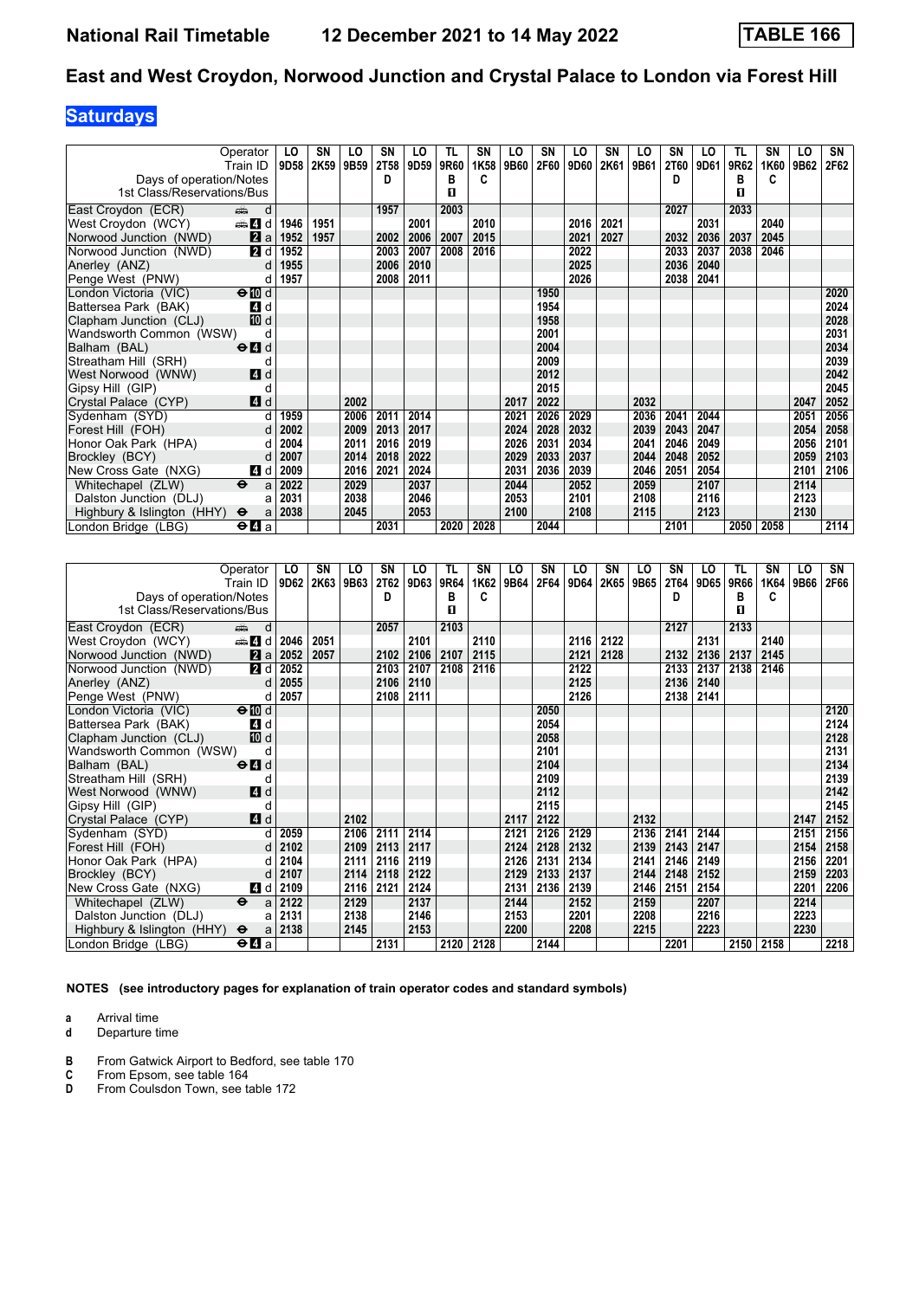# **Saturdays**

|                            | Operator<br>Train ID                      | LO<br>9D58 | SΝ<br>2K59 | LO<br>9B59 | SN<br>2T58 | LO<br>9D59 | TL<br>9R60 | SN<br>1K58 | LO<br>9B60 | SN<br>2F60 | LO<br>9D60 | SN<br>2K61 | LO<br>9B61 | SN<br><b>2T60</b> | LO<br>9D61 | TL<br>9R62 | SΝ<br>1K60 | LO<br>9B62 | SN<br>2F62 |
|----------------------------|-------------------------------------------|------------|------------|------------|------------|------------|------------|------------|------------|------------|------------|------------|------------|-------------------|------------|------------|------------|------------|------------|
| Days of operation/Notes    |                                           |            |            |            | D          |            | в          | c          |            |            |            |            |            | D                 |            | в          | C          |            |            |
| 1st Class/Reservations/Bus |                                           |            |            |            |            |            | п          |            |            |            |            |            |            |                   |            | п          |            |            |            |
|                            |                                           |            |            |            |            |            |            |            |            |            |            |            |            |                   |            |            |            |            |            |
| East Croydon (ECR)         | d<br>ه ک                                  |            |            |            | 1957       |            | 2003       |            |            |            |            |            |            | 2027              |            | 2033       |            |            |            |
| West Croydon (WCY)         | den <b>d</b>                              | 1946       | 1951       |            |            | 2001       |            | 2010       |            |            | 2016       | 2021       |            |                   | 2031       |            | 2040       |            |            |
| Norwood Junction (NWD)     | $\mathbf{a}$ a                            | 1952       | 1957       |            | 2002       | 2006       | 2007       | 2015       |            |            | 2021       | 2027       |            | 2032              | 2036       | 2037       | 2045       |            |            |
| Norwood Junction (NWD)     | 2d                                        | 1952       |            |            | 2003       | 2007       | 2008       | 2016       |            |            | 2022       |            |            | 2033              | 2037       | 2038       | 2046       |            |            |
| Anerley (ANZ)              | d                                         | 1955       |            |            | 2006       | 2010       |            |            |            |            | 2025       |            |            | 2036              | 2040       |            |            |            |            |
| Penge West (PNW)           | d                                         | 1957       |            |            | 2008       | 2011       |            |            |            |            | 2026       |            |            | 2038              | 2041       |            |            |            |            |
| London Victoria (VIC)      | $\Theta$ III d                            |            |            |            |            |            |            |            |            | 1950       |            |            |            |                   |            |            |            |            | 2020       |
| Battersea Park (BAK)       | <b>4</b> d                                |            |            |            |            |            |            |            |            | 1954       |            |            |            |                   |            |            |            |            | 2024       |
| Clapham Junction (CLJ)     | 10 d                                      |            |            |            |            |            |            |            |            | 1958       |            |            |            |                   |            |            |            |            | 2028       |
| Wandsworth Common (WSW)    | d                                         |            |            |            |            |            |            |            |            | 2001       |            |            |            |                   |            |            |            |            | 2031       |
| Balham (BAL)               | $\Theta$ <sup><math>\Omega</math></sup> d |            |            |            |            |            |            |            |            | 2004       |            |            |            |                   |            |            |            |            | 2034       |
| Streatham Hill (SRH)       | d                                         |            |            |            |            |            |            |            |            | 2009       |            |            |            |                   |            |            |            |            | 2039       |
| West Norwood (WNW)         | 4 d                                       |            |            |            |            |            |            |            |            | 2012       |            |            |            |                   |            |            |            |            | 2042       |
| Gipsy Hill (GIP)           | d                                         |            |            |            |            |            |            |            |            | 2015       |            |            |            |                   |            |            |            |            | 2045       |
| Crystal Palace (CYP)       | 4d                                        |            |            | 2002       |            |            |            |            | 2017       | 2022       |            |            | 2032       |                   |            |            |            | 2047       | 2052       |
| Sydenham (SYD)             | d                                         | 1959       |            | 2006       | 2011       | 2014       |            |            | 2021       | 2026       | 2029       |            | 2036       | 2041              | 2044       |            |            | 2051       | 2056       |
| Forest Hill (FOH)          |                                           | 2002       |            | 2009       | 2013       | 2017       |            |            | 2024       | 2028       | 2032       |            | 2039       | 2043              | 2047       |            |            | 2054       | 2058       |
| Honor Oak Park (HPA)       | d                                         | 2004       |            | 2011       | 2016       | 2019       |            |            | 2026       | 2031       | 2034       |            | 2041       | 2046              | 2049       |            |            | 2056       | 2101       |
| Brockley (BCY)             | d                                         | 2007       |            | 2014       | 2018       | 2022       |            |            | 2029       | 2033       | 2037       |            | 2044       | 2048              | 2052       |            |            | 2059       | 2103       |
| New Cross Gate (NXG)       | 4 d                                       | 2009       |            | 2016       | 2021       | 2024       |            |            | 2031       | 2036       | 2039       |            | 2046       | 2051              | 2054       |            |            | 2101       | 2106       |
| Whitechapel (ZLW)          | $\ddot{\mathbf{e}}$<br>a                  | 2022       |            | 2029       |            | 2037       |            |            | 2044       |            | 2052       |            | 2059       |                   | 2107       |            |            | 2114       |            |
| Dalston Junction (DLJ)     | a                                         | 2031       |            | 2038       |            | 2046       |            |            | 2053       |            | 2101       |            | 2108       |                   | 2116       |            |            | 2123       |            |
| Highbury & Islington (HHY) | $\ddot{\mathbf{e}}$<br>a                  | 2038       |            | 2045       |            | 2053       |            |            | 2100       |            | 2108       |            | 2115       |                   | 2123       |            |            | 2130       |            |
| London Bridge (LBG)        | $\Theta$ $\blacksquare$ a                 |            |            |            | 2031       |            | 2020       | 2028       |            | 2044       |            |            |            | 2101              |            | 2050       | 2058       |            | 2114       |

|                            | Operator                                    | LO.  | SN   | LO   | SΝ   | LO   | TL.  | SN   | LO   | SN   | LO   | SN   | LO   | <b>SN</b>   | LO   | TL   | SN   | LO   | SN   |
|----------------------------|---------------------------------------------|------|------|------|------|------|------|------|------|------|------|------|------|-------------|------|------|------|------|------|
|                            | Train ID                                    | 9D62 | 2K63 | 9B63 | 2T62 | 9D63 | 9R64 | 1K62 | 9B64 | 2F64 | 9D64 | 2K65 | 9B65 | <b>2T64</b> | 9D65 | 9R66 | 1K64 | 9B66 | 2F66 |
| Days of operation/Notes    |                                             |      |      |      | D    |      | в    | C    |      |      |      |      |      | D           |      | в    | c    |      |      |
| 1st Class/Reservations/Bus |                                             |      |      |      |      |      | п    |      |      |      |      |      |      |             |      | п    |      |      |      |
| East Croydon (ECR)         | d<br>dia 1                                  |      |      |      | 2057 |      | 2103 |      |      |      |      |      |      | 2127        |      | 2133 |      |      |      |
| West Croydon (WCY)         | d <b>d</b>                                  | 2046 | 2051 |      |      | 2101 |      | 2110 |      |      | 2116 | 2122 |      |             | 2131 |      | 2140 |      |      |
| Norwood Junction (NWD)     | 2a                                          | 2052 | 2057 |      | 2102 | 2106 | 2107 | 2115 |      |      | 2121 | 2128 |      | 2132        | 2136 | 2137 | 2145 |      |      |
| Norwood Junction (NWD)     | <b>2</b> d                                  | 2052 |      |      | 2103 | 2107 | 2108 | 2116 |      |      | 2122 |      |      | 2133        | 2137 | 2138 | 2146 |      |      |
| Anerley (ANZ)              | d                                           | 2055 |      |      | 2106 | 2110 |      |      |      |      | 2125 |      |      | 2136        | 2140 |      |      |      |      |
| Penge West (PNW)           | d                                           | 2057 |      |      | 2108 | 2111 |      |      |      |      | 2126 |      |      | 2138        | 2141 |      |      |      |      |
| London Victoria (VIC)      | $\Theta$ III d                              |      |      |      |      |      |      |      |      | 2050 |      |      |      |             |      |      |      |      | 2120 |
| Battersea Park (BAK)       | 4 d                                         |      |      |      |      |      |      |      |      | 2054 |      |      |      |             |      |      |      |      | 2124 |
| Clapham Junction (CLJ)     | iD d                                        |      |      |      |      |      |      |      |      | 2058 |      |      |      |             |      |      |      |      | 2128 |
| Wandsworth Common (WSW)    | d                                           |      |      |      |      |      |      |      |      | 2101 |      |      |      |             |      |      |      |      | 2131 |
| Balham (BAL)               | $\Theta$ <sup><math>\Omega</math></sup> d   |      |      |      |      |      |      |      |      | 2104 |      |      |      |             |      |      |      |      | 2134 |
| Streatham Hill (SRH)       | d                                           |      |      |      |      |      |      |      |      | 2109 |      |      |      |             |      |      |      |      | 2139 |
| West Norwood (WNW)         | 4d                                          |      |      |      |      |      |      |      |      | 2112 |      |      |      |             |      |      |      |      | 2142 |
| Gipsy Hill (GIP)           | d                                           |      |      |      |      |      |      |      |      | 2115 |      |      |      |             |      |      |      |      | 2145 |
| Crystal Palace (CYP)       | 4d                                          |      |      | 2102 |      |      |      |      | 2117 | 2122 |      |      | 2132 |             |      |      |      | 2147 | 2152 |
| Sydenham (SYD)             | d                                           | 2059 |      | 2106 | 2111 | 2114 |      |      | 2121 | 2126 | 2129 |      | 2136 | 2141        | 2144 |      |      | 2151 | 2156 |
| Forest Hill (FOH)          | d                                           | 2102 |      | 2109 | 2113 | 2117 |      |      | 2124 | 2128 | 2132 |      | 2139 | 2143        | 2147 |      |      | 2154 | 2158 |
| Honor Oak Park (HPA)       | d                                           | 2104 |      | 2111 | 2116 | 2119 |      |      | 2126 | 2131 | 2134 |      | 2141 | 2146        | 2149 |      |      | 2156 | 2201 |
| Brockley (BCY)             | d                                           | 2107 |      | 2114 | 2118 | 2122 |      |      | 2129 | 2133 | 2137 |      | 2144 | 2148        | 2152 |      |      | 2159 | 2203 |
| New Cross Gate (NXG)       | 4 d                                         | 2109 |      | 2116 | 2121 | 2124 |      |      | 2131 | 2136 | 2139 |      | 2146 | 2151        | 2154 |      |      | 2201 | 2206 |
| Whitechapel (ZLW)          | $\ddot{\mathbf{e}}$<br>a                    | 2122 |      | 2129 |      | 2137 |      |      | 2144 |      | 2152 |      | 2159 |             | 2207 |      |      | 2214 |      |
| Dalston Junction (DLJ)     | a                                           | 2131 |      | 2138 |      | 2146 |      |      | 2153 |      | 2201 |      | 2208 |             | 2216 |      |      | 2223 |      |
| Highbury & Islington (HHY) | $\ddot{\mathbf{e}}$<br>a                    | 2138 |      | 2145 |      | 2153 |      |      | 2200 |      | 2208 |      | 2215 |             | 2223 |      |      | 2230 |      |
| London Bridge (LBG)        | $\Theta$ <b><math>\blacksquare</math></b> a |      |      |      | 2131 |      | 2120 | 2128 |      | 2144 |      |      |      | 2201        |      | 2150 | 2158 |      | 2218 |

**NOTES (see introductory pages for explanation of train operator codes and standard symbols)**

**a** Arrival time<br>**d** Departure t

- **B** From Gatwick Airport to Bedford, see table 170<br> **C** From Epsom, see table 164<br> **D** From Coulsdon Town, see table 172
- **C** From Epsom, see table 164
- **D** From Coulsdon Town, see table 172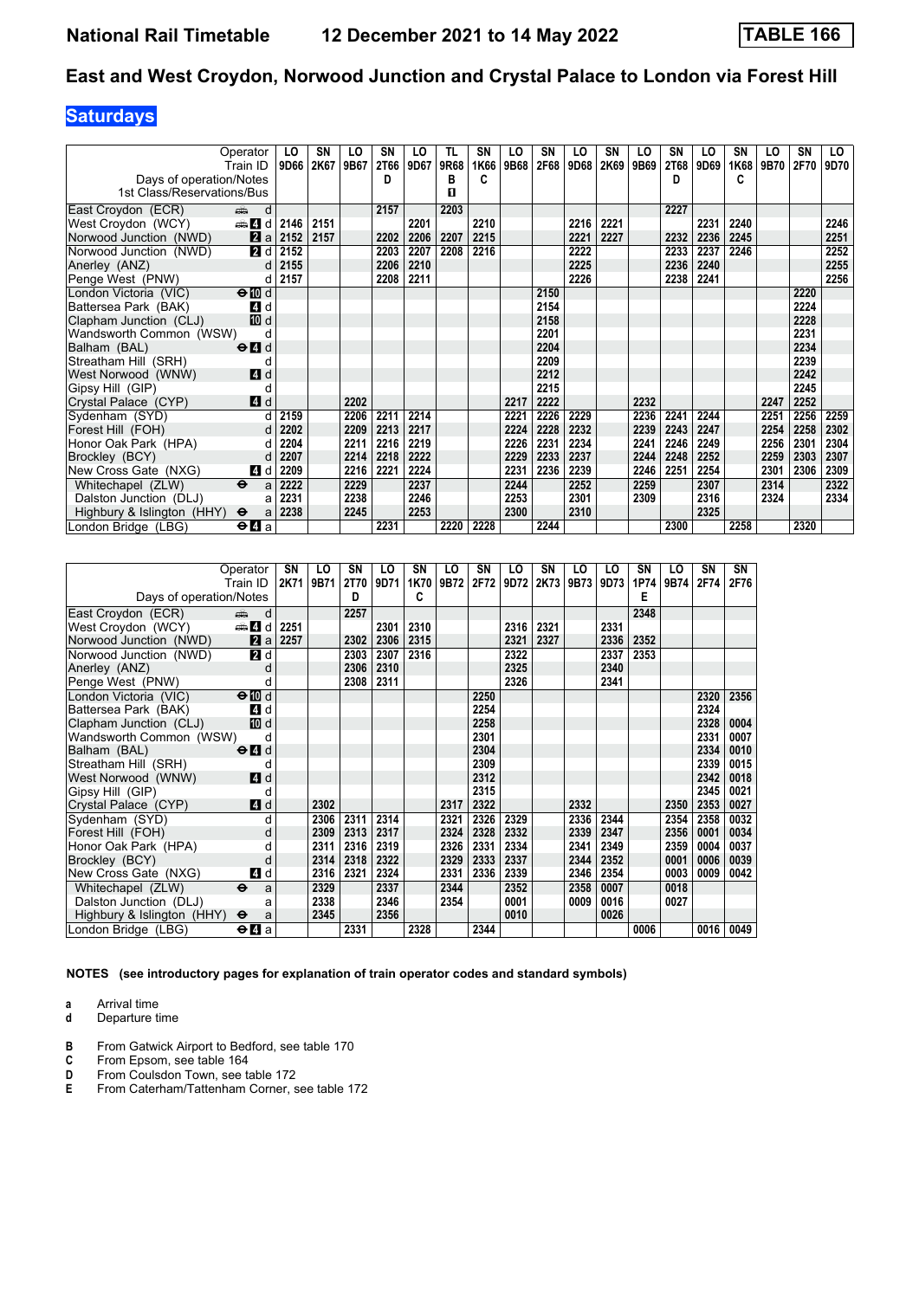# **Saturdays**

|                            | Operator<br>Train ID      | LO<br>9D66 | SΝ<br>2K67 | LO<br>9B67 | SN<br>2T66 | LO<br>9D67 | TL<br>9R68 | SN<br>1K66 | LO<br>9B68 | SN<br>2F68 | LO<br>9D68 | SN<br>2K69 | LO<br>9B69 | SN<br><b>2T68</b> | LO<br>9D69 | SN<br>1K68 | LO<br>9B70 | SN<br>2F70 | LO<br>9D70 |
|----------------------------|---------------------------|------------|------------|------------|------------|------------|------------|------------|------------|------------|------------|------------|------------|-------------------|------------|------------|------------|------------|------------|
| Days of operation/Notes    |                           |            |            |            | D          |            | в          | C          |            |            |            |            |            | D                 |            | C          |            |            |            |
| 1st Class/Reservations/Bus |                           |            |            |            |            |            | п          |            |            |            |            |            |            |                   |            |            |            |            |            |
| East Croydon (ECR)         | d<br>ه ک                  |            |            |            | 2157       |            | 2203       |            |            |            |            |            |            | 2227              |            |            |            |            |            |
| West Croydon (WCY)         | <b>et 4</b> d             | 2146       | 2151       |            |            | 2201       |            | 2210       |            |            | 2216       | 2221       |            |                   | 2231       | 2240       |            |            | 2246       |
| Norwood Junction (NWD)     | 2a                        | 2152       | 2157       |            | 2202       | 2206       | 2207       | 2215       |            |            | 2221       | 2227       |            | 2232              | 2236       | 2245       |            |            | 2251       |
| Norwood Junction (NWD)     | <b>2</b> d                | 2152       |            |            | 2203       | 2207       | 2208       | 2216       |            |            | 2222       |            |            | 2233              | 2237       | 2246       |            |            | 2252       |
| Anerley (ANZ)              | d                         | 2155       |            |            | 2206       | 2210       |            |            |            |            | 2225       |            |            | 2236              | 2240       |            |            |            | 2255       |
| Penge West (PNW)           | d                         | 2157       |            |            | 2208       | 2211       |            |            |            |            | 2226       |            |            | 2238              | 2241       |            |            |            | 2256       |
| London Victoria (VIC)      | $\Theta$ III d            |            |            |            |            |            |            |            |            | 2150       |            |            |            |                   |            |            |            | 2220       |            |
| Battersea Park (BAK)       | 4 d                       |            |            |            |            |            |            |            |            | 2154       |            |            |            |                   |            |            |            | 2224       |            |
| Clapham Junction (CLJ)     | 10 d                      |            |            |            |            |            |            |            |            | 2158       |            |            |            |                   |            |            |            | 2228       |            |
| Wandsworth Common (WSW)    | d                         |            |            |            |            |            |            |            |            | 2201       |            |            |            |                   |            |            |            | 2231       |            |
| Balham (BAL)               | $\Theta$ $\blacksquare$ d |            |            |            |            |            |            |            |            | 2204       |            |            |            |                   |            |            |            | 2234       |            |
| Streatham Hill (SRH)       | d                         |            |            |            |            |            |            |            |            | 2209       |            |            |            |                   |            |            |            | 2239       |            |
| West Norwood (WNW)         | <b>4</b> d                |            |            |            |            |            |            |            |            | 2212       |            |            |            |                   |            |            |            | 2242       |            |
| Gipsy Hill (GIP)           | d                         |            |            |            |            |            |            |            |            | 2215       |            |            |            |                   |            |            |            | 2245       |            |
| Crystal Palace (CYP)       | 4d                        |            |            | 2202       |            |            |            |            | 2217       | 2222       |            |            | 2232       |                   |            |            | 2247       | 2252       |            |
| Sydenham (SYD)             |                           | 2159       |            | 2206       | 2211       | 2214       |            |            | 2221       | 2226       | 2229       |            | 2236       | 2241              | 2244       |            | 2251       | 2256       | 2259       |
| Forest Hill (FOH)          |                           | 2202       |            | 2209       | 2213       | 2217       |            |            | 2224       | 2228       | 2232       |            | 2239       | 2243              | 2247       |            | 2254       | 2258       | 2302       |
| Honor Oak Park (HPA)       | d                         | 2204       |            | 2211       | 2216       | 2219       |            |            | 2226       | 2231       | 2234       |            | 2241       | 2246              | 2249       |            | 2256       | 2301       | 2304       |
| Brockley (BCY)             | d                         | 2207       |            | 2214       | 2218       | 2222       |            |            | 2229       | 2233       | 2237       |            | 2244       | 2248              | 2252       |            | 2259       | 2303       | 2307       |
| New Cross Gate (NXG)       | 4 d                       | 2209       |            | 2216       | 2221       | 2224       |            |            | 2231       | 2236       | 2239       |            | 2246       | 2251              | 2254       |            | 2301       | 2306       | 2309       |
| Whitechapel (ZLW)          | $\ddot{\mathbf{e}}$<br>a  | 2222       |            | 2229       |            | 2237       |            |            | 2244       |            | 2252       |            | 2259       |                   | 2307       |            | 2314       |            | 2322       |
| Dalston Junction (DLJ)     | a                         | 2231       |            | 2238       |            | 2246       |            |            | 2253       |            | 2301       |            | 2309       |                   | 2316       |            | 2324       |            | 2334       |
| Highbury & Islington (HHY) | $\bullet$<br>a            | 2238       |            | 2245       |            | 2253       |            |            | 2300       |            | 2310       |            |            |                   | 2325       |            |            |            |            |
| London Bridge (LBG)        | $\Theta$ <b>d</b> a       |            |            |            | 2231       |            | 2220       | 2228       |            | 2244       |            |            |            | 2300              |            | 2258       |            | 2320       |            |

|                            | Operator                                                                                                                                                                                                                            | SN   | LO   | SΝ   | LO   | <b>SN</b> | LO   | SN   | LO   | SN   | LO   | LO   | SΝ   | LO   | SΝ   | SN   |
|----------------------------|-------------------------------------------------------------------------------------------------------------------------------------------------------------------------------------------------------------------------------------|------|------|------|------|-----------|------|------|------|------|------|------|------|------|------|------|
|                            | Train ID                                                                                                                                                                                                                            | 2K71 | 9B71 | 2T70 | 9D71 | 1K70      | 9B72 | 2F72 | 9D72 | 2K73 | 9B73 | 9D73 | 1P74 | 9B74 | 2F74 | 2F76 |
| Days of operation/Notes    |                                                                                                                                                                                                                                     |      |      | D    |      | C         |      |      |      |      |      |      | E    |      |      |      |
| East Croydon (ECR)         | and the second second second second second second second second second second second second second second second second second second second second second second second second second second second second second second seco<br>d |      |      | 2257 |      |           |      |      |      |      |      |      | 2348 |      |      |      |
| West Croydon (WCY)         | <b>et 4</b> d                                                                                                                                                                                                                       | 2251 |      |      | 2301 | 2310      |      |      | 2316 | 2321 |      | 2331 |      |      |      |      |
| Norwood Junction (NWD)     | <b>Z</b> a                                                                                                                                                                                                                          | 2257 |      | 2302 | 2306 | 2315      |      |      | 2321 | 2327 |      | 2336 | 2352 |      |      |      |
| Norwood Junction (NWD)     | 2d                                                                                                                                                                                                                                  |      |      | 2303 | 2307 | 2316      |      |      | 2322 |      |      | 2337 | 2353 |      |      |      |
| Anerley (ANZ)              | d                                                                                                                                                                                                                                   |      |      | 2306 | 2310 |           |      |      | 2325 |      |      | 2340 |      |      |      |      |
| Penge West (PNW)           | d                                                                                                                                                                                                                                   |      |      | 2308 | 2311 |           |      |      | 2326 |      |      | 2341 |      |      |      |      |
| London Victoria (VIC)      | $\Theta$ III d                                                                                                                                                                                                                      |      |      |      |      |           |      | 2250 |      |      |      |      |      |      | 2320 | 2356 |
| Battersea Park (BAK)       | 4 d                                                                                                                                                                                                                                 |      |      |      |      |           |      | 2254 |      |      |      |      |      |      | 2324 |      |
| Clapham Junction (CLJ)     | 10 d                                                                                                                                                                                                                                |      |      |      |      |           |      | 2258 |      |      |      |      |      |      | 2328 | 0004 |
| Wandsworth Common (WSW)    | d                                                                                                                                                                                                                                   |      |      |      |      |           |      | 2301 |      |      |      |      |      |      | 2331 | 0007 |
| Balham (BAL)               | $\Theta$ <sup><math>\Omega</math></sup> d                                                                                                                                                                                           |      |      |      |      |           |      | 2304 |      |      |      |      |      |      | 2334 | 0010 |
| Streatham Hill (SRH)       | d                                                                                                                                                                                                                                   |      |      |      |      |           |      | 2309 |      |      |      |      |      |      | 2339 | 0015 |
| West Norwood (WNW)         | 4 d                                                                                                                                                                                                                                 |      |      |      |      |           |      | 2312 |      |      |      |      |      |      | 2342 | 0018 |
| Gipsy Hill (GIP)           | d                                                                                                                                                                                                                                   |      |      |      |      |           |      | 2315 |      |      |      |      |      |      | 2345 | 0021 |
| Crystal Palace (CYP)       | 4d                                                                                                                                                                                                                                  |      | 2302 |      |      |           | 2317 | 2322 |      |      | 2332 |      |      | 2350 | 2353 | 0027 |
| Sydenham (SYD)             | d                                                                                                                                                                                                                                   |      | 2306 | 2311 | 2314 |           | 2321 | 2326 | 2329 |      | 2336 | 2344 |      | 2354 | 2358 | 0032 |
| Forest Hill (FOH)          | d                                                                                                                                                                                                                                   |      | 2309 | 2313 | 2317 |           | 2324 | 2328 | 2332 |      | 2339 | 2347 |      | 2356 | 0001 | 0034 |
| Honor Oak Park (HPA)       | d                                                                                                                                                                                                                                   |      | 2311 | 2316 | 2319 |           | 2326 | 2331 | 2334 |      | 2341 | 2349 |      | 2359 | 0004 | 0037 |
| Brockley (BCY)             | d                                                                                                                                                                                                                                   |      | 2314 | 2318 | 2322 |           | 2329 | 2333 | 2337 |      | 2344 | 2352 |      | 0001 | 0006 | 0039 |
| New Cross Gate (NXG)       | 4 d                                                                                                                                                                                                                                 |      | 2316 | 2321 | 2324 |           | 2331 | 2336 | 2339 |      | 2346 | 2354 |      | 0003 | 0009 | 0042 |
| Whitechapel (ZLW)          | $\ddot{\mathbf{e}}$<br>a                                                                                                                                                                                                            |      | 2329 |      | 2337 |           | 2344 |      | 2352 |      | 2358 | 0007 |      | 0018 |      |      |
| Dalston Junction (DLJ)     | a                                                                                                                                                                                                                                   |      | 2338 |      | 2346 |           | 2354 |      | 0001 |      | 0009 | 0016 |      | 0027 |      |      |
| Highbury & Islington (HHY) | $\bullet$<br>a                                                                                                                                                                                                                      |      | 2345 |      | 2356 |           |      |      | 0010 |      |      | 0026 |      |      |      |      |
| London Bridge (LBG)        | $\Theta$ <b><math>\blacksquare</math></b> a                                                                                                                                                                                         |      |      | 2331 |      | 2328      |      | 2344 |      |      |      |      | 0006 |      | 0016 | 0049 |

**NOTES (see introductory pages for explanation of train operator codes and standard symbols)**

**a** Arrival time<br>**d** Departure t

- **B** From Gatwick Airport to Bedford, see table 170<br>**C** From Epsom, see table 164
- **C** From Epsom, see table 164<br>**D** From Coulsdon Town, see ta
- **D** From Coulsdon Town, see table 172
- **E** From Caterham/Tattenham Corner, see table 172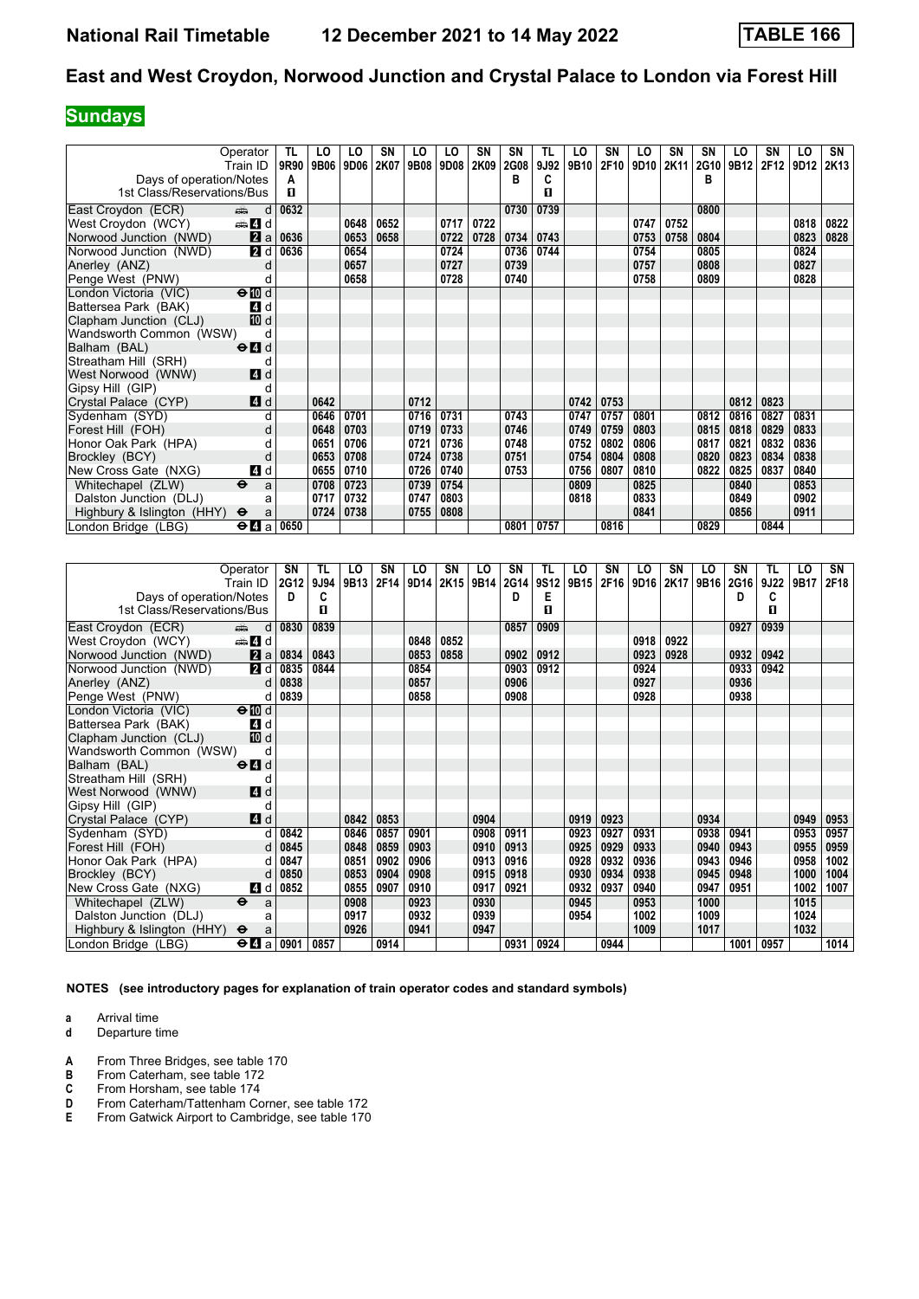## **Sundays**

|                            | Operator                                    | TL   | LO   | LO   | SN   | LO   | LO   | SN   | SN   | TL   | LO   | <b>SN</b> | LO   | SN   | SΝ   | LO   | SΝ   | LO   | SN               |
|----------------------------|---------------------------------------------|------|------|------|------|------|------|------|------|------|------|-----------|------|------|------|------|------|------|------------------|
|                            | Train ID                                    | 9R90 | 9B06 | 9D06 | 2K07 | 9B08 | 9D08 | 2K09 | 2G08 | 9J92 | 9B10 | 2F10      | 9D10 | 2K11 | 2G10 | 9B12 | 2F12 | 9D12 | 2K <sub>13</sub> |
| Days of operation/Notes    |                                             | Α    |      |      |      |      |      |      | в    | C    |      |           |      |      | в    |      |      |      |                  |
| 1st Class/Reservations/Bus |                                             | п    |      |      |      |      |      |      |      | п    |      |           |      |      |      |      |      |      |                  |
| East Croydon (ECR)         | $\frac{1}{\sqrt{2}}$<br>d                   | 0632 |      |      |      |      |      |      | 0730 | 0739 |      |           |      |      | 0800 |      |      |      |                  |
| West Croydon (WCY)         | den <b>Z</b> id                             |      |      | 0648 | 0652 |      | 0717 | 0722 |      |      |      |           | 0747 | 0752 |      |      |      | 0818 | 0822             |
| Norwood Junction (NWD)     | 2a                                          | 0636 |      | 0653 | 0658 |      | 0722 | 0728 | 0734 | 0743 |      |           | 0753 | 0758 | 0804 |      |      | 0823 | 0828             |
| Norwood Junction (NWD)     | 2d                                          | 0636 |      | 0654 |      |      | 0724 |      | 0736 | 0744 |      |           | 0754 |      | 0805 |      |      | 0824 |                  |
| Anerley (ANZ)              | d                                           |      |      | 0657 |      |      | 0727 |      | 0739 |      |      |           | 0757 |      | 0808 |      |      | 0827 |                  |
| Penge West (PNW)           |                                             |      |      | 0658 |      |      | 0728 |      | 0740 |      |      |           | 0758 |      | 0809 |      |      | 0828 |                  |
| London Victoria (VIC)      | $\Theta$ $\blacksquare$                     |      |      |      |      |      |      |      |      |      |      |           |      |      |      |      |      |      |                  |
| Battersea Park (BAK)       | 4 d                                         |      |      |      |      |      |      |      |      |      |      |           |      |      |      |      |      |      |                  |
| Clapham Junction (CLJ)     | 10 d                                        |      |      |      |      |      |      |      |      |      |      |           |      |      |      |      |      |      |                  |
| Wandsworth Common (WSW)    | d                                           |      |      |      |      |      |      |      |      |      |      |           |      |      |      |      |      |      |                  |
| Balham (BAL)               | $\Theta$ <sup><math>\Omega</math></sup> d   |      |      |      |      |      |      |      |      |      |      |           |      |      |      |      |      |      |                  |
| Streatham Hill (SRH)       | d                                           |      |      |      |      |      |      |      |      |      |      |           |      |      |      |      |      |      |                  |
| West Norwood (WNW)         | 4d                                          |      |      |      |      |      |      |      |      |      |      |           |      |      |      |      |      |      |                  |
| Gipsy Hill (GIP)           | d                                           |      |      |      |      |      |      |      |      |      |      |           |      |      |      |      |      |      |                  |
| Crystal Palace (CYP)       | 4d                                          |      | 0642 |      |      | 0712 |      |      |      |      | 0742 | 0753      |      |      |      | 0812 | 0823 |      |                  |
| Sydenham (SYD)             | d                                           |      | 0646 | 0701 |      | 0716 | 0731 |      | 0743 |      | 0747 | 0757      | 0801 |      | 0812 | 0816 | 0827 | 0831 |                  |
| Forest Hill (FOH)          | d                                           |      | 0648 | 0703 |      | 0719 | 0733 |      | 0746 |      | 0749 | 0759      | 0803 |      | 0815 | 0818 | 0829 | 0833 |                  |
| Honor Oak Park (HPA)       |                                             |      | 0651 | 0706 |      | 0721 | 0736 |      | 0748 |      | 0752 | 0802      | 0806 |      | 0817 | 0821 | 0832 | 0836 |                  |
| Brockley (BCY)             | d                                           |      | 0653 | 0708 |      | 0724 | 0738 |      | 0751 |      | 0754 | 0804      | 0808 |      | 0820 | 0823 | 0834 | 0838 |                  |
| New Cross Gate (NXG)       | 4 d                                         |      | 0655 | 0710 |      | 0726 | 0740 |      | 0753 |      | 0756 | 0807      | 0810 |      | 0822 | 0825 | 0837 | 0840 |                  |
| Whitechapel (ZLW)          | $\ddot{\boldsymbol{\Theta}}$<br>a           |      | 0708 | 0723 |      | 0739 | 0754 |      |      |      | 0809 |           | 0825 |      |      | 0840 |      | 0853 |                  |
| Dalston Junction (DLJ)     | a                                           |      | 0717 | 0732 |      | 0747 | 0803 |      |      |      | 0818 |           | 0833 |      |      | 0849 |      | 0902 |                  |
| Highbury & Islington (HHY) | $\ddot{\mathbf{e}}$<br>a                    |      | 0724 | 0738 |      | 0755 | 0808 |      |      |      |      |           | 0841 |      |      | 0856 |      | 0911 |                  |
| London Bridge (LBG)        | $\Theta$ <b><math>\blacksquare</math></b> a | 0650 |      |      |      |      |      |      | 0801 | 0757 |      | 0816      |      |      | 0829 |      | 0844 |      |                  |

|                            | Operator                                  | SN          | TL   | LO.  | SN   | LO   | SN   | LO   | SN   | TL   | LO   | SN   | LO               | SN   | LO   | SΝ          | TL   | LO               | SN   |
|----------------------------|-------------------------------------------|-------------|------|------|------|------|------|------|------|------|------|------|------------------|------|------|-------------|------|------------------|------|
|                            | Train ID                                  | <b>2G12</b> | 9J94 | 9B13 | 2F14 | 9D14 | 2K15 | 9B14 | 2G14 | 9S12 | 9B15 | 2F16 | 9D <sub>16</sub> | 2K17 | 9B16 | <b>2G16</b> | 9J22 | 9B <sub>17</sub> | 2F18 |
| Days of operation/Notes    |                                           | D           | C    |      |      |      |      |      | D    | Е    |      |      |                  |      |      | D           | C    |                  |      |
| 1st Class/Reservations/Bus |                                           |             | п    |      |      |      |      |      |      | п    |      |      |                  |      |      |             | п    |                  |      |
| East Croydon (ECR)         | d<br>dia 1                                | 0830        | 0839 |      |      |      |      |      | 0857 | 0909 |      |      |                  |      |      | 0927        | 0939 |                  |      |
| West Croydon (WCY)         | den and a                                 |             |      |      |      | 0848 | 0852 |      |      |      |      |      | 0918             | 0922 |      |             |      |                  |      |
| Norwood Junction (NWD)     | 2a                                        | 0834        | 0843 |      |      | 0853 | 0858 |      | 0902 | 0912 |      |      | 0923             | 0928 |      | 0932        | 0942 |                  |      |
| Norwood Junction (NWD)     | 2d                                        | 0835        | 0844 |      |      | 0854 |      |      | 0903 | 0912 |      |      | 0924             |      |      | 0933        | 0942 |                  |      |
| Anerley (ANZ)              | d                                         | 0838        |      |      |      | 0857 |      |      | 0906 |      |      |      | 0927             |      |      | 0936        |      |                  |      |
| Penge West (PNW)           | d                                         | 0839        |      |      |      | 0858 |      |      | 0908 |      |      |      | 0928             |      |      | 0938        |      |                  |      |
| London Victoria (VIC)      | $\Theta$ III d                            |             |      |      |      |      |      |      |      |      |      |      |                  |      |      |             |      |                  |      |
| Battersea Park (BAK)       | 4 d                                       |             |      |      |      |      |      |      |      |      |      |      |                  |      |      |             |      |                  |      |
| Clapham Junction (CLJ)     | 10 d                                      |             |      |      |      |      |      |      |      |      |      |      |                  |      |      |             |      |                  |      |
| Wandsworth Common (WSW)    | d                                         |             |      |      |      |      |      |      |      |      |      |      |                  |      |      |             |      |                  |      |
| Balham (BAL)               | $\Theta$ <sup><math>\Omega</math></sup> d |             |      |      |      |      |      |      |      |      |      |      |                  |      |      |             |      |                  |      |
| Streatham Hill (SRH)       | d                                         |             |      |      |      |      |      |      |      |      |      |      |                  |      |      |             |      |                  |      |
| West Norwood (WNW)         | 4d                                        |             |      |      |      |      |      |      |      |      |      |      |                  |      |      |             |      |                  |      |
| Gipsy Hill (GIP)           | d                                         |             |      |      |      |      |      |      |      |      |      |      |                  |      |      |             |      |                  |      |
| Crystal Palace (CYP)       | 4d                                        |             |      | 0842 | 0853 |      |      | 0904 |      |      | 0919 | 0923 |                  |      | 0934 |             |      | 0949             | 0953 |
| Sydenham (SYD)             | d                                         | 0842        |      | 0846 | 0857 | 0901 |      | 0908 | 0911 |      | 0923 | 0927 | 0931             |      | 0938 | 0941        |      | 0953             | 0957 |
| Forest Hill (FOH)          | d                                         | 0845        |      | 0848 | 0859 | 0903 |      | 0910 | 0913 |      | 0925 | 0929 | 0933             |      | 0940 | 0943        |      | 0955             | 0959 |
| Honor Oak Park (HPA)       |                                           | 0847        |      | 0851 | 0902 | 0906 |      | 0913 | 0916 |      | 0928 | 0932 | 0936             |      | 0943 | 0946        |      | 0958             | 1002 |
| Brockley (BCY)             | d                                         | 0850        |      | 0853 | 0904 | 0908 |      | 0915 | 0918 |      | 0930 | 0934 | 0938             |      | 0945 | 0948        |      | 1000             | 1004 |
| New Cross Gate (NXG)       | 4 d                                       | 0852        |      | 0855 | 0907 | 0910 |      | 0917 | 0921 |      | 0932 | 0937 | 0940             |      | 0947 | 0951        |      | 1002             | 1007 |
| Whitechapel (ZLW)          | $\ddot{\mathbf{e}}$<br>a                  |             |      | 0908 |      | 0923 |      | 0930 |      |      | 0945 |      | 0953             |      | 1000 |             |      | 1015             |      |
| Dalston Junction (DLJ)     | a                                         |             |      | 0917 |      | 0932 |      | 0939 |      |      | 0954 |      | 1002             |      | 1009 |             |      | 1024             |      |
| Highbury & Islington (HHY) | $\ddot{\mathbf{e}}$<br>a                  |             |      | 0926 |      | 0941 |      | 0947 |      |      |      |      | 1009             |      | 1017 |             |      | 1032             |      |
| London Bridge (LBG)        | $\Theta$ <b>d</b> a                       | 0901        | 0857 |      | 0914 |      |      |      | 0931 | 0924 |      | 0944 |                  |      |      | 1001        | 0957 |                  | 1014 |

**NOTES (see introductory pages for explanation of train operator codes and standard symbols)**

**a** Arrival time<br>**d** Departure t

- **A** From Three Bridges, see table 170<br>**B** From Caterham, see table 172
- **B** From Caterham, see table 172<br>**C** From Horsham, see table 174
- **C** From Horsham, see table 174<br>**D** From Caterham/Tattenham Co
- **D** From Caterham/Tattenham Corner, see table 172<br>**E** From Gatwick Airport to Cambridge, see table 170 From Gatwick Airport to Cambridge, see table 170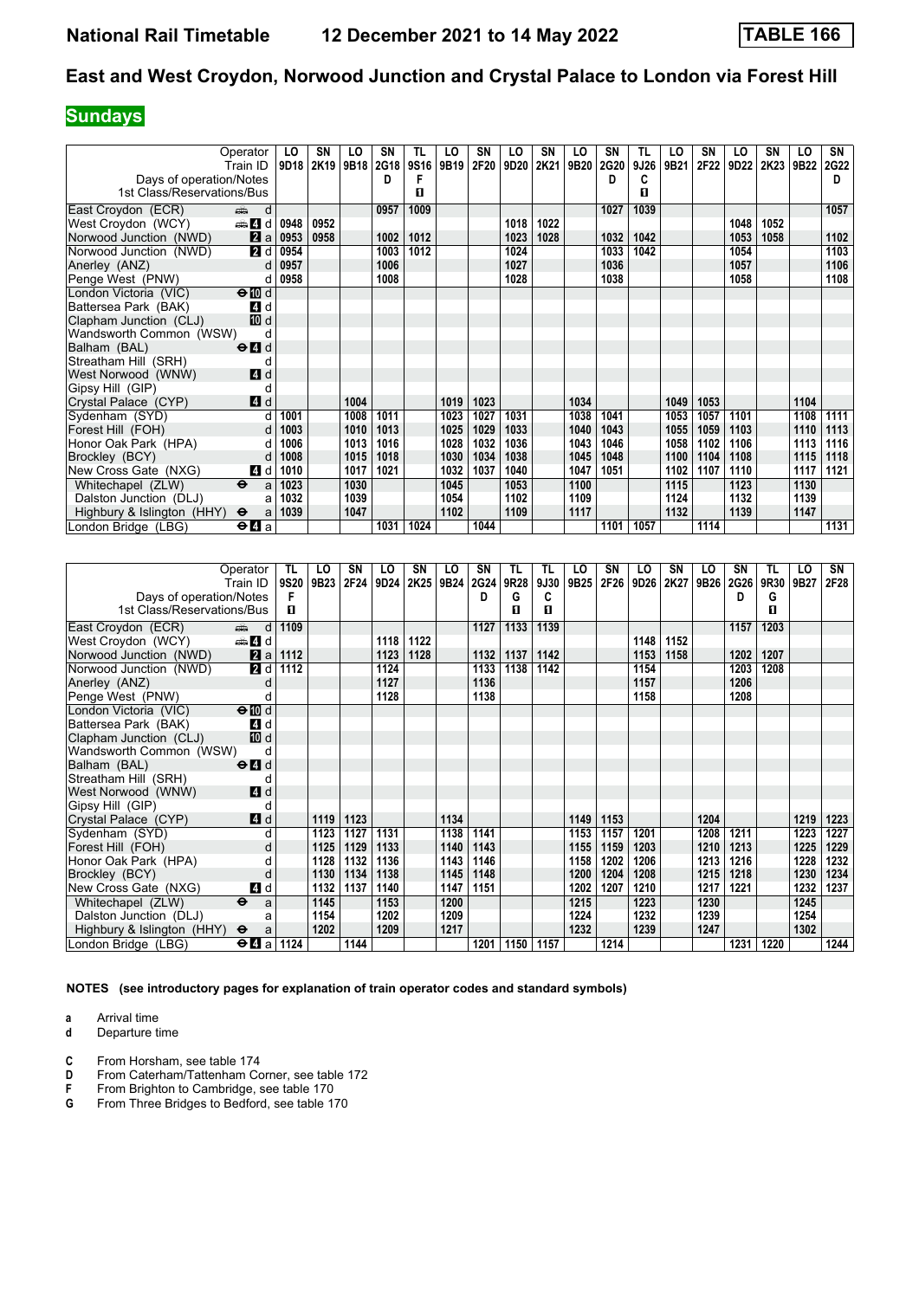# **Sundays**

|                            | Operator                                  | LO   | SΝ   | LO   | SN   | <b>TL</b> | LO   | <b>SN</b> | LO   | <b>SN</b> | LO   | SN   | TL   | LO   | SN   | LO   | SΝ   | LO   | SN          |
|----------------------------|-------------------------------------------|------|------|------|------|-----------|------|-----------|------|-----------|------|------|------|------|------|------|------|------|-------------|
|                            | Train ID ∣                                | 9D18 | 2K19 | 9B18 | 2G18 | 9S16      | 9B19 | 2F20      | 9D20 | 2K21      | 9B20 | 2G20 | 9J26 | 9B21 | 2F22 | 9D22 | 2K23 | 9B22 | <b>2G22</b> |
| Days of operation/Notes    |                                           |      |      |      | D    | F         |      |           |      |           |      | D    | C    |      |      |      |      |      | D           |
| 1st Class/Reservations/Bus |                                           |      |      |      |      | п         |      |           |      |           |      |      | п    |      |      |      |      |      |             |
| East Croydon (ECR)         | añ.<br>d                                  |      |      |      | 0957 | 1009      |      |           |      |           |      | 1027 | 1039 |      |      |      |      |      | 1057        |
| West Croydon (WCY)         | den <b>d</b>                              | 0948 | 0952 |      |      |           |      |           | 1018 | 1022      |      |      |      |      |      | 1048 | 1052 |      |             |
| Norwood Junction (NWD)     | 2a                                        | 0953 | 0958 |      | 1002 | 1012      |      |           | 1023 | 1028      |      | 1032 | 1042 |      |      | 1053 | 1058 |      | 1102        |
| Norwood Junction (NWD)     | <b>2</b> d                                | 0954 |      |      | 1003 | 1012      |      |           | 1024 |           |      | 1033 | 1042 |      |      | 1054 |      |      | 1103        |
| Anerley (ANZ)              | $\mathsf{d}$                              | 0957 |      |      | 1006 |           |      |           | 1027 |           |      | 1036 |      |      |      | 1057 |      |      | 1106        |
| Penge West (PNW)           | d                                         | 0958 |      |      | 1008 |           |      |           | 1028 |           |      | 1038 |      |      |      | 1058 |      |      | 1108        |
| London Victoria (VIC)      | $\Theta$ $\blacksquare$ d                 |      |      |      |      |           |      |           |      |           |      |      |      |      |      |      |      |      |             |
| Battersea Park (BAK)       | 4 d                                       |      |      |      |      |           |      |           |      |           |      |      |      |      |      |      |      |      |             |
| Clapham Junction (CLJ)     | <b>ID</b> d                               |      |      |      |      |           |      |           |      |           |      |      |      |      |      |      |      |      |             |
| Wandsworth Common (WSW)    | d                                         |      |      |      |      |           |      |           |      |           |      |      |      |      |      |      |      |      |             |
| Balham (BAL)               | $\Theta$ <sup><math>\Omega</math></sup> d |      |      |      |      |           |      |           |      |           |      |      |      |      |      |      |      |      |             |
| Streatham Hill (SRH)       | d                                         |      |      |      |      |           |      |           |      |           |      |      |      |      |      |      |      |      |             |
| West Norwood (WNW)         | 4d                                        |      |      |      |      |           |      |           |      |           |      |      |      |      |      |      |      |      |             |
| Gipsy Hill (GIP)           | d                                         |      |      |      |      |           |      |           |      |           |      |      |      |      |      |      |      |      |             |
| Crystal Palace (CYP)       | 4d                                        |      |      | 1004 |      |           | 1019 | 1023      |      |           | 1034 |      |      | 1049 | 1053 |      |      | 1104 |             |
| Sydenham (SYD)             | d                                         | 1001 |      | 1008 | 1011 |           | 1023 | 1027      | 1031 |           | 1038 | 1041 |      | 1053 | 1057 | 1101 |      | 1108 | 1111        |
| Forest Hill (FOH)          | d                                         | 1003 |      | 1010 | 1013 |           | 1025 | 1029      | 1033 |           | 1040 | 1043 |      | 1055 | 1059 | 1103 |      | 1110 | 1113        |
| Honor Oak Park (HPA)       | d                                         | 1006 |      | 1013 | 1016 |           | 1028 | 1032      | 1036 |           | 1043 | 1046 |      | 1058 | 1102 | 1106 |      | 1113 | 1116        |
| Brockley (BCY)             | d                                         | 1008 |      | 1015 | 1018 |           | 1030 | 1034      | 1038 |           | 1045 | 1048 |      | 1100 | 1104 | 1108 |      | 1115 | 1118        |
| New Cross Gate (NXG)       | 4 d                                       | 1010 |      | 1017 | 1021 |           | 1032 | 1037      | 1040 |           | 1047 | 1051 |      | 1102 | 1107 | 1110 |      | 1117 | 1121        |
| Whitechapel (ZLW)          | $\bullet$<br>a                            | 1023 |      | 1030 |      |           | 1045 |           | 1053 |           | 1100 |      |      | 1115 |      | 1123 |      | 1130 |             |
| Dalston Junction (DLJ)     | a                                         | 1032 |      | 1039 |      |           | 1054 |           | 1102 |           | 1109 |      |      | 1124 |      | 1132 |      | 1139 |             |
| Highbury & Islington (HHY) | $\ddot{\mathbf{e}}$<br>a                  | 1039 |      | 1047 |      |           | 1102 |           | 1109 |           | 1117 |      |      | 1132 |      | 1139 |      | 1147 |             |
| London Bridge (LBG)        | $\Theta$ <b>d</b> a                       |      |      |      | 1031 | 1024      |      | 1044      |      |           |      | 1101 | 1057 |      | 1114 |      |      |      | 1131        |

|                            | Operator                                  | TL          | LO   | SN   | LO   | SN   | LO   | SN   | TL   | TL   | LO   | SΝ   | LO   | SN   | LO   | SΝ   | TL   | LO   | SN   |
|----------------------------|-------------------------------------------|-------------|------|------|------|------|------|------|------|------|------|------|------|------|------|------|------|------|------|
|                            | Train ID.                                 | <b>9S20</b> | 9B23 | 2F24 | 9D24 | 2K25 | 9B24 | 2G24 | 9R28 | 9J30 | 9B25 | 2F26 | 9D26 | 2K27 | 9B26 | 2G26 | 9R30 | 9B27 | 2F28 |
| Days of operation/Notes    |                                           | F           |      |      |      |      |      | D    | G    | C    |      |      |      |      |      | D    | G    |      |      |
| 1st Class/Reservations/Bus |                                           | п           |      |      |      |      |      |      | п    | п    |      |      |      |      |      |      | п    |      |      |
| East Croydon (ECR)         | and d                                     | 1109        |      |      |      |      |      | 1127 | 1133 | 1139 |      |      |      |      |      | 1157 | 1203 |      |      |
| West Croydon (WCY)         | den and a                                 |             |      |      | 1118 | 1122 |      |      |      |      |      |      | 1148 | 1152 |      |      |      |      |      |
| Norwood Junction (NWD)     | 2a                                        | 1112        |      |      | 1123 | 1128 |      | 1132 | 1137 | 1142 |      |      | 1153 | 1158 |      | 1202 | 1207 |      |      |
| Norwood Junction (NWD)     | 2d                                        | 1112        |      |      | 1124 |      |      | 1133 | 1138 | 1142 |      |      | 1154 |      |      | 1203 | 1208 |      |      |
| Anerley (ANZ)              | d                                         |             |      |      | 1127 |      |      | 1136 |      |      |      |      | 1157 |      |      | 1206 |      |      |      |
| Penge West (PNW)           | d                                         |             |      |      | 1128 |      |      | 1138 |      |      |      |      | 1158 |      |      | 1208 |      |      |      |
| London Victoria (VIC)      | $\Theta$ III d                            |             |      |      |      |      |      |      |      |      |      |      |      |      |      |      |      |      |      |
| Battersea Park (BAK)       | <b>4</b> d                                |             |      |      |      |      |      |      |      |      |      |      |      |      |      |      |      |      |      |
| Clapham Junction (CLJ)     | 10 d                                      |             |      |      |      |      |      |      |      |      |      |      |      |      |      |      |      |      |      |
| Wandsworth Common (WSW)    | d                                         |             |      |      |      |      |      |      |      |      |      |      |      |      |      |      |      |      |      |
| Balham (BAL)               | $\Theta$ <sup><math>\Omega</math></sup> d |             |      |      |      |      |      |      |      |      |      |      |      |      |      |      |      |      |      |
| Streatham Hill (SRH)       | d                                         |             |      |      |      |      |      |      |      |      |      |      |      |      |      |      |      |      |      |
| West Norwood (WNW)         | 4d                                        |             |      |      |      |      |      |      |      |      |      |      |      |      |      |      |      |      |      |
| Gipsy Hill (GIP)           | d                                         |             |      |      |      |      |      |      |      |      |      |      |      |      |      |      |      |      |      |
| Crystal Palace (CYP)       | 4d                                        |             | 1119 | 1123 |      |      | 1134 |      |      |      | 1149 | 1153 |      |      | 1204 |      |      | 1219 | 1223 |
| Sydenham (SYD)             | d                                         |             | 1123 | 1127 | 1131 |      | 1138 | 1141 |      |      | 1153 | 1157 | 1201 |      | 1208 | 1211 |      | 1223 | 1227 |
| Forest Hill (FOH)          | d                                         |             | 1125 | 1129 | 1133 |      | 1140 | 1143 |      |      | 1155 | 1159 | 1203 |      | 1210 | 1213 |      | 1225 | 1229 |
| Honor Oak Park (HPA)       | d                                         |             | 1128 | 1132 | 1136 |      | 1143 | 1146 |      |      | 1158 | 1202 | 1206 |      | 1213 | 1216 |      | 1228 | 1232 |
| Brockley (BCY)             | d                                         |             | 1130 | 1134 | 1138 |      | 1145 | 1148 |      |      | 1200 | 1204 | 1208 |      | 1215 | 1218 |      | 1230 | 1234 |
| New Cross Gate (NXG)       | 4 d                                       |             | 1132 | 1137 | 1140 |      | 1147 | 1151 |      |      | 1202 | 1207 | 1210 |      | 1217 | 1221 |      | 1232 | 1237 |
| Whitechapel (ZLW)          | $\ddot{\mathbf{e}}$<br>a                  |             | 1145 |      | 1153 |      | 1200 |      |      |      | 1215 |      | 1223 |      | 1230 |      |      | 1245 |      |
| Dalston Junction (DLJ)     | a                                         |             | 1154 |      | 1202 |      | 1209 |      |      |      | 1224 |      | 1232 |      | 1239 |      |      | 1254 |      |
| Highbury & Islington (HHY) | $\ddot{\mathbf{e}}$<br>a                  |             | 1202 |      | 1209 |      | 1217 |      |      |      | 1232 |      | 1239 |      | 1247 |      |      | 1302 |      |
| London Bridge (LBG)        | $\Theta$ <b>d</b> a                       | 1124        |      | 1144 |      |      |      | 1201 | 1150 | 1157 |      | 1214 |      |      |      | 1231 | 1220 |      | 1244 |

**NOTES (see introductory pages for explanation of train operator codes and standard symbols)**

**a** Arrival time<br>**d** Departure t

- **d** Departure time
- **C** From Horsham, see table 174<br>**D** From Caterham/Tattenham Co
- **D** From Caterham/Tattenham Corner, see table 172<br>**F** From Brighton to Cambridge, see table 170
- **F** From Brighton to Cambridge, see table 170<br>**G** From Three Bridges to Bedford, see table 1
- From Three Bridges to Bedford, see table 170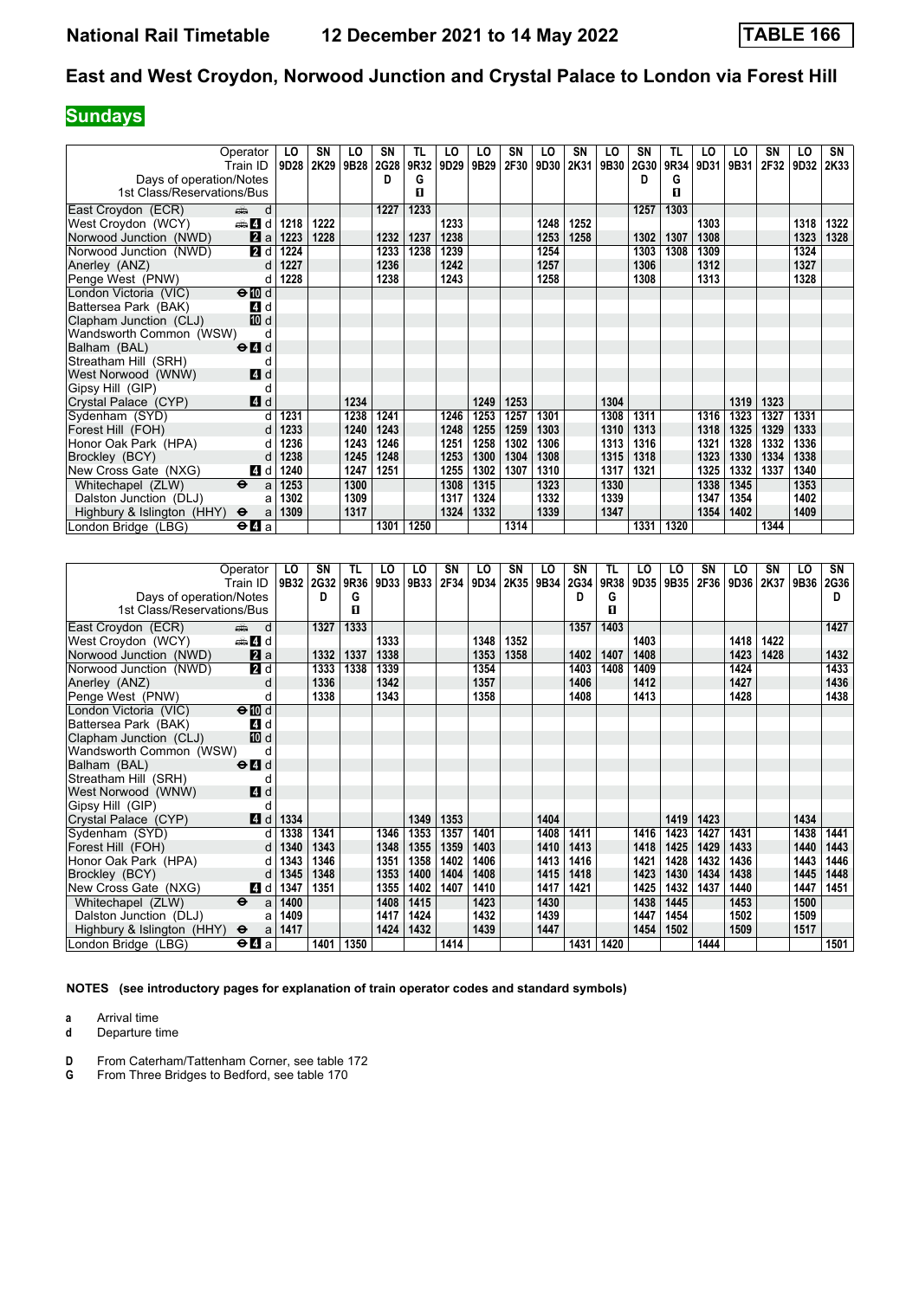## **Sundays**

|                            | Operator                                    | LO   | <b>SN</b> | LO   | SN   | TL.  | LO   | LO   | SN   | LO   | SΝ   | LO   | SN   | TL   | LO   | LO   | <b>SN</b> | LO   | SN   |
|----------------------------|---------------------------------------------|------|-----------|------|------|------|------|------|------|------|------|------|------|------|------|------|-----------|------|------|
|                            | Train ID                                    | 9D28 | 2K29      | 9B28 | 2G28 | 9R32 | 9D29 | 9B29 | 2F30 | 9D30 | 2K31 | 9B30 | 2G30 | 9R34 | 9D31 | 9B31 | 2F32      | 9D32 | 2K33 |
| Days of operation/Notes    |                                             |      |           |      | D    | G    |      |      |      |      |      |      | D    | G    |      |      |           |      |      |
| 1st Class/Reservations/Bus |                                             |      |           |      |      | п    |      |      |      |      |      |      |      | п    |      |      |           |      |      |
| East Croydon (ECR)         | dia 1<br>d                                  |      |           |      | 1227 | 1233 |      |      |      |      |      |      | 1257 | 1303 |      |      |           |      |      |
| West Croydon (WCY)         | den <b>d</b>                                | 1218 | 1222      |      |      |      | 1233 |      |      | 1248 | 1252 |      |      |      | 1303 |      |           | 1318 | 1322 |
| Norwood Junction (NWD)     | 2a                                          | 1223 | 1228      |      | 1232 | 1237 | 1238 |      |      | 1253 | 1258 |      | 1302 | 1307 | 1308 |      |           | 1323 | 1328 |
| Norwood Junction (NWD)     | <b>2</b> d                                  | 1224 |           |      | 1233 | 1238 | 1239 |      |      | 1254 |      |      | 1303 | 1308 | 1309 |      |           | 1324 |      |
| Anerley (ANZ)              | d                                           | 1227 |           |      | 1236 |      | 1242 |      |      | 1257 |      |      | 1306 |      | 1312 |      |           | 1327 |      |
| Penge West (PNW)           | d                                           | 1228 |           |      | 1238 |      | 1243 |      |      | 1258 |      |      | 1308 |      | 1313 |      |           | 1328 |      |
| London Victoria (VIC)      | $\Theta$ $\blacksquare$ d                   |      |           |      |      |      |      |      |      |      |      |      |      |      |      |      |           |      |      |
| Battersea Park (BAK)       | 4 d                                         |      |           |      |      |      |      |      |      |      |      |      |      |      |      |      |           |      |      |
| Clapham Junction (CLJ)     | 10 d                                        |      |           |      |      |      |      |      |      |      |      |      |      |      |      |      |           |      |      |
| Wandsworth Common (WSW)    | d                                           |      |           |      |      |      |      |      |      |      |      |      |      |      |      |      |           |      |      |
| Balham (BAL)               | $\Theta$ <sup><math>\Omega</math></sup> d   |      |           |      |      |      |      |      |      |      |      |      |      |      |      |      |           |      |      |
| Streatham Hill (SRH)       | d                                           |      |           |      |      |      |      |      |      |      |      |      |      |      |      |      |           |      |      |
| West Norwood (WNW)         | 4d                                          |      |           |      |      |      |      |      |      |      |      |      |      |      |      |      |           |      |      |
| Gipsy Hill (GIP)           | d                                           |      |           |      |      |      |      |      |      |      |      |      |      |      |      |      |           |      |      |
| Crystal Palace (CYP)       | 4d                                          |      |           | 1234 |      |      |      | 1249 | 1253 |      |      | 1304 |      |      |      | 1319 | 1323      |      |      |
| Sydenham (SYD)             |                                             | 1231 |           | 1238 | 1241 |      | 1246 | 1253 | 1257 | 1301 |      | 1308 | 1311 |      | 1316 | 1323 | 1327      | 1331 |      |
| Forest Hill (FOH)          |                                             | 1233 |           | 1240 | 1243 |      | 1248 | 1255 | 1259 | 1303 |      | 1310 | 1313 |      | 1318 | 1325 | 1329      | 1333 |      |
| Honor Oak Park (HPA)       | d                                           | 1236 |           | 1243 | 1246 |      | 1251 | 1258 | 1302 | 1306 |      | 1313 | 1316 |      | 1321 | 1328 | 1332      | 1336 |      |
| Brockley (BCY)             | d                                           | 1238 |           | 1245 | 1248 |      | 1253 | 1300 | 1304 | 1308 |      | 1315 | 1318 |      | 1323 | 1330 | 1334      | 1338 |      |
| New Cross Gate (NXG)       | 4 d                                         | 1240 |           | 1247 | 1251 |      | 1255 | 1302 | 1307 | 1310 |      | 1317 | 1321 |      | 1325 | 1332 | 1337      | 1340 |      |
| Whitechapel (ZLW)          | $\ddot{\mathbf{e}}$<br>a                    | 1253 |           | 1300 |      |      | 1308 | 1315 |      | 1323 |      | 1330 |      |      | 1338 | 1345 |           | 1353 |      |
| Dalston Junction (DLJ)     |                                             | 1302 |           | 1309 |      |      | 1317 | 1324 |      | 1332 |      | 1339 |      |      | 1347 | 1354 |           | 1402 |      |
| Highbury & Islington (HHY) | $\ddot{\mathbf{e}}$<br>a                    | 1309 |           | 1317 |      |      | 1324 | 1332 |      | 1339 |      | 1347 |      |      | 1354 | 1402 |           | 1409 |      |
| London Bridge (LBG)        | $\Theta$ <b><math>\blacksquare</math></b> a |      |           |      | 1301 | 1250 |      |      | 1314 |      |      |      | 1331 | 1320 |      |      | 1344      |      |      |

|                            | Operator                                                                                                                                                                                                                            | LO   | <b>SN</b>   | TL   | LO   | LO   | SN   | LO   | SN   | LO   | SN   | TL   | LO   | LO   | SN   | LO   | SΝ   | LO   | SN   |
|----------------------------|-------------------------------------------------------------------------------------------------------------------------------------------------------------------------------------------------------------------------------------|------|-------------|------|------|------|------|------|------|------|------|------|------|------|------|------|------|------|------|
|                            | Train ID                                                                                                                                                                                                                            | 9B32 | <b>2G32</b> | 9R36 | 9D33 | 9B33 | 2F34 | 9D34 | 2K35 | 9B34 | 2G34 | 9R38 | 9D35 | 9B35 | 2F36 | 9D36 | 2K37 | 9B36 | 2G36 |
| Days of operation/Notes    |                                                                                                                                                                                                                                     |      | D           | G    |      |      |      |      |      |      | D    | G    |      |      |      |      |      |      | n    |
| 1st Class/Reservations/Bus |                                                                                                                                                                                                                                     |      |             | п    |      |      |      |      |      |      |      | п    |      |      |      |      |      |      |      |
| East Croydon (ECR)         | d<br>and the second second second second second second second second second second second second second second second second second second second second second second second second second second second second second second seco |      | 1327        | 1333 |      |      |      |      |      |      | 1357 | 1403 |      |      |      |      |      |      | 1427 |
| West Croydon (WCY)         | den and d                                                                                                                                                                                                                           |      |             |      | 1333 |      |      | 1348 | 1352 |      |      |      | 1403 |      |      | 1418 | 1422 |      |      |
| Norwood Junction (NWD)     | 2a                                                                                                                                                                                                                                  |      | 1332        | 1337 | 1338 |      |      | 1353 | 1358 |      | 1402 | 1407 | 1408 |      |      | 1423 | 1428 |      | 1432 |
| Norwood Junction (NWD)     | 2d                                                                                                                                                                                                                                  |      | 1333        | 1338 | 1339 |      |      | 1354 |      |      | 1403 | 1408 | 1409 |      |      | 1424 |      |      | 1433 |
| Anerley (ANZ)              | d                                                                                                                                                                                                                                   |      | 1336        |      | 1342 |      |      | 1357 |      |      | 1406 |      | 1412 |      |      | 1427 |      |      | 1436 |
| Penge West (PNW)           | d                                                                                                                                                                                                                                   |      | 1338        |      | 1343 |      |      | 1358 |      |      | 1408 |      | 1413 |      |      | 1428 |      |      | 1438 |
| London Victoria (VIC)      | $\Theta$ $\blacksquare$ d                                                                                                                                                                                                           |      |             |      |      |      |      |      |      |      |      |      |      |      |      |      |      |      |      |
| Battersea Park (BAK)       | 4 d                                                                                                                                                                                                                                 |      |             |      |      |      |      |      |      |      |      |      |      |      |      |      |      |      |      |
| Clapham Junction (CLJ)     | 10 d                                                                                                                                                                                                                                |      |             |      |      |      |      |      |      |      |      |      |      |      |      |      |      |      |      |
| Wandsworth Common (WSW)    | d                                                                                                                                                                                                                                   |      |             |      |      |      |      |      |      |      |      |      |      |      |      |      |      |      |      |
| Balham (BAL)               | $\Theta$ <sup><math>\blacksquare</math> d</sup>                                                                                                                                                                                     |      |             |      |      |      |      |      |      |      |      |      |      |      |      |      |      |      |      |
| Streatham Hill (SRH)       | d                                                                                                                                                                                                                                   |      |             |      |      |      |      |      |      |      |      |      |      |      |      |      |      |      |      |
| West Norwood (WNW)         | 4d                                                                                                                                                                                                                                  |      |             |      |      |      |      |      |      |      |      |      |      |      |      |      |      |      |      |
| Gipsy Hill (GIP)           | d                                                                                                                                                                                                                                   |      |             |      |      |      |      |      |      |      |      |      |      |      |      |      |      |      |      |
| Crystal Palace (CYP)       | 4 d                                                                                                                                                                                                                                 | 1334 |             |      |      | 1349 | 1353 |      |      | 1404 |      |      |      | 1419 | 1423 |      |      | 1434 |      |
| Sydenham (SYD)             | d                                                                                                                                                                                                                                   | 1338 | 1341        |      | 1346 | 1353 | 1357 | 1401 |      | 1408 | 1411 |      | 1416 | 1423 | 1427 | 1431 |      | 1438 | 1441 |
| Forest Hill (FOH)          | d                                                                                                                                                                                                                                   | 1340 | 1343        |      | 1348 | 1355 | 1359 | 1403 |      | 1410 | 1413 |      | 1418 | 1425 | 1429 | 1433 |      | 1440 | 1443 |
| Honor Oak Park (HPA)       | d                                                                                                                                                                                                                                   | 1343 | 1346        |      | 1351 | 1358 | 1402 | 1406 |      | 1413 | 1416 |      | 1421 | 1428 | 1432 | 1436 |      | 1443 | 1446 |
| Brockley (BCY)             | d                                                                                                                                                                                                                                   | 1345 | 1348        |      | 1353 | 1400 | 1404 | 1408 |      | 1415 | 1418 |      | 1423 | 1430 | 1434 | 1438 |      | 1445 | 1448 |
| New Cross Gate (NXG)       | 4 d                                                                                                                                                                                                                                 | 1347 | 1351        |      | 1355 | 1402 | 1407 | 1410 |      | 1417 | 1421 |      | 1425 | 1432 | 1437 | 1440 |      | 1447 | 1451 |
| Whitechapel (ZLW)          | $\ddot{\mathbf{e}}$<br>a                                                                                                                                                                                                            | 1400 |             |      | 1408 | 1415 |      | 1423 |      | 1430 |      |      | 1438 | 1445 |      | 1453 |      | 1500 |      |
| Dalston Junction (DLJ)     | a                                                                                                                                                                                                                                   | 1409 |             |      | 1417 | 1424 |      | 1432 |      | 1439 |      |      | 1447 | 1454 |      | 1502 |      | 1509 |      |
| Highbury & Islington (HHY) | $\ddot{\mathbf{e}}$<br>a                                                                                                                                                                                                            | 1417 |             |      | 1424 | 1432 |      | 1439 |      | 1447 |      |      | 1454 | 1502 |      | 1509 |      | 1517 |      |
| London Bridge (LBG)        | $\Theta$ <b><math>\blacksquare</math></b> a                                                                                                                                                                                         |      | 1401        | 1350 |      |      | 1414 |      |      |      | 1431 | 1420 |      |      | 1444 |      |      |      | 1501 |

**NOTES (see introductory pages for explanation of train operator codes and standard symbols)**

**a** Arrival time<br>**d** Departure t

- **D** From Caterham/Tattenham Corner, see table 172<br>**G** From Three Bridges to Bedford, see table 170
- **\*** From Three Bridges to Bedford see table 17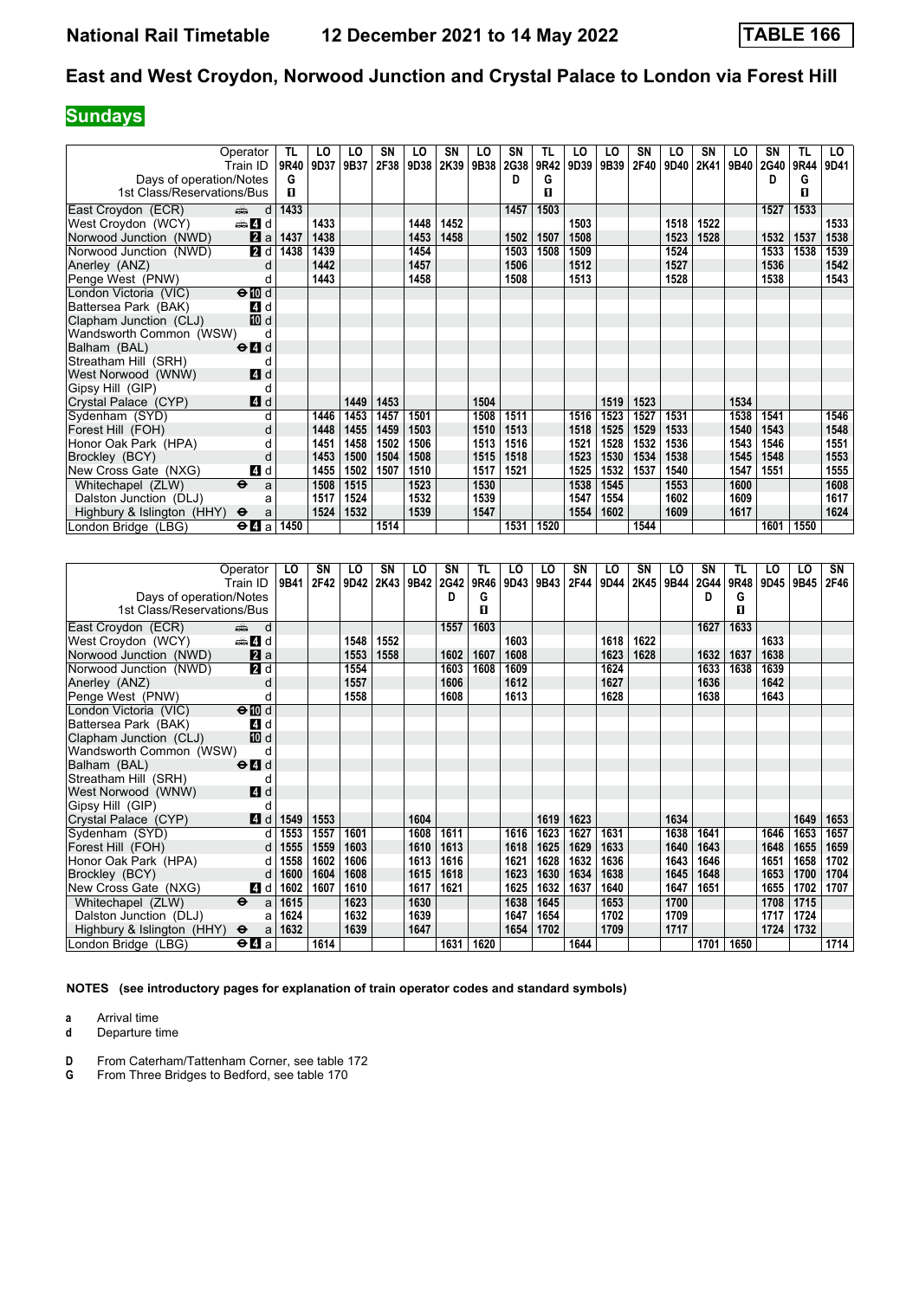## **Sundays**

|                            | Operator                                    | TL   | LO   | LO   | SN   | LO   | SN   | LO   | SN          | TL   | LO   | LO   | SΝ   | LO   | SN   | LO          | SN   | TL   | LO.  |
|----------------------------|---------------------------------------------|------|------|------|------|------|------|------|-------------|------|------|------|------|------|------|-------------|------|------|------|
|                            | Train ID                                    | 9R40 | 9D37 | 9B37 | 2F38 | 9D38 | 2K39 | 9B38 | <b>2G38</b> | 9R42 | 9D39 | 9B39 | 2F40 | 9D40 | 2K41 | <b>9B40</b> | 2G40 | 9R44 | 9D41 |
| Days of operation/Notes    |                                             | G    |      |      |      |      |      |      | Đ           | G    |      |      |      |      |      |             | D    | G    |      |
| 1st Class/Reservations/Bus |                                             | п    |      |      |      |      |      |      |             | п    |      |      |      |      |      |             |      | п    |      |
| East Croydon (ECR)         | d<br>din 1                                  | 1433 |      |      |      |      |      |      | 1457        | 1503 |      |      |      |      |      |             | 1527 | 1533 |      |
| West Croydon (WCY)         | den and a                                   |      | 1433 |      |      | 1448 | 1452 |      |             |      | 1503 |      |      | 1518 | 1522 |             |      |      | 1533 |
| Norwood Junction (NWD)     | $\mathbf{a}$ a                              | 1437 | 1438 |      |      | 1453 | 1458 |      | 1502        | 1507 | 1508 |      |      | 1523 | 1528 |             | 1532 | 1537 | 1538 |
| Norwood Junction (NWD)     | 2d                                          | 1438 | 1439 |      |      | 1454 |      |      | 1503        | 1508 | 1509 |      |      | 1524 |      |             | 1533 | 1538 | 1539 |
| Anerley (ANZ)              | d                                           |      | 1442 |      |      | 1457 |      |      | 1506        |      | 1512 |      |      | 1527 |      |             | 1536 |      | 1542 |
| Penge West (PNW)           | d                                           |      | 1443 |      |      | 1458 |      |      | 1508        |      | 1513 |      |      | 1528 |      |             | 1538 |      | 1543 |
| London Victoria (VIC)      | $\Theta$ $\overline{w}$ d                   |      |      |      |      |      |      |      |             |      |      |      |      |      |      |             |      |      |      |
| Battersea Park (BAK)       | 4 d                                         |      |      |      |      |      |      |      |             |      |      |      |      |      |      |             |      |      |      |
| Clapham Junction (CLJ)     | <b>ID</b> d                                 |      |      |      |      |      |      |      |             |      |      |      |      |      |      |             |      |      |      |
| Wandsworth Common (WSW)    | d                                           |      |      |      |      |      |      |      |             |      |      |      |      |      |      |             |      |      |      |
| Balham (BAL)               | $\Theta$ <sup><math>\Omega</math></sup> d   |      |      |      |      |      |      |      |             |      |      |      |      |      |      |             |      |      |      |
| Streatham Hill (SRH)       | d                                           |      |      |      |      |      |      |      |             |      |      |      |      |      |      |             |      |      |      |
| West Norwood (WNW)         | 4d                                          |      |      |      |      |      |      |      |             |      |      |      |      |      |      |             |      |      |      |
| Gipsy Hill (GIP)           | d                                           |      |      |      |      |      |      |      |             |      |      |      |      |      |      |             |      |      |      |
| Crystal Palace (CYP)       | 4d                                          |      |      | 1449 | 1453 |      |      | 1504 |             |      |      | 1519 | 1523 |      |      | 1534        |      |      |      |
| Sydenham (SYD)             | d                                           |      | 1446 | 1453 | 1457 | 1501 |      | 1508 | 1511        |      | 1516 | 1523 | 1527 | 1531 |      | 1538        | 1541 |      | 1546 |
| Forest Hill (FOH)          |                                             |      | 1448 | 1455 | 1459 | 1503 |      | 1510 | 1513        |      | 1518 | 1525 | 1529 | 1533 |      | 1540        | 1543 |      | 1548 |
| Honor Oak Park (HPA)       | d                                           |      | 1451 | 1458 | 1502 | 1506 |      | 1513 | 1516        |      | 1521 | 1528 | 1532 | 1536 |      | 1543        | 1546 |      | 1551 |
| Brockley (BCY)             | d                                           |      | 1453 | 1500 | 1504 | 1508 |      | 1515 | 1518        |      | 1523 | 1530 | 1534 | 1538 |      | 1545        | 1548 |      | 1553 |
| New Cross Gate (NXG)       | 4 d                                         |      | 1455 | 1502 | 1507 | 1510 |      | 1517 | 1521        |      | 1525 | 1532 | 1537 | 1540 |      | 1547        | 1551 |      | 1555 |
| Whitechapel (ZLW)          | $\ddot{\boldsymbol{\Theta}}$<br>a           |      | 1508 | 1515 |      | 1523 |      | 1530 |             |      | 1538 | 1545 |      | 1553 |      | 1600        |      |      | 1608 |
| Dalston Junction (DLJ)     | a                                           |      | 1517 | 1524 |      | 1532 |      | 1539 |             |      | 1547 | 1554 |      | 1602 |      | 1609        |      |      | 1617 |
| Highbury & Islington (HHY) | $\ddot{\mathbf{e}}$<br>a                    |      | 1524 | 1532 |      | 1539 |      | 1547 |             |      | 1554 | 1602 |      | 1609 |      | 1617        |      |      | 1624 |
| London Bridge (LBG)        | $\Theta$ <b><math>\blacksquare</math></b> a | 1450 |      |      | 1514 |      |      |      | 1531        | 1520 |      |      | 1544 |      |      |             | 1601 | 1550 |      |

|                            | Operator                                    | LO   | SN   | LO   | SN   | LO   | SN   | TL   | LO   | LO   | <b>SN</b> | LO   | SΝ   | LO   | SΝ   | TL   | LO   | LO   | SN   |
|----------------------------|---------------------------------------------|------|------|------|------|------|------|------|------|------|-----------|------|------|------|------|------|------|------|------|
|                            | Train ID                                    | 9B41 | 2F42 | 9D42 | 2K43 | 9B42 | 2G42 | 9R46 | 9D43 | 9B43 | 2F44      | 9D44 | 2K45 | 9B44 | 2G44 | 9R48 | 9D45 | 9B45 | 2F46 |
| Days of operation/Notes    |                                             |      |      |      |      |      | D    | G    |      |      |           |      |      |      | D    | G    |      |      |      |
| 1st Class/Reservations/Bus |                                             |      |      |      |      |      |      | п    |      |      |           |      |      |      |      | п    |      |      |      |
| East Croydon (ECR)         | d<br>ی ہے                                   |      |      |      |      |      | 1557 | 1603 |      |      |           |      |      |      | 1627 | 1633 |      |      |      |
| West Croydon (WCY)         | den and a                                   |      |      | 1548 | 1552 |      |      |      | 1603 |      |           | 1618 | 1622 |      |      |      | 1633 |      |      |
| Norwood Junction (NWD)     | <b>Z</b> a                                  |      |      | 1553 | 1558 |      | 1602 | 1607 | 1608 |      |           | 1623 | 1628 |      | 1632 | 1637 | 1638 |      |      |
| Norwood Junction (NWD)     | $\overline{a}$ d                            |      |      | 1554 |      |      | 1603 | 1608 | 1609 |      |           | 1624 |      |      | 1633 | 1638 | 1639 |      |      |
| Anerley (ANZ)              | d                                           |      |      | 1557 |      |      | 1606 |      | 1612 |      |           | 1627 |      |      | 1636 |      | 1642 |      |      |
| Penge West (PNW)           | d                                           |      |      | 1558 |      |      | 1608 |      | 1613 |      |           | 1628 |      |      | 1638 |      | 1643 |      |      |
| London Victoria (VIC)      | $\Theta$ III d                              |      |      |      |      |      |      |      |      |      |           |      |      |      |      |      |      |      |      |
| Battersea Park (BAK)       | 4 d                                         |      |      |      |      |      |      |      |      |      |           |      |      |      |      |      |      |      |      |
| Clapham Junction (CLJ)     | <b>TO</b> d                                 |      |      |      |      |      |      |      |      |      |           |      |      |      |      |      |      |      |      |
| Wandsworth Common (WSW)    | d                                           |      |      |      |      |      |      |      |      |      |           |      |      |      |      |      |      |      |      |
| Balham (BAL)               | $\Theta$ <sup><math>\Omega</math></sup> d   |      |      |      |      |      |      |      |      |      |           |      |      |      |      |      |      |      |      |
| Streatham Hill (SRH)       | d                                           |      |      |      |      |      |      |      |      |      |           |      |      |      |      |      |      |      |      |
| West Norwood (WNW)         | 4d                                          |      |      |      |      |      |      |      |      |      |           |      |      |      |      |      |      |      |      |
| Gipsy Hill (GIP)           | d                                           |      |      |      |      |      |      |      |      |      |           |      |      |      |      |      |      |      |      |
| Crystal Palace (CYP)       | 4d                                          | 1549 | 1553 |      |      | 1604 |      |      |      | 1619 | 1623      |      |      | 1634 |      |      |      | 1649 | 1653 |
| Sydenham (SYD)             | d                                           | 1553 | 1557 | 1601 |      | 1608 | 1611 |      | 1616 | 1623 | 1627      | 1631 |      | 1638 | 1641 |      | 1646 | 1653 | 1657 |
| Forest Hill (FOH)          | d                                           | 1555 | 1559 | 1603 |      | 1610 | 1613 |      | 1618 | 1625 | 1629      | 1633 |      | 1640 | 1643 |      | 1648 | 1655 | 1659 |
| Honor Oak Park (HPA)       | d                                           | 1558 | 1602 | 1606 |      | 1613 | 1616 |      | 1621 | 1628 | 1632      | 1636 |      | 1643 | 1646 |      | 1651 | 1658 | 1702 |
| Brockley (BCY)             | d                                           | 1600 | 1604 | 1608 |      | 1615 | 1618 |      | 1623 | 1630 | 1634      | 1638 |      | 1645 | 1648 |      | 1653 | 1700 | 1704 |
| New Cross Gate (NXG)       | 4 d                                         | 1602 | 1607 | 1610 |      | 1617 | 1621 |      | 1625 | 1632 | 1637      | 1640 |      | 1647 | 1651 |      | 1655 | 1702 | 1707 |
| Whitechapel (ZLW)          | $\ddot{\mathbf{e}}$<br>a                    | 1615 |      | 1623 |      | 1630 |      |      | 1638 | 1645 |           | 1653 |      | 1700 |      |      | 1708 | 1715 |      |
| Dalston Junction (DLJ)     | a                                           | 1624 |      | 1632 |      | 1639 |      |      | 1647 | 1654 |           | 1702 |      | 1709 |      |      | 1717 | 1724 |      |
| Highbury & Islington (HHY) | $\Theta$<br>a                               | 1632 |      | 1639 |      | 1647 |      |      | 1654 | 1702 |           | 1709 |      | 1717 |      |      | 1724 | 1732 |      |
| London Bridge (LBG)        | $\Theta$ <b><math>\blacksquare</math></b> a |      | 1614 |      |      |      | 1631 | 1620 |      |      | 1644      |      |      |      | 1701 | 1650 |      |      | 1714 |

**NOTES (see introductory pages for explanation of train operator codes and standard symbols)**

**a** Arrival time<br>**d** Departure t

- **D** From Caterham/Tattenham Corner, see table 172<br>**G** From Three Bridges to Bedford, see table 170
- **\*** From Three Bridges to Bedford see table 17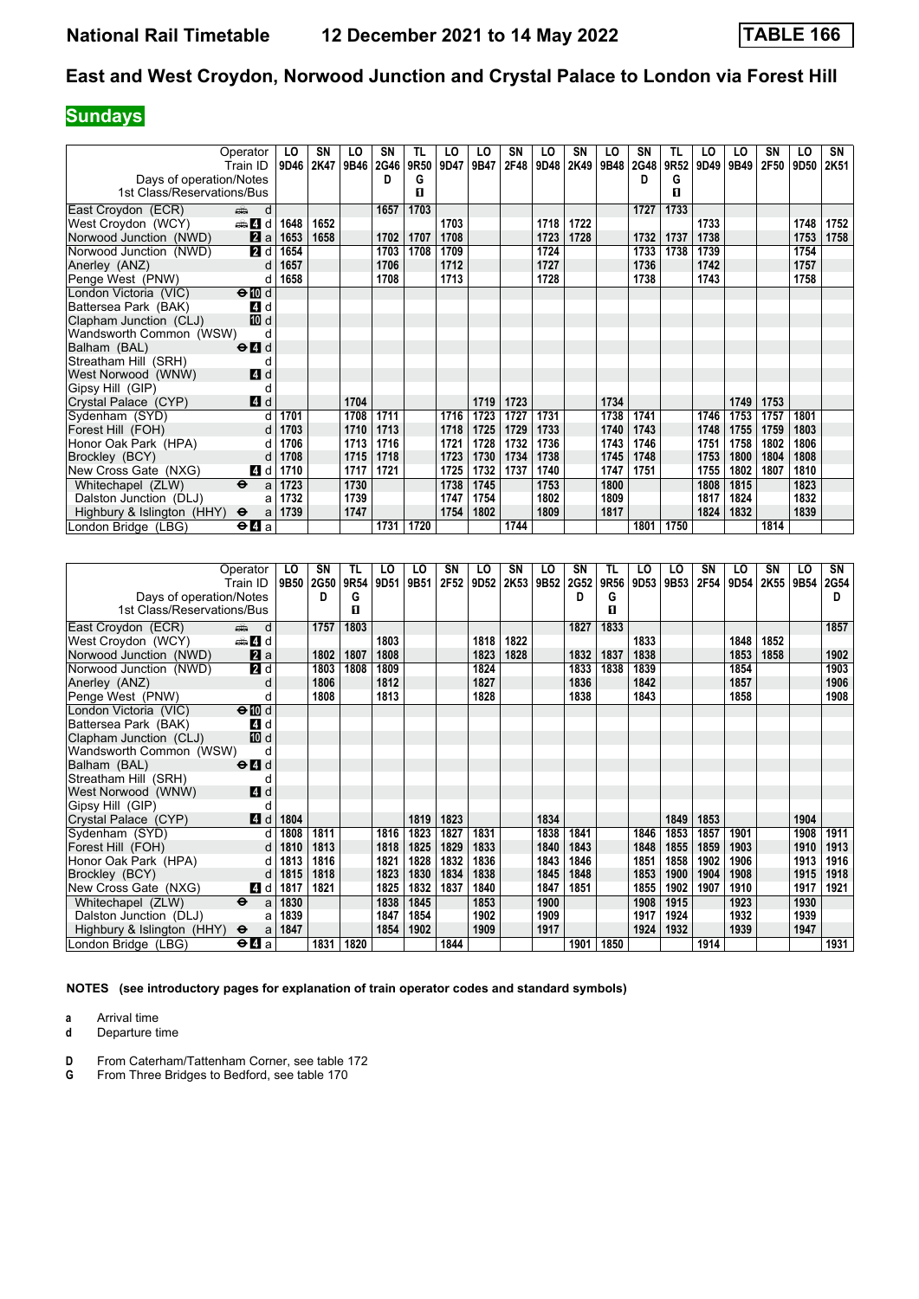# **Sundays**

|                            | Operator                                  | LO   | SN   | LO   | SN   | TL   | LO   | LO   | SN   | LO   | SN   | LO   | SΝ   | TL   | LO   | LO   | SΝ          | LO               | SN   |
|----------------------------|-------------------------------------------|------|------|------|------|------|------|------|------|------|------|------|------|------|------|------|-------------|------------------|------|
|                            | Train ID                                  | 9D46 | 2K47 | 9B46 | 2G46 | 9R50 | 9D47 | 9B47 | 2F48 | 9D48 | 2K49 | 9B48 | 2G48 | 9R52 | 9D49 | 9B49 | <b>2F50</b> | 9D <sub>50</sub> | 2K51 |
| Days of operation/Notes    |                                           |      |      |      | D    | G    |      |      |      |      |      |      | D    | G    |      |      |             |                  |      |
| 1st Class/Reservations/Bus |                                           |      |      |      |      | п    |      |      |      |      |      |      |      | п    |      |      |             |                  |      |
| East Croydon (ECR)         | din 1<br>d                                |      |      |      | 1657 | 1703 |      |      |      |      |      |      | 1727 | 1733 |      |      |             |                  |      |
| West Croydon (WCY)         | den <b>Z</b> id                           | 1648 | 1652 |      |      |      | 1703 |      |      | 1718 | 1722 |      |      |      | 1733 |      |             | 1748             | 1752 |
| Norwood Junction (NWD)     | 2a                                        | 1653 | 1658 |      | 1702 | 1707 | 1708 |      |      | 1723 | 1728 |      | 1732 | 1737 | 1738 |      |             | 1753             | 1758 |
| Norwood Junction (NWD)     | <b>2</b> d                                | 1654 |      |      | 1703 | 1708 | 1709 |      |      | 1724 |      |      | 1733 | 1738 | 1739 |      |             | 1754             |      |
| Anerley (ANZ)              | d                                         | 1657 |      |      | 1706 |      | 1712 |      |      | 1727 |      |      | 1736 |      | 1742 |      |             | 1757             |      |
| Penge West (PNW)           | d                                         | 1658 |      |      | 1708 |      | 1713 |      |      | 1728 |      |      | 1738 |      | 1743 |      |             | 1758             |      |
| London Victoria (VIC)      | $\Theta$ $\blacksquare$ d                 |      |      |      |      |      |      |      |      |      |      |      |      |      |      |      |             |                  |      |
| Battersea Park (BAK)       | 4 d                                       |      |      |      |      |      |      |      |      |      |      |      |      |      |      |      |             |                  |      |
| Clapham Junction (CLJ)     | 10 d                                      |      |      |      |      |      |      |      |      |      |      |      |      |      |      |      |             |                  |      |
| Wandsworth Common (WSW)    | d                                         |      |      |      |      |      |      |      |      |      |      |      |      |      |      |      |             |                  |      |
| Balham (BAL)               | $\Theta$ <sup><math>\Omega</math></sup> d |      |      |      |      |      |      |      |      |      |      |      |      |      |      |      |             |                  |      |
| Streatham Hill (SRH)       | d                                         |      |      |      |      |      |      |      |      |      |      |      |      |      |      |      |             |                  |      |
| West Norwood (WNW)         | 4 d                                       |      |      |      |      |      |      |      |      |      |      |      |      |      |      |      |             |                  |      |
| Gipsy Hill (GIP)           | d                                         |      |      |      |      |      |      |      |      |      |      |      |      |      |      |      |             |                  |      |
| Crystal Palace (CYP)       | 4d                                        |      |      | 1704 |      |      |      | 1719 | 1723 |      |      | 1734 |      |      |      | 1749 | 1753        |                  |      |
| Sydenham (SYD)             |                                           | 1701 |      | 1708 | 1711 |      | 1716 | 1723 | 1727 | 1731 |      | 1738 | 1741 |      | 1746 | 1753 | 1757        | 1801             |      |
| Forest Hill (FOH)          |                                           | 1703 |      | 1710 | 1713 |      | 1718 | 1725 | 1729 | 1733 |      | 1740 | 1743 |      | 1748 | 1755 | 1759        | 1803             |      |
| Honor Oak Park (HPA)       | d                                         | 1706 |      | 1713 | 1716 |      | 1721 | 1728 | 1732 | 1736 |      | 1743 | 1746 |      | 1751 | 1758 | 1802        | 1806             |      |
| Brockley (BCY)             | d                                         | 1708 |      | 1715 | 1718 |      | 1723 | 1730 | 1734 | 1738 |      | 1745 | 1748 |      | 1753 | 1800 | 1804        | 1808             |      |
| New Cross Gate (NXG)       | 4 d                                       | 1710 |      | 1717 | 1721 |      | 1725 | 1732 | 1737 | 1740 |      | 1747 | 1751 |      | 1755 | 1802 | 1807        | 1810             |      |
| Whitechapel (ZLW)          | $\ddot{\mathbf{e}}$<br>a                  | 1723 |      | 1730 |      |      | 1738 | 1745 |      | 1753 |      | 1800 |      |      | 1808 | 1815 |             | 1823             |      |
| Dalston Junction (DLJ)     |                                           | 1732 |      | 1739 |      |      | 1747 | 1754 |      | 1802 |      | 1809 |      |      | 1817 | 1824 |             | 1832             |      |
| Highbury & Islington (HHY) | $\ddot{\mathbf{e}}$<br>a                  | 1739 |      | 1747 |      |      | 1754 | 1802 |      | 1809 |      | 1817 |      |      | 1824 | 1832 |             | 1839             |      |
| London Bridge (LBG)        | $\Theta$ <b>d</b> a                       |      |      |      | 1731 | 1720 |      |      | 1744 |      |      |      | 1801 | 1750 |      |      | 1814        |                  |      |

|                            | Operator                                                                                                                                                                                                                            | LO   | SN          | TL   | LO   | LO   | SN   | LO               | SN   | LO   | <b>SN</b> | TL   | LO   | LO   | SΝ   | LO   | SΝ   | LO   | SN          |
|----------------------------|-------------------------------------------------------------------------------------------------------------------------------------------------------------------------------------------------------------------------------------|------|-------------|------|------|------|------|------------------|------|------|-----------|------|------|------|------|------|------|------|-------------|
|                            | Train ID                                                                                                                                                                                                                            | 9B50 | <b>2G50</b> | 9R54 | 9D51 | 9B51 | 2F52 | 9D <sub>52</sub> | 2K53 | 9B52 | 2G52      | 9R56 | 9D53 | 9B53 | 2F54 | 9D54 | 2K55 | 9B54 | <b>2G54</b> |
| Days of operation/Notes    |                                                                                                                                                                                                                                     |      | D           | G    |      |      |      |                  |      |      | D         | G    |      |      |      |      |      |      | D           |
| 1st Class/Reservations/Bus |                                                                                                                                                                                                                                     |      |             | п    |      |      |      |                  |      |      |           | п    |      |      |      |      |      |      |             |
| East Croydon (ECR)         | d<br>and the second second second second second second second second second second second second second second second second second second second second second second second second second second second second second second seco |      | 1757        | 1803 |      |      |      |                  |      |      | 1827      | 1833 |      |      |      |      |      |      | 1857        |
| West Croydon (WCY)         | den and d                                                                                                                                                                                                                           |      |             |      | 1803 |      |      | 1818             | 1822 |      |           |      | 1833 |      |      | 1848 | 1852 |      |             |
| Norwood Junction (NWD)     | 2a                                                                                                                                                                                                                                  |      | 1802        | 1807 | 1808 |      |      | 1823             | 1828 |      | 1832      | 1837 | 1838 |      |      | 1853 | 1858 |      | 1902        |
| Norwood Junction (NWD)     | 2d                                                                                                                                                                                                                                  |      | 1803        | 1808 | 1809 |      |      | 1824             |      |      | 1833      | 1838 | 1839 |      |      | 1854 |      |      | 1903        |
| Anerley (ANZ)              | d                                                                                                                                                                                                                                   |      | 1806        |      | 1812 |      |      | 1827             |      |      | 1836      |      | 1842 |      |      | 1857 |      |      | 1906        |
| Penge West (PNW)           | d                                                                                                                                                                                                                                   |      | 1808        |      | 1813 |      |      | 1828             |      |      | 1838      |      | 1843 |      |      | 1858 |      |      | 1908        |
| London Victoria (VIC)      | $\Theta$ $\blacksquare$ d                                                                                                                                                                                                           |      |             |      |      |      |      |                  |      |      |           |      |      |      |      |      |      |      |             |
| Battersea Park (BAK)       | 4 d                                                                                                                                                                                                                                 |      |             |      |      |      |      |                  |      |      |           |      |      |      |      |      |      |      |             |
| Clapham Junction (CLJ)     | 10 d                                                                                                                                                                                                                                |      |             |      |      |      |      |                  |      |      |           |      |      |      |      |      |      |      |             |
| Wandsworth Common (WSW)    | d                                                                                                                                                                                                                                   |      |             |      |      |      |      |                  |      |      |           |      |      |      |      |      |      |      |             |
| Balham (BAL)               | $\Theta$ <sup><math>\blacksquare</math> d</sup>                                                                                                                                                                                     |      |             |      |      |      |      |                  |      |      |           |      |      |      |      |      |      |      |             |
| Streatham Hill (SRH)       | d                                                                                                                                                                                                                                   |      |             |      |      |      |      |                  |      |      |           |      |      |      |      |      |      |      |             |
| West Norwood (WNW)         | 4d                                                                                                                                                                                                                                  |      |             |      |      |      |      |                  |      |      |           |      |      |      |      |      |      |      |             |
| Gipsy Hill (GIP)           | d                                                                                                                                                                                                                                   |      |             |      |      |      |      |                  |      |      |           |      |      |      |      |      |      |      |             |
| Crystal Palace (CYP)       | 4d                                                                                                                                                                                                                                  | 1804 |             |      |      | 1819 | 1823 |                  |      | 1834 |           |      |      | 1849 | 1853 |      |      | 1904 |             |
| Sydenham (SYD)             | d                                                                                                                                                                                                                                   | 1808 | 1811        |      | 1816 | 1823 | 1827 | 1831             |      | 1838 | 1841      |      | 1846 | 1853 | 1857 | 1901 |      | 1908 | 1911        |
| Forest Hill (FOH)          | d                                                                                                                                                                                                                                   | 1810 | 1813        |      | 1818 | 1825 | 1829 | 1833             |      | 1840 | 1843      |      | 1848 | 1855 | 1859 | 1903 |      | 1910 | 1913        |
| Honor Oak Park (HPA)       | d                                                                                                                                                                                                                                   | 1813 | 1816        |      | 1821 | 1828 | 1832 | 1836             |      | 1843 | 1846      |      | 1851 | 1858 | 1902 | 1906 |      | 1913 | 1916        |
| Brockley (BCY)             | d                                                                                                                                                                                                                                   | 1815 | 1818        |      | 1823 | 1830 | 1834 | 1838             |      | 1845 | 1848      |      | 1853 | 1900 | 1904 | 1908 |      | 1915 | 1918        |
| New Cross Gate (NXG)       | 4 d                                                                                                                                                                                                                                 | 1817 | 1821        |      | 1825 | 1832 | 1837 | 1840             |      | 1847 | 1851      |      | 1855 | 1902 | 1907 | 1910 |      | 1917 | 1921        |
| Whitechapel (ZLW)          | $\ddot{\mathbf{e}}$<br>a                                                                                                                                                                                                            | 1830 |             |      | 1838 | 1845 |      | 1853             |      | 1900 |           |      | 1908 | 1915 |      | 1923 |      | 1930 |             |
| Dalston Junction (DLJ)     | a                                                                                                                                                                                                                                   | 1839 |             |      | 1847 | 1854 |      | 1902             |      | 1909 |           |      | 1917 | 1924 |      | 1932 |      | 1939 |             |
| Highbury & Islington (HHY) | $\ddot{\mathbf{e}}$<br>a                                                                                                                                                                                                            | 1847 |             |      | 1854 | 1902 |      | 1909             |      | 1917 |           |      | 1924 | 1932 |      | 1939 |      | 1947 |             |
| London Bridge (LBG)        | $\Theta$ <b><math>\blacksquare</math></b> a                                                                                                                                                                                         |      | 1831        | 1820 |      |      | 1844 |                  |      |      | 1901      | 1850 |      |      | 1914 |      |      |      | 1931        |

**NOTES (see introductory pages for explanation of train operator codes and standard symbols)**

**a** Arrival time<br>**d** Departure t

- **D** From Caterham/Tattenham Corner, see table 172<br>**G** From Three Bridges to Bedford, see table 170
- **\*** From Three Bridges to Bedford see table 17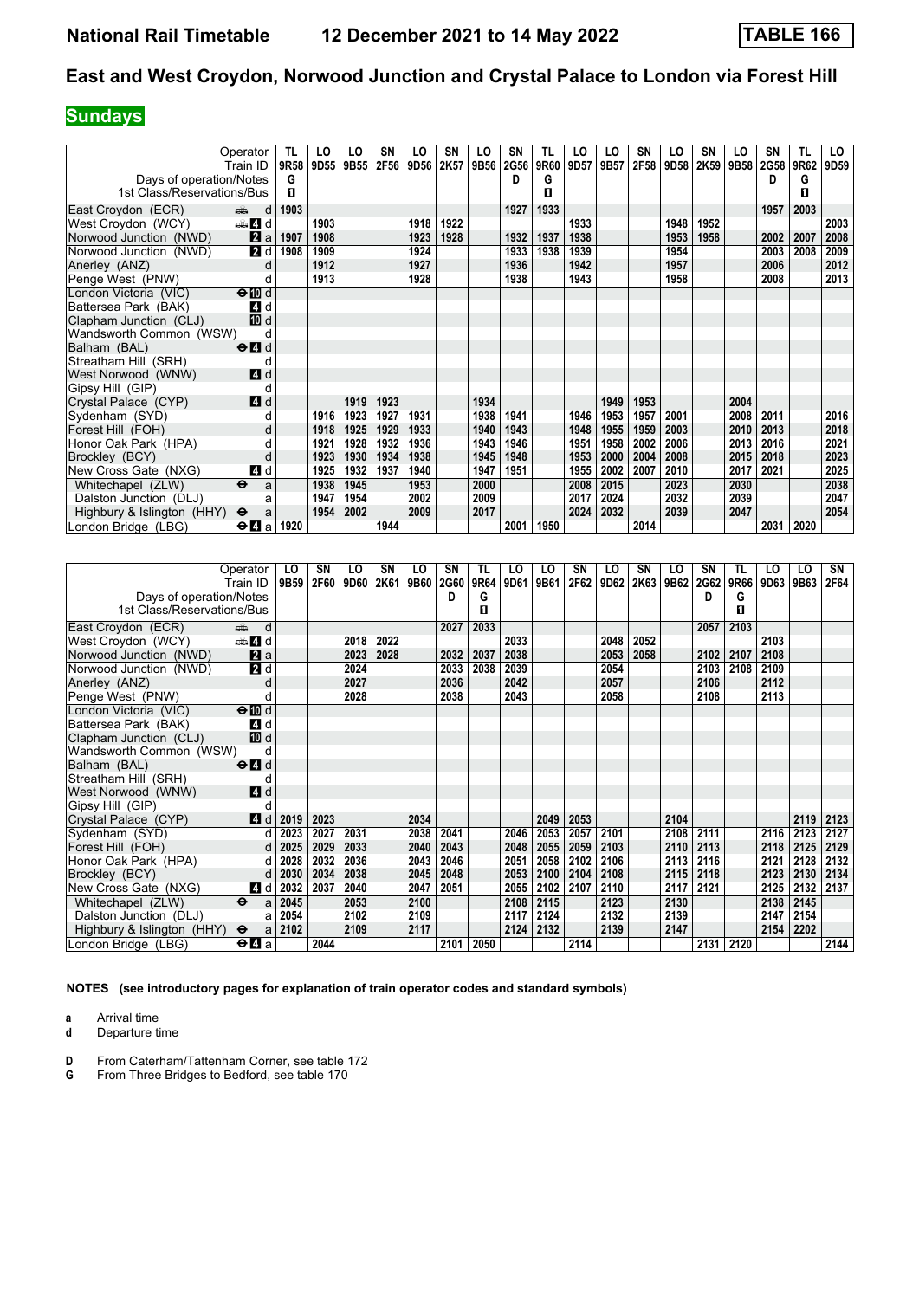## **Sundays**

|                            | Operator                                    | TL   | LO   | LO   | SN   | LO.              | SN   | LO   | SΝ   | TL   | LO   | LO   | SΝ   | LO   | SN   | LO   | SΝ   | TL           | LO               |
|----------------------------|---------------------------------------------|------|------|------|------|------------------|------|------|------|------|------|------|------|------|------|------|------|--------------|------------------|
|                            | Train ID                                    | 9R58 | 9D55 | 9B55 | 2F56 | 9D <sub>56</sub> | 2K57 | 9B56 | 2G56 | 9R60 | 9D57 | 9B57 | 2F58 | 9D58 | 2K59 | 9B58 | 2G58 | 9R62         | 9D <sub>59</sub> |
| Days of operation/Notes    |                                             | G    |      |      |      |                  |      |      | D.   | G    |      |      |      |      |      |      | D    | G            |                  |
| 1st Class/Reservations/Bus |                                             | п    |      |      |      |                  |      |      |      | п    |      |      |      |      |      |      |      | $\mathbf{u}$ |                  |
| East Croydon (ECR)         | and d                                       | 1903 |      |      |      |                  |      |      | 1927 | 1933 |      |      |      |      |      |      | 1957 | 2003         |                  |
| West Croydon (WCY)         | den 4 d                                     |      | 1903 |      |      | 1918             | 1922 |      |      |      | 1933 |      |      | 1948 | 1952 |      |      |              | 2003             |
| Norwood Junction (NWD)     | 2a                                          | 1907 | 1908 |      |      | 1923             | 1928 |      | 1932 | 1937 | 1938 |      |      | 1953 | 1958 |      | 2002 | 2007         | 2008             |
| Norwood Junction (NWD)     | 2d                                          | 1908 | 1909 |      |      | 1924             |      |      | 1933 | 1938 | 1939 |      |      | 1954 |      |      | 2003 | 2008         | 2009             |
| Anerley (ANZ)              | d                                           |      | 1912 |      |      | 1927             |      |      | 1936 |      | 1942 |      |      | 1957 |      |      | 2006 |              | 2012             |
| Penge West (PNW)           | d                                           |      | 1913 |      |      | 1928             |      |      | 1938 |      | 1943 |      |      | 1958 |      |      | 2008 |              | 2013             |
| London Victoria (VIC)      | $\Theta$ III d                              |      |      |      |      |                  |      |      |      |      |      |      |      |      |      |      |      |              |                  |
| Battersea Park (BAK)       | 4 d                                         |      |      |      |      |                  |      |      |      |      |      |      |      |      |      |      |      |              |                  |
| Clapham Junction (CLJ)     | [10] d                                      |      |      |      |      |                  |      |      |      |      |      |      |      |      |      |      |      |              |                  |
| Wandsworth Common (WSW)    | d                                           |      |      |      |      |                  |      |      |      |      |      |      |      |      |      |      |      |              |                  |
| Balham (BAL)               | $\Theta$ <sup><math>\Omega</math></sup> d   |      |      |      |      |                  |      |      |      |      |      |      |      |      |      |      |      |              |                  |
| Streatham Hill (SRH)       | d                                           |      |      |      |      |                  |      |      |      |      |      |      |      |      |      |      |      |              |                  |
| West Norwood (WNW)         | 4 d                                         |      |      |      |      |                  |      |      |      |      |      |      |      |      |      |      |      |              |                  |
| Gipsy Hill (GIP)           | d                                           |      |      |      |      |                  |      |      |      |      |      |      |      |      |      |      |      |              |                  |
| Crystal Palace (CYP)       | 4d                                          |      |      | 1919 | 1923 |                  |      | 1934 |      |      |      | 1949 | 1953 |      |      | 2004 |      |              |                  |
| Sydenham (SYD)             | d                                           |      | 1916 | 1923 | 1927 | 1931             |      | 1938 | 1941 |      | 1946 | 1953 | 1957 | 2001 |      | 2008 | 2011 |              | 2016             |
| Forest Hill (FOH)          |                                             |      | 1918 | 1925 | 1929 | 1933             |      | 1940 | 1943 |      | 1948 | 1955 | 1959 | 2003 |      | 2010 | 2013 |              | 2018             |
| Honor Oak Park (HPA)       |                                             |      | 1921 | 1928 | 1932 | 1936             |      | 1943 | 1946 |      | 1951 | 1958 | 2002 | 2006 |      | 2013 | 2016 |              | 2021             |
| Brockley (BCY)             | d                                           |      | 1923 | 1930 | 1934 | 1938             |      | 1945 | 1948 |      | 1953 | 2000 | 2004 | 2008 |      | 2015 | 2018 |              | 2023             |
| New Cross Gate (NXG)       | 4 d                                         |      | 1925 | 1932 | 1937 | 1940             |      | 1947 | 1951 |      | 1955 | 2002 | 2007 | 2010 |      | 2017 | 2021 |              | 2025             |
| Whitechapel (ZLW)          | $\ddot{\boldsymbol{\Theta}}$<br>a           |      | 1938 | 1945 |      | 1953             |      | 2000 |      |      | 2008 | 2015 |      | 2023 |      | 2030 |      |              | 2038             |
| Dalston Junction (DLJ)     | a                                           |      | 1947 | 1954 |      | 2002             |      | 2009 |      |      | 2017 | 2024 |      | 2032 |      | 2039 |      |              | 2047             |
| Highbury & Islington (HHY) | $\ddot{\mathbf{e}}$<br>a                    |      | 1954 | 2002 |      | 2009             |      | 2017 |      |      | 2024 | 2032 |      | 2039 |      | 2047 |      |              | 2054             |
| London Bridge (LBG)        | $\Theta$ <b><math>\blacksquare</math></b> a | 1920 |      |      | 1944 |                  |      |      | 2001 | 1950 |      |      | 2014 |      |      |      | 2031 | 2020         |                  |

|                            | Operator                                    | LO   | SN   | LO   | SN   | LO   | SN   | <b>TL</b> | LO   | LO   | <b>SN</b> | LO   | SN   | LO   | SN   | TL   | LO   | LO   | SN   |
|----------------------------|---------------------------------------------|------|------|------|------|------|------|-----------|------|------|-----------|------|------|------|------|------|------|------|------|
|                            | Train ID                                    | 9B59 | 2F60 | 9D60 | 2K61 | 9B60 | 2G60 | 9R64      | 9D61 | 9B61 | 2F62      | 9D62 | 2K63 | 9B62 | 2G62 | 9R66 | 9D63 | 9B63 | 2F64 |
| Days of operation/Notes    |                                             |      |      |      |      |      | D    | G         |      |      |           |      |      |      | D    | G    |      |      |      |
| 1st Class/Reservations/Bus |                                             |      |      |      |      |      |      | п         |      |      |           |      |      |      |      | п    |      |      |      |
| East Croydon (ECR)         | d<br>dia 1                                  |      |      |      |      |      | 2027 | 2033      |      |      |           |      |      |      | 2057 | 2103 |      |      |      |
| West Croydon (WCY)         | den and a                                   |      |      | 2018 | 2022 |      |      |           | 2033 |      |           | 2048 | 2052 |      |      |      | 2103 |      |      |
| Norwood Junction (NWD)     | 2a                                          |      |      | 2023 | 2028 |      | 2032 | 2037      | 2038 |      |           | 2053 | 2058 |      | 2102 | 2107 | 2108 |      |      |
| Norwood Junction (NWD)     | 2d                                          |      |      | 2024 |      |      | 2033 | 2038      | 2039 |      |           | 2054 |      |      | 2103 | 2108 | 2109 |      |      |
| Anerley (ANZ)              | d                                           |      |      | 2027 |      |      | 2036 |           | 2042 |      |           | 2057 |      |      | 2106 |      | 2112 |      |      |
| Penge West (PNW)           | d                                           |      |      | 2028 |      |      | 2038 |           | 2043 |      |           | 2058 |      |      | 2108 |      | 2113 |      |      |
| London Victoria (VIC)      | $\Theta$ $\overline{w}$ d                   |      |      |      |      |      |      |           |      |      |           |      |      |      |      |      |      |      |      |
| Battersea Park (BAK)       | 4 d                                         |      |      |      |      |      |      |           |      |      |           |      |      |      |      |      |      |      |      |
| Clapham Junction (CLJ)     | 10 d                                        |      |      |      |      |      |      |           |      |      |           |      |      |      |      |      |      |      |      |
| Wandsworth Common (WSW)    | d                                           |      |      |      |      |      |      |           |      |      |           |      |      |      |      |      |      |      |      |
| Balham (BAL)               | $\Theta$ <sup><math>\Omega</math></sup> d   |      |      |      |      |      |      |           |      |      |           |      |      |      |      |      |      |      |      |
| Streatham Hill (SRH)       | d                                           |      |      |      |      |      |      |           |      |      |           |      |      |      |      |      |      |      |      |
| West Norwood (WNW)         | 4d                                          |      |      |      |      |      |      |           |      |      |           |      |      |      |      |      |      |      |      |
| Gipsy Hill (GIP)           |                                             |      |      |      |      |      |      |           |      |      |           |      |      |      |      |      |      |      |      |
| Crystal Palace (CYP)       | 4d                                          | 2019 | 2023 |      |      | 2034 |      |           |      | 2049 | 2053      |      |      | 2104 |      |      |      | 2119 | 2123 |
| Sydenham (SYD)             | d                                           | 2023 | 2027 | 2031 |      | 2038 | 2041 |           | 2046 | 2053 | 2057      | 2101 |      | 2108 | 2111 |      | 2116 | 2123 | 2127 |
| Forest Hill (FOH)          | <sub>d</sub>                                | 2025 | 2029 | 2033 |      | 2040 | 2043 |           | 2048 | 2055 | 2059      | 2103 |      | 2110 | 2113 |      | 2118 | 2125 | 2129 |
| Honor Oak Park (HPA)       | d                                           | 2028 | 2032 | 2036 |      | 2043 | 2046 |           | 2051 | 2058 | 2102      | 2106 |      | 2113 | 2116 |      | 2121 | 2128 | 2132 |
| Brockley (BCY)             | d                                           | 2030 | 2034 | 2038 |      | 2045 | 2048 |           | 2053 | 2100 | 2104      | 2108 |      | 2115 | 2118 |      | 2123 | 2130 | 2134 |
| New Cross Gate (NXG)       | 4 d                                         | 2032 | 2037 | 2040 |      | 2047 | 2051 |           | 2055 | 2102 | 2107      | 2110 |      | 2117 | 2121 |      | 2125 | 2132 | 2137 |
| Whitechapel (ZLW)          | $\ddot{\mathbf{e}}$<br>a                    | 2045 |      | 2053 |      | 2100 |      |           | 2108 | 2115 |           | 2123 |      | 2130 |      |      | 2138 | 2145 |      |
| Dalston Junction (DLJ)     | a                                           | 2054 |      | 2102 |      | 2109 |      |           | 2117 | 2124 |           | 2132 |      | 2139 |      |      | 2147 | 2154 |      |
| Highbury & Islington (HHY) | $\Theta$<br>al                              | 2102 |      | 2109 |      | 2117 |      |           | 2124 | 2132 |           | 2139 |      | 2147 |      |      | 2154 | 2202 |      |
| London Bridge (LBG)        | $\Theta$ <b><math>\blacksquare</math></b> a |      | 2044 |      |      |      | 2101 | 2050      |      |      | 2114      |      |      |      | 2131 | 2120 |      |      | 2144 |

**NOTES (see introductory pages for explanation of train operator codes and standard symbols)**

**a** Arrival time<br>**d** Departure t

- **D** From Caterham/Tattenham Corner, see table 172<br>**G** From Three Bridges to Bedford, see table 170
- **\*** From Three Bridges to Bedford see table 17